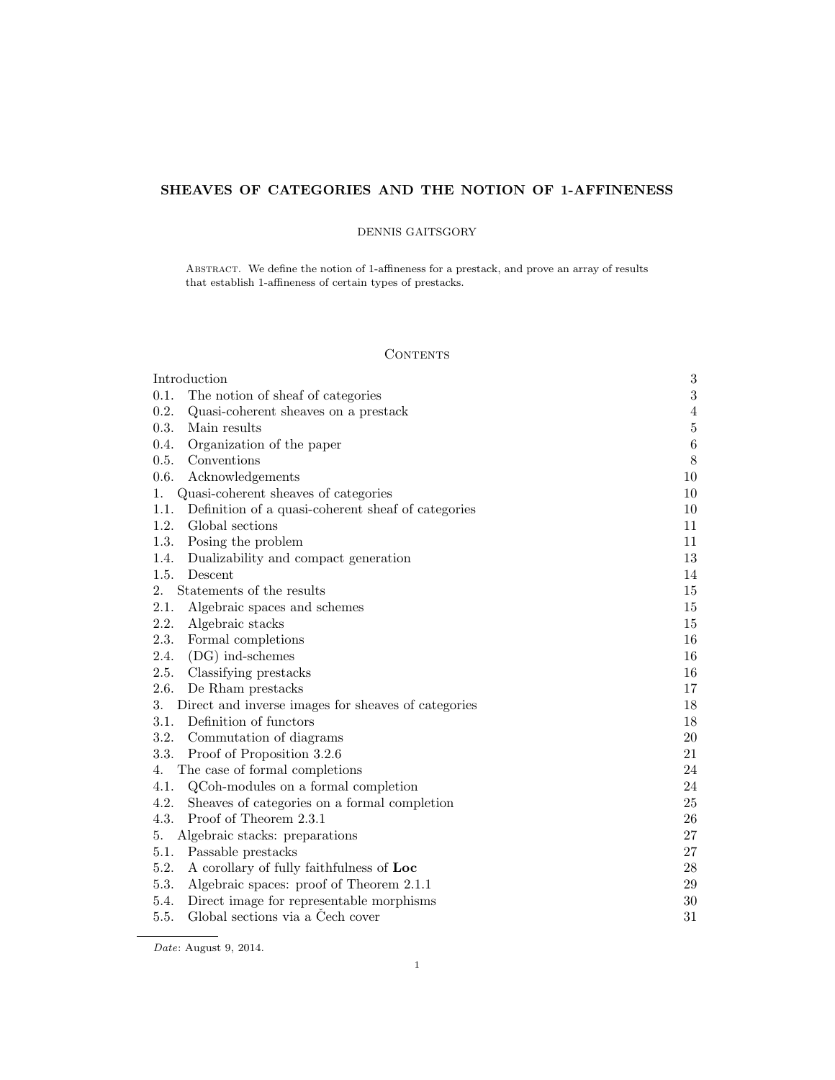# SHEAVES OF CATEGORIES AND THE NOTION OF 1-AFFINENESS

# DENNIS GAITSGORY

Abstract. We define the notion of 1-affineness for a prestack, and prove an array of results that establish 1-affineness of certain types of prestacks.

# **CONTENTS**

| Introduction                                               | $\sqrt{3}$     |
|------------------------------------------------------------|----------------|
| 0.1.<br>The notion of sheaf of categories                  | $\sqrt{3}$     |
| 0.2.<br>Quasi-coherent sheaves on a prestack               | $\sqrt{4}$     |
| 0.3.<br>Main results                                       | $\overline{5}$ |
| 0.4.<br>Organization of the paper                          | $\,6\,$        |
| 0.5.<br>Conventions                                        | $8\,$          |
| 0.6.<br>Acknowledgements                                   | 10             |
| Quasi-coherent sheaves of categories<br>1.                 | 10             |
| 1.1.<br>Definition of a quasi-coherent sheaf of categories | 10             |
| 1.2.<br>Global sections                                    | 11             |
| 1.3.<br>Posing the problem                                 | 11             |
| 1.4.<br>Dualizability and compact generation               | 13             |
| 1.5.<br>Descent                                            | 14             |
| Statements of the results<br>2.                            | 15             |
| 2.1.<br>Algebraic spaces and schemes                       | 15             |
| 2.2.<br>Algebraic stacks                                   | 15             |
| 2.3.<br>Formal completions                                 | 16             |
| 2.4.<br>$(DG)$ ind-schemes                                 | 16             |
| 2.5.<br>Classifying prestacks                              | 16             |
| 2.6.<br>De Rham prestacks                                  | 17             |
| 3.<br>Direct and inverse images for sheaves of categories  | 18             |
| Definition of functors<br>3.1.                             | 18             |
| 3.2. Commutation of diagrams                               | 20             |
| 3.3.<br>Proof of Proposition 3.2.6                         | 21             |
| The case of formal completions<br>4.                       | 24             |
| 4.1.<br>QCoh-modules on a formal completion                | 24             |
| 4.2.<br>Sheaves of categories on a formal completion       | 25             |
| Proof of Theorem 2.3.1<br>4.3.                             | 26             |
| Algebraic stacks: preparations<br>5.                       | 27             |
| 5.1.<br>Passable prestacks                                 | 27             |
| 5.2.<br>A corollary of fully faithfulness of Loc           | $\sqrt{28}$    |
| 5.3.<br>Algebraic spaces: proof of Theorem 2.1.1           | 29             |
| Direct image for representable morphisms<br>5.4.           | $30\,$         |
| 5.5.<br>Global sections via a Cech cover                   | 31             |

Date: August 9, 2014.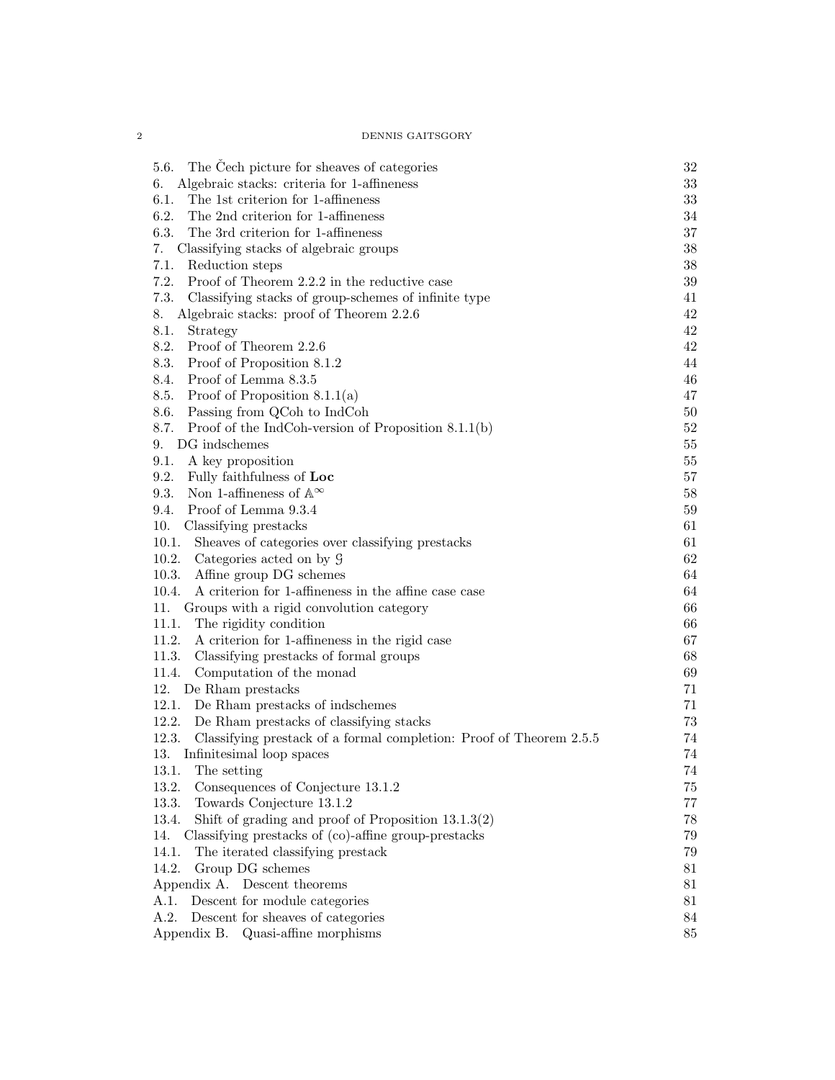| The Cech picture for sheaves of categories<br>5.6.                           | 32     |
|------------------------------------------------------------------------------|--------|
| Algebraic stacks: criteria for 1-affineness<br>6.                            | $33\,$ |
| 6.1.<br>The 1st criterion for 1-affineness                                   | $33\,$ |
| 6.2.<br>The 2nd criterion for 1-affineness                                   | 34     |
| 6.3.<br>The 3rd criterion for 1-affineness                                   | $37\,$ |
| Classifying stacks of algebraic groups<br>7.                                 | $38\,$ |
| Reduction steps<br>7.1.                                                      | 38     |
| 7.2.<br>Proof of Theorem 2.2.2 in the reductive case                         | 39     |
| 7.3.<br>Classifying stacks of group-schemes of infinite type                 | 41     |
| Algebraic stacks: proof of Theorem 2.2.6<br>8.                               | 42     |
| 8.1.<br>Strategy                                                             | 42     |
| 8.2.<br>Proof of Theorem 2.2.6                                               | 42     |
| 8.3.<br>Proof of Proposition 8.1.2                                           | 44     |
| 8.4. Proof of Lemma 8.3.5                                                    | 46     |
| 8.5. Proof of Proposition $8.1.1(a)$                                         | 47     |
| 8.6. Passing from QCoh to IndCoh                                             | $50\,$ |
| Proof of the IndCoh-version of Proposition $8.1.1(b)$<br>8.7.                | $52\,$ |
| DG indschemes<br>9.                                                          | 55     |
| 9.1.<br>A key proposition                                                    | 55     |
| 9.2.<br>Fully faithfulness of Loc                                            | 57     |
| Non 1-affineness of $\mathbb{A}^{\infty}$<br>9.3.                            | 58     |
| Proof of Lemma 9.3.4<br>9.4.                                                 | 59     |
| 10.<br>Classifying prestacks                                                 | 61     |
| Sheaves of categories over classifying prestacks<br>10.1.                    | 61     |
| Categories acted on by 9<br>10.2.                                            | 62     |
| Affine group DG schemes<br>10.3.                                             | 64     |
| A criterion for 1-affineness in the affine case case<br>10.4.                | 64     |
| Groups with a rigid convolution category<br>11.                              | 66     |
| The rigidity condition<br>11.1.                                              | 66     |
| 11.2.                                                                        | 67     |
| A criterion for 1-affineness in the rigid case<br>11.3.                      | 68     |
| Classifying prestacks of formal groups                                       |        |
| 11.4.<br>Computation of the monad                                            | 69     |
| 12.<br>De Rham prestacks                                                     | 71     |
| De Rham prestacks of indschemes<br>12.1.                                     | 71     |
| 12.2.<br>De Rham prestacks of classifying stacks                             | 73     |
| Classifying prestack of a formal completion: Proof of Theorem 2.5.5<br>12.3. | 74     |
| 13.<br>Infinitesimal loop spaces                                             | 74     |
| 13.1.<br>The setting                                                         | $74\,$ |
| 13.2.<br>Consequences of Conjecture 13.1.2                                   | 75     |
| 13.3.<br>Towards Conjecture 13.1.2                                           | 77     |
| 13.4.<br>Shift of grading and proof of Proposition $13.1.3(2)$               | 78     |
| Classifying prestacks of (co)-affine group-prestacks<br>14.                  | 79     |
| 14.1.<br>The iterated classifying prestack                                   | 79     |
| 14.2.<br>Group DG schemes                                                    | 81     |
| Appendix A. Descent theorems                                                 | 81     |
| Descent for module categories<br>A.1.                                        | 81     |
| Descent for sheaves of categories<br>A.2.                                    | 84     |
| Appendix B.<br>Quasi-affine morphisms                                        | 85     |
|                                                                              |        |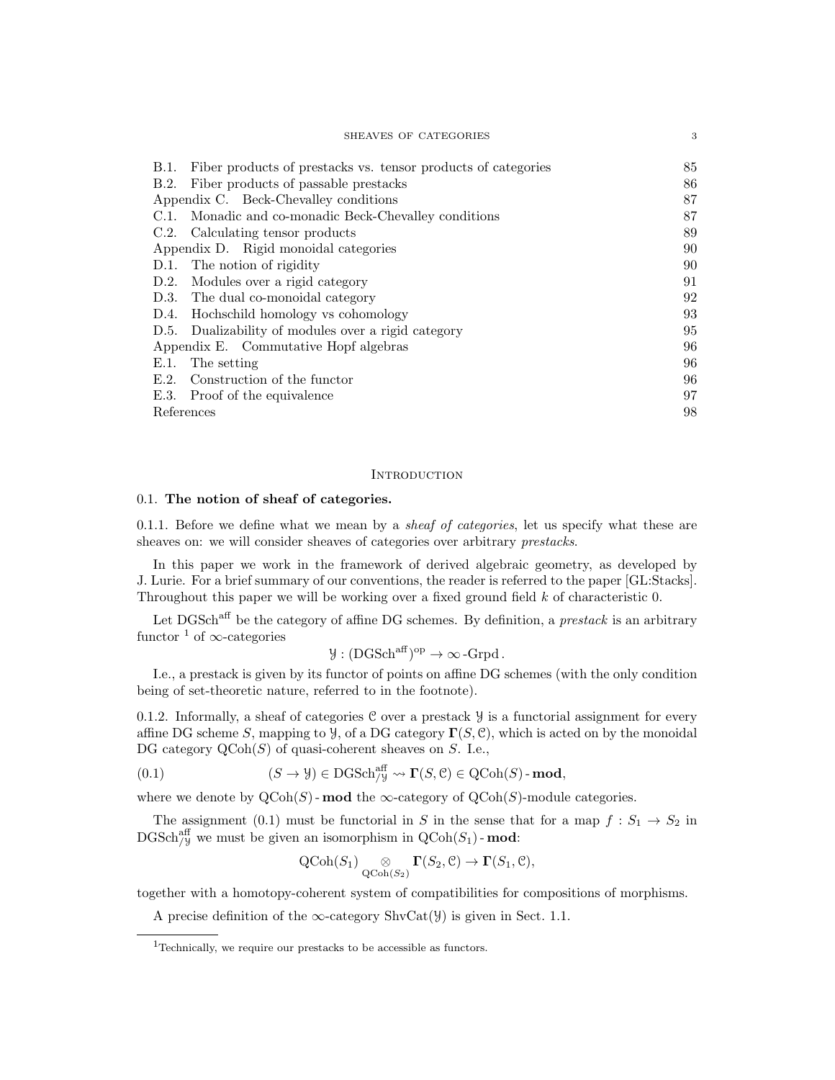| SHEAVES OF CATEGORIES                                                 | 3  |
|-----------------------------------------------------------------------|----|
| Fiber products of prestacks vs. tensor products of categories<br>B.1. | 85 |
| Fiber products of passable prestacks<br>B.2.                          | 86 |
| Appendix C. Beck-Chevalley conditions                                 | 87 |
| C.1. Monadic and co-monadic Beck-Chevalley conditions                 | 87 |
| C.2. Calculating tensor products                                      | 89 |
| Appendix D. Rigid monoidal categories                                 | 90 |
| D.1. The notion of rigidity                                           | 90 |
| D.2. Modules over a rigid category                                    | 91 |
| D.3. The dual co-monoidal category                                    | 92 |
| D.4. Hochschild homology vs cohomology                                | 93 |
| D.5. Dualizability of modules over a rigid category                   | 95 |
| Appendix E. Commutative Hopf algebras                                 | 96 |
| E.1.<br>The setting                                                   | 96 |
| Construction of the functor<br>E.2.                                   | 96 |
| E.3. Proof of the equivalence                                         | 97 |
| References                                                            | 98 |

#### **INTRODUCTION**

# 0.1. The notion of sheaf of categories.

0.1.1. Before we define what we mean by a *sheaf of categories*, let us specify what these are sheaves on: we will consider sheaves of categories over arbitrary prestacks.

In this paper we work in the framework of derived algebraic geometry, as developed by J. Lurie. For a brief summary of our conventions, the reader is referred to the paper [GL:Stacks]. Throughout this paper we will be working over a fixed ground field  $k$  of characteristic 0.

Let DGSch<sup>aff</sup> be the category of affine DG schemes. By definition, a *prestack* is an arbitrary functor <sup>1</sup> of  $\infty$ -categories

$$
\mathcal{Y}: (DGSch^{aff})^{op} \to \infty\text{-Grpd}.
$$

I.e., a prestack is given by its functor of points on affine DG schemes (with the only condition being of set-theoretic nature, referred to in the footnote).

0.1.2. Informally, a sheaf of categories  $C$  over a prestack  $Y$  is a functorial assignment for every affine DG scheme S, mapping to  $\mathcal{Y}$ , of a DG category  $\Gamma(S, \mathcal{C})$ , which is acted on by the monoidal DG category  $\text{QCoh}(S)$  of quasi-coherent sheaves on S. I.e.,

(0.1) 
$$
(S \to \mathcal{Y}) \in \text{DGSch}_{/\mathcal{Y}}^{\text{aff}} \rightsquigarrow \Gamma(S, \mathcal{C}) \in \text{QCoh}(S) \text{-}\text{mod},
$$

where we denote by  $\text{QCoh}(S)$ -mod the  $\infty$ -category of  $\text{QCoh}(S)$ -module categories.

The assignment (0.1) must be functorial in S in the sense that for a map  $f: S_1 \to S_2$  in  $\mathrm{DGSch}_{/\mathcal{Y}}^{\text{aff}}$  we must be given an isomorphism in  $\mathrm{QCoh}(S_1)$  - mod:

$$
\operatorname{QCoh}(S_1) \underset{\operatorname{QCoh}(S_2)}{\otimes} \Gamma(S_2, \mathcal{C}) \to \Gamma(S_1, \mathcal{C}),
$$

together with a homotopy-coherent system of compatibilities for compositions of morphisms.

A precise definition of the  $\infty$ -category ShvCat( $\mathcal{Y}$ ) is given in Sect. 1.1.

<sup>&</sup>lt;sup>1</sup>Technically, we require our prestacks to be accessible as functors.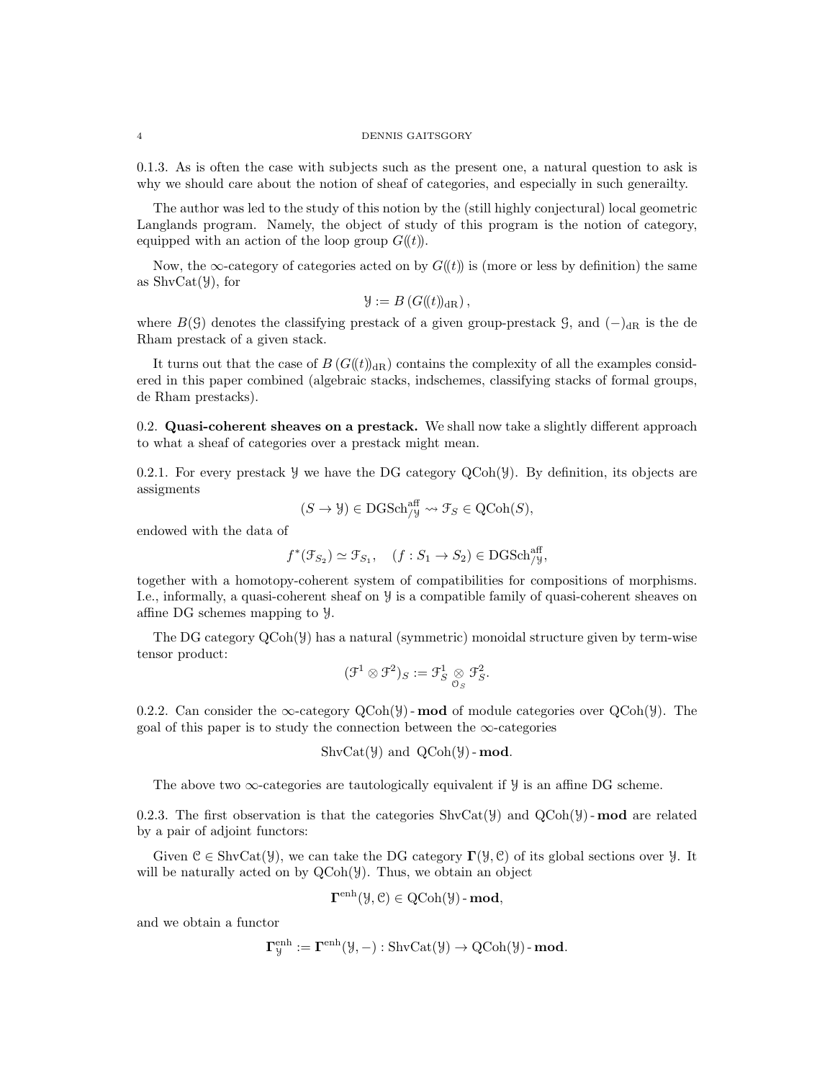0.1.3. As is often the case with subjects such as the present one, a natural question to ask is why we should care about the notion of sheaf of categories, and especially in such generailty.

The author was led to the study of this notion by the (still highly conjectural) local geometric Langlands program. Namely, the object of study of this program is the notion of category, equipped with an action of the loop group  $G(\ell)$ .

Now, the ∞-category of categories acted on by  $G(\ell t)$  is (more or less by definition) the same as  $\text{ShvCat}(\mathcal{Y})$ , for

$$
\mathcal{Y} := B\left(G(\mathcal{U})_{\mathrm{dR}}\right),\,
$$

where  $B(\mathcal{G})$  denotes the classifying prestack of a given group-prestack  $\mathcal{G}$ , and  $(-)_{dR}$  is the de Rham prestack of a given stack.

It turns out that the case of  $B(G(\mathcal{U}))_{\text{dR}}$  contains the complexity of all the examples considered in this paper combined (algebraic stacks, indschemes, classifying stacks of formal groups, de Rham prestacks).

0.2. Quasi-coherent sheaves on a prestack. We shall now take a slightly different approach to what a sheaf of categories over a prestack might mean.

0.2.1. For every prestack  $\mathcal Y$  we have the DG category QCoh( $\mathcal Y$ ). By definition, its objects are assigments

$$
(S \to \mathcal{Y}) \in \mathrm{DGSch}_{/\mathcal{Y}}^{\mathrm{aff}} \rightsquigarrow \mathcal{F}_S \in \mathrm{QCoh}(S),
$$

endowed with the data of

$$
f^*(\mathcal{F}_{S_2}) \simeq \mathcal{F}_{S_1}, \quad (f : S_1 \to S_2) \in \text{DGSch}_{/y}^{\text{aff}},
$$

together with a homotopy-coherent system of compatibilities for compositions of morphisms. I.e., informally, a quasi-coherent sheaf on Y is a compatible family of quasi-coherent sheaves on affine DG schemes mapping to Y.

The DG category  $QCoh(\mathcal{Y})$  has a natural (symmetric) monoidal structure given by term-wise tensor product:

$$
(\mathcal{F}^1\otimes\mathcal{F}^2)_S:=\mathcal{F}^1_S\underset{\mathcal{O}_S}{\otimes}\mathcal{F}^2_S.
$$

0.2.2. Can consider the  $\infty$ -category QCoh(Y) - **mod** of module categories over QCoh(Y). The goal of this paper is to study the connection between the  $\infty$ -categories

 $ShvCat(\mathcal{Y})$  and  $QCoh(\mathcal{Y})$ -mod.

The above two  $\infty$ -categories are tautologically equivalent if  $\mathcal Y$  is an affine DG scheme.

0.2.3. The first observation is that the categories  $\text{ShvCat}(\mathcal{Y})$  and  $\text{QCoh}(\mathcal{Y})$ -mod are related by a pair of adjoint functors:

Given  $\mathcal{C} \in \text{ShvCat}(\mathcal{Y})$ , we can take the DG category  $\Gamma(\mathcal{Y}, \mathcal{C})$  of its global sections over  $\mathcal{Y}$ . It will be naturally acted on by  $QCoh(\mathcal{Y})$ . Thus, we obtain an object

$$
\Gamma^{\text{enh}}(\mathcal{Y}, \mathcal{C}) \in \mathrm{QCoh}(\mathcal{Y})\text{-}\mathbf{mod},
$$

and we obtain a functor

$$
\Gamma^{\mathrm{enh}}_{\mathcal{Y}}:=\Gamma^{\mathrm{enh}}(\mathcal{Y}, -): \mathrm{ShvCat}(\mathcal{Y}) \to \mathrm{QCoh}(\mathcal{Y})\text{-}\mathbf{mod}.
$$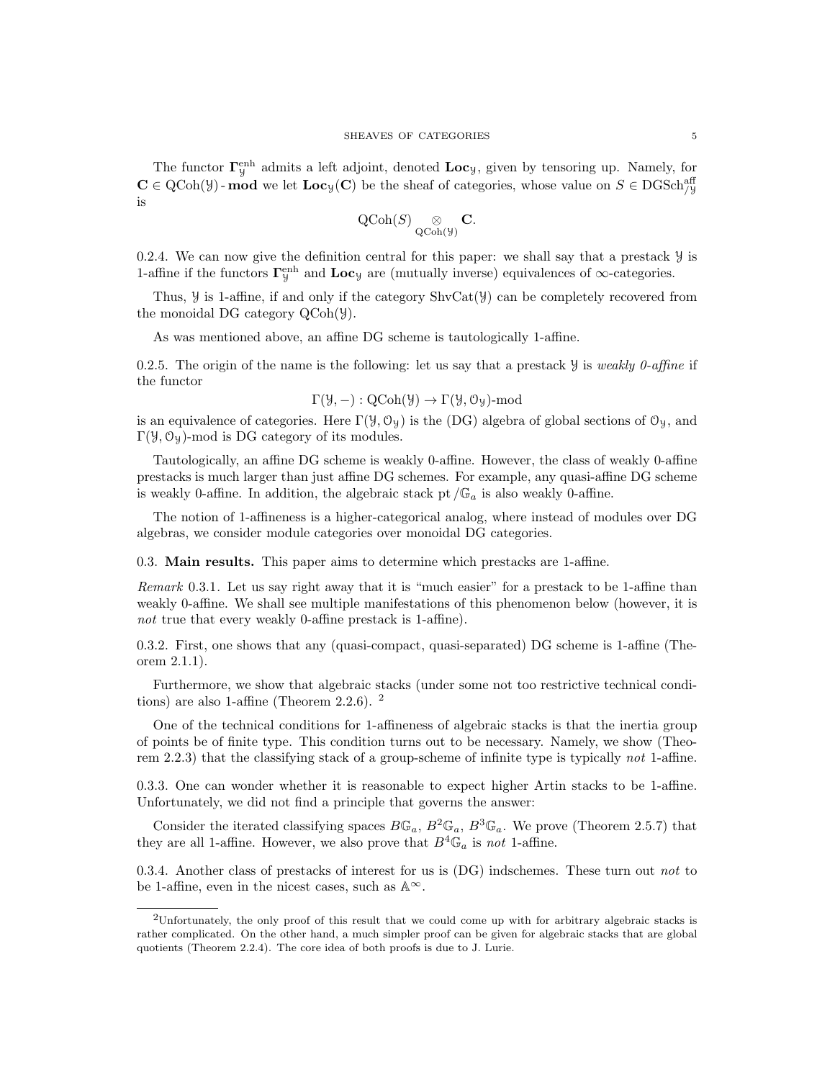The functor  $\Gamma_y^{\text{enh}}$  admits a left adjoint, denoted  $\text{Loc}_y$ , given by tensoring up. Namely, for  $\mathbf{C} \in \mathrm{QCoh}(\mathcal{Y})$ -mod we let  $\mathbf{Loc}_\mathcal{Y}(\mathbf{C})$  be the sheaf of categories, whose value on  $S \in \mathrm{DGSch}^{\mathrm{aff}}_{/\mathcal{Y}}$ is

$$
\operatorname{QCoh}(S) \underset{\operatorname{QCoh}(\mathcal{Y})}{\otimes} \mathbf{C}.
$$

0.2.4. We can now give the definition central for this paper: we shall say that a prestack  $\mathcal Y$  is 1-affine if the functors  $\Gamma^{\text{enh}}_{\mathcal{Y}}$  and  $\text{Loc}_{\mathcal{Y}}$  are (mutually inverse) equivalences of  $\infty$ -categories.

Thus,  $\mathcal Y$  is 1-affine, if and only if the category  $\text{ShvCat}(\mathcal Y)$  can be completely recovered from the monoidal DG category QCoh(Y).

As was mentioned above, an affine DG scheme is tautologically 1-affine.

0.2.5. The origin of the name is the following: let us say that a prestack  $\mathcal Y$  is weakly 0-affine if the functor

$$
\Gamma(\mathcal{Y}, -): \mathrm{QCoh}(\mathcal{Y}) \to \Gamma(\mathcal{Y}, \mathcal{O}_{\mathcal{Y}}) \text{-mod}
$$

is an equivalence of categories. Here  $\Gamma(\mathcal{Y}, \mathcal{O}_{\mathcal{Y}})$  is the (DG) algebra of global sections of  $\mathcal{O}_{\mathcal{Y}}$ , and Γ( $\mathcal{Y}, \mathcal{O}_{\mathcal{Y}}$ )-mod is DG category of its modules.

Tautologically, an affine DG scheme is weakly 0-affine. However, the class of weakly 0-affine prestacks is much larger than just affine DG schemes. For example, any quasi-affine DG scheme is weakly 0-affine. In addition, the algebraic stack pt  $/\mathbb{G}_a$  is also weakly 0-affine.

The notion of 1-affineness is a higher-categorical analog, where instead of modules over DG algebras, we consider module categories over monoidal DG categories.

0.3. Main results. This paper aims to determine which prestacks are 1-affine.

Remark 0.3.1. Let us say right away that it is "much easier" for a prestack to be 1-affine than weakly 0-affine. We shall see multiple manifestations of this phenomenon below (however, it is not true that every weakly 0-affine prestack is 1-affine).

0.3.2. First, one shows that any (quasi-compact, quasi-separated) DG scheme is 1-affine (Theorem 2.1.1).

Furthermore, we show that algebraic stacks (under some not too restrictive technical conditions) are also 1-affine (Theorem 2.2.6).  $^2$ 

One of the technical conditions for 1-affineness of algebraic stacks is that the inertia group of points be of finite type. This condition turns out to be necessary. Namely, we show (Theorem 2.2.3) that the classifying stack of a group-scheme of infinite type is typically not 1-affine.

0.3.3. One can wonder whether it is reasonable to expect higher Artin stacks to be 1-affine. Unfortunately, we did not find a principle that governs the answer:

Consider the iterated classifying spaces  $B\mathbb{G}_a$ ,  $B^2\mathbb{G}_a$ ,  $B^3\mathbb{G}_a$ . We prove (Theorem 2.5.7) that they are all 1-affine. However, we also prove that  $B^4\mathbb{G}_a$  is not 1-affine.

0.3.4. Another class of prestacks of interest for us is  $(DG)$  indschemes. These turn out not to be 1-affine, even in the nicest cases, such as  $\mathbb{A}^{\infty}$ .

<sup>2</sup>Unfortunately, the only proof of this result that we could come up with for arbitrary algebraic stacks is rather complicated. On the other hand, a much simpler proof can be given for algebraic stacks that are global quotients (Theorem 2.2.4). The core idea of both proofs is due to J. Lurie.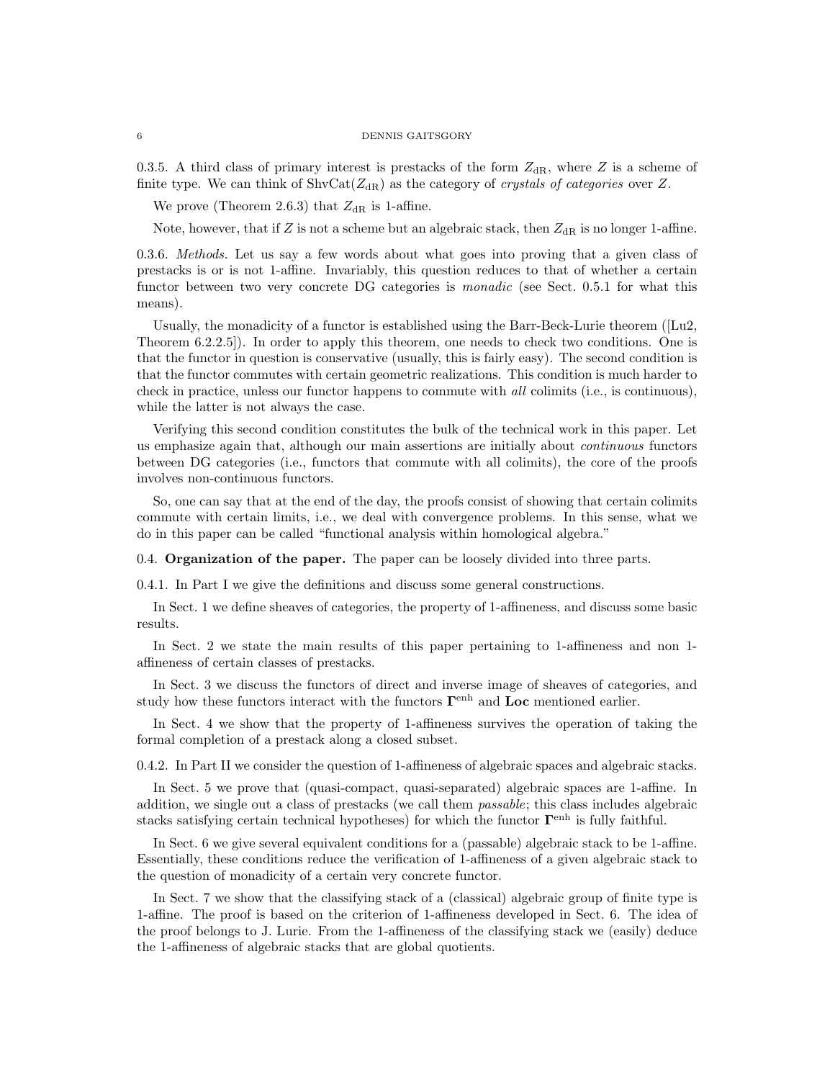0.3.5. A third class of primary interest is prestacks of the form  $Z_{\rm dR}$ , where Z is a scheme of finite type. We can think of  $\text{ShvCat}(Z_{\text{dR}})$  as the category of *crystals of categories* over Z.

We prove (Theorem 2.6.3) that  $Z_{\text{dR}}$  is 1-affine.

Note, however, that if Z is not a scheme but an algebraic stack, then  $Z_{\text{dR}}$  is no longer 1-affine.

0.3.6. Methods. Let us say a few words about what goes into proving that a given class of prestacks is or is not 1-affine. Invariably, this question reduces to that of whether a certain functor between two very concrete DG categories is *monadic* (see Sect. 0.5.1 for what this means).

Usually, the monadicity of a functor is established using the Barr-Beck-Lurie theorem ([Lu2, Theorem 6.2.2.5]). In order to apply this theorem, one needs to check two conditions. One is that the functor in question is conservative (usually, this is fairly easy). The second condition is that the functor commutes with certain geometric realizations. This condition is much harder to check in practice, unless our functor happens to commute with all colimits (i.e., is continuous), while the latter is not always the case.

Verifying this second condition constitutes the bulk of the technical work in this paper. Let us emphasize again that, although our main assertions are initially about continuous functors between DG categories (i.e., functors that commute with all colimits), the core of the proofs involves non-continuous functors.

So, one can say that at the end of the day, the proofs consist of showing that certain colimits commute with certain limits, i.e., we deal with convergence problems. In this sense, what we do in this paper can be called "functional analysis within homological algebra."

0.4. Organization of the paper. The paper can be loosely divided into three parts.

0.4.1. In Part I we give the definitions and discuss some general constructions.

In Sect. 1 we define sheaves of categories, the property of 1-affineness, and discuss some basic results.

In Sect. 2 we state the main results of this paper pertaining to 1-affineness and non 1 affineness of certain classes of prestacks.

In Sect. 3 we discuss the functors of direct and inverse image of sheaves of categories, and study how these functors interact with the functors  $\Gamma^{\text{enh}}$  and  $\text{Loc}$  mentioned earlier.

In Sect. 4 we show that the property of 1-affineness survives the operation of taking the formal completion of a prestack along a closed subset.

0.4.2. In Part II we consider the question of 1-affineness of algebraic spaces and algebraic stacks.

In Sect. 5 we prove that (quasi-compact, quasi-separated) algebraic spaces are 1-affine. In addition, we single out a class of prestacks (we call them passable; this class includes algebraic stacks satisfying certain technical hypotheses) for which the functor  $\Gamma^{\text{enh}}$  is fully faithful.

In Sect. 6 we give several equivalent conditions for a (passable) algebraic stack to be 1-affine. Essentially, these conditions reduce the verification of 1-affineness of a given algebraic stack to the question of monadicity of a certain very concrete functor.

In Sect. 7 we show that the classifying stack of a (classical) algebraic group of finite type is 1-affine. The proof is based on the criterion of 1-affineness developed in Sect. 6. The idea of the proof belongs to J. Lurie. From the 1-affineness of the classifying stack we (easily) deduce the 1-affineness of algebraic stacks that are global quotients.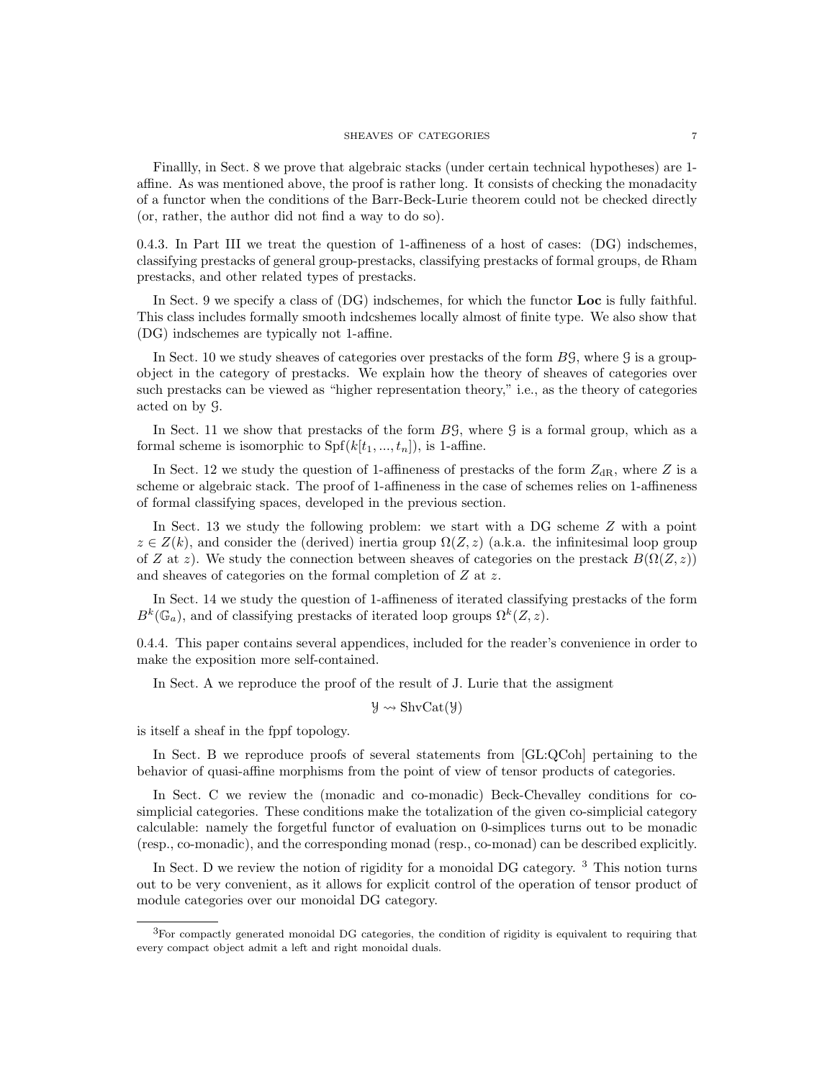Finallly, in Sect. 8 we prove that algebraic stacks (under certain technical hypotheses) are 1 affine. As was mentioned above, the proof is rather long. It consists of checking the monadacity of a functor when the conditions of the Barr-Beck-Lurie theorem could not be checked directly (or, rather, the author did not find a way to do so).

0.4.3. In Part III we treat the question of 1-affineness of a host of cases: (DG) indschemes, classifying prestacks of general group-prestacks, classifying prestacks of formal groups, de Rham prestacks, and other related types of prestacks.

In Sect. 9 we specify a class of (DG) indschemes, for which the functor Loc is fully faithful. This class includes formally smooth indcshemes locally almost of finite type. We also show that (DG) indschemes are typically not 1-affine.

In Sect. 10 we study sheaves of categories over prestacks of the form  $B\mathcal{G}$ , where  $\mathcal{G}$  is a groupobject in the category of prestacks. We explain how the theory of sheaves of categories over such prestacks can be viewed as "higher representation theory," i.e., as the theory of categories acted on by G.

In Sect. 11 we show that prestacks of the form  $B\mathcal{G}$ , where  $\mathcal{G}$  is a formal group, which as a formal scheme is isomorphic to  $Spf(k[t_1, ..., t_n])$ , is 1-affine.

In Sect. 12 we study the question of 1-affineness of prestacks of the form  $Z_{\rm dR}$ , where Z is a scheme or algebraic stack. The proof of 1-affineness in the case of schemes relies on 1-affineness of formal classifying spaces, developed in the previous section.

In Sect. 13 we study the following problem: we start with a DG scheme Z with a point  $z \in Z(k)$ , and consider the (derived) inertia group  $\Omega(Z, z)$  (a.k.a. the infinitesimal loop group of Z at z). We study the connection between sheaves of categories on the prestack  $B(\Omega(Z, z))$ and sheaves of categories on the formal completion of Z at z.

In Sect. 14 we study the question of 1-affineness of iterated classifying prestacks of the form  $B^k(\mathbb{G}_a)$ , and of classifying prestacks of iterated loop groups  $\Omega^k(Z, z)$ .

0.4.4. This paper contains several appendices, included for the reader's convenience in order to make the exposition more self-contained.

In Sect. A we reproduce the proof of the result of J. Lurie that the assigment

 $\mathcal{Y} \rightsquigarrow \text{ShvCat}(\mathcal{Y})$ 

is itself a sheaf in the fppf topology.

In Sect. B we reproduce proofs of several statements from [GL:QCoh] pertaining to the behavior of quasi-affine morphisms from the point of view of tensor products of categories.

In Sect. C we review the (monadic and co-monadic) Beck-Chevalley conditions for cosimplicial categories. These conditions make the totalization of the given co-simplicial category calculable: namely the forgetful functor of evaluation on 0-simplices turns out to be monadic (resp., co-monadic), and the corresponding monad (resp., co-monad) can be described explicitly.

In Sect. D we review the notion of rigidity for a monoidal DG category. <sup>3</sup> This notion turns out to be very convenient, as it allows for explicit control of the operation of tensor product of module categories over our monoidal DG category.

<sup>3</sup>For compactly generated monoidal DG categories, the condition of rigidity is equivalent to requiring that every compact object admit a left and right monoidal duals.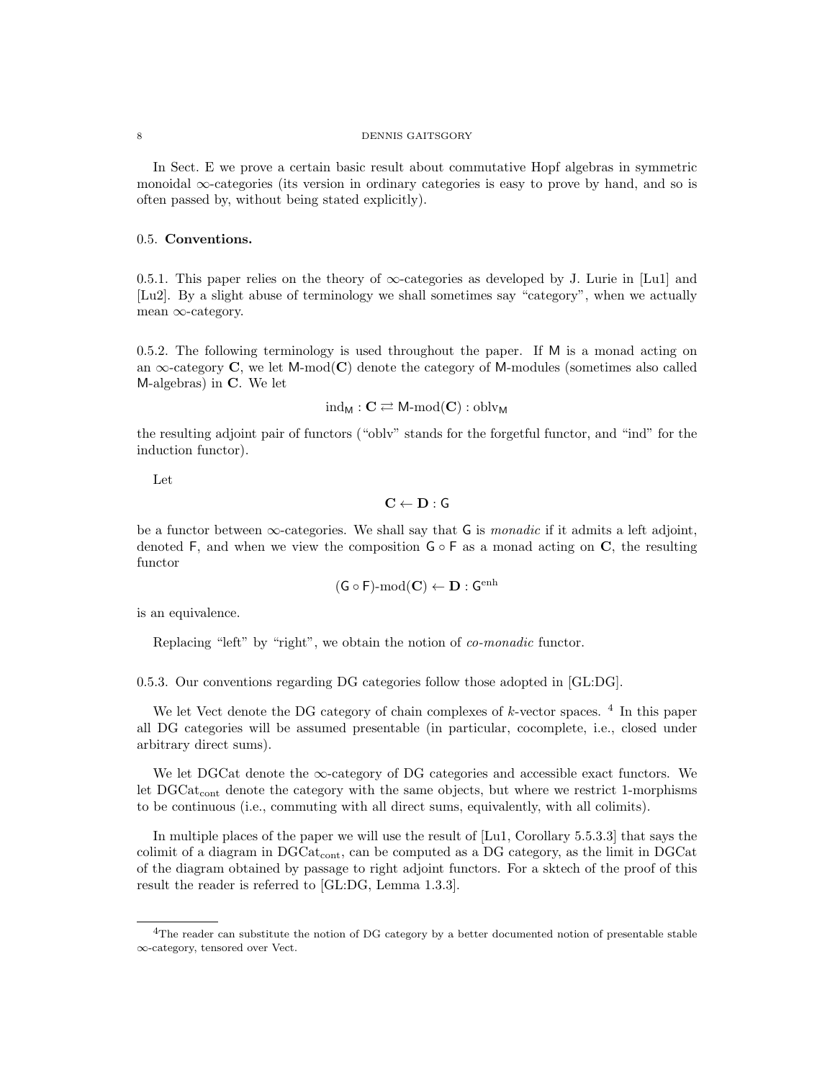In Sect. E we prove a certain basic result about commutative Hopf algebras in symmetric monoidal ∞-categories (its version in ordinary categories is easy to prove by hand, and so is often passed by, without being stated explicitly).

# 0.5. Conventions.

0.5.1. This paper relies on the theory of  $\infty$ -categories as developed by J. Lurie in [Lu1] and [Lu2]. By a slight abuse of terminology we shall sometimes say "category", when we actually mean ∞-category.

0.5.2. The following terminology is used throughout the paper. If M is a monad acting on an  $\infty$ -category C, we let M-mod(C) denote the category of M-modules (sometimes also called M-algebras) in C. We let

$$
\mathrm{ind}_M: \mathbf{C} \rightleftarrows M\text{-}\mathrm{mod}(\mathbf{C}): \mathrm{oblv}_M
$$

the resulting adjoint pair of functors ("oblv" stands for the forgetful functor, and "ind" for the induction functor).

Let

 $C \leftarrow D : G$ 

be a functor between  $\infty$ -categories. We shall say that G is *monadic* if it admits a left adjoint, denoted F, and when we view the composition  $G \circ F$  as a monad acting on C, the resulting functor

$$
(\mathsf{G}\circ\mathsf{F})\text{-}\mathrm{mod}(\mathbf{C})\leftarrow\mathbf{D}:\mathsf{G}^{\mathrm{enh}}
$$

is an equivalence.

Replacing "left" by "right", we obtain the notion of co-monadic functor.

0.5.3. Our conventions regarding DG categories follow those adopted in [GL:DG].

We let Vect denote the DG category of chain complexes of  $k$ -vector spaces.<sup>4</sup> In this paper all DG categories will be assumed presentable (in particular, cocomplete, i.e., closed under arbitrary direct sums).

We let DGCat denote the  $\infty$ -category of DG categories and accessible exact functors. We let  $DGCat_{cont}$  denote the category with the same objects, but where we restrict 1-morphisms to be continuous (i.e., commuting with all direct sums, equivalently, with all colimits).

In multiple places of the paper we will use the result of [Lu1, Corollary 5.5.3.3] that says the colimit of a diagram in DGCatcont, can be computed as a DG category, as the limit in DGCat of the diagram obtained by passage to right adjoint functors. For a sktech of the proof of this result the reader is referred to [GL:DG, Lemma 1.3.3].

<sup>4</sup>The reader can substitute the notion of DG category by a better documented notion of presentable stable ∞-category, tensored over Vect.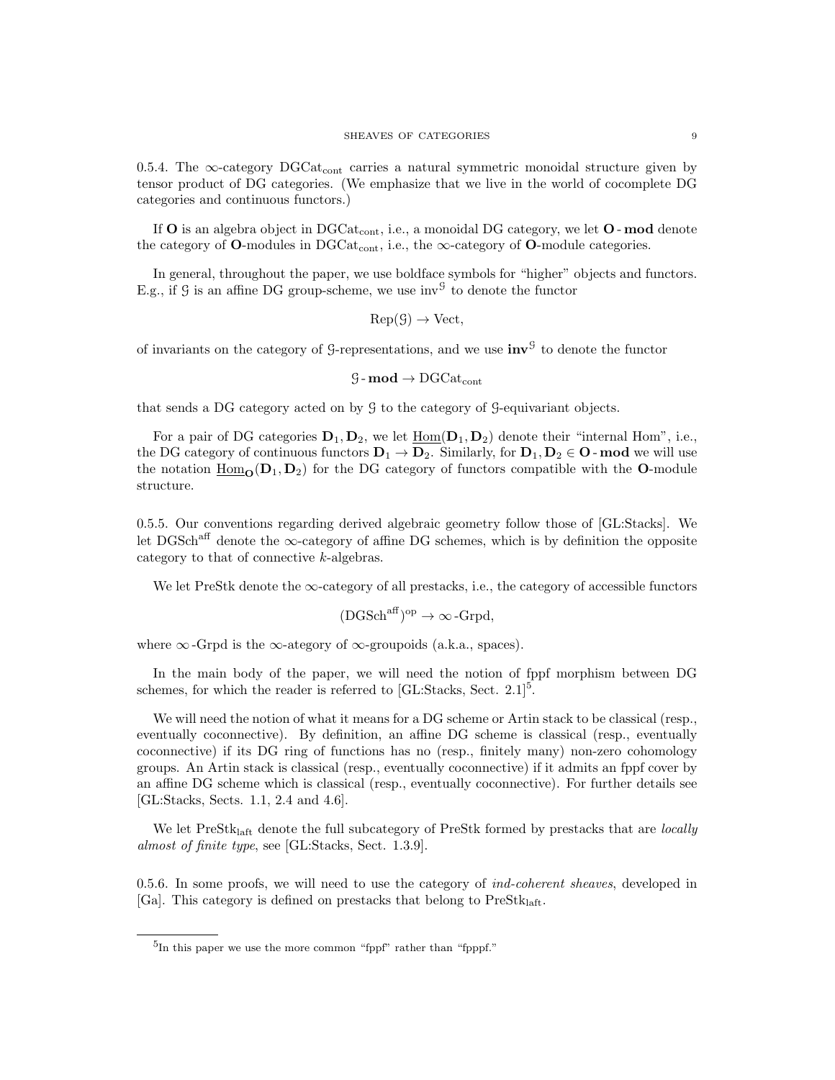0.5.4. The  $\infty$ -category DGCat<sub>cont</sub> carries a natural symmetric monoidal structure given by tensor product of DG categories. (We emphasize that we live in the world of cocomplete DG categories and continuous functors.)

If  $O$  is an algebra object in DGCat<sub>cont</sub>, i.e., a monoidal DG category, we let  $O$ -mod denote the category of  $O$ -modules in DGC $at_{cont}$ , i.e., the  $\infty$ -category of  $O$ -module categories.

In general, throughout the paper, we use boldface symbols for "higher" objects and functors. E.g., if  $\mathcal G$  is an affine DG group-scheme, we use  $inv^{\mathcal G}$  to denote the functor

$$
Rep(\mathcal{G}) \to Vect,
$$

of invariants on the category of G-representations, and we use  $inv<sup>G</sup>$  to denote the functor

$$
\texttt{G-mod} \rightarrow \mathrm{DGCat}_\mathrm{cont}
$$

that sends a DG category acted on by G to the category of G-equivariant objects.

For a pair of DG categories  $D_1, D_2$ , we let  $\underline{\text{Hom}}(D_1, D_2)$  denote their "internal Hom", i.e., the DG category of continuous functors  $D_1 \rightarrow D_2$ . Similarly, for  $D_1, D_2 \in \mathbf{O}$  - mod we will use the notation  $\underline{\text{Hom}}_{\text{O}}(D_1, D_2)$  for the DG category of functors compatible with the **O**-module structure.

0.5.5. Our conventions regarding derived algebraic geometry follow those of [GL:Stacks]. We let DGSch<sup>aff</sup> denote the  $\infty$ -category of affine DG schemes, which is by definition the opposite category to that of connective k-algebras.

We let PreStk denote the ∞-category of all prestacks, i.e., the category of accessible functors

$$
(\mathrm{DGSch}^{\mathrm{aff}})^{\mathrm{op}}\to\infty\,\mathrm{-Grpd},
$$

where  $\infty$ -Grpd is the  $\infty$ -ategory of  $\infty$ -groupoids (a.k.a., spaces).

In the main body of the paper, we will need the notion of fppf morphism between DG schemes, for which the reader is referred to  $[GL:Stacks, Sect. 2.1]$ <sup>5</sup>.

We will need the notion of what it means for a DG scheme or Artin stack to be classical (resp., eventually coconnective). By definition, an affine DG scheme is classical (resp., eventually coconnective) if its DG ring of functions has no (resp., finitely many) non-zero cohomology groups. An Artin stack is classical (resp., eventually coconnective) if it admits an fppf cover by an affine DG scheme which is classical (resp., eventually coconnective). For further details see [GL:Stacks, Sects. 1.1, 2.4 and 4.6].

We let PreStk<sub>laft</sub> denote the full subcategory of PreStk formed by prestacks that are *locally* almost of finite type, see [GL:Stacks, Sect. 1.3.9].

0.5.6. In some proofs, we will need to use the category of *ind-coherent sheaves*, developed in [Ga]. This category is defined on prestacks that belong to  $PreStk<sub>left</sub>$ .

<sup>&</sup>lt;sup>5</sup>In this paper we use the more common "fppf" rather than "fpppf."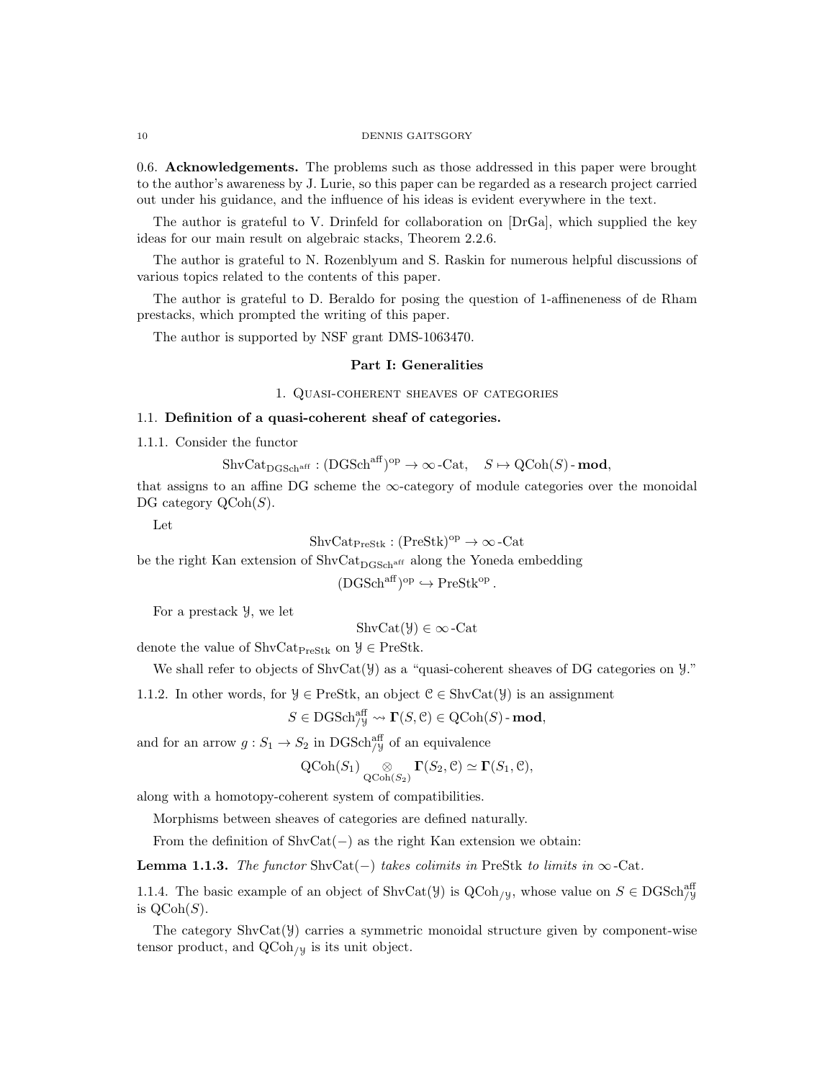0.6. Acknowledgements. The problems such as those addressed in this paper were brought to the author's awareness by J. Lurie, so this paper can be regarded as a research project carried out under his guidance, and the influence of his ideas is evident everywhere in the text.

The author is grateful to V. Drinfeld for collaboration on [DrGa], which supplied the key ideas for our main result on algebraic stacks, Theorem 2.2.6.

The author is grateful to N. Rozenblyum and S. Raskin for numerous helpful discussions of various topics related to the contents of this paper.

The author is grateful to D. Beraldo for posing the question of 1-affineneness of de Rham prestacks, which prompted the writing of this paper.

The author is supported by NSF grant DMS-1063470.

# Part I: Generalities

# 1. Quasi-coherent sheaves of categories

# 1.1. Definition of a quasi-coherent sheaf of categories.

1.1.1. Consider the functor

 $\text{ShvCat}_{\text{DGSch}^{\text{aff}}} : (\text{DGSch}^{\text{aff}})^{\text{op}} \to \infty\text{-}\text{Cat}, \quad S \mapsto \text{QCoh}(S) \text{-}\text{mod},$ 

that assigns to an affine DG scheme the  $\infty$ -category of module categories over the monoidal DG category  $\mathrm{QCoh}(S)$ .

Let

$$
ShvCat_{\text{PreStk}} : (\text{PreStk})^{\text{op}} \to \infty \text{-Cat}
$$

be the right Kan extension of  $\text{ShvCat}_{\text{DGSch}^\text{aff}}$  along the Yoneda embedding

 $(DGSch<sup>aff</sup>)<sup>op</sup> \hookrightarrow PreStk<sup>op</sup>$ .

For a prestack Y, we let

$$
ShvCat(\mathcal{Y}) \in \infty\text{-Cat}
$$

denote the value of ShvCat<sub>PreStk</sub> on  $\mathcal{Y} \in \text{PreStk.}$ 

```
We shall refer to objects of \text{ShvCat}(\mathcal{Y}) as a "quasi-coherent sheaves of DG categories on \mathcal{Y}."
```
1.1.2. In other words, for  $\mathcal{Y} \in \text{PreStk}$ , an object  $\mathcal{C} \in \text{ShvCat}(\mathcal{Y})$  is an assignment

$$
S \in \mathrm{DGSch}_{/\mathcal{Y}}^{\mathrm{aff}} \leadsto \Gamma(S, \mathcal{C}) \in \mathrm{QCoh}(S) \text{-}\mathbf{mod},
$$

and for an arrow  $g: S_1 \to S_2$  in DGSch<sup>aff</sup> of an equivalence

$$
\operatorname{QCoh}(S_1) \underset{\operatorname{QCoh}(S_2)}{\otimes} \Gamma(S_2, \mathcal{C}) \simeq \Gamma(S_1, \mathcal{C}),
$$

along with a homotopy-coherent system of compatibilities.

Morphisms between sheaves of categories are defined naturally.

From the definition of  $\text{ShvCat}(-)$  as the right Kan extension we obtain:

**Lemma 1.1.3.** The functor ShvCat(−) takes colimits in PreStk to limits in  $\infty$ -Cat.

1.1.4. The basic example of an object of ShvCat( $\mathcal{Y}$ ) is QCoh<sub>/ $\mathcal{Y}$ </sub>, whose value on  $S \in \text{DGSch}_{\mathcal{Y}}^{\text{aff}}$ is  $\text{QCoh}(S)$ .

The category  $\text{ShvCat}(\mathcal{Y})$  carries a symmetric monoidal structure given by component-wise tensor product, and  $QCoh_{/Y}$  is its unit object.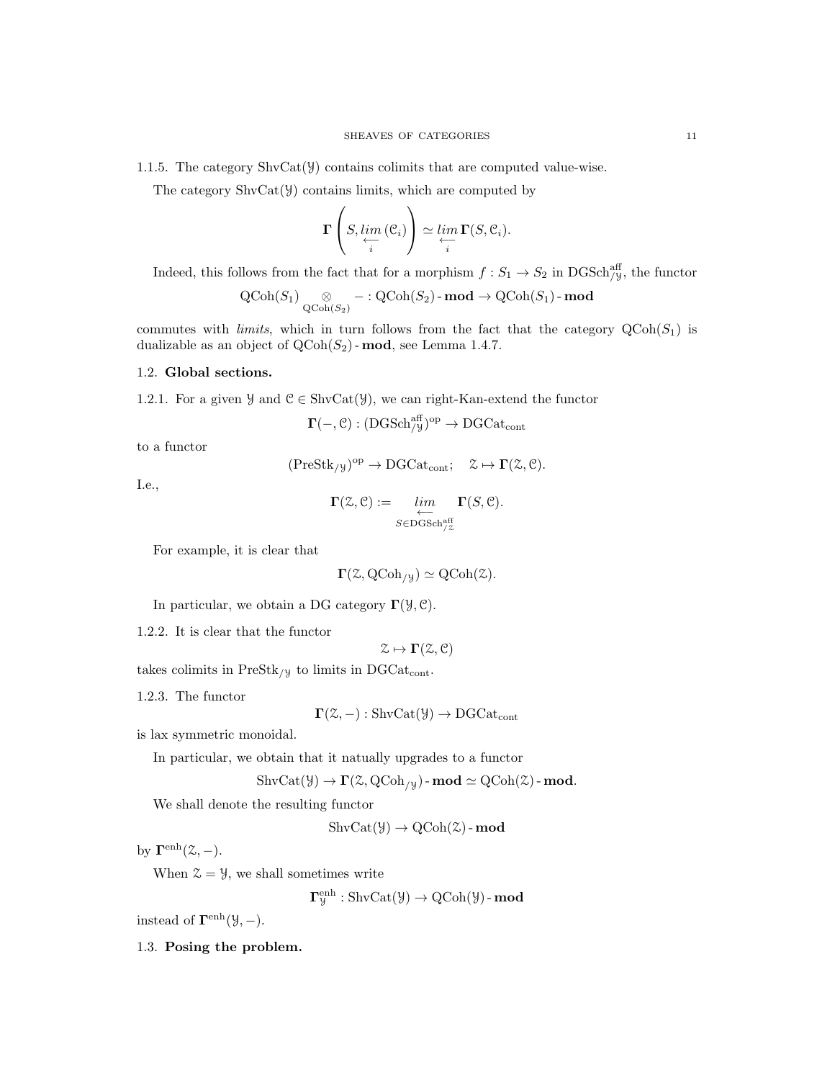The category  $\text{ShvCat}(\mathcal{Y})$  contains limits, which are computed by

$$
\Gamma\left(S,\varprojlim_{i}\left(\mathcal{C}_{i}\right)\right)\simeq \varprojlim_{i}\Gamma(S,\mathcal{C}_{i}).
$$

Indeed, this follows from the fact that for a morphism  $f: S_1 \to S_2$  in DGSch<sup>aff</sup>, the functor

$$
\operatorname{QCoh}(S_1) \underset{\operatorname{QCoh}(S_2)}{\otimes} - : \operatorname{QCoh}(S_2) \text{-}\mathbf{mod} \to \operatorname{QCoh}(S_1) \text{-}\mathbf{mod}
$$

commutes with *limits*, which in turn follows from the fact that the category  $QCoh(S_1)$  is dualizable as an object of  $\text{QCoh}(S_2)$  - mod, see Lemma 1.4.7.

## 1.2. Global sections.

1.2.1. For a given  $\mathcal{Y}$  and  $\mathcal{C} \in \text{ShvCat}(\mathcal{Y})$ , we can right-Kan-extend the functor

$$
\Gamma(-, \mathcal{C}): ({\rm DGSch}_{/\mathcal{Y}}^{{\rm aff}})^{\rm op} \to {\rm DGCat_{\rm cont}}
$$

to a functor

$$
(\mathrm{PreStk}_{/\mathcal{Y}})^{\mathrm{op}} \to \mathrm{DGCat}_{\mathrm{cont}}; \quad \mathcal{Z} \mapsto \Gamma(\mathcal{Z}, \mathcal{C}).
$$

I.e.,

$$
\Gamma(\mathcal{Z},\mathcal{C}):=\lim_{\substack{\longleftarrow \\ S\in \text{DGSch}^{\text{aff}}_{/ \mathcal{Z}}}} \Gamma(S,\mathcal{C}).
$$

For example, it is clear that

 $\Gamma(\mathcal{Z}, \mathrm{QCoh}_{/\mathcal{Y}}) \simeq \mathrm{QCoh}(\mathcal{Z}).$ 

In particular, we obtain a DG category  $\Gamma(\mathcal{Y}, \mathcal{C})$ .

1.2.2. It is clear that the functor

 $\mathcal{Z} \mapsto \Gamma(\mathcal{Z}, \mathcal{C})$ 

takes colimits in  $PreStk_{/y}$  to limits in DGCat<sub>cont</sub>.

1.2.3. The functor

 $\Gamma(\mathcal{Z},-) : \text{ShvCat}(\mathcal{Y}) \to \text{DGCat}_{\text{cont}}$ 

is lax symmetric monoidal.

In particular, we obtain that it natually upgrades to a functor

$$
\mathrm{ShvCat}(\mathcal{Y}) \to \Gamma(\mathcal{Z}, \mathrm{QCoh}_{/\mathcal{Y}}) \text{-}\operatorname{\mathbf{mod}} \simeq \mathrm{QCoh}(\mathcal{Z}) \text{-}\operatorname{\mathbf{mod}}.
$$

We shall denote the resulting functor

 $\text{ShvCat}(\mathcal{Y}) \to \text{QCoh}(\mathcal{Z})$  - mod

by  $\mathbf{\Gamma}^{\text{enh}}(\mathcal{Z},-)$ .

When  $\mathcal{Z} = \mathcal{Y}$ , we shall sometimes write

 $\mathbf{\Gamma}^{\text{enh}}_{\mathcal{Y}} : \text{ShvCat}(\mathcal{Y}) \to \text{QCoh}(\mathcal{Y})$  -  $\mathbf{mod}$ 

instead of  $\mathbf{\Gamma}^{\text{enh}}(\mathcal{Y},-)$ .

1.3. Posing the problem.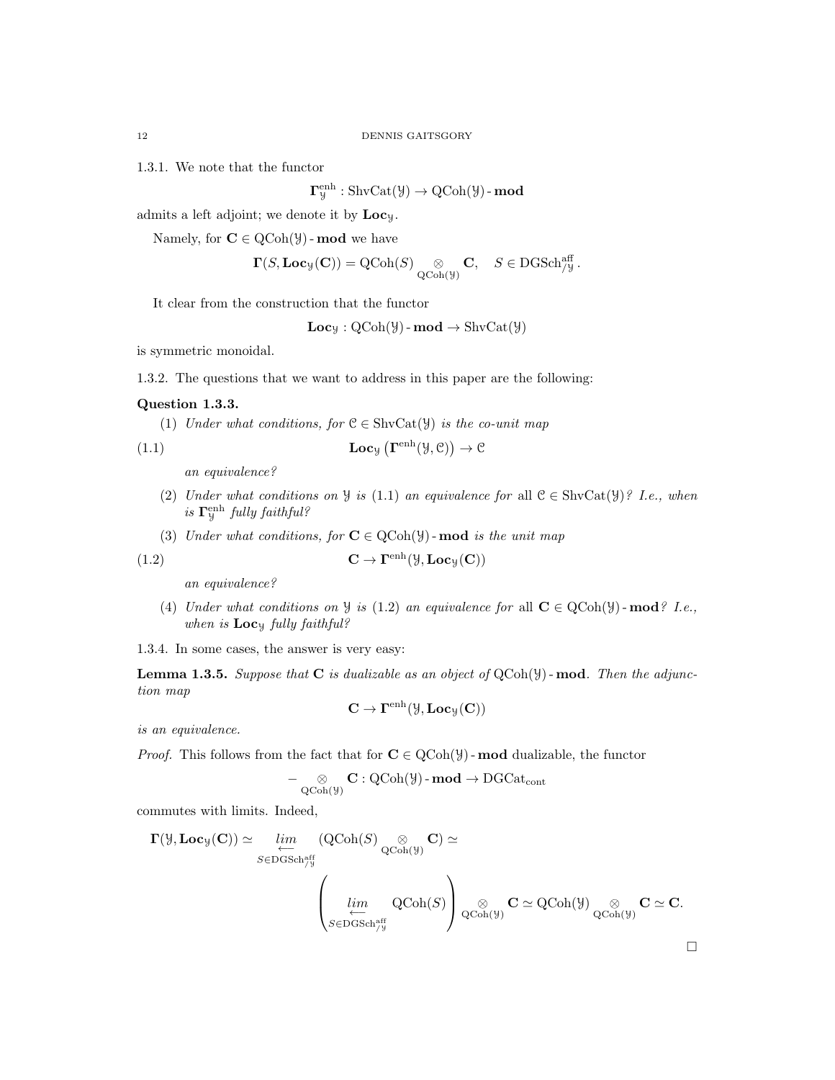1.3.1. We note that the functor

 $\mathbf{\Gamma}^{\text{enh}}_{\mathcal{Y}} : \text{ShvCat}(\mathcal{Y}) \to \text{QCoh}(\mathcal{Y})$  -  $\mathbf{mod}$ 

admits a left adjoint; we denote it by  $Loc<sub>y</sub>$ .

Namely, for  $C \in \mathrm{QCoh}(\mathcal{Y})$  - mod we have

$$
\boldsymbol{\Gamma}(S,\mathbf{Loc}_\mathcal{Y}(\mathbf{C})) = \mathrm{QCoh}(S) \underset{\mathrm{QCoh}(\mathcal{Y})}{\otimes} \mathbf{C}, \quad S \in \mathrm{DGSch}^{\mathrm{aff}}_{/\mathcal{Y}}.
$$

It clear from the construction that the functor

 $Loc_y : QCoh(y)$  -  $mod \rightarrow ShvCat(y)$ 

is symmetric monoidal.

1.3.2. The questions that we want to address in this paper are the following:

# Question 1.3.3.

(1) Under what conditions, for  $\mathcal{C} \in \text{ShvCat}(\mathcal{Y})$  is the co-unit map

(1.1) 
$$
\mathbf{Loc}_{\mathcal{Y}}\left(\mathbf{\Gamma}^{\text{enh}}(\mathcal{Y}, \mathcal{C})\right) \to \mathcal{C}
$$

an equivalence?

- (2) Under what conditions on  $\mathcal Y$  is (1.1) an equivalence for all  $\mathcal C \in \text{ShvCat}(\mathcal Y)$ ? I.e., when is  $\Gamma^{\text{enh}}_{\mathcal{Y}}$  fully faithful?
- (3) Under what conditions, for  $C \in \text{QCoh}(\mathcal{Y})$ -mod is the unit map

(1.2) 
$$
\mathbf{C} \to \mathbf{\Gamma}^{\text{enh}}(\mathcal{Y}, \mathbf{Loc}_{\mathcal{Y}}(\mathbf{C}))
$$

an equivalence?

(4) Under what conditions on  $\mathcal{Y}$  is (1.2) an equivalence for all  $\mathbf{C} \in \text{QCoh}(\mathcal{Y})$ -mod? I.e., when is  $Loc_y$  fully faithful?

1.3.4. In some cases, the answer is very easy:

**Lemma 1.3.5.** Suppose that  $C$  is dualizable as an object of  $QCoh(\mathcal{Y})$ -mod. Then the adjunction map

$$
\mathbf{C} \to \Gamma^{\mathrm{enh}}(\mathcal{Y},\mathbf{Loc}_{\mathcal{Y}}(\mathbf{C}))
$$

is an equivalence.

*Proof.* This follows from the fact that for  $C \in \text{QCoh}(\mathcal{Y})$  - mod dualizable, the functor

$$
-\underset{\mathrm{QCoh}(\mathcal{Y})}{\otimes} \mathbf{C}: \mathrm{QCoh}(\mathcal{Y})\text{-}\mathbf{mod} \to \mathrm{DGCat}_{\mathrm{cont}}
$$

commutes with limits. Indeed,

$$
\Gamma(\mathcal{Y}, \mathbf{Loc}_{\mathcal{Y}}(\mathbf{C})) \simeq \varprojlim_{S \in \mathbf{DGSch}_{\mathcal{Y}}^{\mathrm{aff}}} (\mathbf{QCoh}(S) \underset{\mathbf{QCoh}(\mathcal{Y})}{\otimes} \mathbf{C}) \simeq
$$

$$
\left(\varprojlim_{S \in \mathbf{DGSch}_{\mathcal{Y}}^{\mathrm{aff}}} \mathbf{QCoh}(S)\right) \underset{\mathbf{QCoh}(\mathcal{Y})}{\otimes} \mathbf{C} \simeq \mathbf{QCoh}(\mathcal{Y}) \underset{\mathbf{QCoh}(\mathcal{Y})}{\otimes} \mathbf{C} \simeq \mathbf{C}.
$$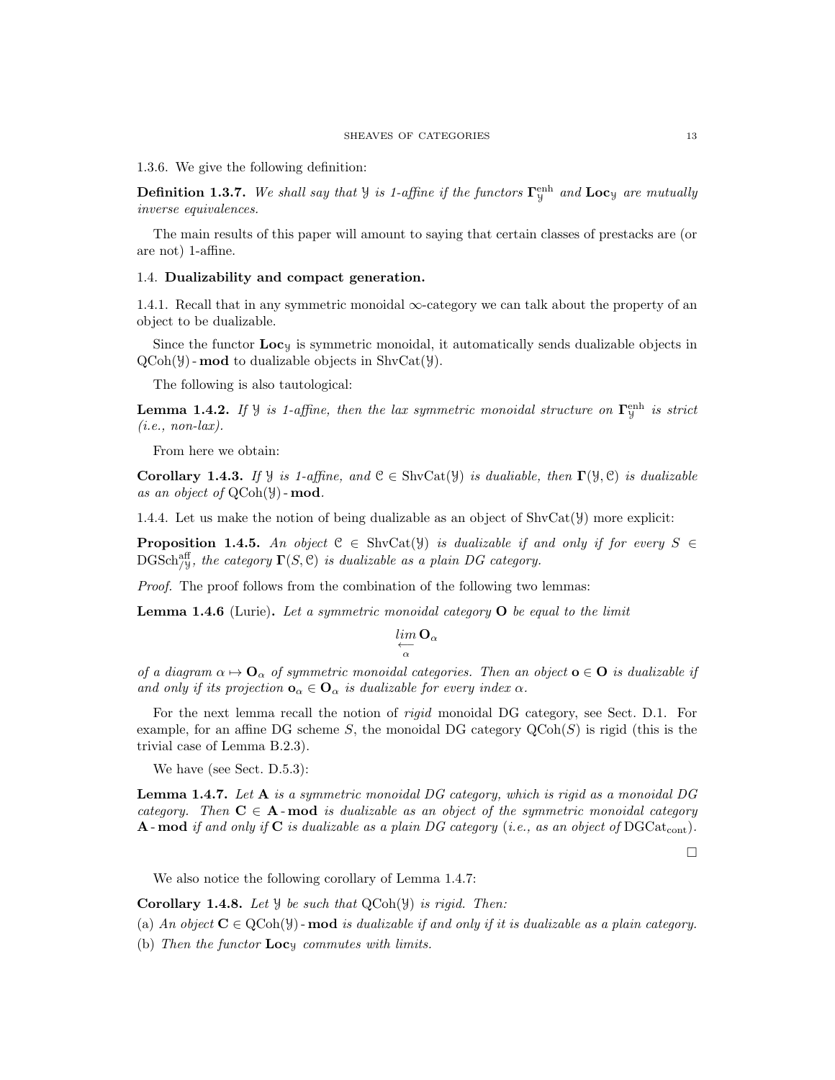1.3.6. We give the following definition:

**Definition 1.3.7.** We shall say that  $\mathcal{Y}$  is 1-affine if the functors  $\mathbf{\Gamma}_{\mathcal{Y}}^{\text{enh}}$  and  $\mathbf{Loc}_{\mathcal{Y}}$  are mutually inverse equivalences.

The main results of this paper will amount to saying that certain classes of prestacks are (or are not) 1-affine.

## 1.4. Dualizability and compact generation.

1.4.1. Recall that in any symmetric monoidal  $\infty$ -category we can talk about the property of an object to be dualizable.

Since the functor  $\text{Loc}_y$  is symmetric monoidal, it automatically sends dualizable objects in  $QCoh(\mathcal{Y})$  - **mod** to dualizable objects in ShvCat $(\mathcal{Y})$ .

The following is also tautological:

**Lemma 1.4.2.** If  $\mathcal{Y}$  is 1-affine, then the lax symmetric monoidal structure on  $\mathbf{\Gamma}_{\mathcal{Y}}^{\text{enh}}$  is strict  $(i.e., non-lax).$ 

From here we obtain:

Corollary 1.4.3. If  $\mathcal{Y}$  is 1-affine, and  $\mathcal{C} \in \text{ShvCat}(\mathcal{Y})$  is dualiable, then  $\Gamma(\mathcal{Y}, \mathcal{C})$  is dualizable as an object of  $QCoh(\mathcal{Y})$  - mod.

1.4.4. Let us make the notion of being dualizable as an object of  $\text{ShvCat}(\mathcal{Y})$  more explicit:

**Proposition 1.4.5.** An object  $C \in ShvCat(\mathcal{Y})$  is dualizable if and only if for every  $S \in$  $\mathrm{DGSch}_{/Y}^{\mathrm{aff}},$  the category  $\Gamma(S,\mathcal{C})$  is dualizable as a plain DG category.

Proof. The proof follows from the combination of the following two lemmas:

**Lemma 1.4.6** (Lurie). Let a symmetric monoidal category  $O$  be equal to the limit

$$
\lim_{\substack{\longleftarrow \\ \alpha}} \mathbf{O}_{\alpha}
$$

of a diagram  $\alpha \mapsto \mathbf{O}_{\alpha}$  of symmetric monoidal categories. Then an object  $\mathbf{o} \in \mathbf{O}$  is dualizable if and only if its projection  $\mathbf{o}_{\alpha} \in \mathbf{O}_{\alpha}$  is dualizable for every index  $\alpha$ .

For the next lemma recall the notion of rigid monoidal DG category, see Sect. D.1. For example, for an affine DG scheme S, the monoidal DG category  $\mathrm{QCoh}(S)$  is rigid (this is the trivial case of Lemma B.2.3).

We have (see Sect. D.5.3):

**Lemma 1.4.7.** Let  $A$  is a symmetric monoidal DG category, which is rigid as a monoidal DG category. Then  $C \in A$ -mod is dualizable as an object of the symmetric monoidal category **A**-mod if and only if **C** is dualizable as a plain DG category (i.e., as an object of DGCat<sub>cont</sub>).

 $\Box$ 

We also notice the following corollary of Lemma 1.4.7:

Corollary 1.4.8. Let  $\mathcal Y$  be such that  $QCoh(\mathcal Y)$  is rigid. Then:

(a) An object  $C \in \text{QCoh}(\mathcal{Y})$  - mod is dualizable if and only if it is dualizable as a plain category.

(b) Then the functor  $Loc<sub>y</sub>$  commutes with limits.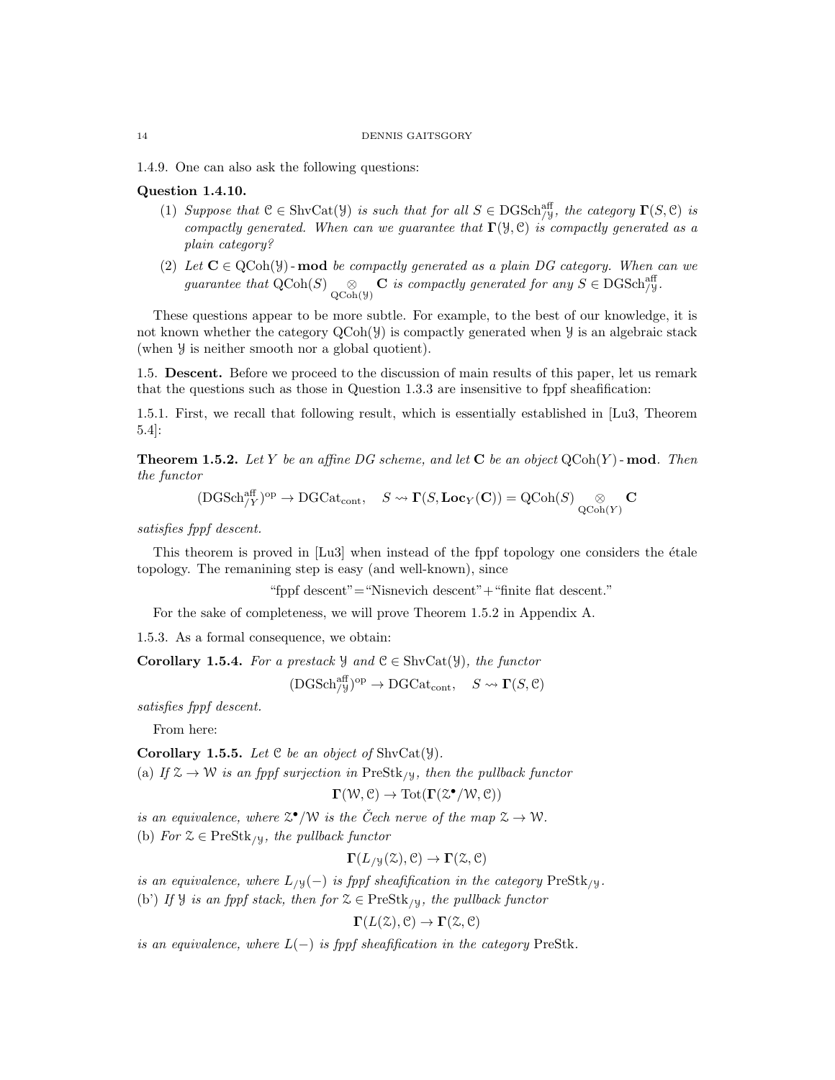1.4.9. One can also ask the following questions:

# Question 1.4.10.

- (1) Suppose that  $\mathcal{C} \in \text{ShvCat}(\mathcal{Y})$  is such that for all  $S \in \text{DGSch}_{\mathcal{Y}}^{\text{aff}}$ , the category  $\Gamma(S, \mathcal{C})$  is compactly generated. When can we guarantee that  $\Gamma(\mathcal{Y}, \mathcal{C})$  is compactly generated as a plain category?
- (2) Let  $C \in \text{QCoh}(\mathcal{Y})$ -mod be compactly generated as a plain DG category. When can we guarantee that  $\text{QCoh}(S) \underset{\text{QCoh}(\mathcal{Y})}{\otimes} \mathbf{C}$  is compactly generated for any  $S \in \text{DGSch}_{\mathcal{Y}}^{\text{aff}}$ .

These questions appear to be more subtle. For example, to the best of our knowledge, it is not known whether the category  $QCoh(\mathcal{Y})$  is compactly generated when  $\mathcal Y$  is an algebraic stack (when Y is neither smooth nor a global quotient).

1.5. Descent. Before we proceed to the discussion of main results of this paper, let us remark that the questions such as those in Question 1.3.3 are insensitive to fppf sheafification:

1.5.1. First, we recall that following result, which is essentially established in [Lu3, Theorem 5.4]:

**Theorem 1.5.2.** Let Y be an affine DG scheme, and let  $C$  be an object  $QCoh(Y)$ -mod. Then the functor

 $(\mathrm{DGSch}_{/Y}^{\mathrm{aff}})^{\mathrm{op}} \to \mathrm{DGCat}_{\mathrm{cont}}, \quad S \leadsto \Gamma(S,\mathbf{Loc}_Y(\mathbf{C})) = \mathrm{QCoh}(S) \underset{\mathrm{QCoh}(Y)}{\otimes} \mathbf{C}$ 

satisfies fppf descent.

This theorem is proved in  $[Lu3]$  when instead of the fppf topology one considers the étale topology. The remanining step is easy (and well-known), since

"fppf descent"="Nisnevich descent"+"finite flat descent."

For the sake of completeness, we will prove Theorem 1.5.2 in Appendix A.

1.5.3. As a formal consequence, we obtain:

**Corollary 1.5.4.** For a prestack  $\mathcal{Y}$  and  $\mathcal{C} \in \text{ShvCat}(\mathcal{Y})$ , the functor

 $(\text{DGSch}_{/\text{y}}^{\text{aff}})^{\text{op}} \to \text{DGCat}_{\text{cont}}, \quad S \leadsto \Gamma(S, \mathcal{C})$ 

satisfies fppf descent.

From here:

**Corollary 1.5.5.** Let  $C$  be an object of ShvCat( $Y$ ).

(a) If  $\mathcal{Z} \to \mathcal{W}$  is an fppf surjection in PreStk<sub>/y</sub>, then the pullback functor

$$
\Gamma(\mathcal{W}, \mathcal{C}) \to \mathrm{Tot}(\Gamma(\mathcal{Z}^{\bullet}/\mathcal{W}, \mathcal{C}))
$$

is an equivalence, where  $\mathfrak{L}^{\bullet}/\mathfrak{W}$  is the Čech nerve of the map  $\mathfrak{L} \to \mathfrak{W}$ .

(b) For  $\mathcal{Z} \in \text{PreStk}_{/\mathcal{Y}}$ , the pullback functor

$$
\Gamma(L_{/\mathcal{Y}}(\mathcal{Z}), \mathcal{C}) \to \Gamma(\mathcal{Z}, \mathcal{C})
$$

is an equivalence, where  $L_{/\mathcal{Y}}(-)$  is fppf sheafification in the category PreStk<sub>/Y</sub>.

(b') If  $\mathcal{Y}$  is an fippf stack, then for  $\mathcal{Z} \in \text{PreStk}_{\mathcal{Y}}$ , the pullback functor

$$
\Gamma(L(\mathcal{Z}), \mathcal{C}) \to \Gamma(\mathcal{Z}, \mathcal{C})
$$

is an equivalence, where  $L(-)$  is fppf sheafification in the category PreStk.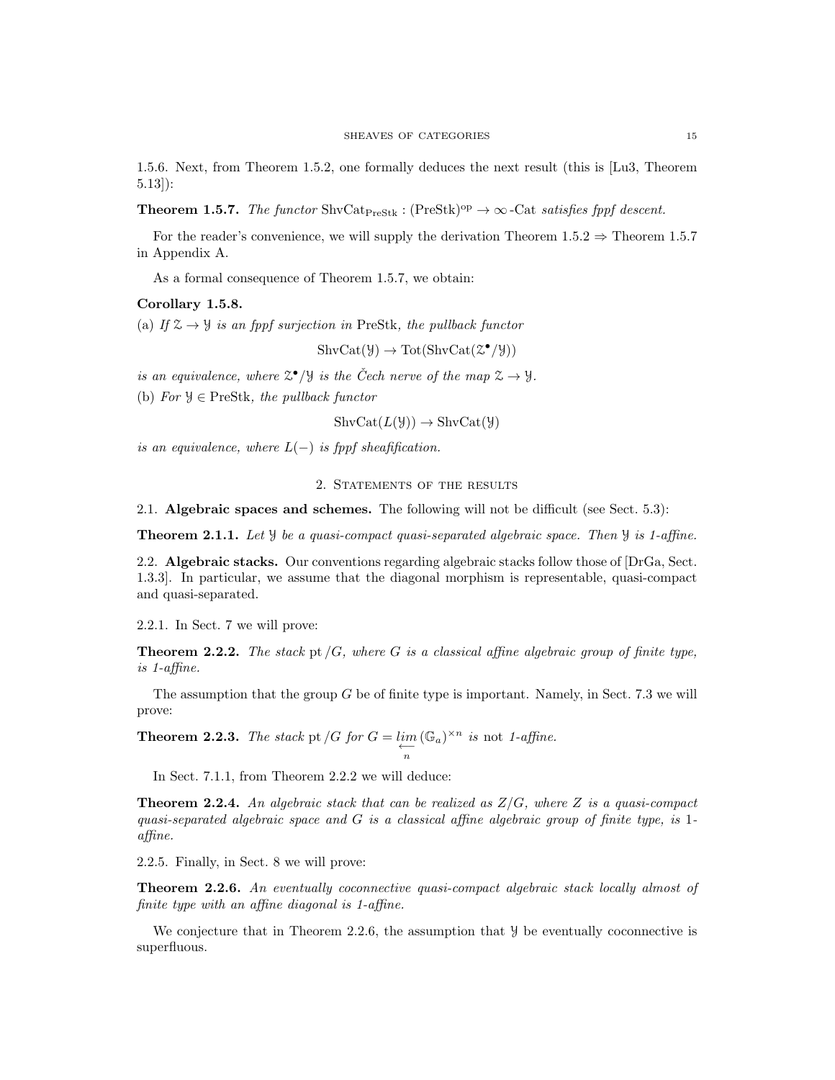1.5.6. Next, from Theorem 1.5.2, one formally deduces the next result (this is [Lu3, Theorem 5.13]):

**Theorem 1.5.7.** The functor ShvCat<sub>PreStk</sub> : (PreStk)<sup>op</sup>  $\rightarrow \infty$ -Cat satisfies fppf descent.

For the reader's convenience, we will supply the derivation Theorem 1.5.2  $\Rightarrow$  Theorem 1.5.7 in Appendix A.

As a formal consequence of Theorem 1.5.7, we obtain:

#### Corollary 1.5.8.

(a) If  $\mathcal{Z} \to \mathcal{Y}$  is an fppf surjection in PreStk, the pullback functor

 $\text{ShvCat}(\mathcal{Y}) \to \text{Tot}(\text{ShvCat}(\mathcal{Z}^{\bullet}/\mathcal{Y}))$ 

is an equivalence, where  $\mathbb{Z}^{\bullet}/\mathcal{Y}$  is the Čech nerve of the map  $\mathcal{Z} \to \mathcal{Y}$ .

(b) For  $\mathcal{Y} \in \text{PreStk}$ , the pullback functor

$$
ShvCat(L(\mathcal{Y})) \to ShvCat(\mathcal{Y})
$$

is an equivalence, where  $L(-)$  is fppf sheafification.

#### 2. STATEMENTS OF THE RESULTS

2.1. Algebraic spaces and schemes. The following will not be difficult (see Sect. 5.3):

**Theorem 2.1.1.** Let  $\mathcal{Y}$  be a quasi-compact quasi-separated algebraic space. Then  $\mathcal{Y}$  is 1-affine.

2.2. Algebraic stacks. Our conventions regarding algebraic stacks follow those of [DrGa, Sect.] 1.3.3]. In particular, we assume that the diagonal morphism is representable, quasi-compact and quasi-separated.

2.2.1. In Sect. 7 we will prove:

**Theorem 2.2.2.** The stack pt  $/G$ , where G is a classical affine algebraic group of finite type, is 1-affine.

The assumption that the group G be of finite type is important. Namely, in Sect. 7.3 we will prove:

**Theorem 2.2.3.** The stack pt  $/G$  for  $G = \lim_{n \to \infty}$  $(\mathbb{G}_a)^{\times n}$  is not 1-affine.

In Sect. 7.1.1, from Theorem 2.2.2 we will deduce:

**Theorem 2.2.4.** An algebraic stack that can be realized as  $Z/G$ , where Z is a quasi-compact quasi-separated algebraic space and  $G$  is a classical affine algebraic group of finite type, is 1affine.

2.2.5. Finally, in Sect. 8 we will prove:

Theorem 2.2.6. An eventually coconnective quasi-compact algebraic stack locally almost of finite type with an affine diagonal is 1-affine.

We conjecture that in Theorem 2.2.6, the assumption that  $\mathcal Y$  be eventually coconnective is superfluous.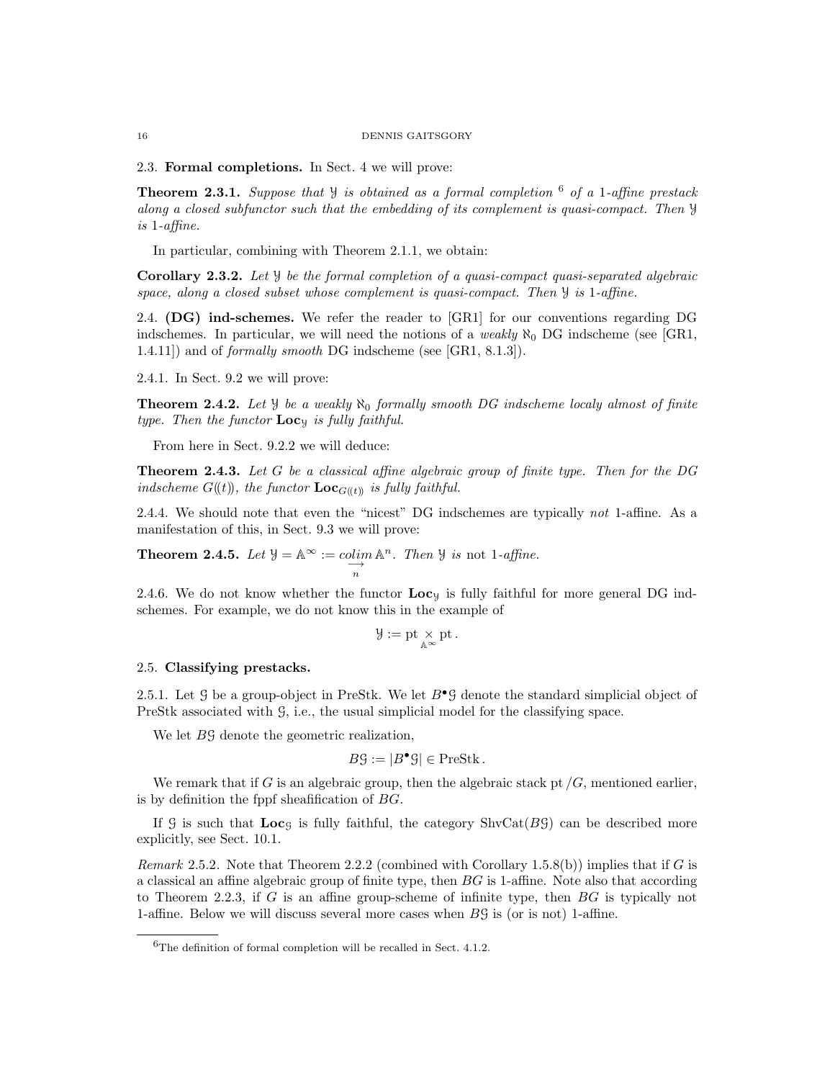2.3. Formal completions. In Sect. 4 we will prove:

**Theorem 2.3.1.** Suppose that  $\mathcal{Y}$  is obtained as a formal completion  $^6$  of a 1-affine prestack along a closed subfunctor such that the embedding of its complement is quasi-compact. Then Y is 1-affine.

In particular, combining with Theorem 2.1.1, we obtain:

Corollary 2.3.2. Let Y be the formal completion of a quasi-compact quasi-separated algebraic space, along a closed subset whose complement is quasi-compact. Then  $\mathcal{Y}$  is 1-affine.

2.4. (DG) ind-schemes. We refer the reader to [GR1] for our conventions regarding DG indschemes. In particular, we will need the notions of a *weakly*  $\aleph_0$  DG indscheme (see [GR1, 1.4.11]) and of formally smooth DG indscheme (see [GR1, 8.1.3]).

2.4.1. In Sect. 9.2 we will prove:

**Theorem 2.4.2.** Let  $\mathcal{Y}$  be a weakly  $\aleph_0$  formally smooth DG indscheme localy almost of finite type. Then the functor  $Loc_{y}$  is fully faithful.

From here in Sect. 9.2.2 we will deduce:

**Theorem 2.4.3.** Let  $G$  be a classical affine algebraic group of finite type. Then for the DG indscheme  $G((t))$ , the functor  $\text{Loc}_{G((t))}$  is fully faithful.

2.4.4. We should note that even the "nicest" DG indschemes are typically not 1-affine. As a manifestation of this, in Sect. 9.3 we will prove:

**Theorem 2.4.5.** Let  $\mathcal{Y} = \mathbb{A}^{\infty} := \operatornamewithlimits{colim}_{\longrightarrow} \mathbb{A}^n$ . Then  $\mathcal{Y}$  is not 1-affine. n

2.4.6. We do not know whether the functor  $Loc_{y}$  is fully faithful for more general DG indschemes. For example, we do not know this in the example of

$$
\mathcal{Y}:=\mathrm{pt}\underset{\mathbb{A}^{\infty}}{\times}\mathrm{pt}\,.
$$

# 2.5. Classifying prestacks.

2.5.1. Let G be a group-object in PreStk. We let  $B^{\bullet}$ G denote the standard simplicial object of PreStk associated with  $\mathcal{G}$ , i.e., the usual simplicial model for the classifying space.

We let  $B\mathcal{G}$  denote the geometric realization,

$$
B\mathcal{G} := |B^{\bullet}\mathcal{G}| \in \text{PreStk}.
$$

We remark that if G is an algebraic group, then the algebraic stack pt  $/G$ , mentioned earlier, is by definition the fppf sheafification of BG.

If G is such that  $\text{Loc}_G$  is fully faithful, the category  $\text{ShvCat}(BG)$  can be described more explicitly, see Sect. 10.1.

*Remark* 2.5.2. Note that Theorem 2.2.2 (combined with Corollary 1.5.8(b)) implies that if G is a classical an affine algebraic group of finite type, then BG is 1-affine. Note also that according to Theorem 2.2.3, if G is an affine group-scheme of infinite type, then BG is typically not 1-affine. Below we will discuss several more cases when BG is (or is not) 1-affine.

 ${}^{6}$ The definition of formal completion will be recalled in Sect. 4.1.2.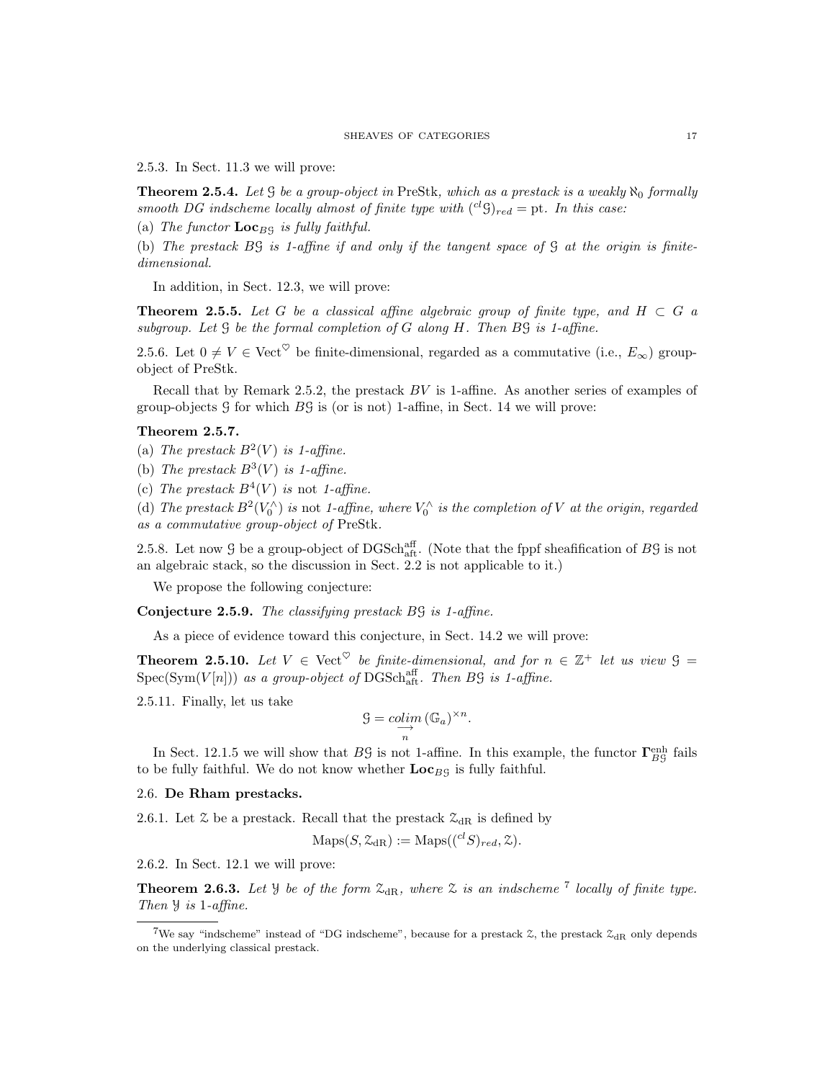2.5.3. In Sect. 11.3 we will prove:

**Theorem 2.5.4.** Let G be a group-object in PreStk, which as a prestack is a weakly  $\aleph_0$  formally smooth DG indscheme locally almost of finite type with  $({}^{cl}S)_{red} =$  pt. In this case:

(a) The functor  $\mathbf{Loc}_{B}$  is fully faithful.

(b) The prestack BG is 1-affine if and only if the tangent space of G at the origin is finitedimensional.

In addition, in Sect. 12.3, we will prove:

**Theorem 2.5.5.** Let G be a classical affine algebraic group of finite type, and  $H \subset G$  a subgroup. Let G be the formal completion of G along H. Then BG is 1-affine.

2.5.6. Let  $0 \neq V \in \text{Vect}^{\heartsuit}$  be finite-dimensional, regarded as a commutative (i.e.,  $E_{\infty}$ ) groupobject of PreStk.

Recall that by Remark 2.5.2, the prestack  $BV$  is 1-affine. As another series of examples of group-objects  $\hat{G}$  for which  $\hat{B}\hat{G}$  is (or is not) 1-affine, in Sect. 14 we will prove:

#### Theorem 2.5.7.

(a) The prestack  $B^2(V)$  is 1-affine.

(b) The prestack  $B^3(V)$  is 1-affine.

(c) The prestack  $B^4(V)$  is not 1-affine.

(d) The prestack  $B^2(V_0^{\wedge})$  is not 1-affine, where  $V_0^{\wedge}$  is the completion of V at the origin, regarded as a commutative group-object of PreStk.

2.5.8. Let now  $\mathcal G$  be a group-object of DGSch<sub>aft</sub>. (Note that the fppf sheafification of  $B\mathcal G$  is not an algebraic stack, so the discussion in Sect. 2.2 is not applicable to it.)

We propose the following conjecture:

Conjecture 2.5.9. The classifying prestack BG is 1-affine.

As a piece of evidence toward this conjecture, in Sect. 14.2 we will prove:

**Theorem 2.5.10.** Let  $V \in \text{Vect}^{\heartsuit}$  be finite-dimensional, and for  $n \in \mathbb{Z}^+$  let us view  $\mathcal{G} =$  $Spec(Sym(V[n]))$  as a group-object of DGSchaff. Then B9 is 1-affine.

2.5.11. Finally, let us take

$$
\mathcal{G} = \underset{n}{\text{colim}} \left( \mathbb{G}_a \right)^{\times n}.
$$

In Sect. 12.1.5 we will show that  $B\mathcal{G}$  is not 1-affine. In this example, the functor  $\Gamma_{B\mathcal{G}}^{\text{enh}}$  fails to be fully faithful. We do not know whether  $Loc_{B9}$  is fully faithful.

## 2.6. De Rham prestacks.

2.6.1. Let  $\mathcal Z$  be a prestack. Recall that the prestack  $\mathcal Z_{\text{dR}}$  is defined by

$$
Maps(S, \mathcal{Z}_{dR}) := Maps((^{cl}S)_{red}, \mathcal{Z}).
$$

2.6.2. In Sect. 12.1 we will prove:

**Theorem 2.6.3.** Let  $\mathcal{Y}$  be of the form  $\mathcal{Z}_{dR}$ , where  $\mathcal{Z}$  is an indscheme  $\mathcal{Y}$  locally of finite type. Then Y is 1-affine.

<sup>&</sup>lt;sup>7</sup>We say "indscheme" instead of "DG indscheme", because for a prestack  $\mathcal{Z}_{\text{dR}}$  only depends on the underlying classical prestack.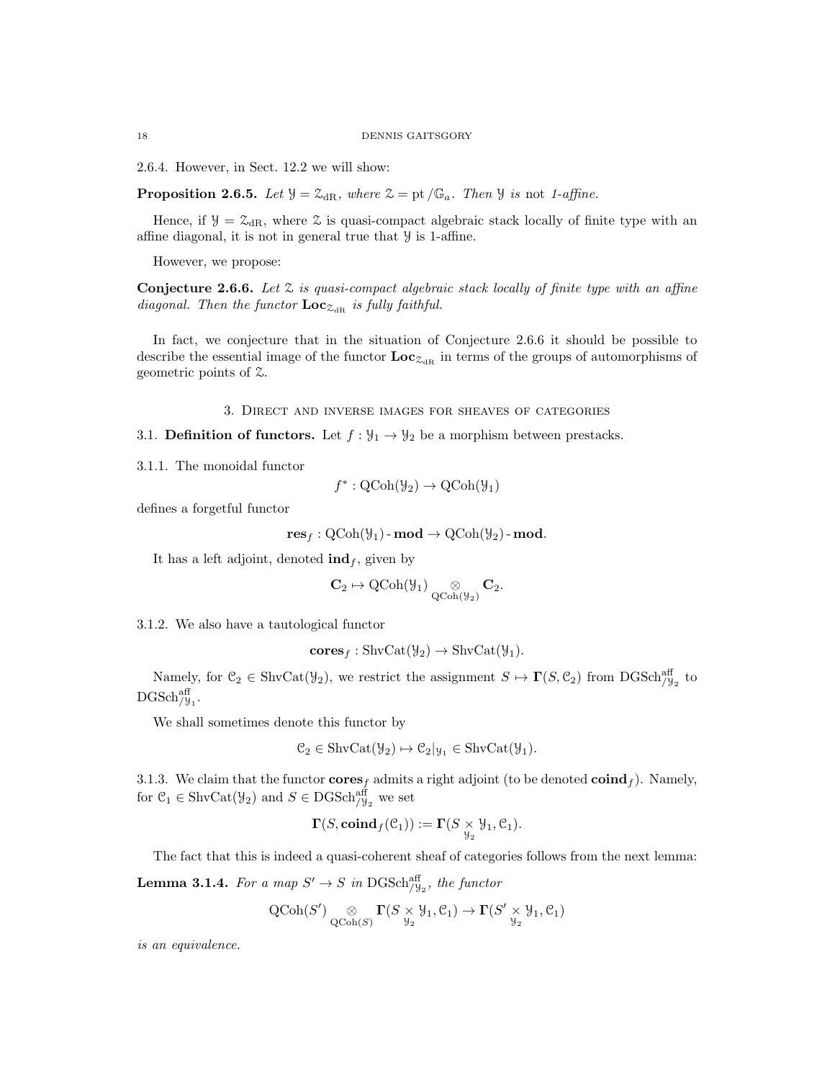2.6.4. However, in Sect. 12.2 we will show:

**Proposition 2.6.5.** Let  $\mathcal{Y} = \mathcal{Z}_{dR}$ , where  $\mathcal{Z} = pt/\mathbb{G}_a$ . Then  $\mathcal{Y}$  is not 1-affine.

Hence, if  $\mathcal{Y} = \mathcal{Z}_{dR}$ , where  $\mathcal{Z}$  is quasi-compact algebraic stack locally of finite type with an affine diagonal, it is not in general true that Y is 1-affine.

However, we propose:

**Conjecture 2.6.6.** Let  $\mathcal{Z}$  is quasi-compact algebraic stack locally of finite type with an affine diagonal. Then the functor  $\mathbf{Loc}_{\mathcal{Z}_{dR}}$  is fully faithful.

In fact, we conjecture that in the situation of Conjecture 2.6.6 it should be possible to describe the essential image of the functor  $\text{Loc}_{\mathcal{Z}_{dR}}$  in terms of the groups of automorphisms of geometric points of Z.

3. Direct and inverse images for sheaves of categories

3.1. **Definition of functors.** Let  $f : \mathcal{Y}_1 \to \mathcal{Y}_2$  be a morphism between prestacks.

3.1.1. The monoidal functor

$$
f^*: \mathrm{QCoh}(\mathcal{Y}_2) \to \mathrm{QCoh}(\mathcal{Y}_1)
$$

defines a forgetful functor

$$
\mathbf{res}_f: \mathrm{QCoh}(\mathcal{Y}_1)\text{-}\mathbf{mod} \to \mathrm{QCoh}(\mathcal{Y}_2)\text{-}\mathbf{mod}.
$$

It has a left adjoint, denoted  $\text{ind}_f$ , given by

$$
\mathbf{C}_2 \mapsto \mathrm{QCoh}(\mathcal{Y}_1) \underset{\mathrm{QCoh}(\mathcal{Y}_2)}{\otimes} \mathbf{C}_2.
$$

3.1.2. We also have a tautological functor

$$
cores_f : \mathrm{ShvCat}(\mathcal{Y}_2) \to \mathrm{ShvCat}(\mathcal{Y}_1).
$$

Namely, for  $\mathcal{C}_2 \in \text{ShvCat}(\mathcal{Y}_2)$ , we restrict the assignment  $S \mapsto \Gamma(S, \mathcal{C}_2)$  from  $\text{DGSch}_{/\mathcal{Y}_2}^{\text{aff}}$  to  $\mathrm{DGSch}_{/\mathcal{Y}_1}^{\mathrm{aff}}.$ 

We shall sometimes denote this functor by

$$
\mathcal{C}_2 \in \operatorname{ShvCat}(\mathcal{Y}_2) \mapsto \mathcal{C}_2|_{\mathcal{Y}_1} \in \operatorname{ShvCat}(\mathcal{Y}_1).
$$

3.1.3. We claim that the functor  $\mathbf{cores}_f$  admits a right adjoint (to be denoted  $\mathbf{coind}_f$ ). Namely, for  $\mathcal{C}_1 \in \text{ShvCat}(\mathcal{Y}_2)$  and  $S \in \text{DGSch}_{/\mathcal{Y}_2}^{\text{aff}}$  we set

$$
\Gamma(S,\mathbf{coind}_f(\mathcal{C}_1)) := \Gamma(S \underset{\mathcal{Y}_2}{\times} \mathcal{Y}_1,\mathcal{C}_1).
$$

The fact that this is indeed a quasi-coherent sheaf of categories follows from the next lemma:

**Lemma 3.1.4.** For a map  $S' \to S$  in DGSch<sup>aff</sup><sub>/ $\frac{1}{2}$ </sub>, the functor

$$
\operatorname{QCoh}(S') \underset{\operatorname{QCoh}(S)}{\otimes} \Gamma(S \underset{\mathcal{Y}_2}{\times} \mathcal{Y}_1, \mathcal{C}_1) \to \Gamma(S' \underset{\mathcal{Y}_2}{\times} \mathcal{Y}_1, \mathcal{C}_1)
$$

is an equivalence.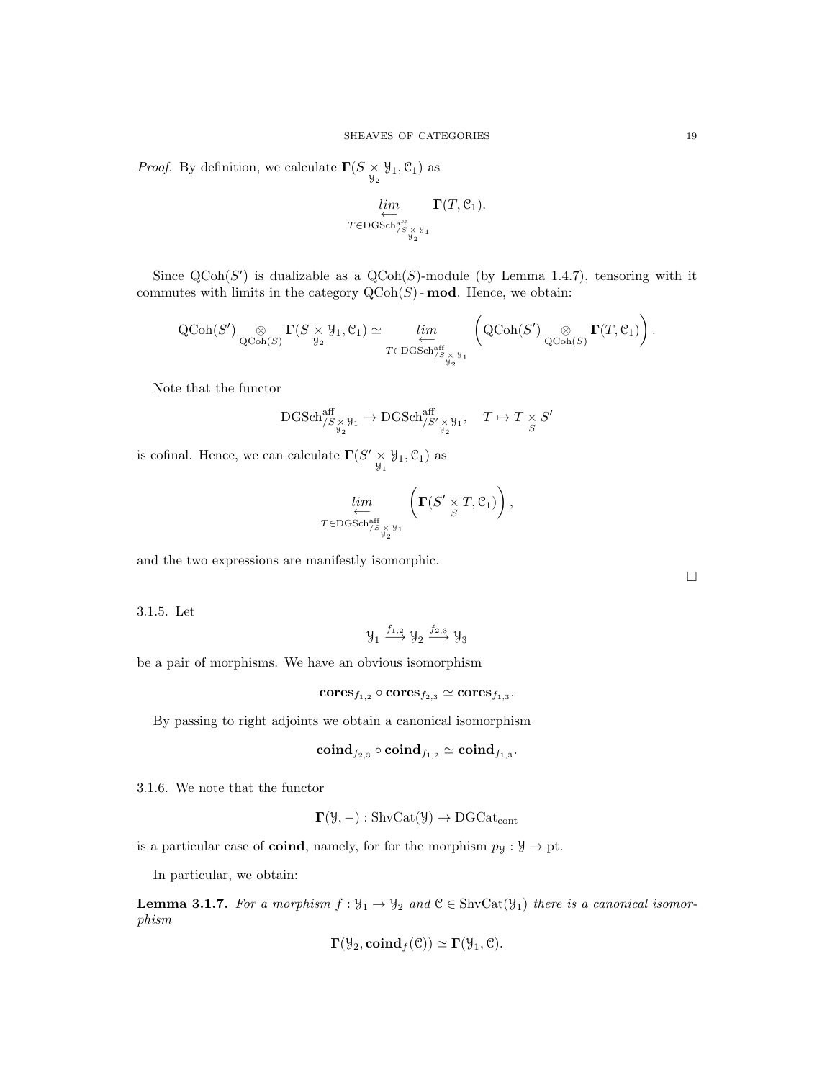*Proof.* By definition, we calculate  $\Gamma(S \times \mathcal{Y}_1, \mathcal{C}_1)$  as

$$
\lim_{\substack{\longleftarrow \\ T \in \text{DGSch}_{/S_{\times^y_{y_1}}}^{\text{aff}}}} \Gamma(T, \mathcal{C}_1).
$$

Since  $\mathrm{QCoh}(S')$  is dualizable as a  $\mathrm{QCoh}(S)$ -module (by Lemma 1.4.7), tensoring with it commutes with limits in the category  $Q\text{Coh}(S)$ -mod. Hence, we obtain:

 $\overline{ }$ 

$$
\operatorname{QCoh}(S') \underset{\operatorname{QCoh}(S)}{\otimes} \Gamma(S \underset{\mathcal{Y}_2}{\times} \mathcal{Y}_1, \mathcal{C}_1) \simeq \varprojlim_{T \in \operatorname{DGSch}^{\operatorname{aff}}_{/S} \underset{\mathcal{Y}_2}{\times} \mathcal{Y}_1} \left( \operatorname{QCoh}(S') \underset{\operatorname{QCoh}(S)}{\otimes} \Gamma(T, \mathcal{C}_1) \right).
$$

Note that the functor

$$
\textrm{DGSch}_{/S}^{\textrm{aff}}_{/S\times \mathcal{Y}_1} \to \textrm{DGSch}_{/S'}^{\textrm{aff}}_{/S'\times \mathcal{Y}_1}, \quad T\mapsto T\times S' \\ S
$$

is cofinal. Hence, we can calculate  $\Gamma(S' \underset{y_1}{\times} y_1, \mathcal{C}_1)$  as

$$
\lim_{\substack{\longleftarrow \\ T \in \mathrm{DGSch}^{\mathrm{aff}}_{/S} \times \mathcal{Y}_1}} \left( \mathbf{\Gamma}(S' \underset{S}{\times} T, \mathcal{C}_1) \right),
$$

and the two expressions are manifestly isomorphic.

3.1.5. Let

$$
\mathcal{Y}_1 \xrightarrow{f_{1,2}} \mathcal{Y}_2 \xrightarrow{f_{2,3}} \mathcal{Y}_3
$$

be a pair of morphisms. We have an obvious isomorphism

$$
\mathbf{cores}_{f_{1,2}} \circ \mathbf{cores}_{f_{2,3}} \simeq \mathbf{cores}_{f_{1,3}}.
$$

By passing to right adjoints we obtain a canonical isomorphism

$$
{\rm\bf coind}_{f_{2,3}}\circ {\rm\bf coind}_{f_{1,2}}\simeq {\rm\bf coind}_{f_{1,3}}.
$$

3.1.6. We note that the functor

$$
\Gamma(\mathcal{Y},-): \mathrm{ShvCat}(\mathcal{Y}) \to \mathrm{DGCat}_{\mathrm{cont}}
$$

is a particular case of **coind**, namely, for for the morphism  $p_y : \mathcal{Y} \to \text{pt}$ .

In particular, we obtain:

**Lemma 3.1.7.** For a morphism  $f: \mathcal{Y}_1 \to \mathcal{Y}_2$  and  $\mathcal{C} \in \text{ShvCat}(\mathcal{Y}_1)$  there is a canonical isomorphism

$$
\Gamma(\mathcal{Y}_2, \mathbf{coind}_f(\mathcal{C})) \simeq \Gamma(\mathcal{Y}_1, \mathcal{C}).
$$

 $\Box$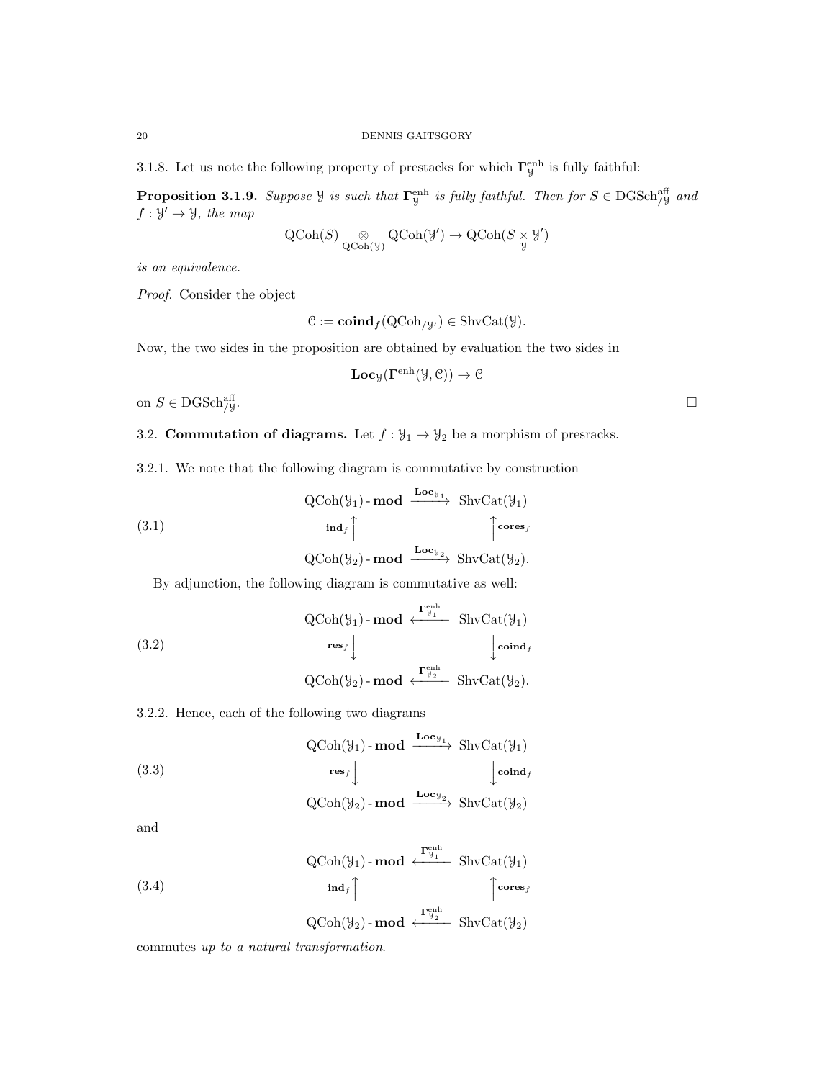3.1.8. Let us note the following property of prestacks for which  $\Gamma_y^{\text{enh}}$  is fully faithful:

**Proposition 3.1.9.** Suppose  $\mathcal{Y}$  is such that  $\Gamma_{\mathcal{Y}}^{\text{enh}}$  is fully faithful. Then for  $S \in \text{DGSch}_{/\mathcal{Y}}^{\text{aff}}$  and  $f: \mathcal{Y}' \to \mathcal{Y}$ , the map

$$
\operatorname{QCoh}(S) \underset{\operatorname{QCoh}(\mathcal{Y})}{\otimes} \operatorname{QCoh}(\mathcal{Y}') \to \operatorname{QCoh}(S \underset{\mathcal{Y}}{\times} \mathcal{Y}')
$$

is an equivalence.

Proof. Consider the object

$$
\mathcal{C} := \mathbf{coind}_f(\mathrm{QCoh}_{/y'}) \in \mathrm{ShvCat}(\mathcal{Y}).
$$

Now, the two sides in the proposition are obtained by evaluation the two sides in

$$
\mathbf{Loc}_{\mathcal{Y}}(\mathbf{\Gamma}^{\text{enh}}(\mathcal{Y}, \mathcal{C})) \to \mathcal{C}
$$

on  $S \in \text{DGSch}_{/\mathcal{Y}}^{\text{aff}}$ . aff  $/y$ .

3.2. **Commutation of diagrams.** Let 
$$
f : \mathcal{Y}_1 \to \mathcal{Y}_2
$$
 be a morphism of presracks.

3.2.1. We note that the following diagram is commutative by construction

(3.1)  
\n
$$
\begin{array}{c}\n\text{QCoh}(\mathcal{Y}_1) - \text{mod} \xrightarrow{\text{Loc}_{\mathcal{Y}_1}} \text{ShvCat}(\mathcal{Y}_1) \\
\text{ind}_f \uparrow \qquad \qquad \uparrow \text{cores}_f \\
\text{QCoh}(\mathcal{Y}_2) - \text{mod} \xrightarrow{\text{Loc}_{\mathcal{Y}_2}} \text{ShvCat}(\mathcal{Y}_2).\n\end{array}
$$

By adjunction, the following diagram is commutative as well:

(3.2)  
\n
$$
\operatorname{QCoh}(\mathcal{Y}_1) \text{-}\operatorname{mod} \stackrel{\mathbf{f}_{\mathcal{Y}_1}^{\text{enh}}}{\longleftarrow} \text{ShvCat}(\mathcal{Y}_1)
$$
\n
$$
\operatorname{res}_f \downarrow \qquad \qquad \downarrow \operatorname{coind}_f
$$
\n
$$
\operatorname{QCoh}(\mathcal{Y}_2) \text{-}\operatorname{mod} \stackrel{\mathbf{f}_{\mathcal{Y}_2}^{\text{enh}}}{\longleftarrow} \text{ShvCat}(\mathcal{Y}_2).
$$

3.2.2. Hence, each of the following two diagrams

(3.3) 
$$
\operatorname{QCoh}(\mathcal{Y}_1) \text{-}\operatorname{mod} \xrightarrow{\operatorname{Loc}_{\mathcal{Y}_1}} \operatorname{ShvCat}(\mathcal{Y}_1)
$$

$$
\operatorname{res}_f \downarrow \qquad \qquad \downarrow \operatorname{coind}_f
$$

$$
\mathrm{QCoh}(\mathcal{Y}_2)\text{-}\mathbf{mod} \xrightarrow{\mathbf{Loc}_{\mathcal{Y}_2}} \mathrm{ShvCat}(\mathcal{Y}_2)
$$

and

(3.4) 
$$
\operatorname{QCoh}(\mathcal{Y}_1) \text{-}\operatorname{mod} \leftarrow^{\Gamma_{\mathcal{Y}_1}^{\text{enh}}} \operatorname{ShvCat}(\mathcal{Y}_1)
$$
\n
$$
\operatorname{ind}_f \uparrow \qquad \qquad \uparrow^{\text{cores}_f}
$$

 $\operatorname{QCoh}(\mathcal{Y}_2)$ - mod  $\stackrel{\Gamma^{\text{enh}}_{\mathcal{Y}_2}}{\longleftarrow}$  ShvCat $(\mathcal{Y}_2)$ 

commutes up to a natural transformation.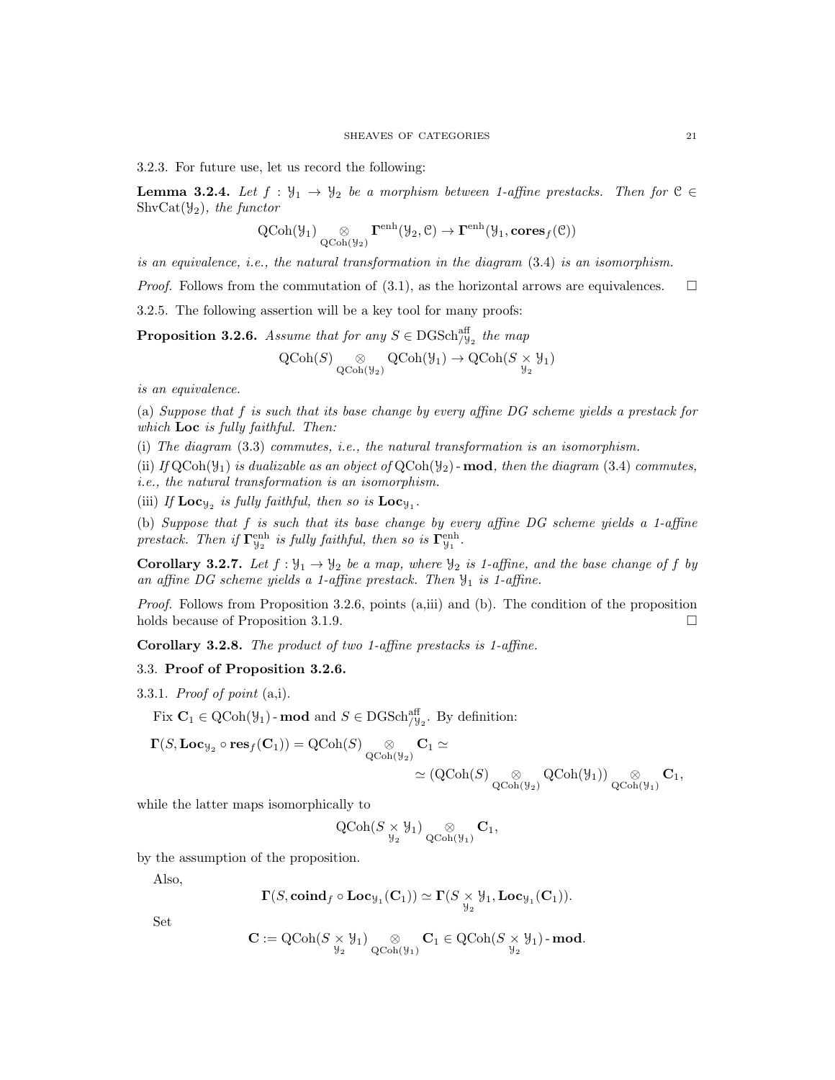3.2.3. For future use, let us record the following:

**Lemma 3.2.4.** Let  $f : \mathcal{Y}_1 \to \mathcal{Y}_2$  be a morphism between 1-affine prestacks. Then for  $\mathcal{C} \in$  $ShvCat(\mathcal{Y}_2)$ , the functor

$$
\operatorname{QCoh}(\mathcal{Y}_{1}) \underset{\operatorname{QCoh}(\mathcal{Y}_{2})}{\otimes} \Gamma^{\text{enh}}(\mathcal{Y}_{2}, \mathcal{C}) \to \Gamma^{\text{enh}}(\mathcal{Y}_{1}, \mathbf{cores}_f(\mathcal{C}))
$$

is an equivalence, i.e., the natural transformation in the diagram (3.4) is an isomorphism.

*Proof.* Follows from the commutation of (3.1), as the horizontal arrows are equivalences.  $\square$ 

3.2.5. The following assertion will be a key tool for many proofs:

**Proposition 3.2.6.** Assume that for any  $S \in \text{DGSch}_{\mathcal{Y}_2}^{\text{aff}}$  the map

$$
\operatorname{QCoh}(S) \underset{\operatorname{QCoh}(\mathcal{Y}_2)}{\otimes} \operatorname{QCoh}(\mathcal{Y}_1) \to \operatorname{QCoh}(S \underset{\mathcal{Y}_2}{\times} \mathcal{Y}_1)
$$

is an equivalence.

(a) Suppose that f is such that its base change by every affine DG scheme yields a prestack for which  $Loc$  is fully faithful. Then:

(i) The diagram (3.3) commutes, i.e., the natural transformation is an isomorphism.

(ii) If  $QCoh(\mathcal{Y}_1)$  is dualizable as an object of  $QCoh(\mathcal{Y}_2)$  - mod, then the diagram (3.4) commutes, i.e., the natural transformation is an isomorphism.

(iii) If  $\mathbf{Loc}_{\mathcal{Y}_2}$  is fully faithful, then so is  $\mathbf{Loc}_{\mathcal{Y}_1}$ .

(b) Suppose that f is such that its base change by every affine DG scheme yields a 1-affine prestack. Then if  $\Gamma^{\text{enh}}_{\mathcal{Y}_2}$  is fully faithful, then so is  $\Gamma^{\text{enh}}_{\mathcal{Y}_1}$ .

**Corollary 3.2.7.** Let  $f : \mathcal{Y}_1 \to \mathcal{Y}_2$  be a map, where  $\mathcal{Y}_2$  is 1-affine, and the base change of f by an affine DG scheme yields a 1-affine prestack. Then  $\mathcal{Y}_1$  is 1-affine.

Proof. Follows from Proposition 3.2.6, points (a,iii) and (b). The condition of the proposition holds because of Proposition 3.1.9.

Corollary 3.2.8. The product of two 1-affine prestacks is 1-affine.

#### 3.3. Proof of Proposition 3.2.6.

3.3.1. Proof of point  $(a,i)$ .

Fix  $C_1 \in \text{QCoh}(\mathcal{Y}_1)$ -mod and  $S \in \text{DGSch}^{\text{aff}}_{/\mathcal{Y}_2}$ . By definition:

$$
\begin{aligned} \Gamma(S,\mathbf{Loc}_{\mathcal{Y}_2}\circ\mathbf{res}_f(\mathbf{C}_1))&=\mathrm{QCoh}(S)\underset{\mathrm{QCoh}(\mathcal{Y}_2)}{\otimes}\mathbf{C}_1\simeq\\ &\simeq \left(\mathrm{QCoh}(S)\underset{\mathrm{QCoh}(\mathcal{Y}_2)}{\otimes}\mathrm{QCoh}(\mathcal{Y}_1)\right)\underset{\mathrm{QCoh}(\mathcal{Y}_1)}{\otimes}\mathbf{C}_1, \end{aligned}
$$

while the latter maps isomorphically to

$$
\operatorname{QCoh}(S \underset{\mathcal{Y}_2}{\times} \mathcal{Y}_1) \underset{\operatorname{QCoh}(\mathcal{Y}_1)}{\otimes} \mathbf{C}_1,
$$

by the assumption of the proposition.

Also,

$$
\Gamma(S,\mathbf{coind}_f\circ \mathbf{Loc}_{\mathcal{Y}_1}(\mathbf{C}_1)) \simeq \Gamma(S \underset{\mathcal{Y}_2}{\times} \mathcal{Y}_1, \mathbf{Loc}_{\mathcal{Y}_1}(\mathbf{C}_1)).
$$

Set

$$
\mathbf{C} := \mathrm{QCoh}(S \underset{\mathcal{Y}_2}{\times} \mathcal{Y}_1) \underset{\mathrm{QCoh}(\mathcal{Y}_1)}{\otimes} \mathbf{C}_1 \in \mathrm{QCoh}(S \underset{\mathcal{Y}_2}{\times} \mathcal{Y}_1) \text{-}\mathbf{mod}.
$$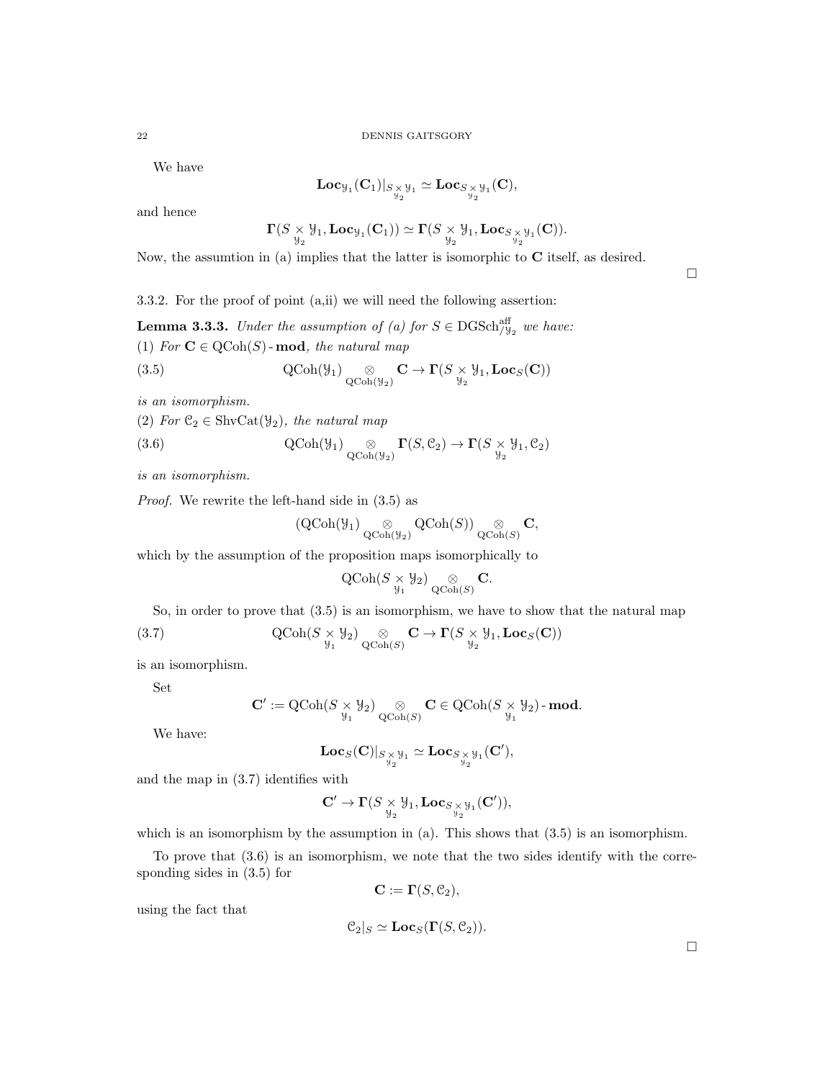We have

$$
\mathbf{Loc}_{\mathcal{Y}_1}(\mathbf{C}_1)|_{S \underset{\mathcal{Y}_2}{\times} \mathcal{Y}_1} \simeq \mathbf{Loc}_{S \underset{\mathcal{Y}_2}{\times} \mathcal{Y}_1}(\mathbf{C}),
$$

and hence

$$
\mathbf{\Gamma}(S\times \mathcal{Y}_1, \mathbf{Loc}_{\mathcal{Y}_1}(\mathbf{C}_1)) \simeq \mathbf{\Gamma}(S\times \mathcal{Y}_1, \mathbf{Loc}_{S\times \mathcal{Y}_1}(\mathbf{C})).
$$

Now, the assumtion in (a) implies that the latter is isomorphic to C itself, as desired.

 $\Box$ 

3.3.2. For the proof of point (a,ii) we will need the following assertion:

**Lemma 3.3.3.** Under the assumption of (a) for  $S \in \text{DGSch}_{y_2}^{\text{aff}}$  we have: (1) For  $C \in \text{QCoh}(S)$ -mod, the natural map

(3.5) 
$$
\operatorname{QCoh}(\mathcal{Y}_1) \underset{\operatorname{QCoh}(\mathcal{Y}_2)}{\otimes} \mathbf{C} \to \Gamma(S \underset{\mathcal{Y}_2}{\times} \mathcal{Y}_1, \mathbf{Loc}_S(\mathbf{C}))
$$

is an isomorphism.

(2) For  $\mathfrak{C}_2 \in \text{ShvCat}(\mathcal{Y}_2)$ , the natural map

(3.6) 
$$
\operatorname{QCoh}(\mathcal{Y}_1) \underset{\operatorname{QCoh}(\mathcal{Y}_2)}{\otimes} \Gamma(S, \mathcal{C}_2) \to \Gamma(S \underset{\mathcal{Y}_2}{\times} \mathcal{Y}_1, \mathcal{C}_2)
$$

is an isomorphism.

Proof. We rewrite the left-hand side in (3.5) as

$$
\left(\operatorname{QCoh}(\mathcal{Y}_1)\underset{\operatorname{QCoh}(\mathcal{Y}_2)}{\otimes} \operatorname{QCoh}(S)\right) \underset{\operatorname{QCoh}(S)}{\otimes} \mathbf{C},
$$

which by the assumption of the proposition maps isomorphically to

$$
\operatorname{QCoh}(S \underset{\mathcal{Y}_1}{\times} \mathcal{Y}_2) \underset{\operatorname{QCoh}(S)}{\otimes} \mathbf{C}.
$$

So, in order to prove that (3.5) is an isomorphism, we have to show that the natural map

(3.7) 
$$
\operatorname{QCoh}(S \underset{\mathcal{Y}_1}{\times} \mathcal{Y}_2) \underset{\operatorname{QCoh}(S)}{\otimes} \mathbf{C} \to \Gamma(S \underset{\mathcal{Y}_2}{\times} \mathcal{Y}_1, \mathbf{Loc}_S(\mathbf{C}))
$$

is an isomorphism.

Set

$$
\mathbf{C}':=\operatorname{QCoh}(S\times \mathcal{Y}_2) \underset{\operatorname{QCoh}(S)}{\otimes} \mathbf{C} \in \operatorname{QCoh}(S\times \mathcal{Y}_2)\operatorname{-\textbf{mod}}.
$$

We have:

$$
\mathbf{Loc}_S(\mathbf{C})|_{S\times\mathcal{Y}_1}\simeq \mathbf{Loc}_{S\times\mathcal{Y}_1}(\mathbf{C}'),
$$

and the map in (3.7) identifies with

$$
\mathbf{C}' \to \mathbf{\Gamma}(S \underset{\mathcal{Y}_2}{\times} \mathcal{Y}_1, \mathbf{Loc}_{S \underset{\mathcal{Y}_2}{\times} \mathcal{Y}_1}(\mathbf{C}')),
$$

which is an isomorphism by the assumption in  $(a)$ . This shows that  $(3.5)$  is an isomorphism.

To prove that (3.6) is an isomorphism, we note that the two sides identify with the corresponding sides in (3.5) for

$$
\mathbf{C} := \mathbf{\Gamma}(S, \mathcal{C}_2),
$$

using the fact that

$$
\mathcal{C}_2|_S \simeq \mathbf{Loc}_S(\mathbf{\Gamma}(S, \mathcal{C}_2)).
$$

 $\Box$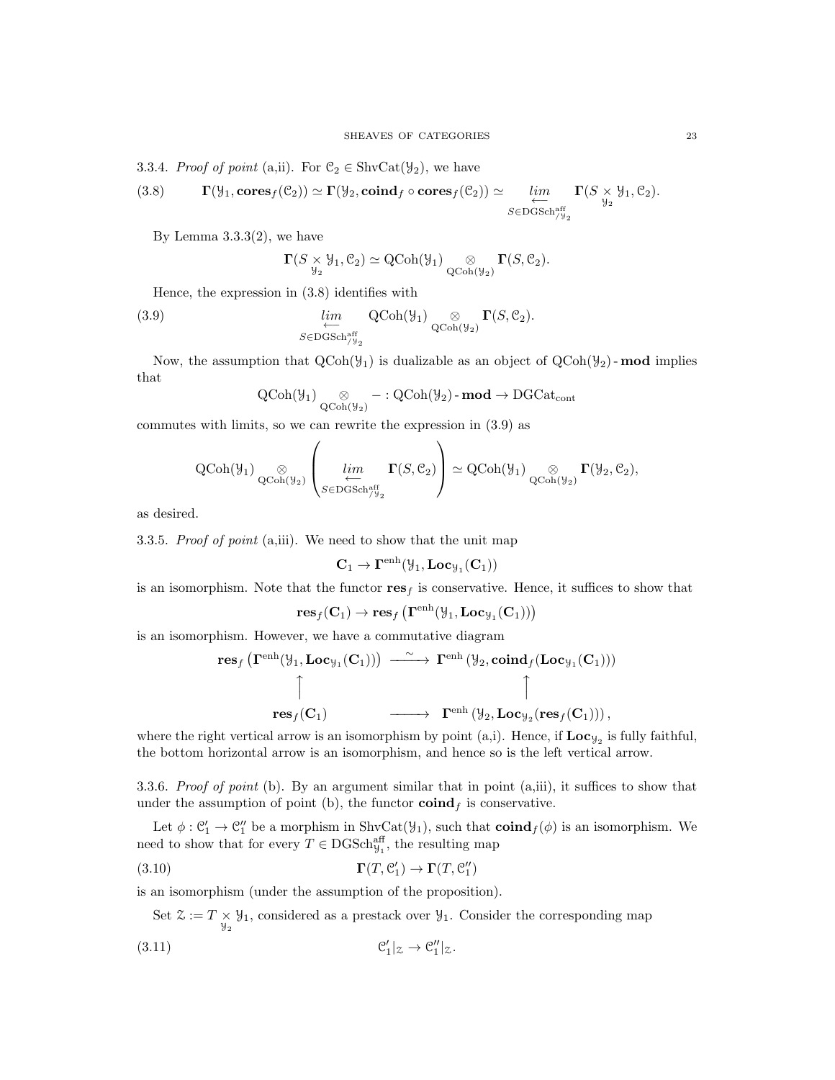3.3.4. Proof of point (a,ii). For  $\mathcal{C}_2 \in \text{ShvCat}(\mathcal{Y}_2)$ , we have

(3.8) 
$$
\Gamma(\mathcal{Y}_1, \text{cores}_f(\mathcal{C}_2)) \simeq \Gamma(\mathcal{Y}_2, \text{coind}_f \circ \text{cores}_f(\mathcal{C}_2)) \simeq \lim_{\substack{\longleftarrow \\ S \in \text{DGSch}_{\mathcal{Y}_2}^{\text{aff}}}} \Gamma(S \times \mathcal{Y}_1, \mathcal{C}_2).
$$

By Lemma  $3.3.3(2)$ , we have

$$
\Gamma(S \underset{\mathcal{Y}_2}{\times} \mathcal{Y}_1, \mathcal{C}_2) \simeq \text{QCoh}(\mathcal{Y}_1) \underset{\text{QCoh}(\mathcal{Y}_2)}{\otimes} \Gamma(S, \mathcal{C}_2).
$$

Hence, the expression in (3.8) identifies with

(3.9) 
$$
\lim_{\substack{\longleftarrow \\ S \in \text{DGSch}\right)^{\text{aff}}_{y_2}}} \text{QCoh}(\mathcal{Y}_1) \underset{\text{QCoh}(\mathcal{Y}_2)}{\otimes} \Gamma(S, \mathcal{C}_2).
$$

Now, the assumption that  $\text{QCoh}(\mathcal{Y}_1)$  is dualizable as an object of  $\text{QCoh}(\mathcal{Y}_2)$ -mod implies that

$$
\operatorname{QCoh}(\mathcal{Y}_1) \underset{\operatorname{QCoh}(\mathcal{Y}_2)}{\otimes} - : \operatorname{QCoh}(\mathcal{Y}_2) \text{-}\mathbf{mod} \to \operatorname{DGCat}_{\operatorname{cont}}
$$

commutes with limits, so we can rewrite the expression in (3.9) as

 $\overline{ }$ 

$$
\operatorname{QCoh}(\mathcal{Y}_1) \underset{\operatorname{QCoh}(\mathcal{Y}_2)}{\otimes} \left( \lim_{\substack{\longleftarrow \\ S \in \operatorname{DGSch}_{/\mathcal{Y}_2}^{\text{aff}}}} \Gamma(S, \mathcal{C}_2) \right) \simeq \operatorname{QCoh}(\mathcal{Y}_1) \underset{\operatorname{QCoh}(\mathcal{Y}_2)}{\otimes} \Gamma(\mathcal{Y}_2, \mathcal{C}_2),
$$

 $\lambda$ 

as desired.

3.3.5. Proof of point (a,iii). We need to show that the unit map

$$
\mathbf{C}_1 \to \Gamma^{\mathrm{enh}}(\mathcal{Y}_1, \mathbf{Loc}_{\mathcal{Y}_1}(\mathbf{C}_1))
$$

is an isomorphism. Note that the functor  $res<sub>f</sub>$  is conservative. Hence, it suffices to show that

$$
\mathbf{res}_f(\mathbf{C}_1) \rightarrow \mathbf{res}_f\left(\mathbf{\Gamma}^{\mathrm{enh}}(\mathcal{Y}_1,\mathbf{Loc}_{\mathcal{Y}_1}(\mathbf{C}_1))\right)
$$

is an isomorphism. However, we have a commutative diagram

$$
\begin{array}{ccc}\operatorname{res}_f\big(\Gamma^{\operatorname{enh}}(\mathcal{Y}_1, \operatorname{Loc}_{\mathcal{Y}_1}(\mathbf{C}_1))\big)&\xrightarrow{\;\sim\;} & \Gamma^{\operatorname{enh}}\left(\mathcal{Y}_2, \operatorname{coind}_f(\operatorname{Loc}_{\mathcal{Y}_1}(\mathbf{C}_1))\right)\\ & & \uparrow & & \uparrow\\ & & \operatorname{res}_f(\mathbf{C}_1) & \xrightarrow{\;\sim\;} & \Gamma^{\operatorname{enh}}\left(\mathcal{Y}_2, \operatorname{Loc}_{\mathcal{Y}_2}(\operatorname{res}_f(\mathbf{C}_1))\right),\end{array}
$$

where the right vertical arrow is an isomorphism by point (a,i). Hence, if  $Loc_{y_2}$  is fully faithful, the bottom horizontal arrow is an isomorphism, and hence so is the left vertical arrow.

3.3.6. Proof of point (b). By an argument similar that in point (a,iii), it suffices to show that under the assumption of point (b), the functor  $\operatorname{coind}_f$  is conservative.

Let  $\phi: \mathcal{C}'_1 \to \mathcal{C}''_1$  be a morphism in ShvCat( $\mathcal{Y}_1$ ), such that  $\text{coind}_f(\phi)$  is an isomorphism. We need to show that for every  $T \in \text{DGSch}_{\mathcal{Y}_1}^{\text{aff}}$ , the resulting map

(3.10) 
$$
\Gamma(T, \mathcal{C}'_1) \to \Gamma(T, \mathcal{C}''_1)
$$

is an isomorphism (under the assumption of the proposition).

Set  $\mathcal{Z} := T \times \mathcal{Y}_1$ , considered as a prestack over  $\mathcal{Y}_1$ . Consider the corresponding map

$$
\mathcal{C}'_1|_{\mathcal{Z}} \to \mathcal{C}''_1|_{\mathcal{Z}}.
$$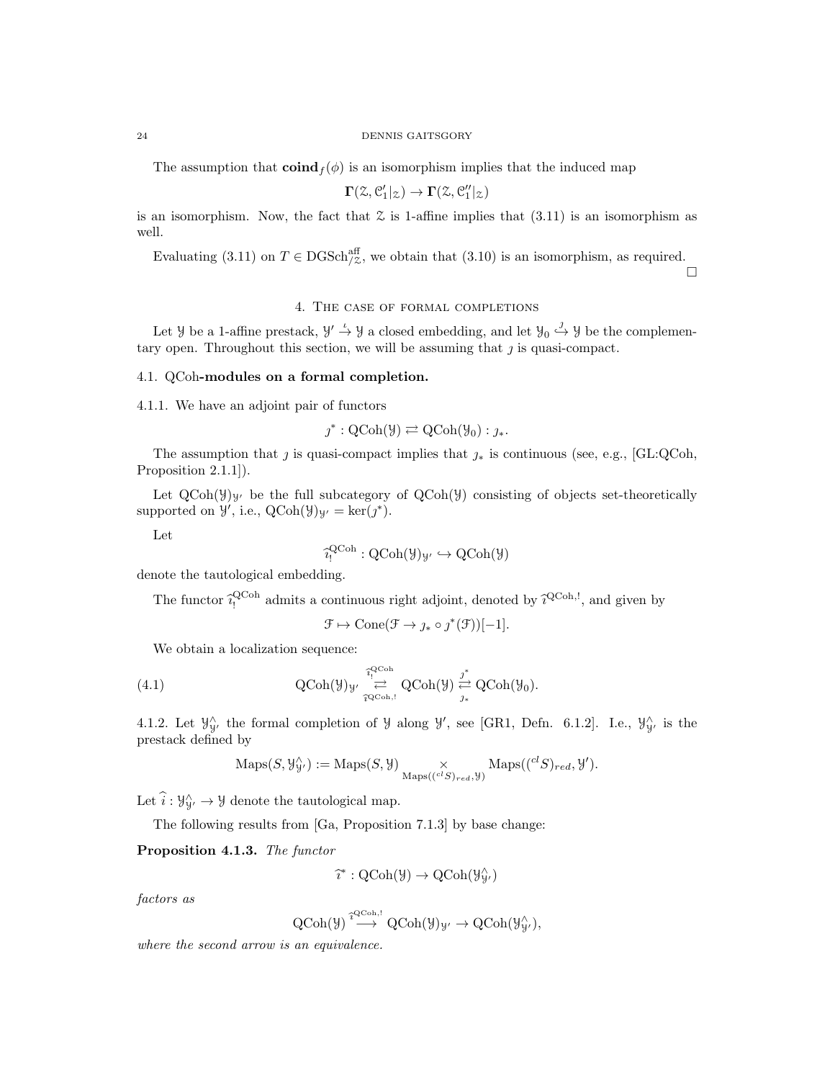The assumption that  $\text{coind}_f(\phi)$  is an isomorphism implies that the induced map

$$
\Gamma(\mathcal{Z},\mathcal{C}'_1|_{\mathcal{Z}}) \to \Gamma(\mathcal{Z},\mathcal{C}''_1|_{\mathcal{Z}})
$$

is an isomorphism. Now, the fact that  $\mathfrak L$  is 1-affine implies that  $(3.11)$  is an isomorphism as well.

Evaluating (3.11) on  $T \in \text{DGSch}_{/z}^{\text{aff}}$ , we obtain that (3.10) is an isomorphism, as required.

 $\Box$ 

4. The case of formal completions

Let *y* be a 1-affine prestack,  $y' \stackrel{\iota}{\rightarrow} y$  a closed embedding, and let  $y_0 \stackrel{\jmath}{\rightarrow} y$  be the complementary open. Throughout this section, we will be assuming that  $j$  is quasi-compact.

#### 4.1. QCoh-modules on a formal completion.

4.1.1. We have an adjoint pair of functors

$$
\jmath^* : \mathrm{QCoh}(\mathcal{Y}) \rightleftarrows \mathrm{QCoh}(\mathcal{Y}_0) : \jmath_*.
$$

The assumption that j is quasi-compact implies that  $j_*$  is continuous (see, e.g., [GL:QCoh, Proposition 2.1.1]).

Let  $QCoh(\mathcal{Y})_{\mathcal{Y}}$  be the full subcategory of  $QCoh(\mathcal{Y})$  consisting of objects set-theoretically supported on  $\mathcal{Y}'$ , i.e.,  $\text{QCoh}(\mathcal{Y})_{\mathcal{Y}'} = \text{ker}(j^*).$ 

Let

$$
\widehat{i_!}^{\operatorname{QCoh}}:\operatorname{QCoh}(\mathcal{Y})_{\mathcal{Y}'}\hookrightarrow \operatorname{QCoh}(\mathcal{Y})
$$

denote the tautological embedding.

The functor  $\hat{i}_1^{\text{QCoh}}$  admits a continuous right adjoint, denoted by  $\hat{i}_1^{\text{QCoh},!}$ , and given by

$$
\mathcal{F} \mapsto \text{Cone}(\mathcal{F} \to \jmath_* \circ \jmath^*(\mathcal{F}))[-1].
$$

We obtain a localization sequence:

(4.1) 
$$
\operatorname{QCoh}(\mathcal{Y})_{\mathcal{Y}'} \underset{\widehat{\tau}^{\operatorname{QCoh},!}}{\overset{\widehat{\tau}^{\operatorname{QCoh}}_!}{\rightleftarrows}} \operatorname{QCoh}(\mathcal{Y}) \underset{\jmath_{*}}{\overset{\jmath^{*}}{\rightleftarrows}} \operatorname{QCoh}(\mathcal{Y}_{0}).
$$

4.1.2. Let  $\mathcal{Y}_{\mathcal{Y}'}^{\wedge}$  the formal completion of  $\mathcal{Y}$  along  $\mathcal{Y}'$ , see [GR1, Defn. 6.1.2]. I.e.,  $\mathcal{Y}_{\mathcal{Y}'}^{\wedge}$  is the prestack defined by

$$
\mathrm{Maps}(S, \mathcal{Y}_{\mathcal{Y}'}^{\wedge}) := \mathrm{Maps}(S, \mathcal{Y}) \underset{\mathrm{Maps}((^{cl}S)_{red}, \mathcal{Y})}{\times} \mathrm{Maps}((^{cl}S)_{red}, \mathcal{Y}').
$$

Let  $\hat{i}: \mathcal{Y}_{\mathcal{Y}}^{\wedge} \to \mathcal{Y}$  denote the tautological map.

The following results from [Ga, Proposition 7.1.3] by base change:

Proposition 4.1.3. The functor

$$
\widehat{\imath}^* : \mathrm{QCoh}(\mathcal{Y}) \to \mathrm{QCoh}(\mathcal{Y}_{\mathcal{Y}'}^{\wedge})
$$

factors as

$$
\operatorname{QCoh}(\mathcal{Y}) \stackrel{\widehat{\tau}^{\operatorname{QCoh},!}}{\longrightarrow} \operatorname{QCoh}(\mathcal{Y})_{\mathcal{Y}'} \to \operatorname{QCoh}(\mathcal{Y}_{\mathcal{Y}'}^{\wedge}),
$$

where the second arrow is an equivalence.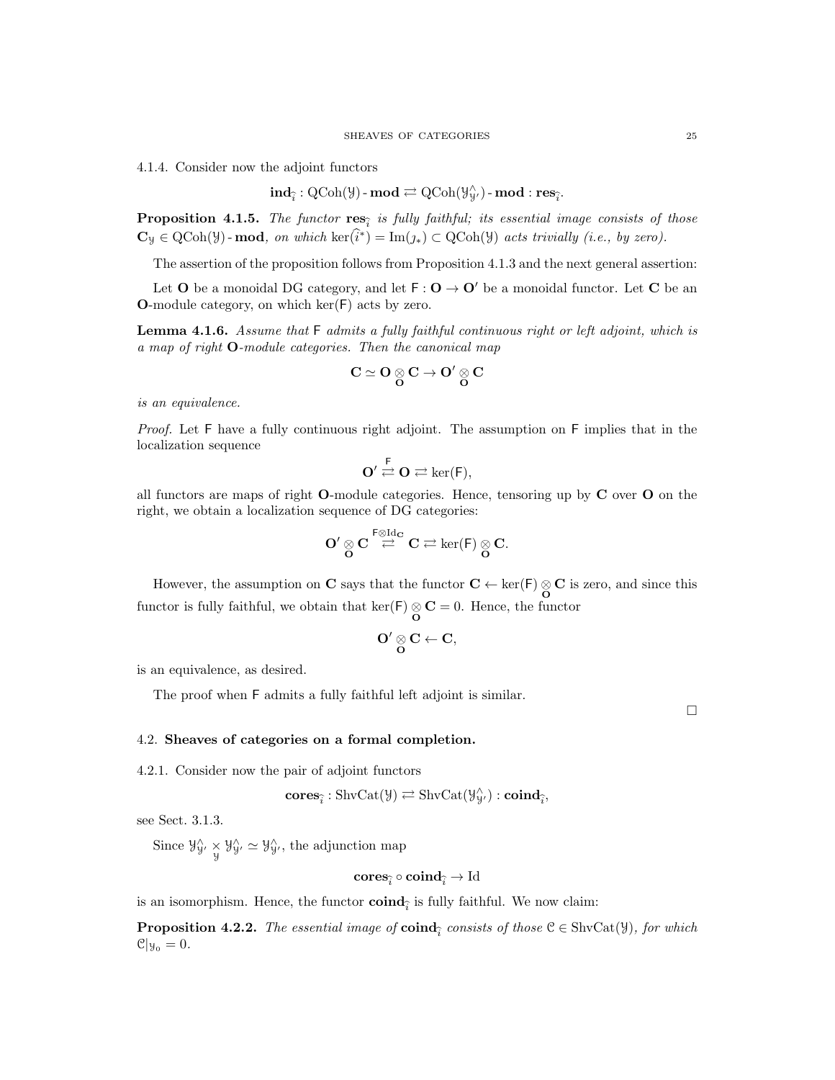4.1.4. Consider now the adjoint functors

$$
\mathbf{ind}_{\widehat{i}}: \text{QCoh}(\mathcal{Y})\text{-}\mathbf{mod} \rightleftarrows \text{QCoh}(\mathcal{Y}_{\mathcal{Y}'}^{\wedge})\text{-}\mathbf{mod}:\mathbf{res}_{\widehat{i}}.
$$

**Proposition 4.1.5.** The functor  $res_{\hat{i}}$  is fully faithful; its essential image consists of those  $\mathbf{C}_{\mathcal{Y}} \in \text{QCoh}(\mathcal{Y})$ -mod, on which ker $(\hat{i}^*) = \text{Im}(j_*) \subset \text{QCoh}(\mathcal{Y})$  acts trivially (i.e., by zero).

The assertion of the proposition follows from Proposition 4.1.3 and the next general assertion:

Let O be a monoidal DG category, and let  $F: O \to O'$  be a monoidal functor. Let C be an O-module category, on which ker(F) acts by zero.

**Lemma 4.1.6.** Assume that  $F$  admits a fully faithful continuous right or left adjoint, which is a map of right O-module categories. Then the canonical map

$$
C \simeq O \underset{O}{\otimes} C \to O' \underset{O}{\otimes} C
$$

is an equivalence.

Proof. Let F have a fully continuous right adjoint. The assumption on F implies that in the localization sequence

$$
O' \stackrel{F}{\rightleftarrows} O \rightleftarrows \ker(F),
$$

all functors are maps of right  $O$ -module categories. Hence, tensoring up by  $C$  over  $O$  on the right, we obtain a localization sequence of DG categories:

$$
O'\mathop{\otimes}_O C\mathop{\stackrel{\text{\rm F}\otimes {\rm Id}_C}{\rightleftarrows}} C\rightleftarrows \ker(\mathsf{F})\mathop{\otimes}_O C.
$$

However, the assumption on C says that the functor  $C \leftarrow \text{ker}(\mathsf{F}) \underset{\mathbf{O}}{\otimes} \mathbf{C}$  is zero, and since this functor is fully faithful, we obtain that  $\ker(\mathsf{F}) \underset{\mathbf{O}}{\otimes} \mathbf{C} = 0$ . Hence, the functor

$$
O'\underset{O}{\otimes} C \leftarrow C,
$$

is an equivalence, as desired.

The proof when F admits a fully faithful left adjoint is similar.

 $\Box$ 

# 4.2. Sheaves of categories on a formal completion.

4.2.1. Consider now the pair of adjoint functors

$$
\mathbf{cores}_{\widehat{i}}: \mathrm{ShvCat}(\mathcal{Y}) \rightleftarrows \mathrm{ShvCat}(\mathcal{Y}_{\mathcal{Y}'}^{\wedge}): \mathbf{coind}_{\widehat{i}},
$$

see Sect. 3.1.3.

Since  $\mathcal{Y}_{\mathcal{Y}}^{\wedge} \times \mathcal{Y}_{\mathcal{Y}}^{\wedge} \simeq \mathcal{Y}_{\mathcal{Y}}^{\wedge}$ , the adjunction map

$$
\mathbf{cores}_{\widehat{i}} \circ \mathbf{coind}_{\widehat{i}} \to \mathrm{Id}
$$

is an isomorphism. Hence, the functor  $\text{coind}_{\hat{i}}$  is fully faithful. We now claim:

**Proposition 4.2.2.** The essential image of **coind**<sub> $\hat{i}$ </sub> consists of those  $\mathcal{C} \in \text{ShvCat}(\mathcal{Y})$ , for which  $\mathcal{C}|y_0 = 0.$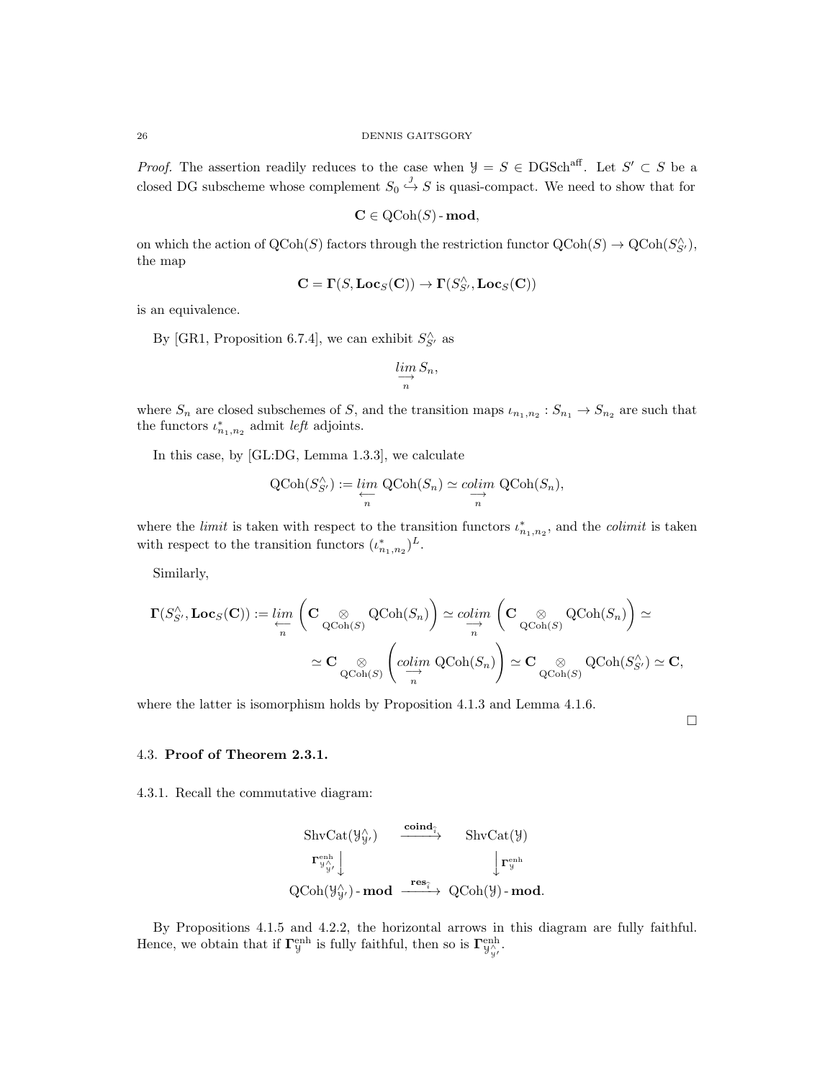*Proof.* The assertion readily reduces to the case when  $\mathcal{Y} = S \in \text{DGSch}^{\text{aff}}$ . Let  $S' \subset S$  be a closed DG subscheme whose complement  $S_0 \stackrel{j}{\hookrightarrow} S$  is quasi-compact. We need to show that for

$$
\mathbf{C} \in \mathrm{QCoh}(S) \text{-}\mathbf{mod},
$$

on which the action of  $\text{QCoh}(S)$  factors through the restriction functor  $\text{QCoh}(S) \to \text{QCoh}(S'_{S'})$ , the map

$$
\mathbf{C} = \mathbf{\Gamma}(S, \mathbf{Loc}_S(\mathbf{C})) \to \mathbf{\Gamma}(S_{S'}^{\wedge}, \mathbf{Loc}_S(\mathbf{C}))
$$

is an equivalence.

By [GR1, Proposition 6.7.4], we can exhibit  $S_{S'}^{\wedge}$  as

$$
\varinjlim_{n} S_{n},
$$

where  $S_n$  are closed subschemes of S, and the transition maps  $\iota_{n_1,n_2}: S_{n_1} \to S_{n_2}$  are such that the functors  $\iota_{n_1,n_2}^*$  admit *left* adjoints.

In this case, by [GL:DG, Lemma 1.3.3], we calculate

$$
\text{QCoh}(S_{S'}^{\wedge}) := \varprojlim_{n} \text{QCoh}(S_{n}) \simeq \operatorname{colim}_{n} \text{QCoh}(S_{n}),
$$

where the *limit* is taken with respect to the transition functors  $\iota^*_{n_1,n_2}$ , and the *colimit* is taken with respect to the transition functors  $(\iota_{n_1,n_2}^*)^L$ .

Similarly,

$$
\begin{aligned} \mathbf{\Gamma}(S_{S'}^\wedge,\mathbf{Loc}_S(\mathbf{C})) :=& \lim_{\substack{\longleftarrow \\ n}} \,\,\bigg(\mathbf{C}\underset{\mathbf{QCoh}(S)}{\otimes} \mathrm{QCoh}(S_n)\bigg) \simeq \underset{n}{colim} \,\,\bigg(\mathbf{C}\underset{\mathbf{QCoh}(S)}{\otimes} \mathrm{QCoh}(S_n)\bigg) \simeq \\ &\simeq \mathbf{C}\underset{\mathbf{QCoh}(S)}{\otimes} \,\,\bigg(\underset{n}{colim} \,\, \mathrm{QCoh}(S_n)\bigg) \simeq \mathbf{C}\underset{\mathbf{QCoh}(S)}{\otimes} \,\, \mathrm{QCoh}(S_{S'}^\wedge) \simeq \mathbf{C}, \end{aligned}
$$

where the latter is isomorphism holds by Proposition 4.1.3 and Lemma 4.1.6.

 $\Box$ 

#### 4.3. Proof of Theorem 2.3.1.

4.3.1. Recall the commutative diagram:

$$
\begin{array}{ccc}\n\text{ShvCat}(\mathcal{Y}_{\mathcal{Y}'}^{\wedge}) & \xrightarrow{\mathbf{coind}_{\widehat{\imath}}} & \text{ShvCat}(\mathcal{Y}) \\
\downarrow^{\text{renh}} & & \downarrow^{\text{renh}} \\
\text{QCoh}(\mathcal{Y}_{\mathcal{Y}'}^{\wedge})-\textbf{mod} & \xrightarrow{\mathbf{res}_{\widehat{\imath}}} & \text{QCoh}(\mathcal{Y})-\textbf{mod}.\n\end{array}
$$

By Propositions 4.1.5 and 4.2.2, the horizontal arrows in this diagram are fully faithful. Hence, we obtain that if  $\Gamma^{\text{enh}}_{\mathcal{Y}}$  is fully faithful, then so is  $\Gamma^{\text{enh}}_{\mathcal{Y}_{\mathcal{Y}}}.$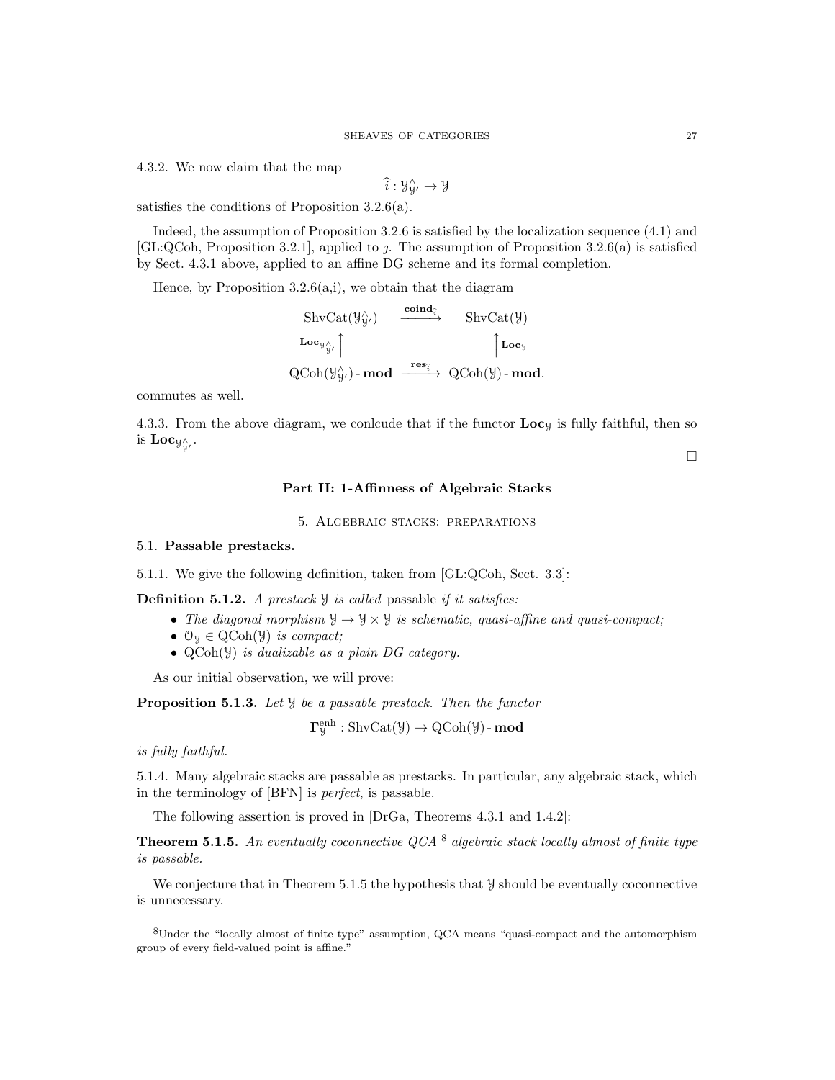4.3.2. We now claim that the map

$$
\widehat{i}:\mathcal{Y}_{\mathcal{Y}'}^{\wedge}\rightarrow \mathcal{Y}
$$

satisfies the conditions of Proposition 3.2.6(a).

Indeed, the assumption of Proposition 3.2.6 is satisfied by the localization sequence (4.1) and [GL:QCoh, Proposition 3.2.1], applied to  $\jmath$ . The assumption of Proposition 3.2.6(a) is satisfied by Sect. 4.3.1 above, applied to an affine DG scheme and its formal completion.

Hence, by Proposition 3.2.6(a,i), we obtain that the diagram

$$
\begin{array}{ccc}\n\text{ShvCat}(\mathcal{Y}_{\mathcal{Y}}^{\wedge}) & \xrightarrow{\mathbf{coind}_{\hat{i}}} & \text{ShvCat}(\mathcal{Y}) \\
\downarrow{\mathbf{Loc}_{\mathcal{Y}_{\mathcal{Y}}^{\wedge}}}\n\end{array}
$$
\n
$$
\begin{array}{ccc}\n\text{Loc}_{\mathcal{Y}_{\mathcal{Y}}^{\wedge}} & \uparrow & \uparrow & \text{Loc}_{\mathcal{Y}} \\
\text{QCoh}(\mathcal{Y}_{\mathcal{Y}}^{\wedge})-\mathbf{mod} & \xrightarrow{\mathbf{res}_{\hat{i}}} & \text{QCoh}(\mathcal{Y})-\mathbf{mod}.\n\end{array}
$$

commutes as well.

4.3.3. From the above diagram, we conlcude that if the functor  $\mathbf{Loc}_y$  is fully faithful, then so is  $\mathbf{Loc}_{\mathcal{Y}^\wedge_Y}.$ 

 $\Box$ 

# Part II: 1-Affinness of Algebraic Stacks

5. Algebraic stacks: preparations

# 5.1. Passable prestacks.

5.1.1. We give the following definition, taken from [GL:QCoh, Sect. 3.3]:

**Definition 5.1.2.** A prestack  $\mathcal{Y}$  is called passable if it satisfies:

- The diagonal morphism  $\mathcal{Y} \to \mathcal{Y} \times \mathcal{Y}$  is schematic, quasi-affine and quasi-compact;
- $\mathcal{O}_y \in \text{QCoh}(\mathcal{Y})$  is compact;
- QCoh(Y) is dualizable as a plain DG category.

As our initial observation, we will prove:

**Proposition 5.1.3.** Let  $\mathcal{Y}$  be a passable prestack. Then the functor

$$
\mathbf{\Gamma}^{\mathrm{enh}}_{\mathcal{Y}} : \mathrm{ShvCat}(\mathcal{Y}) \rightarrow \mathrm{QCoh}(\mathcal{Y})\text{-}\mathbf{mod}
$$

is fully faithful.

5.1.4. Many algebraic stacks are passable as prestacks. In particular, any algebraic stack, which in the terminology of [BFN] is perfect, is passable.

The following assertion is proved in [DrGa, Theorems 4.3.1 and 1.4.2]:

**Theorem 5.1.5.** An eventually coconnective QCA  $^8$  algebraic stack locally almost of finite type is passable.

We conjecture that in Theorem 5.1.5 the hypothesis that  $\mathcal Y$  should be eventually coconnective is unnecessary.

<sup>8</sup>Under the "locally almost of finite type" assumption, QCA means "quasi-compact and the automorphism group of every field-valued point is affine."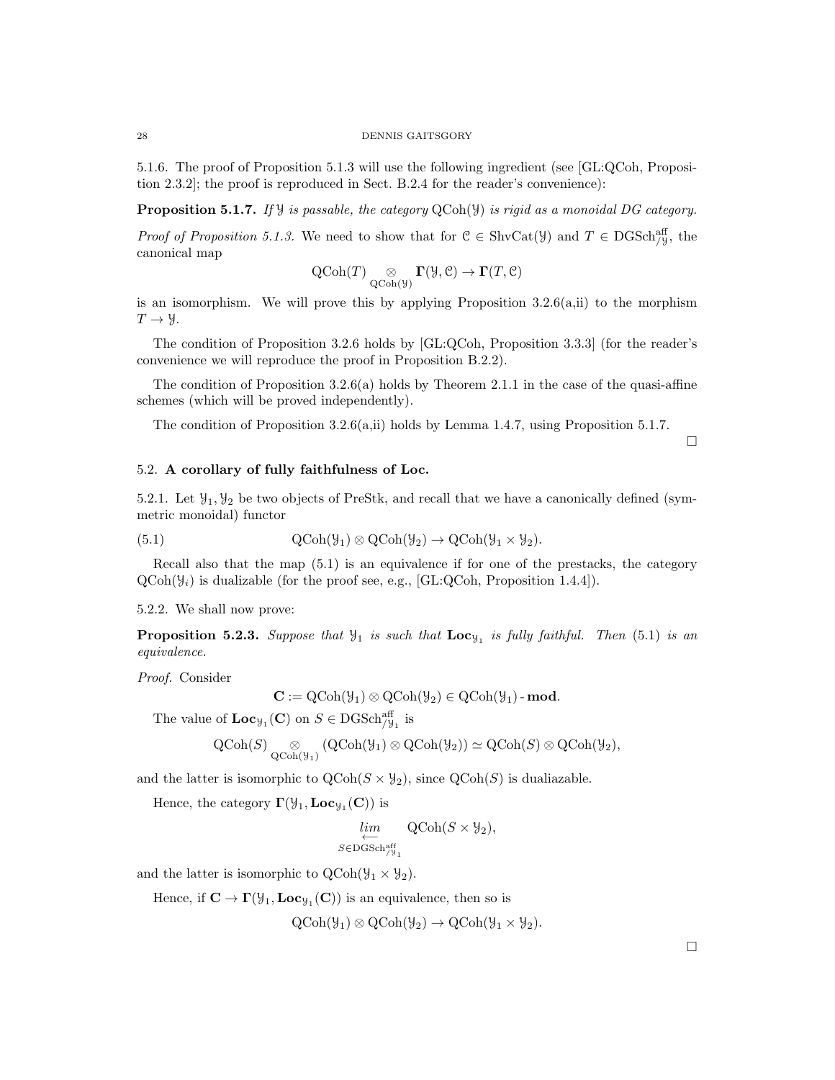5.1.6. The proof of Proposition 5.1.3 will use the following ingredient (see [GL:QCoh, Proposition 2.3.2]; the proof is reproduced in Sect. B.2.4 for the reader's convenience):

**Proposition 5.1.7.** If  $\mathcal{Y}$  is passable, the category QCoh( $\mathcal{Y}$ ) is rigid as a monoidal DG category.

*Proof of Proposition 5.1.3.* We need to show that for  $C \in ShvCat(\mathcal{Y})$  and  $T \in DGSch_{/\mathcal{Y}}^{aff}$ , the canonical map

$$
\operatorname{QCoh}(T) \underset{\operatorname{QCoh}(\mathcal{Y})}{\otimes} \Gamma(\mathcal{Y},\mathcal{C}) \to \Gamma(T,\mathcal{C})
$$

is an isomorphism. We will prove this by applying Proposition  $3.2.6(a,ii)$  to the morphism  $T \rightarrow \mathcal{Y}$ .

The condition of Proposition 3.2.6 holds by [GL:QCoh, Proposition 3.3.3] (for the reader's convenience we will reproduce the proof in Proposition B.2.2).

The condition of Proposition  $3.2.6(a)$  holds by Theorem 2.1.1 in the case of the quasi-affine schemes (which will be proved independently).

The condition of Proposition 3.2.6(a,ii) holds by Lemma 1.4.7, using Proposition 5.1.7.

5.2. A corollary of fully faithfulness of Loc.

5.2.1. Let  $\mathcal{Y}_1, \mathcal{Y}_2$  be two objects of PreStk, and recall that we have a canonically defined (symmetric monoidal) functor

(5.1) 
$$
\mathrm{QCoh}(\mathcal{Y}_1) \otimes \mathrm{QCoh}(\mathcal{Y}_2) \to \mathrm{QCoh}(\mathcal{Y}_1 \times \mathcal{Y}_2).
$$

Recall also that the map (5.1) is an equivalence if for one of the prestacks, the category  $QCoh(\mathcal{Y}_i)$  is dualizable (for the proof see, e.g., [GL:QCoh, Proposition 1.4.4]).

5.2.2. We shall now prove:

**Proposition 5.2.3.** Suppose that  $\mathcal{Y}_1$  is such that  $\text{Loc}_{\mathcal{Y}_1}$  is fully faithful. Then (5.1) is an equivalence.

Proof. Consider

$$
\mathbf{C} := \mathrm{QCoh}(\mathcal{Y}_1) \otimes \mathrm{QCoh}(\mathcal{Y}_2) \in \mathrm{QCoh}(\mathcal{Y}_1) \text{-}\mathbf{mod}.
$$

The value of  $\mathbf{Loc}_{\mathcal{Y}_1}(\mathbf{C})$  on  $S \in \mathrm{DGSch}_{/\mathcal{Y}_1}^{\mathrm{aff}}$  is

$$
\operatorname{QCoh}(S) \underset{\operatorname{QCoh}(\mathcal{Y}_1)}{\otimes} (\operatorname{QCoh}(\mathcal{Y}_1) \otimes \operatorname{QCoh}(\mathcal{Y}_2)) \simeq \operatorname{QCoh}(S) \otimes \operatorname{QCoh}(\mathcal{Y}_2),
$$

and the latter is isomorphic to  $\text{QCoh}(S \times \mathcal{Y}_2)$ , since  $\text{QCoh}(S)$  is dualiazable.

Hence, the category  $\Gamma(\mathcal{Y}_1, \mathbf{Loc}_{\mathcal{Y}_1}(\mathbf{C}))$  is

$$
\lim_{\substack{\longleftarrow \\ S \in \text{DGSch}_{/\mathcal{Y}_1}^{\text{aff}}}} \text{QCoh}(S \times \mathcal{Y}_2),
$$

and the latter is isomorphic to  $\text{QCoh}(\mathcal{Y}_1 \times \mathcal{Y}_2)$ .

Hence, if  $\mathbf{C} \to \Gamma(\mathcal{Y}_1, \mathbf{Loc}_{\mathcal{Y}_1}(\mathbf{C}))$  is an equivalence, then so is

$$
\text{QCoh}(\mathcal{Y}_1) \otimes \text{QCoh}(\mathcal{Y}_2) \to \text{QCoh}(\mathcal{Y}_1 \times \mathcal{Y}_2).
$$

 $\Box$ 

 $\Box$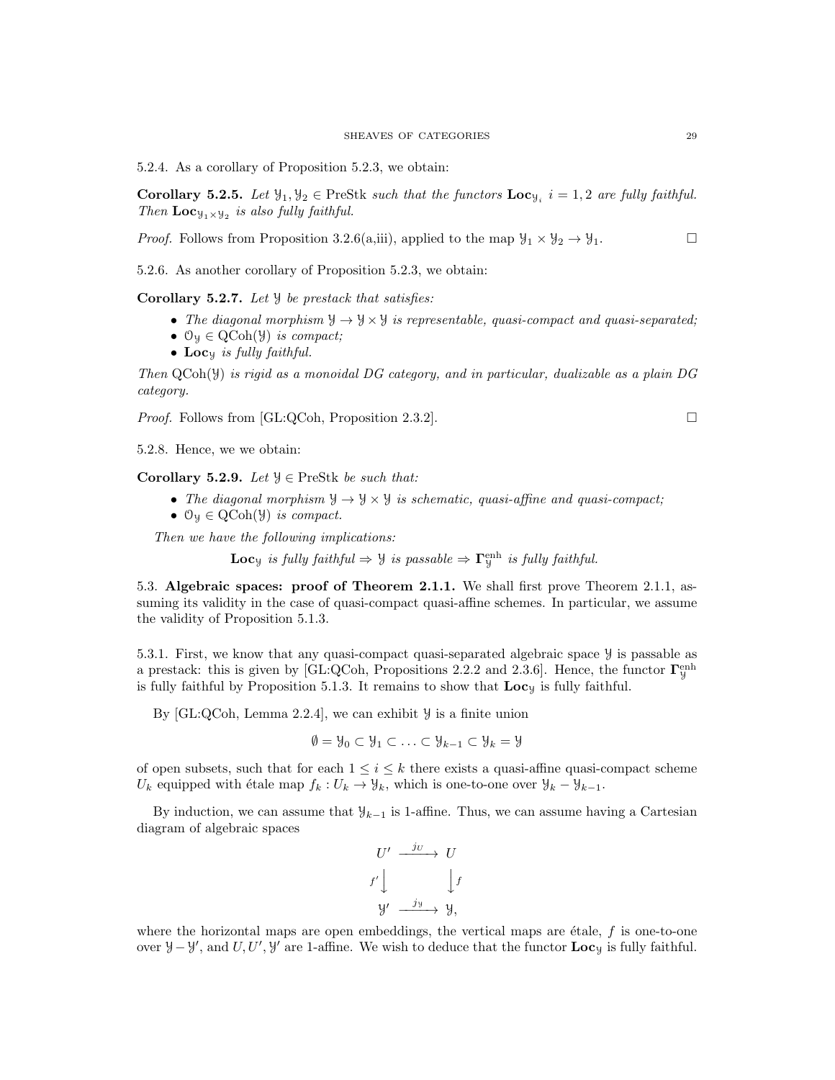5.2.4. As a corollary of Proposition 5.2.3, we obtain:

**Corollary 5.2.5.** Let  $\mathcal{Y}_1, \mathcal{Y}_2 \in \text{PreStk}$  such that the functors  $\text{Loc}_{\mathcal{Y}_i}$   $i = 1, 2$  are fully faithful. Then  $Loc_{\mathcal{Y}_1 \times \mathcal{Y}_2}$  is also fully faithful.

*Proof.* Follows from Proposition 3.2.6(a,iii), applied to the map  $\mathcal{Y}_1 \times \mathcal{Y}_2 \to \mathcal{Y}_1$ .

5.2.6. As another corollary of Proposition 5.2.3, we obtain:

Corollary 5.2.7. Let  $\mathcal{Y}$  be prestack that satisfies:

- The diagonal morphism  $\mathcal{Y} \to \mathcal{Y} \times \mathcal{Y}$  is representable, quasi-compact and quasi-separated;
- $\mathcal{O}_y \in \text{QCoh}(\mathcal{Y})$  is compact;
- Locy is fully faithful.

Then QCoh(Y) is rigid as a monoidal DG category, and in particular, dualizable as a plain DG category.

*Proof.* Follows from [GL:QCoh, Proposition 2.3.2].

5.2.8. Hence, we we obtain:

Corollary 5.2.9. Let  $\mathcal{Y} \in \text{PreStk}$  be such that:

- The diagonal morphism  $\mathcal{Y} \to \mathcal{Y} \times \mathcal{Y}$  is schematic, quasi-affine and quasi-compact;
- $\mathcal{O}_y \in \text{QCoh}(\mathcal{Y})$  is compact.

Then we have the following implications:

**Loc**<sub>y</sub> is fully faithful  $\Rightarrow$   $\forall$  is passable  $\Rightarrow$   $\Gamma_{\mathcal{Y}}^{\text{enh}}$  is fully faithful.

5.3. Algebraic spaces: proof of Theorem 2.1.1. We shall first prove Theorem 2.1.1, assuming its validity in the case of quasi-compact quasi-affine schemes. In particular, we assume the validity of Proposition 5.1.3.

5.3.1. First, we know that any quasi-compact quasi-separated algebraic space Y is passable as a prestack: this is given by [GL:QCoh, Propositions 2.2.2 and 2.3.6]. Hence, the functor  $\Gamma_y^{\text{enh}}$ is fully faithful by Proposition 5.1.3. It remains to show that  $\mathbf{Loc}_y$  is fully faithful.

By  $[GL:QCoh, Lemma 2.2.4]$ , we can exhibit  $\mathcal Y$  is a finite union

$$
\emptyset = \mathcal{Y}_0 \subset \mathcal{Y}_1 \subset \ldots \subset \mathcal{Y}_{k-1} \subset \mathcal{Y}_k = \mathcal{Y}
$$

of open subsets, such that for each  $1 \leq i \leq k$  there exists a quasi-affine quasi-compact scheme  $U_k$  equipped with étale map  $f_k : U_k \to \mathcal{Y}_k$ , which is one-to-one over  $\mathcal{Y}_k - \mathcal{Y}_{k-1}$ .

By induction, we can assume that  $\mathcal{Y}_{k-1}$  is 1-affine. Thus, we can assume having a Cartesian diagram of algebraic spaces

$$
U' \xrightarrow{jU} U
$$
  

$$
f' \downarrow \qquad \qquad \downarrow f
$$
  

$$
y' \xrightarrow{jy} y,
$$

where the horizontal maps are open embeddings, the vertical maps are  $\epsilon$ tale, f is one-to-one over  $\mathcal{Y} - \mathcal{Y}'$ , and U, U',  $\mathcal{Y}'$  are 1-affine. We wish to deduce that the functor  $\mathbf{Loc}_{\mathcal{Y}}$  is fully faithful.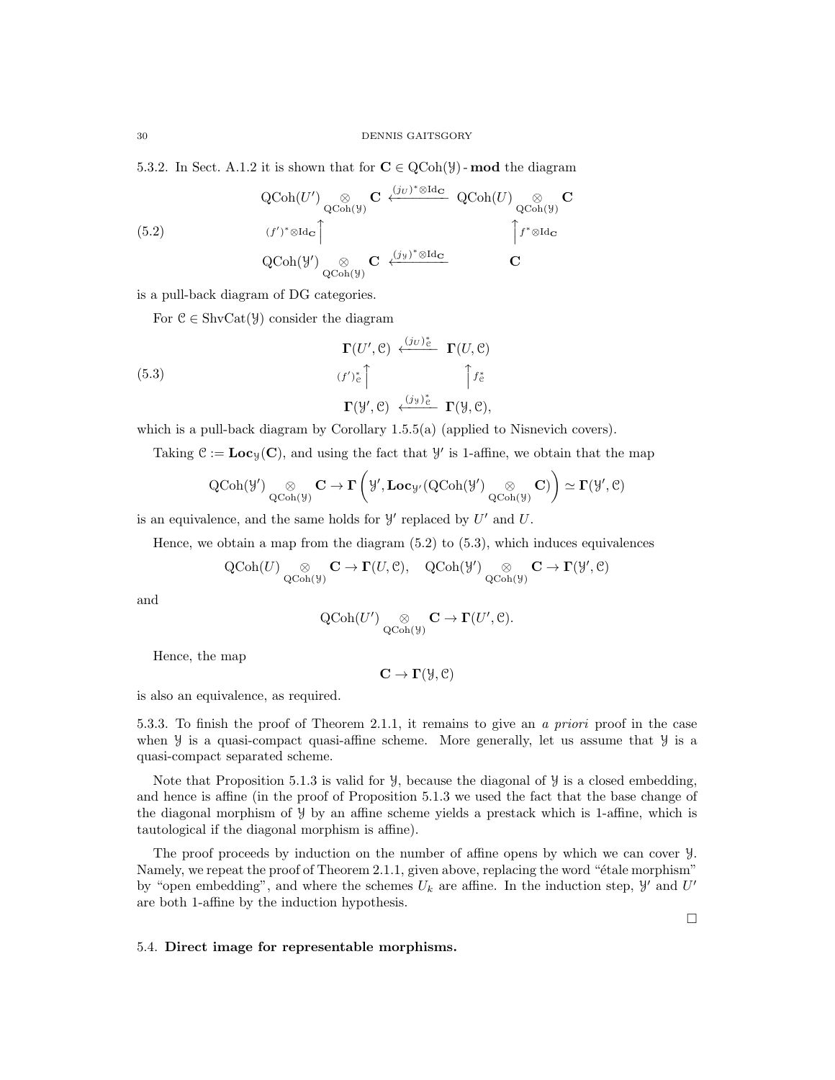5.3.2. In Sect. A.1.2 it is shown that for  $C \in \text{QCoh}(\mathcal{Y})$  - mod the diagram

(5.2) 
$$
\operatorname{QCoh}(U') \underset{\operatorname{QCoh}(\mathcal{Y})}{\otimes} \mathbf{C} \xleftarrow{(j_U)^* \otimes \operatorname{Id}_{\mathbf{C}}} \operatorname{QCoh}(U) \underset{\operatorname{QCoh}(\mathcal{Y})}{\otimes} \mathbf{C}
$$

$$
(f')^* \otimes \operatorname{Id}_{\mathbf{C}} \uparrow
$$

$$
\operatorname{QCoh}(\mathcal{Y}') \underset{\operatorname{QCoh}(\mathcal{Y})}{\otimes} \mathbf{C} \xleftarrow{(j_{\mathcal{Y}})^* \otimes \operatorname{Id}_{\mathbf{C}}} \qquad \qquad \mathbf{C}
$$

is a pull-back diagram of DG categories.

For  $\mathcal{C} \in \text{ShvCat}(\mathcal{Y})$  consider the diagram

(5.3)  
\n
$$
\begin{array}{c}\n \Gamma(U', \mathcal{C}) \xleftarrow{\langle j_U \rangle_{\mathcal{C}}^*} \Gamma(U, \mathcal{C}) \\
 \langle f' \rangle_{\mathcal{C}}^* \Big\uparrow \qquad \qquad \uparrow f_{\mathcal{C}}^* \\
 \Gamma(\mathcal{Y}', \mathcal{C}) \xleftarrow{\langle j_{\mathcal{Y}} \rangle_{\mathcal{C}}^*} \Gamma(\mathcal{Y}, \mathcal{C}),\n \end{array}
$$

which is a pull-back diagram by Corollary 1.5.5(a) (applied to Nisnevich covers).

Taking  $\mathcal{C} := \mathbf{Loc}_\mathcal{Y}(\mathbf{C})$ , and using the fact that  $\mathcal{Y}'$  is 1-affine, we obtain that the map

$$
\operatorname{QCoh}(\mathcal{Y}') \underset{\operatorname{QCoh}(\mathcal{Y})}{\otimes} \mathbf{C} \to \Gamma\left(\mathcal{Y}', \mathbf{Loc}_{\mathcal{Y}'}(\operatorname{QCoh}(\mathcal{Y}') \underset{\operatorname{QCoh}(\mathcal{Y})}{\otimes} \mathbf{C})\right) \simeq \Gamma(\mathcal{Y}', \mathcal{C})
$$

is an equivalence, and the same holds for  $\mathcal{Y}'$  replaced by  $U'$  and  $U$ .

Hence, we obtain a map from the diagram  $(5.2)$  to  $(5.3)$ , which induces equivalences

$$
\operatorname{QCoh}(U) \underset{\operatorname{QCoh}(\mathcal{Y})}{\otimes} \mathbf{C} \to \Gamma(U, \mathbb{C}), \quad \operatorname{QCoh}(\mathcal{Y'}) \underset{\operatorname{QCoh}(\mathcal{Y})}{\otimes} \mathbf{C} \to \Gamma(\mathcal{Y'}, \mathbb{C})
$$

and

$$
\operatorname{QCoh}(U') \underset{\operatorname{QCoh}(\mathcal{Y})}{\otimes} \mathbf{C} \to \Gamma(U', \mathcal{C}).
$$

Hence, the map

 $\mathbf{C} \to \mathbf{\Gamma}(\mathcal{Y}, \mathcal{C})$ 

is also an equivalence, as required.

5.3.3. To finish the proof of Theorem 2.1.1, it remains to give an a priori proof in the case when  $\mathcal Y$  is a quasi-compact quasi-affine scheme. More generally, let us assume that  $\mathcal Y$  is a quasi-compact separated scheme.

Note that Proposition 5.1.3 is valid for  $\mathcal{Y}$ , because the diagonal of  $\mathcal{Y}$  is a closed embedding, and hence is affine (in the proof of Proposition 5.1.3 we used the fact that the base change of the diagonal morphism of Y by an affine scheme yields a prestack which is 1-affine, which is tautological if the diagonal morphism is affine).

The proof proceeds by induction on the number of affine opens by which we can cover Y. Namely, we repeat the proof of Theorem 2.1.1, given above, replacing the word "étale morphism" by "open embedding", and where the schemes  $U_k$  are affine. In the induction step,  $\mathcal{Y}'$  and  $U'$ are both 1-affine by the induction hypothesis.

#### 5.4. Direct image for representable morphisms.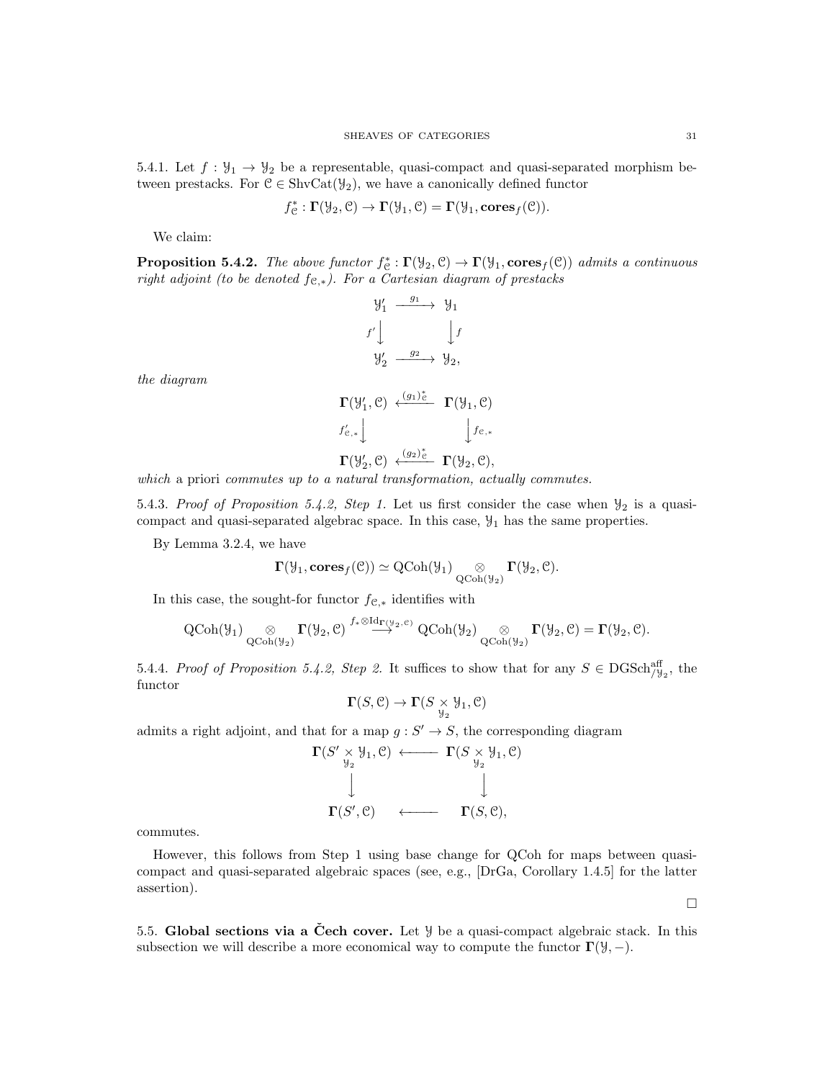5.4.1. Let  $f: \mathcal{Y}_1 \to \mathcal{Y}_2$  be a representable, quasi-compact and quasi-separated morphism between prestacks. For  $\mathcal{C} \in \text{ShvCat}(\mathcal{Y}_2)$ , we have a canonically defined functor

$$
f_{\mathcal{C}}^* : \Gamma(\mathcal{Y}_2, \mathcal{C}) \to \Gamma(\mathcal{Y}_1, \mathcal{C}) = \Gamma(\mathcal{Y}_1, \mathbf{cores}_f(\mathcal{C})).
$$

We claim:

**Proposition 5.4.2.** The above functor  $f^*_{\mathcal{C}} : \Gamma(\mathcal{Y}_2, \mathcal{C}) \to \Gamma(\mathcal{Y}_1, \mathbf{cores}_f(\mathcal{C}))$  admits a continuous right adjoint (to be denoted  $f_{\mathcal{C}, *}$ ). For a Cartesian diagram of prestacks

$$
\begin{array}{ccc}\n\mathcal{Y}'_1 & \xrightarrow{g_1} & \mathcal{Y}_1 \\
f' \downarrow & & \downarrow f \\
\mathcal{Y}'_2 & \xrightarrow{g_2} & \mathcal{Y}_2,\n\end{array}
$$
\n
$$
\Gamma(\mathcal{Y}'_1, \mathcal{C}) \xleftarrow{(g_1)^*_{\mathcal{C}}} \Gamma(\mathcal{Y}_1, \mathcal{C})
$$
\n
$$
f'_{\mathcal{C},*} \downarrow \qquad \qquad \downarrow f_{\mathcal{C},*}
$$

the diagram

$$
\Gamma(\mathcal{Y}_2',\mathcal{C})\ \xleftarrow{(g_2)^*_\mathcal{C}}\ \Gamma(\mathcal{Y}_2,\mathcal{C}),
$$

which a priori commutes up to a natural transformation, actually commutes.

5.4.3. Proof of Proposition 5.4.2, Step 1. Let us first consider the case when  $\mathcal{Y}_2$  is a quasicompact and quasi-separated algebrac space. In this case,  $\mathcal{Y}_1$  has the same properties.

By Lemma 3.2.4, we have

$$
\Gamma(\mathcal{Y}_1, \mathbf{cores}_f(\mathcal{C})) \simeq \mathrm{QCoh}(\mathcal{Y}_1) \underset{\mathrm{QCoh}(\mathcal{Y}_2)}{\otimes} \Gamma(\mathcal{Y}_2, \mathcal{C}).
$$

In this case, the sought-for functor  $f_{\mathcal{C},*}$  identifies with

$$
\operatorname{QCoh}(\mathcal{Y}_{1}) \underset{\operatorname{QCoh}(\mathcal{Y}_{2})}{\otimes} \Gamma(\mathcal{Y}_{2}, \mathcal{C}) \stackrel{f_{*} \otimes {\rm Id}_{\Gamma(\mathcal{Y}_{2}, \mathcal{C})}}{\longrightarrow} \operatorname{QCoh}(\mathcal{Y}_{2}) \underset{\operatorname{QCoh}(\mathcal{Y}_{2})}{\otimes} \Gamma(\mathcal{Y}_{2}, \mathcal{C}) = \Gamma(\mathcal{Y}_{2}, \mathcal{C}).
$$

5.4.4. Proof of Proposition 5.4.2, Step 2. It suffices to show that for any  $S \in \text{DGSch}_{/\mathcal{Y}_2}^{\text{aff}}$ , the functor

$$
\boldsymbol{\Gamma}(S,\mathcal{C})\to \boldsymbol{\Gamma}(S\times_{\mathcal{Y}_2}\mathcal{Y}_1,\mathcal{C})
$$

admits a right adjoint, and that for a map  $g : S' \to S$ , the corresponding diagram

$$
\Gamma(S' \underset{\mathcal{Y}_2}{\times} \mathcal{Y}_1, \mathcal{C}) \longleftarrow \Gamma(S \underset{\mathcal{Y}_2}{\times} \mathcal{Y}_1, \mathcal{C})
$$
  
\n
$$
\downarrow \qquad \qquad \downarrow
$$
  
\n
$$
\Gamma(S', \mathcal{C}) \longleftarrow \Gamma(S, \mathcal{C}),
$$

commutes.

However, this follows from Step 1 using base change for QCoh for maps between quasicompact and quasi-separated algebraic spaces (see, e.g., [DrGa, Corollary 1.4.5] for the latter assertion).

5.5. Global sections via a Čech cover. Let  $\mathcal{Y}$  be a quasi-compact algebraic stack. In this subsection we will describe a more economical way to compute the functor  $\Gamma(\mathcal{Y}, -)$ .

 $\Box$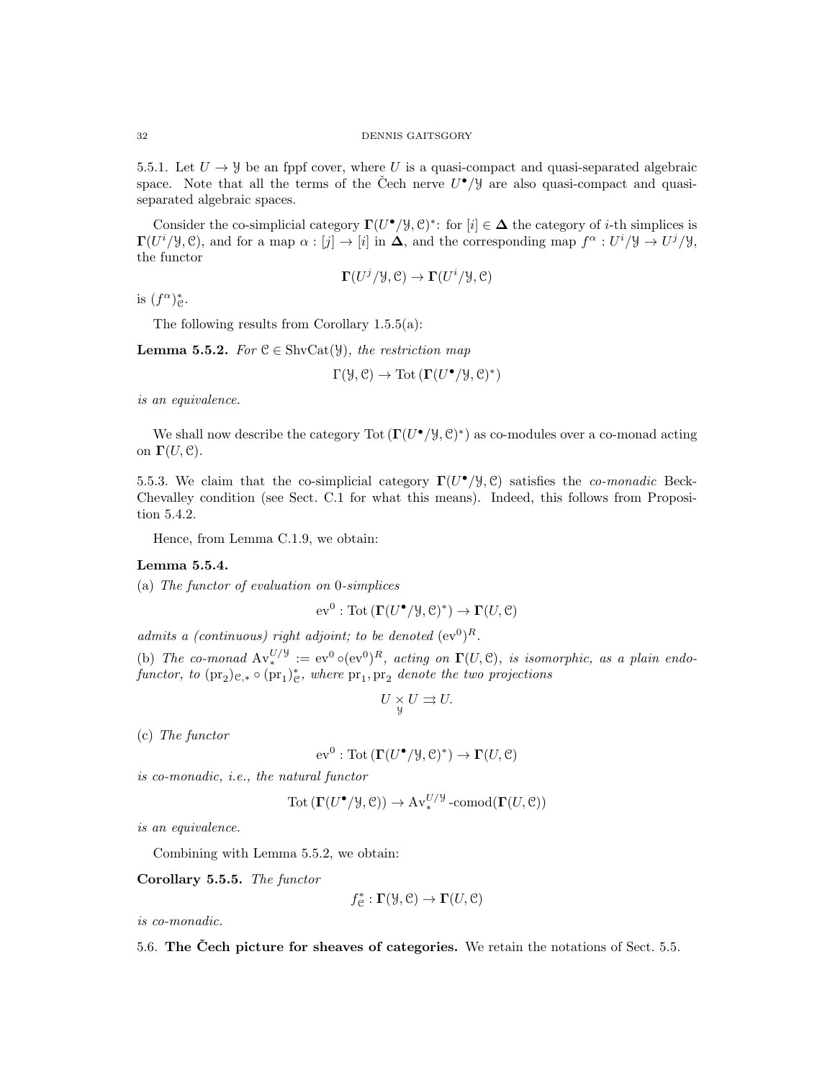5.5.1. Let  $U \rightarrow \mathcal{Y}$  be an fppf cover, where U is a quasi-compact and quasi-separated algebraic space. Note that all the terms of the Čech nerve  $U^{\bullet}/\mathcal{Y}$  are also quasi-compact and quasiseparated algebraic spaces.

Consider the co-simplicial category  $\Gamma(U^{\bullet}/\mathcal{Y}, \mathcal{C})^*$ : for  $[i] \in \Delta$  the category of *i*-th simplices is  $\Gamma(U^i/\mathcal{Y}, \mathcal{C})$ , and for a map  $\alpha : [j] \to [i]$  in  $\Delta$ , and the corresponding map  $f^{\alpha} : U^i/\mathcal{Y} \to U^j/\mathcal{Y}$ , the functor

$$
\Gamma(U^j/\mathcal{Y}, \mathcal{C}) \to \Gamma(U^i/\mathcal{Y}, \mathcal{C})
$$

is  $(f^{\alpha})_{\mathcal{C}}^{*}$ .

The following results from Corollary 1.5.5(a):

**Lemma 5.5.2.** For  $C \in ShvCat(\mathcal{Y})$ , the restriction map

$$
\Gamma(\mathcal{Y}, \mathcal{C}) \to \text{Tot}\left(\Gamma(U^{\bullet}/\mathcal{Y}, \mathcal{C})^*\right)
$$

is an equivalence.

We shall now describe the category  $Tot(\Gamma(U^{\bullet}/\mathcal{Y}, \mathcal{C})^*)$  as co-modules over a co-monad acting on  $\Gamma(U, \mathcal{C})$ .

5.5.3. We claim that the co-simplicial category  $\Gamma(U^{\bullet}/\mathcal{Y}, \mathcal{C})$  satisfies the *co-monadic* Beck-Chevalley condition (see Sect. C.1 for what this means). Indeed, this follows from Proposition 5.4.2.

Hence, from Lemma C.1.9, we obtain:

# Lemma 5.5.4.

(a) The functor of evaluation on 0-simplices

$$
ev^0: \text{Tot}\left(\Gamma(U^{\bullet}/\mathcal{Y}, \mathcal{C})^*\right) \to \Gamma(U, \mathcal{C})
$$

admits a (continuous) right adjoint; to be denoted  $(\mathrm{ev}^0)^R$ .

(b) The co-monad  $Av_*^{U/\mathcal{Y}} := ev^0 \circ (ev^0)^R$ , acting on  $\Gamma(U, \mathcal{C})$ , is isomorphic, as a plain endofunctor, to  $(\text{pr}_2)_{\mathcal{C},*} \circ (\text{pr}_1)_{\mathcal{C}}^*$ , where  $\text{pr}_1, \text{pr}_2$  denote the two projections

$$
U\underset{y}{\times}U\rightrightarrows U.
$$

(c) The functor

$$
ev^0: \text{Tot}\left(\Gamma(U^{\bullet}/\mathcal{Y}, \mathcal{C})^*\right) \to \Gamma(U, \mathcal{C})
$$

is co-monadic, i.e., the natural functor

$$
Tot(\Gamma(U^{\bullet}/\mathcal{Y}, \mathcal{C})) \to Av^{U/\mathcal{Y}}_{*} \text{-comod}(\Gamma(U, \mathcal{C}))
$$

is an equivalence.

Combining with Lemma 5.5.2, we obtain:

Corollary 5.5.5. The functor

$$
f_{\mathcal{C}}^* : \mathbf{\Gamma}(\mathcal{Y}, \mathcal{C}) \to \mathbf{\Gamma}(U, \mathcal{C})
$$

is co-monadic.

5.6. The Cech picture for sheaves of categories. We retain the notations of Sect. 5.5.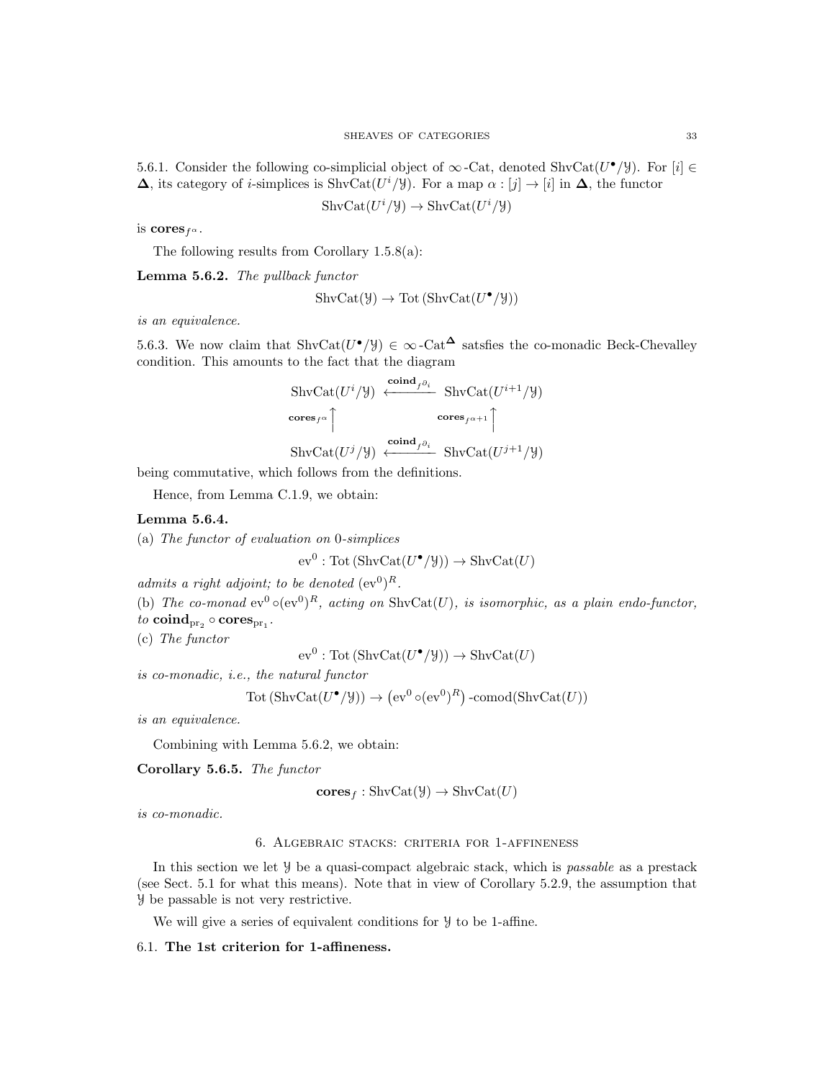5.6.1. Consider the following co-simplicial object of  $\infty$ -Cat, denoted ShvCat $(U^{\bullet}/\mathcal{Y})$ . For  $[i] \in$  $\Delta$ , its category of *i*-simplices is ShvCat $(U^i/\mathcal{Y})$ . For a map  $\alpha : [j] \to [i]$  in  $\Delta$ , the functor

$$
ShvCat(U^i/\mathcal{Y}) \to ShvCat(U^i/\mathcal{Y})
$$

is cores  $f^{\alpha}$ .

The following results from Corollary 1.5.8(a):

Lemma 5.6.2. The pullback functor

$$
ShvCat(\mathcal{Y}) \to Tot(ShvCat(U^{\bullet}/\mathcal{Y}))
$$

is an equivalence.

5.6.3. We now claim that ShvCat $(U^{\bullet}/\mathcal{Y}) \in \infty$ -Cat<sup> $\Delta$ </sup> satsfies the co-monadic Beck-Chevalley condition. This amounts to the fact that the diagram

$$
\begin{aligned}\n\text{ShvCat}(U^{i}/\mathcal{Y}) &\xleftarrow{\text{coind}_{f^{\partial_{i}}}} \text{ShvCat}(U^{i+1}/\mathcal{Y}) \\
\text{cores}_{f^{\alpha}}\bigcap_{\text{cores}_{f^{\alpha+1}}}\text{cores}_{f^{\alpha+1}}\bigcap_{\text{ShvCat}(U^{j+1}/\mathcal{Y})}\n\end{aligned}
$$

being commutative, which follows from the definitions.

Hence, from Lemma C.1.9, we obtain:

# Lemma 5.6.4.

(a) The functor of evaluation on 0-simplices

$$
ev^0: \text{Tot}(\text{ShvCat}(U^{\bullet}/\mathcal{Y})) \to \text{ShvCat}(U)
$$

admits a right adjoint; to be denoted  $(\mathrm{ev}^0)^R$ .

(b) The co-monad  $ev^0 \circ (ev^0)^R$ , acting on ShvCat(U), is isomorphic, as a plain endo-functor,

 $\mathit{to}\ \textbf{coind}_{\text{pr}_2}\circ\textbf{cores}_{\text{pr}_1}.$ 

(c) The functor

 $ev^0 : \text{Tot}(\text{ShvCat}(U^{\bullet}/\mathcal{Y})) \to \text{ShvCat}(U)$ 

is co-monadic, i.e., the natural functor

$$
Tot(ShvCat(U^{\bullet}/\mathcal{Y})) \rightarrow (ev^0 \circ (ev^0)^R) \text{-comod}(ShvCat(U))
$$

is an equivalence.

Combining with Lemma 5.6.2, we obtain:

Corollary 5.6.5. The functor

$$
cores_f : \text{ShvCat}(\mathcal{Y}) \to \text{ShvCat}(U)
$$

is co-monadic.

## 6. Algebraic stacks: criteria for 1-affineness

In this section we let  $\mathcal{Y}$  be a quasi-compact algebraic stack, which is *passable* as a prestack (see Sect. 5.1 for what this means). Note that in view of Corollary 5.2.9, the assumption that Y be passable is not very restrictive.

We will give a series of equivalent conditions for  $\mathcal Y$  to be 1-affine.

# 6.1. The 1st criterion for 1-affineness.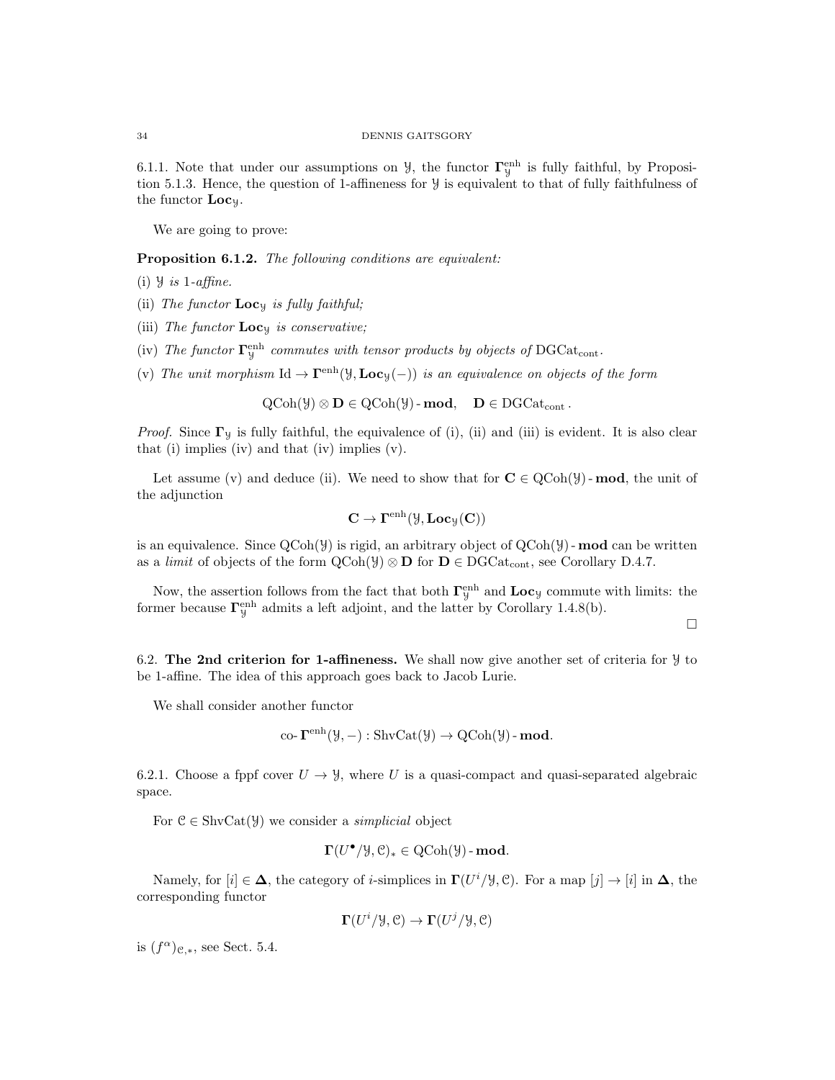6.1.1. Note that under our assumptions on  $\mathcal{Y}$ , the functor  $\mathbf{\Gamma}_{\mathcal{Y}}^{\text{enh}}$  is fully faithful, by Proposition 5.1.3. Hence, the question of 1-affineness for Y is equivalent to that of fully faithfulness of the functor Locy.

We are going to prove:

Proposition 6.1.2. The following conditions are equivalent:

- (i)  $\forall$  is 1-affine.
- (ii) The functor  $Loc_{y}$  is fully faithful;
- (iii) The functor  $Loc_{y}$  is conservative;
- (iv) The functor  $\Gamma^{\text{enh}}_y$  commutes with tensor products by objects of DGCat<sub>cont</sub>.
- (v) The unit morphism  $\mathrm{Id} \to \Gamma^{\text{enh}}(\mathcal{Y}, \mathbf{Loc}_{\mathcal{Y}}(-))$  is an equivalence on objects of the form

 $QCoh(\mathcal{Y}) \otimes \mathbf{D} \in QCoh(\mathcal{Y})$ -mod,  $\mathbf{D} \in DGCat_{cont}$ .

*Proof.* Since  $\Gamma$ <sub>y</sub> is fully faithful, the equivalence of (i), (ii) and (iii) is evident. It is also clear that (i) implies (iv) and that (iv) implies (v).

Let assume (v) and deduce (ii). We need to show that for  $C \in \text{QCoh}(\mathcal{Y})$ -mod, the unit of the adjunction

$$
\mathbf{C} \to \Gamma^{\mathrm{enh}}(\mathcal{Y}, \mathbf{Loc}_{\mathcal{Y}}(\mathbf{C}))
$$

is an equivalence. Since  $QCoh(\mathcal{Y})$  is rigid, an arbitrary object of  $QCoh(\mathcal{Y})$  - **mod** can be written as a *limit* of objects of the form  $QCoh(\mathcal{Y}) \otimes \mathbf{D}$  for  $\mathbf{D} \in DGCat_{cont}$ , see Corollary D.4.7.

Now, the assertion follows from the fact that both  $\Gamma_y^{\text{enh}}$  and  $\text{Loc}_y$  commute with limits: the former because  $\Gamma^{\text{enh}}_{\mathcal{Y}}$  admits a left adjoint, and the latter by Corollary 1.4.8(b).

 $\Box$ 

6.2. The 2nd criterion for 1-affineness. We shall now give another set of criteria for  $\mathcal Y$  to be 1-affine. The idea of this approach goes back to Jacob Lurie.

We shall consider another functor

co-
$$
\mathbf{\Gamma}^{\text{enh}}(\mathcal{Y}, -): \text{ShvCat}(\mathcal{Y}) \to \text{QCoh}(\mathcal{Y})
$$
-**mod**.

6.2.1. Choose a fppf cover  $U \rightarrow \mathcal{Y}$ , where U is a quasi-compact and quasi-separated algebraic space.

For  $\mathcal{C} \in \text{ShvCat}(\mathcal{Y})$  we consider a *simplicial* object

$$
\Gamma(U^{\bullet}/\mathcal{Y}, \mathcal{C})_* \in \mathrm{QCoh}(\mathcal{Y})\text{-}\mathbf{mod}.
$$

Namely, for  $[i] \in \Delta$ , the category of *i*-simplices in  $\Gamma(U^i/\mathcal{Y}, \mathcal{C})$ . For a map  $[j] \to [i]$  in  $\Delta$ , the corresponding functor

$$
\Gamma(U^i/\mathcal{Y}, \mathcal{C}) \to \Gamma(U^j/\mathcal{Y}, \mathcal{C})
$$

is  $(f^{\alpha})_{\mathcal{C},\ast}$ , see Sect. 5.4.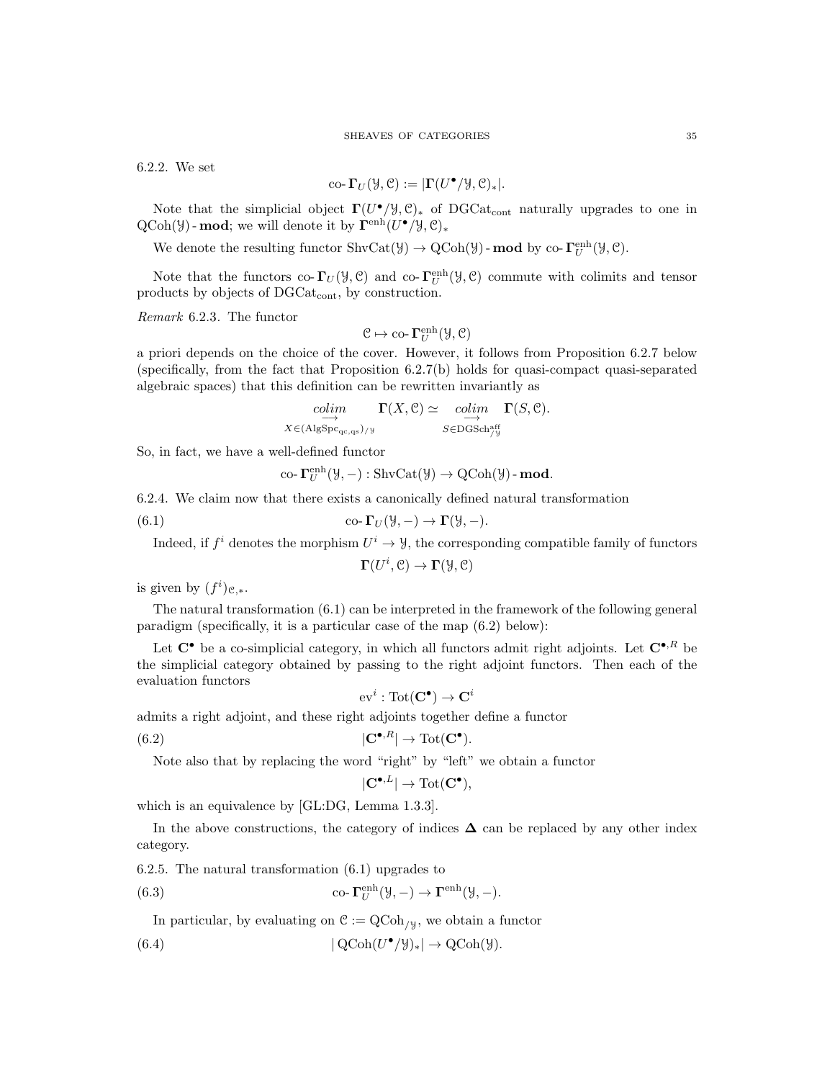6.2.2. We set

$$
\text{co-}\,\mathbf{\Gamma}_U(\mathcal{Y},\mathcal{C}):=|\mathbf{\Gamma}(U^\bullet/\mathcal{Y},\mathcal{C})_*|.
$$

Note that the simplicial object  $\Gamma(U^{\bullet}/\mathcal{Y}, \mathcal{C})_*$  of DGCat<sub>cont</sub> naturally upgrades to one in  $\text{QCoh}(\mathcal{Y})$  - mod; we will denote it by  $\mathbf{\Gamma}^{\text{enh}}(U^{\bullet}/\mathcal{Y}, \mathcal{C})_{*}$ 

We denote the resulting functor  $\text{ShvCat}(\mathcal{Y}) \to \text{QCoh}(\mathcal{Y})$  - **mod** by co- $\Gamma_U^{\text{enh}}(\mathcal{Y}, \mathcal{C})$ .

Note that the functors co- $\Gamma_U(\mathcal{Y}, \mathcal{C})$  and co- $\Gamma_U^{\text{enh}}(\mathcal{Y}, \mathcal{C})$  commute with colimits and tensor products by objects of DGCat<sub>cont</sub>, by construction.

Remark 6.2.3. The functor

$$
\mathcal{C} \mapsto \text{co-}\,\Gamma^{\text{enh}}_U(\mathcal{Y},\mathcal{C})
$$

a priori depends on the choice of the cover. However, it follows from Proposition 6.2.7 below (specifically, from the fact that Proposition 6.2.7(b) holds for quasi-compact quasi-separated algebraic spaces) that this definition can be rewritten invariantly as

$$
\underset{X \in (\text{AlgSpec}_{\text{qc},\text{qs}})/y}{\underset{\longrightarrow}{\longrightarrow}} \Gamma(X,\mathcal{C}) \simeq \underset{S \in \text{DGSch}_{/y}^{\text{aff}}}{\underset{\longrightarrow}{\longrightarrow}} \Gamma(S,\mathcal{C}).
$$

So, in fact, we have a well-defined functor

co-
$$
\Gamma_U^{\text{enh}}(\mathcal{Y}, -): \text{ShvCat}(\mathcal{Y}) \to \text{QCoh}(\mathcal{Y})\text{-mod.}
$$

6.2.4. We claim now that there exists a canonically defined natural transformation

(6.1) 
$$
\operatorname{co-}\Gamma_U(\mathcal{Y},-) \to \Gamma(\mathcal{Y},-).
$$

Indeed, if  $f^i$  denotes the morphism  $U^i \to \mathcal{Y}$ , the corresponding compatible family of functors

 $\Gamma(U^i, \mathcal{C}) \to \Gamma(\mathcal{Y}, \mathcal{C})$ 

is given by  $(f^i)_{\mathcal{C},\ast}$ .

The natural transformation (6.1) can be interpreted in the framework of the following general paradigm (specifically, it is a particular case of the map (6.2) below):

Let  $\mathbb{C}^{\bullet}$  be a co-simplicial category, in which all functors admit right adjoints. Let  $\mathbb{C}^{\bullet}$ ,  $\mathbb{R}$  be the simplicial category obtained by passing to the right adjoint functors. Then each of the evaluation functors

$$
\mathrm{ev}^i:\mathrm{Tot}(\mathbf{C}^\bullet)\to \mathbf{C}^i
$$

admits a right adjoint, and these right adjoints together define a functor

(6.2) 
$$
|\mathbf{C}^{\bullet, R}| \to \text{Tot}(\mathbf{C}^{\bullet}).
$$

Note also that by replacing the word "right" by "left" we obtain a functor

$$
|\mathbf{C}^{\bullet, L}| \to \mathrm{Tot}(\mathbf{C}^\bullet),
$$

which is an equivalence by [GL:DG, Lemma 1.3.3].

In the above constructions, the category of indices  $\Delta$  can be replaced by any other index category.

6.2.5. The natural transformation (6.1) upgrades to

(6.3) 
$$
\operatorname{co-}\nolimits \Gamma^{\operatorname{enh}}_U(\mathcal{Y}, -) \to \Gamma^{\operatorname{enh}}(\mathcal{Y}, -).
$$

In particular, by evaluating on  $C := QCoh_{/y}$ , we obtain a functor

(6.4) 
$$
|\operatorname{QCoh}(U^{\bullet}/\mathcal{Y})_*| \to \operatorname{QCoh}(\mathcal{Y}).
$$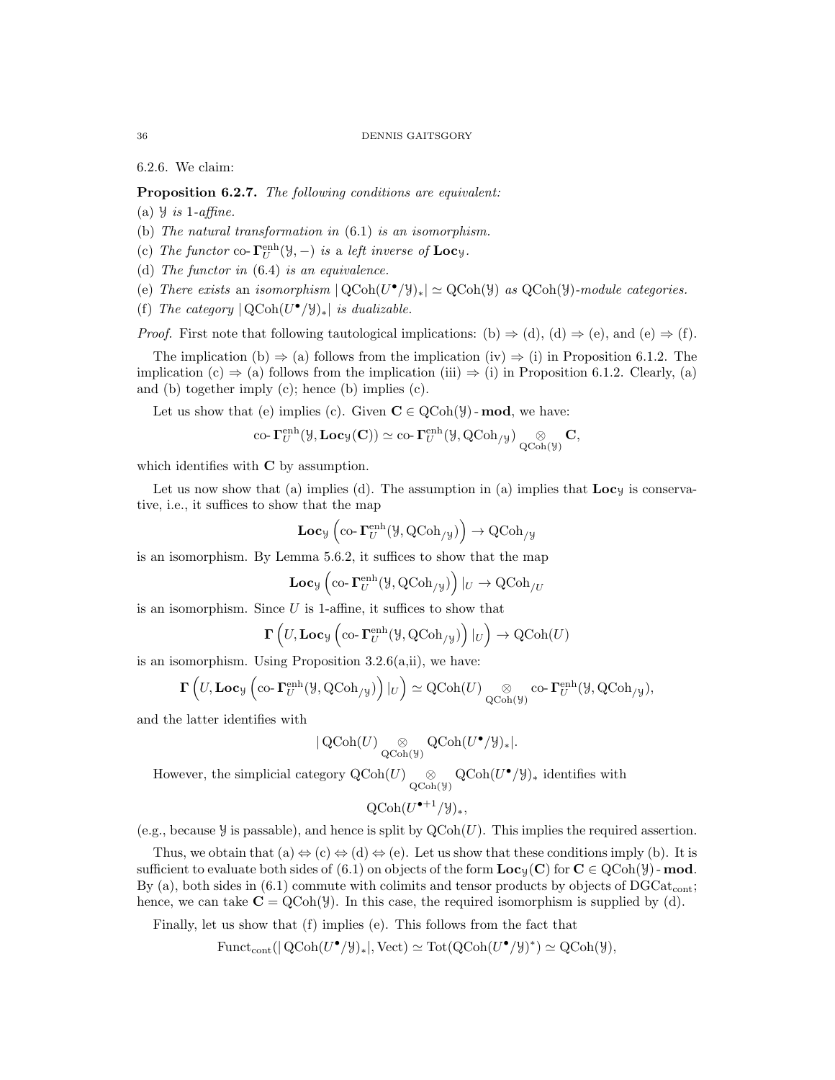6.2.6. We claim:

Proposition 6.2.7. The following conditions are equivalent:

(a)  $\frac{1}{3}$  is 1-affine.

- (b) The natural transformation in (6.1) is an isomorphism.
- (c) The functor co- $\Gamma_U^{\text{enh}}(\mathcal{Y},-)$  is a left inverse of  $\text{Loc}_\mathcal{Y}.$

(d) The functor in (6.4) is an equivalence.

- (e) There exists an isomorphism  $|QCoh(U^{\bullet}/\mathcal{Y})_*| \simeq QCoh(\mathcal{Y})$  as  $QCoh(\mathcal{Y})$ -module categories.
- (f) The category  $|QCoh(U^{\bullet}/\mathcal{Y})_*|$  is dualizable.

*Proof.* First note that following tautological implications: (b)  $\Rightarrow$  (d), (d)  $\Rightarrow$  (e), and (e)  $\Rightarrow$  (f).

The implication (b)  $\Rightarrow$  (a) follows from the implication (iv)  $\Rightarrow$  (i) in Proposition 6.1.2. The implication (c)  $\Rightarrow$  (a) follows from the implication (iii)  $\Rightarrow$  (i) in Proposition 6.1.2. Clearly, (a) and (b) together imply (c); hence (b) implies (c).

Let us show that (e) implies (c). Given  $C \in \text{QCoh}(\mathcal{Y})$ -mod, we have:

co-
$$
\Gamma_U^{\text{enh}}(\mathcal{Y}, \text{Loc}_{\mathcal{Y}}(\mathbf{C})) \simeq \text{co-} \Gamma_U^{\text{enh}}(\mathcal{Y}, \text{QCoh}_{/\mathcal{Y}}) \underset{\text{QCoh}(\mathcal{Y})}{\otimes} \mathbf{C},
$$

which identifies with **C** by assumption.

Let us now show that (a) implies (d). The assumption in (a) implies that  $\mathbf{Loc}_y$  is conservative, i.e., it suffices to show that the map

$$
\mathbf{Loc}_{\mathcal{Y}}\left(\mathrm{co}\text{-}\mathbf{\Gamma}^{\mathrm{enh}}_{U}(\mathcal{Y},\mathrm{QCoh}_{/\mathcal{Y}})\right)\to \mathrm{QCoh}_{/\mathcal{Y}}
$$

is an isomorphism. By Lemma 5.6.2, it suffices to show that the map

$$
\mathbf{Loc}_{\mathcal{Y}}\left(\mathrm{co}\text{-}\mathbf{\Gamma}_U^{\mathrm{enh}}(\mathcal{Y},\mathrm{QCoh}_{/\mathcal{Y}})\right)|_U\to \mathrm{QCoh}_{/U}
$$

is an isomorphism. Since  $U$  is 1-affine, it suffices to show that

$$
\Gamma\left(U, \mathbf{Loc}_\mathcal{Y}\left(\mathrm{co}\text{-}\Gamma^{\mathrm{enh}}_U(\mathcal{Y}, \mathrm{QCoh}_{/\mathcal{Y}})\right)|_U\right) \to \mathrm{QCoh}(U)
$$

is an isomorphism. Using Proposition  $3.2.6(a,ii)$ , we have:

$$
\Gamma\left(U, \mathbf{Loc}_{\mathcal{Y}}\left(\mathrm{co}\text{-}\mathbf{\Gamma}_U^{\mathrm{enh}}(\mathcal{Y}, \mathrm{QCoh}_{/\mathcal{Y}})\right)|_U\right) \simeq \mathrm{QCoh}(U) \underset{\mathrm{QCoh}(\mathcal{Y})}{\otimes} \mathrm{co}\text{-}\mathbf{\Gamma}_U^{\mathrm{enh}}(\mathcal{Y}, \mathrm{QCoh}_{/\mathcal{Y}}),
$$

and the latter identifies with

$$
|\operatorname{QCoh}(U) \operatorname*{\otimes}_{\operatorname{QCoh}(\mathcal{Y})} \operatorname{QCoh}(U^{\bullet}/\mathcal{Y})_*|.
$$

However, the simplicial category  $Q\text{Coh}(U) \underset{Q\text{Coh}(\mathcal{Y})}{\otimes} Q\text{Coh}(U^{\bullet}/\mathcal{Y})_*$  identifies with

$$
\text{QCoh}(U^{\bullet + 1}/\mathcal{Y})_*,
$$

(e.g., because  $\mathcal Y$  is passable), and hence is split by  $QCoh(U)$ . This implies the required assertion.

Thus, we obtain that  $(a) \Leftrightarrow (c) \Leftrightarrow (d) \Leftrightarrow (e)$ . Let us show that these conditions imply (b). It is sufficient to evaluate both sides of (6.1) on objects of the form  $\mathbf{Loc}_y(\mathbf{C})$  for  $\mathbf{C} \in \mathrm{QCoh}(\mathcal{Y})$ -mod. By (a), both sides in  $(6.1)$  commute with colimits and tensor products by objects of DGCat<sub>cont</sub>; hence, we can take  $C = QCoh(y)$ . In this case, the required isomorphism is supplied by (d).

Finally, let us show that (f) implies (e). This follows from the fact that

$$
\mathrm{Funct}_{\mathrm{cont}}(|\mathrm{QCoh}(U^{\bullet}/\mathcal{Y})_{*}|, \mathrm{Vect}) \simeq \mathrm{Tot}(\mathrm{QCoh}(U^{\bullet}/\mathcal{Y})^{*}) \simeq \mathrm{QCoh}(\mathcal{Y}),
$$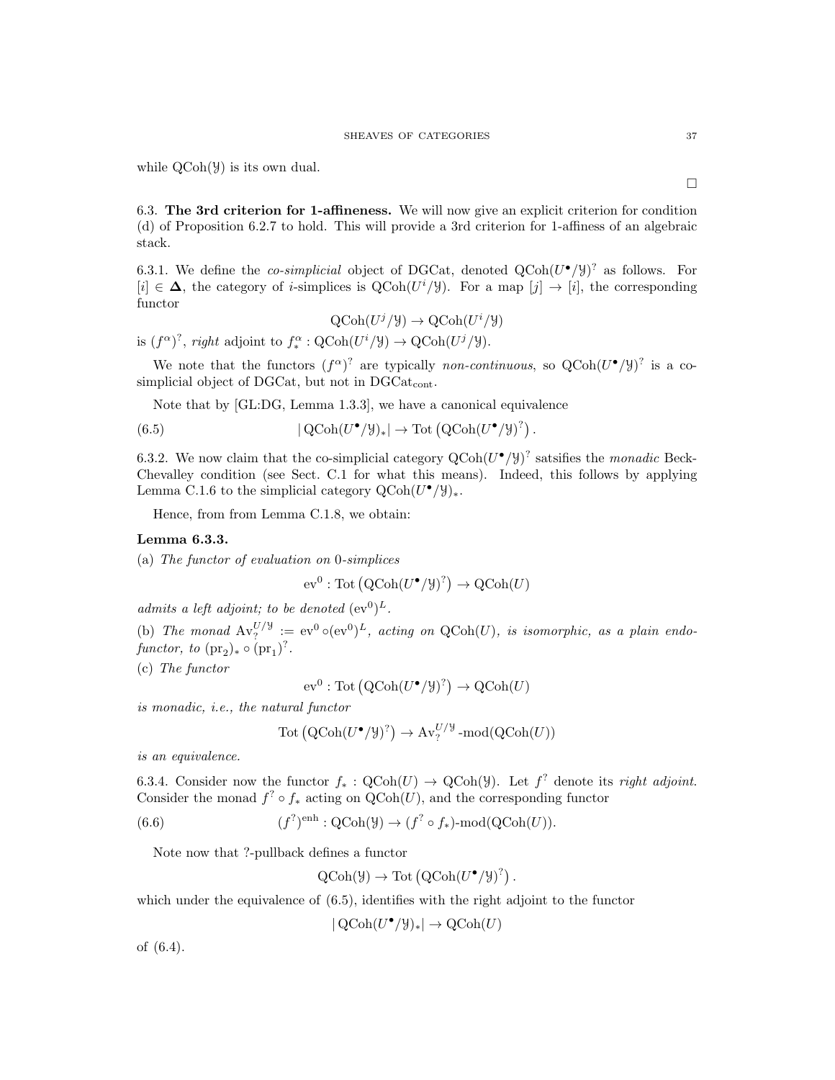while  $QCoh(\mathcal{Y})$  is its own dual.

6.3. The 3rd criterion for 1-affineness. We will now give an explicit criterion for condition (d) of Proposition 6.2.7 to hold. This will provide a 3rd criterion for 1-affiness of an algebraic stack.

6.3.1. We define the *co-simplicial* object of DGCat, denoted  $QCoh(U^{\bullet}/\mathcal{Y})^2$  as follows. For [i] ∈  $\Delta$ , the category of *i*-simplices is  $Q\text{Coh}(U^i/\mathcal{Y})$ . For a map [j]  $\rightarrow$  [i], the corresponding functor

$$
\text{QCoh}(U^j/\mathcal{Y}) \to \text{QCoh}(U^i/\mathcal{Y})
$$

is  $(f^{\alpha})^?$ , right adjoint to  $f_*^{\alpha} : \text{QCoh}(U^i/\mathcal{Y}) \to \text{QCoh}(U^j/\mathcal{Y})$ .

We note that the functors  $(f^{\alpha})^?$  are typically non-continuous, so  $QCoh(U^{\bullet}/\mathcal{Y})^?$  is a cosimplicial object of DGCat, but not in  $DGCat_{cont}$ .

Note that by [GL:DG, Lemma 1.3.3], we have a canonical equivalence

(6.5)  $|\operatorname{QCoh}(U^{\bullet}/\mathcal{Y})_*| \to \operatorname{Tot}(\operatorname{QCoh}(U^{\bullet}/\mathcal{Y})^?).$ 

6.3.2. We now claim that the co-simplicial category  $Q\text{Coh}(U^{\bullet}/\mathcal{Y})^?$  satsifies the *monadic* Beck-Chevalley condition (see Sect. C.1 for what this means). Indeed, this follows by applying Lemma C.1.6 to the simplicial category  $Q\text{Coh}(U^{\bullet}/\mathcal{Y})_*$ .

Hence, from from Lemma C.1.8, we obtain:

# Lemma 6.3.3.

(a) The functor of evaluation on 0-simplices

$$
ev^0: \text{Tot}(\text{QCoh}(U^{\bullet}/\mathcal{Y})^?) \to \text{QCoh}(U)
$$

admits a left adjoint; to be denoted  $(\mathrm{ev}^0)^L$ .

(b) The monad  $Av_?^{U/\frac{1}{\sigma}} := \mathrm{ev}^0 \circ (\mathrm{ev}^0)^L$ , acting on QCoh(U), is isomorphic, as a plain endofunctor, to  $(\text{pr}_2)_* \circ (\text{pr}_1)^?$ .

(c) The functor

$$
ev^0: \text{Tot}(\text{QCoh}(U^{\bullet}/\mathcal{Y})^?) \to \text{QCoh}(U)
$$

is monadic, i.e., the natural functor

$$
Tot(QCoh(U^{\bullet}/\mathcal{Y})^{?}) \to Av_{?}^{U/\mathcal{Y}}\text{-mod}(QCoh(U))
$$

is an equivalence.

6.3.4. Consider now the functor  $f_* : \text{QCoh}(U) \to \text{QCoh}(\mathcal{Y})$ . Let  $f^?$  denote its right adjoint. Consider the monad  $f^? \circ f_*$  acting on  $\mathrm{QCoh}(U)$ , and the corresponding functor

(6.6) 
$$
(f^{?})^{\text{enh}} : \text{QCoh}(\mathcal{Y}) \to (f^{?} \circ f_{*}) \text{-mod}(\text{QCoh}(U)).
$$

Note now that ?-pullback defines a functor

$$
QCoh(\mathcal{Y}) \to Tot(QCoh(U^{\bullet}/\mathcal{Y})^?)
$$
.

which under the equivalence of  $(6.5)$ , identifies with the right adjoint to the functor

 $|\operatorname{QCoh}(U^{\bullet}/\mathcal{Y})_*| \to \operatorname{QCoh}(U)$ 

of (6.4).

 $\Box$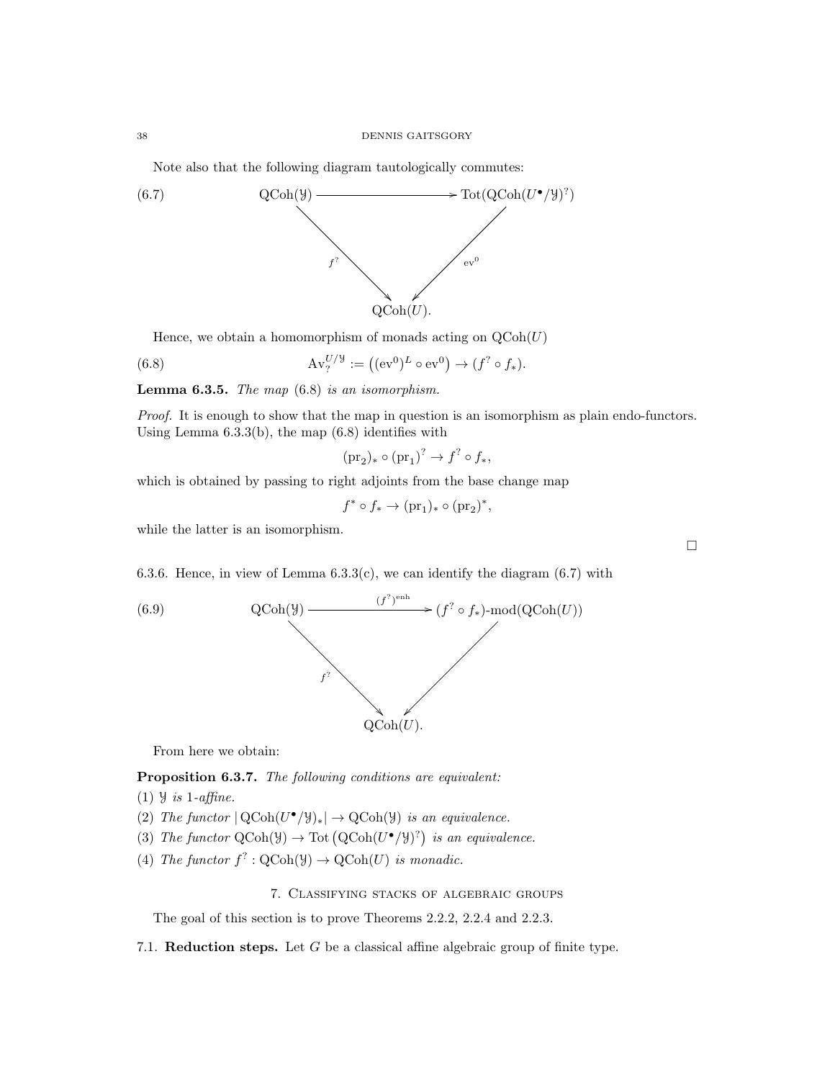Note also that the following diagram tautologically commutes:



Hence, we obtain a homomorphism of monads acting on  $\text{QCoh}(U)$ 

(6.8) 
$$
\mathrm{Av}_{?}^{U/\mathcal{Y}} := ((\mathrm{ev}^{0})^{L} \circ \mathrm{ev}^{0}) \to (f^{?} \circ f_{*}).
$$

**Lemma 6.3.5.** The map  $(6.8)$  is an isomorphism.

Proof. It is enough to show that the map in question is an isomorphism as plain endo-functors. Using Lemma  $6.3.3(b)$ , the map  $(6.8)$  identifies with

$$
(\text{pr}_2)_* \circ (\text{pr}_1)^? \to f^? \circ f_*,
$$

which is obtained by passing to right adjoints from the base change map

 $f^* \circ f_* \to (\text{pr}_1)_* \circ (\text{pr}_2)^*,$ 

while the latter is an isomorphism.

6.3.6. Hence, in view of Lemma  $6.3.3(c)$ , we can identify the diagram  $(6.7)$  with



From here we obtain:

Proposition 6.3.7. The following conditions are equivalent:

- (1)  $\forall$  is 1-affine.
- (2) The functor  $|QCoh(U^{\bullet}/\mathcal{Y})_*| \to QCoh(\mathcal{Y})$  is an equivalence.
- (3) The functor  $\text{QCoh}(\mathcal{Y}) \to \text{Tot}(\text{QCoh}(U^{\bullet}/\mathcal{Y})^?)$  is an equivalence.
- (4) The functor  $f^?$ :  $\text{QCoh}(\mathcal{Y}) \to \text{QCoh}(U)$  is monadic.

# 7. Classifying stacks of algebraic groups

The goal of this section is to prove Theorems 2.2.2, 2.2.4 and 2.2.3.

7.1. **Reduction steps.** Let G be a classical affine algebraic group of finite type.

 $\Box$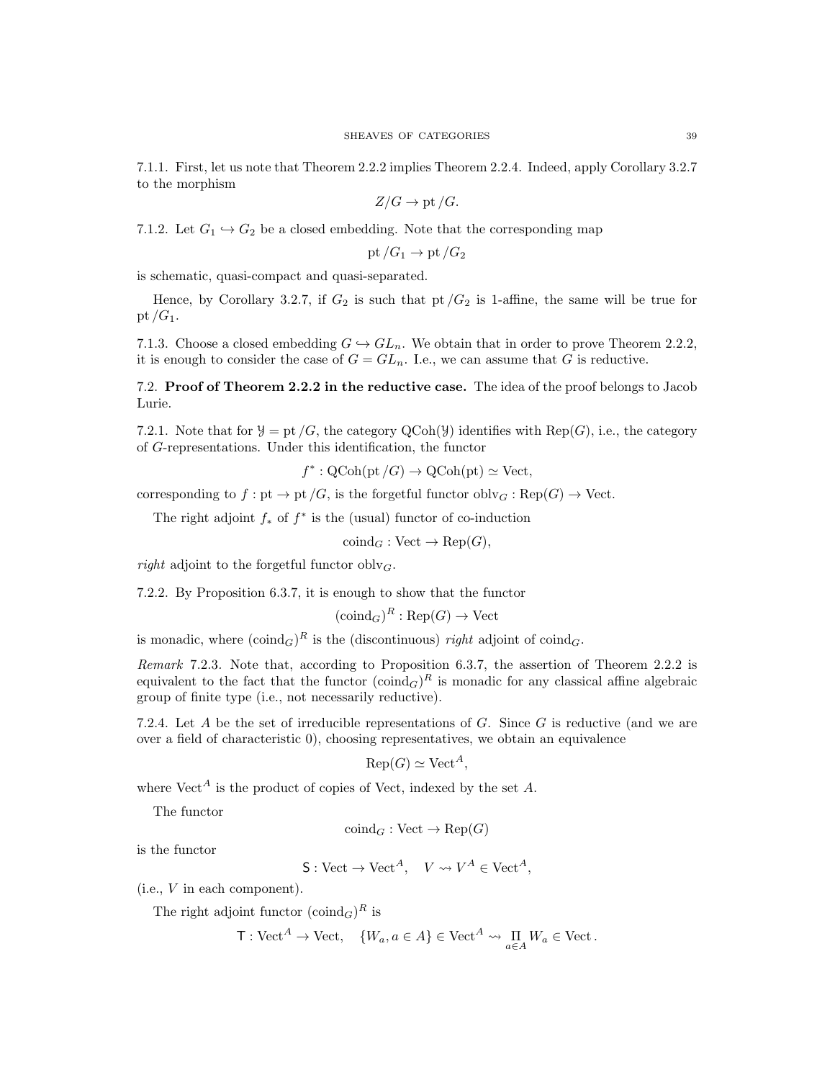7.1.1. First, let us note that Theorem 2.2.2 implies Theorem 2.2.4. Indeed, apply Corollary 3.2.7 to the morphism

$$
Z/G \to \text{pt}/G.
$$

7.1.2. Let  $G_1 \hookrightarrow G_2$  be a closed embedding. Note that the corresponding map

$$
\operatorname{pt}/G_1\to \operatorname{pt}/G_2
$$

is schematic, quasi-compact and quasi-separated.

Hence, by Corollary 3.2.7, if  $G_2$  is such that pt  $/G_2$  is 1-affine, the same will be true for pt  $/G_1$ .

7.1.3. Choose a closed embedding  $G \hookrightarrow GL_n$ . We obtain that in order to prove Theorem 2.2.2, it is enough to consider the case of  $G = GL_n$ . I.e., we can assume that G is reductive.

7.2. Proof of Theorem 2.2.2 in the reductive case. The idea of the proof belongs to Jacob Lurie.

7.2.1. Note that for  $\mathcal{Y} =$  pt /G, the category QCoh( $\mathcal{Y}$ ) identifies with Rep(G), i.e., the category of G-representations. Under this identification, the functor

$$
f^* : \mathrm{QCoh}(\mathrm{pt}/G) \to \mathrm{QCoh}(\mathrm{pt}) \simeq \mathrm{Vect},
$$

corresponding to  $f:$  pt  $\rightarrow$  pt  $/G$ , is the forgetful functor  $oblv_G:$   $Rep(G) \rightarrow$  Vect.

The right adjoint  $f_*$  of  $f^*$  is the (usual) functor of co-induction

$$
\operatorname{coind}_G : \operatorname{Vect} \to \operatorname{Rep}(G),
$$

right adjoint to the forgetful functor obly<sub>G</sub>.

7.2.2. By Proposition 6.3.7, it is enough to show that the functor

$$
(\mathrm{coind}_G)^R : \mathrm{Rep}(G) \to \mathrm{Vect}
$$

is monadic, where  $(\text{coind}_G)^R$  is the (discontinuous) right adjoint of coind<sub>G</sub>.

Remark 7.2.3. Note that, according to Proposition 6.3.7, the assertion of Theorem 2.2.2 is equivalent to the fact that the functor  $(\text{coind}_G)^R$  is monadic for any classical affine algebraic group of finite type (i.e., not necessarily reductive).

7.2.4. Let A be the set of irreducible representations of G. Since G is reductive (and we are over a field of characteristic 0), choosing representatives, we obtain an equivalence

$$
Rep(G) \simeq Vect^A,
$$

where  $Vect<sup>A</sup>$  is the product of copies of Vect, indexed by the set A.

The functor

$$
\text{coind}_G : \text{Vect} \to \text{Rep}(G)
$$

is the functor

$$
S: \text{Vect} \to \text{Vect}^A, \quad V \leadsto V^A \in \text{Vect}^A,
$$

(i.e., V in each component).

The right adjoint functor  $(\text{coind}_G)^R$  is

$$
\mathsf{T}: \mathbf{Vect}^A \to \mathbf{Vect}, \quad \{W_a, a \in A\} \in \mathbf{Vect}^A \leadsto \prod_{a \in A} W_a \in \mathbf{Vect}.
$$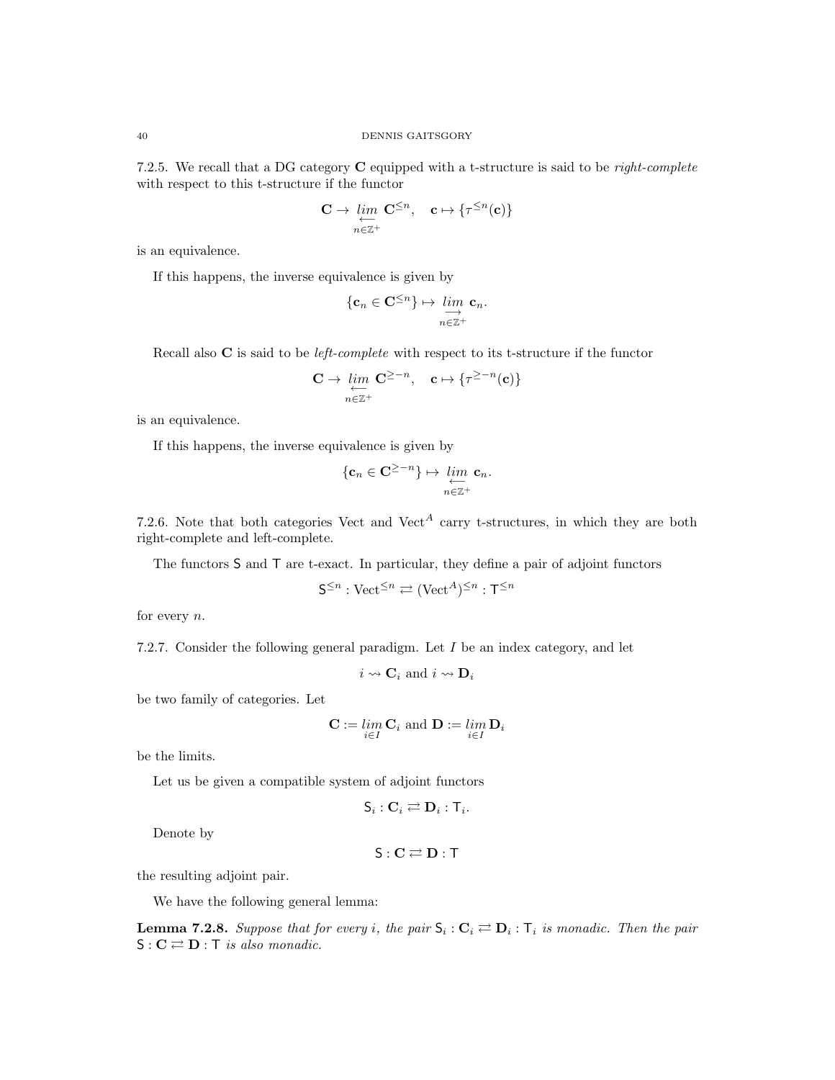7.2.5. We recall that a DG category C equipped with a t-structure is said to be *right-complete* with respect to this t-structure if the functor

$$
\mathbf{C} \to \varprojlim_{n \in \mathbb{Z}^+} \mathbf{C}^{\leq n}, \quad \mathbf{c} \mapsto \{ \tau^{\leq n}(\mathbf{c}) \}
$$

is an equivalence.

If this happens, the inverse equivalence is given by

$$
\{\mathbf c_n\in\mathbf C^{\leq n}\}\mapsto\varinjlim_{n\in\mathbb Z^+}\mathbf c_n.
$$

Recall also  $C$  is said to be *left-complete* with respect to its t-structure if the functor

$$
\mathbf{C} \to \varprojlim_{n \in \mathbb{Z}^+} \mathbf{C}^{\geq -n}, \quad \mathbf{c} \mapsto \{ \tau^{\geq -n}(\mathbf{c}) \}
$$

is an equivalence.

If this happens, the inverse equivalence is given by

$$
\{\mathbf c_n\in \mathbf C^{\geq -n}\}\mapsto \lim_{\substack{\longleftarrow\\n\in \mathbb Z^+}}\mathbf c_n.
$$

7.2.6. Note that both categories Vect and Vect<sup>A</sup> carry t-structures, in which they are both right-complete and left-complete.

The functors S and T are t-exact. In particular, they define a pair of adjoint functors

$$
\mathsf{S}^{\leq n} : \mathsf{Vect}^{\leq n} \rightleftarrows (\mathsf{Vect}^A)^{\leq n} : \mathsf{T}^{\leq n}
$$

for every  $n$ .

7.2.7. Consider the following general paradigm. Let I be an index category, and let

 $i \leadsto \mathbf{C}_i$  and  $i \leadsto \mathbf{D}_i$ 

be two family of categories. Let

$$
\mathbf{C} := \lim_{i \in I} \mathbf{C}_i \text{ and } \mathbf{D} := \lim_{i \in I} \mathbf{D}_i
$$

be the limits.

Let us be given a compatible system of adjoint functors

$$
\mathsf{S}_i: \mathbf{C}_i \rightleftarrows \mathbf{D}_i: \mathsf{T}_i.
$$

Denote by

$$
S: \mathbf{C} \rightleftarrows \mathbf{D}: \mathsf{T}
$$

the resulting adjoint pair.

We have the following general lemma:

**Lemma 7.2.8.** Suppose that for every i, the pair  $S_i: C_i \rightleftarrows D_i: T_i$  is monadic. Then the pair  $S: \mathbf{C} \rightleftarrows \mathbf{D}$ : T is also monadic.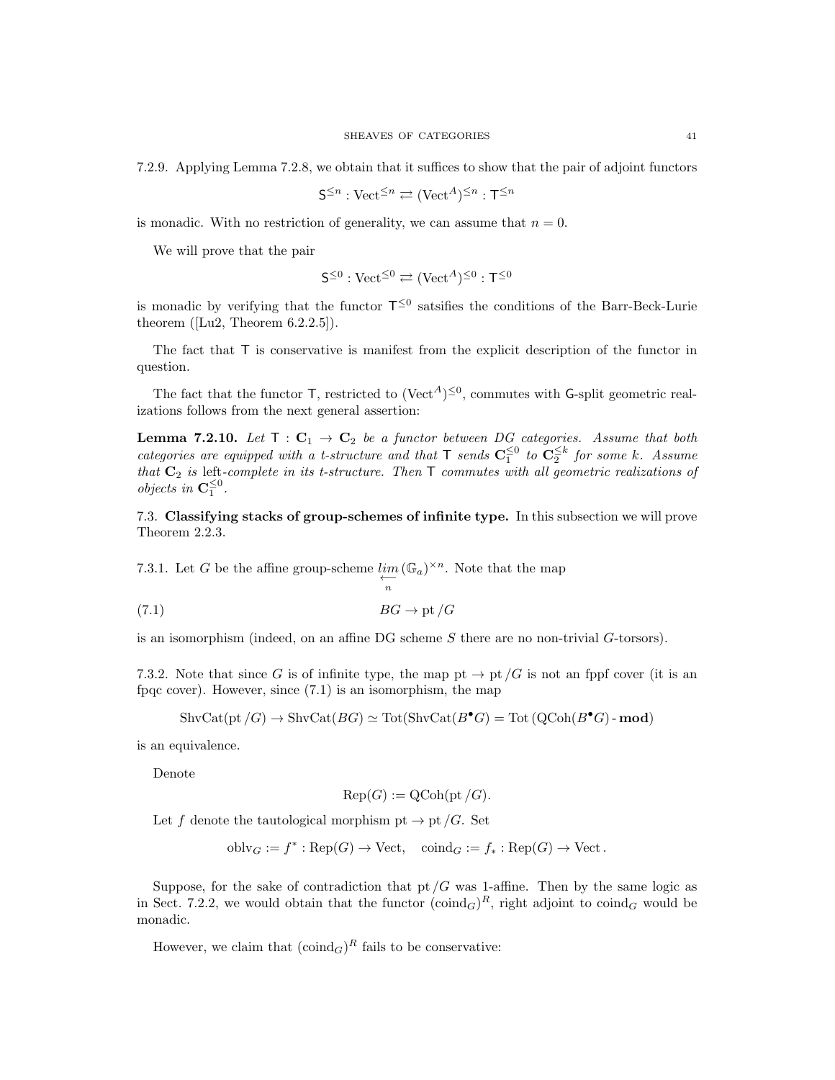7.2.9. Applying Lemma 7.2.8, we obtain that it suffices to show that the pair of adjoint functors

$$
\mathsf{S}^{\leq n}: \mathrm{Vect}^{\leq n} \rightleftarrows (\mathrm{Vect}^A)^{\leq n} : \mathsf{T}^{\leq n}
$$

is monadic. With no restriction of generality, we can assume that  $n = 0$ .

We will prove that the pair

$$
\mathsf{S}^{\leq 0}:\mathrm{Vect}^{\leq 0}\rightleftarrows (\mathrm{Vect}^{A})^{\leq 0}:\mathsf{T}^{\leq 0}
$$

is monadic by verifying that the functor  $T^{\leq 0}$  satsifies the conditions of the Barr-Beck-Lurie theorem ( $[Lu2, Theorem 6.2.2.5]$ ).

The fact that T is conservative is manifest from the explicit description of the functor in question.

The fact that the functor  $\mathsf{T}$ , restricted to  $(\text{Vect}^A)^{\leq 0}$ , commutes with G-split geometric realizations follows from the next general assertion:

**Lemma 7.2.10.** Let  $T : C_1 \rightarrow C_2$  be a functor between DG categories. Assume that both categories are equipped with a t-structure and that  $\mathsf{T}$  sends  $\mathbf{C}_1^{\leq 0}$  to  $\mathbf{C}_2^{\leq k}$  for some k. Assume that  $C_2$  is left-complete in its t-structure. Then  $\top$  commutes with all geometric realizations of *objects in*  $\mathbf{C}_1^{\leq 0}$ .

7.3. Classifying stacks of group-schemes of infinite type. In this subsection we will prove Theorem 2.2.3.

7.3.1. Let G be the affine group-scheme  $\lim_{n \to \infty}$  $(\mathbb{G}_a)^{\times n}$ . Note that the map  $BG \rightarrow \text{pt } /G$ 

is an isomorphism (indeed, on an affine DG scheme S there are no non-trivial G-torsors).

7.3.2. Note that since G is of infinite type, the map pt  $\rightarrow$  pt  $/G$  is not an fppf cover (it is an fpqc cover). However, since (7.1) is an isomorphism, the map

$$
\text{ShvCat}(\text{pt}/G) \to \text{ShvCat}(BG) \simeq \text{Tot}(\text{ShvCat}(B^{\bullet}G) = \text{Tot}(\text{QCoh}(B^{\bullet}G) - \text{mod})
$$

is an equivalence.

Denote

$$
Rep(G) := QCoh(pt/G).
$$

Let f denote the tautological morphism pt  $\rightarrow$  pt /G. Set

$$
oblv_G := f^* : \text{Rep}(G) \to \text{Vect}, \quad \text{coind}_G := f_* : \text{Rep}(G) \to \text{Vect}.
$$

Suppose, for the sake of contradiction that  $pt/G$  was 1-affine. Then by the same logic as in Sect. 7.2.2, we would obtain that the functor  $(\text{coind}_G)^R$ , right adjoint to  $\text{coind}_G$  would be monadic.

However, we claim that  $(\text{coind}_G)^R$  fails to be conservative: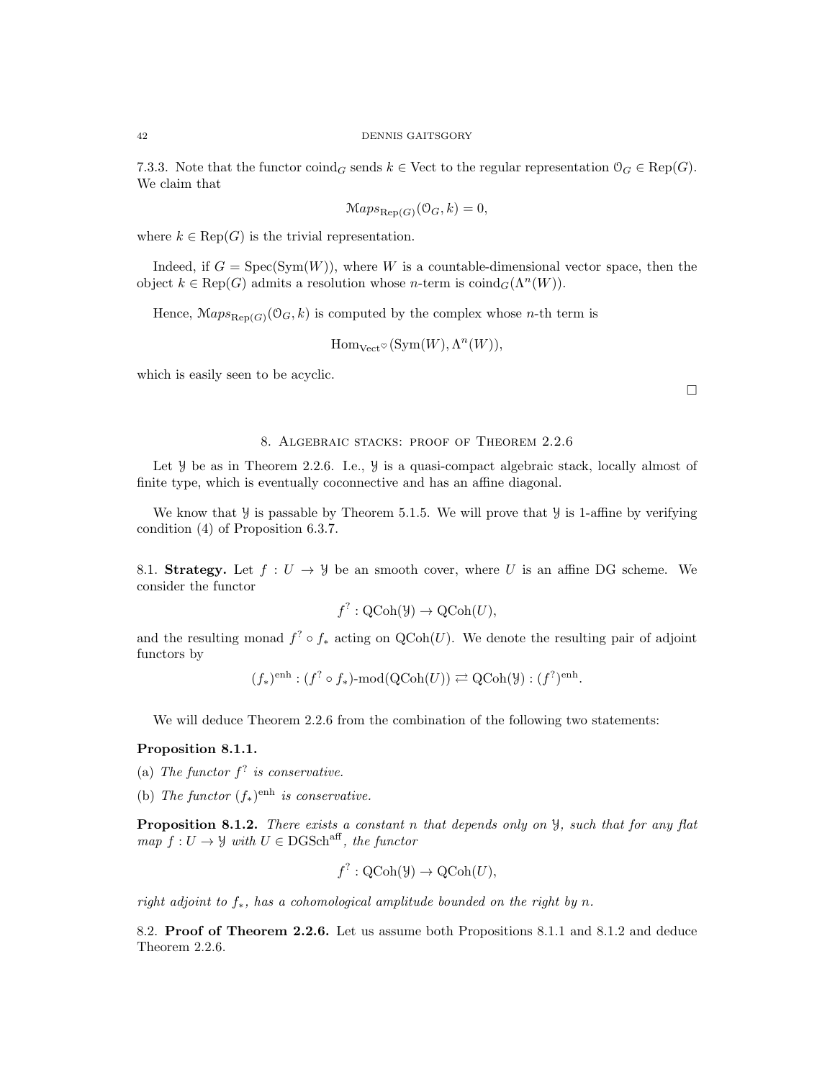7.3.3. Note that the functor  $\operatorname{coind}_G$  sends  $k \in$  Vect to the regular representation  $\mathcal{O}_G \in \operatorname{Rep}(G)$ . We claim that

$$
Maps_{\text{Rep}(G)}(\mathcal{O}_G, k) = 0,
$$

where  $k \in \text{Rep}(G)$  is the trivial representation.

Indeed, if  $G = Spec(Sym(W))$ , where W is a countable-dimensional vector space, then the object  $k \in \text{Rep}(G)$  admits a resolution whose *n*-term is  $\text{coind}_G(\Lambda^n(W))$ .

Hence,  $\mathcal{M}aps_{\text{Rep}(G)}(\mathcal{O}_G, k)$  is computed by the complex whose *n*-th term is

$$
\mathrm{Hom}_{\mathrm{Vect}^{\otimes}}(\mathrm{Sym}(W), \Lambda^n(W)),
$$

which is easily seen to be acyclic.

### 8. Algebraic stacks: proof of Theorem 2.2.6

Let  $\mathcal Y$  be as in Theorem 2.2.6. I.e.,  $\mathcal Y$  is a quasi-compact algebraic stack, locally almost of finite type, which is eventually coconnective and has an affine diagonal.

We know that  $\mathcal Y$  is passable by Theorem 5.1.5. We will prove that  $\mathcal Y$  is 1-affine by verifying condition (4) of Proposition 6.3.7.

8.1. Strategy. Let  $f: U \to \mathcal{Y}$  be an smooth cover, where U is an affine DG scheme. We consider the functor

$$
f^? : \mathrm{QCoh}(\mathcal{Y}) \to \mathrm{QCoh}(U),
$$

and the resulting monad  $f^? \circ f_*$  acting on  $\mathrm{QCoh}(U)$ . We denote the resulting pair of adjoint functors by

$$
(f_*)^{\text{enh}} : (f^? \circ f_*)\text{-mod}(\text{QCoh}(U)) \rightleftarrows \text{QCoh}(\mathcal{Y}) : (f^?)^{\text{enh}}.
$$

We will deduce Theorem 2.2.6 from the combination of the following two statements:

# Proposition 8.1.1.

- (a) The functor  $f^?$  is conservative.
- (b) The functor  $(f_*)^{\text{enh}}$  is conservative.

Proposition 8.1.2. There exists a constant n that depends only on  $\mathcal{Y}$ , such that for any flat map  $f: U \to \mathcal{Y}$  with  $U \in \text{DGSch}^{\text{aff}}$ , the functor

$$
f^? : QCoh(\mathcal{Y}) \to QCoh(U),
$$

right adjoint to  $f_*$ , has a cohomological amplitude bounded on the right by n.

8.2. Proof of Theorem 2.2.6. Let us assume both Propositions 8.1.1 and 8.1.2 and deduce Theorem 2.2.6.

 $\Box$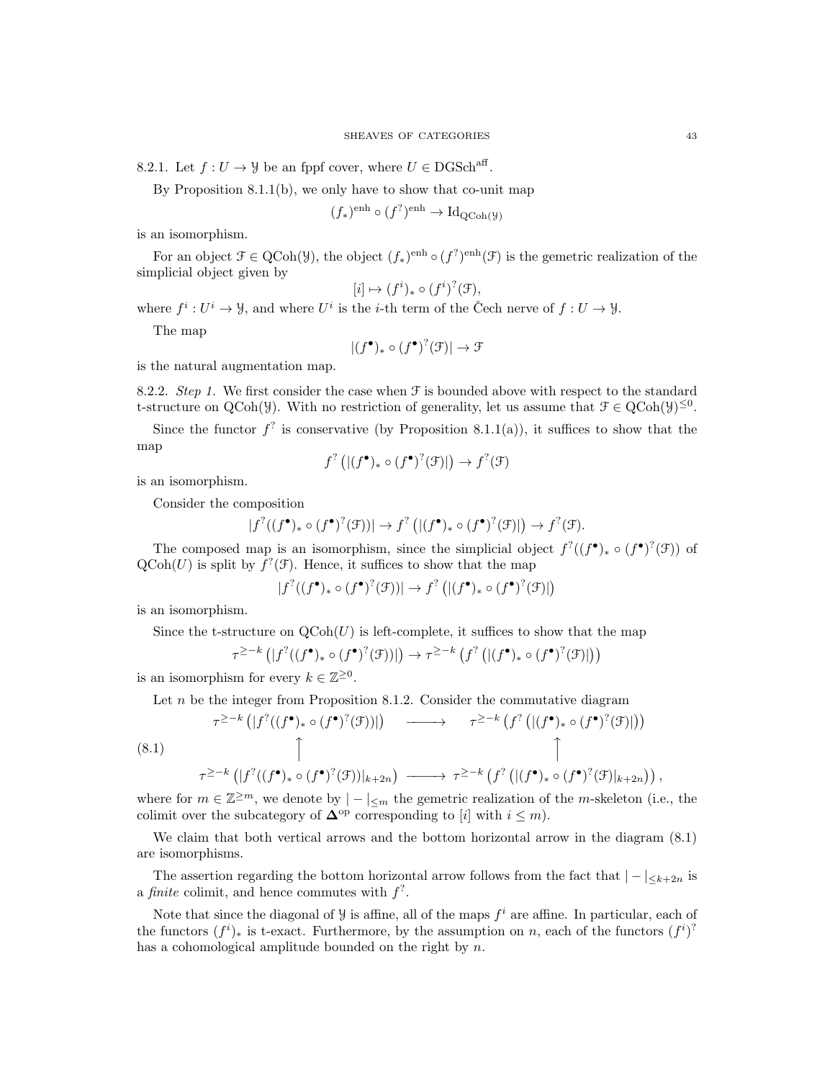8.2.1. Let  $f: U \to \mathcal{Y}$  be an fppf cover, where  $U \in \text{DGSch}^{\text{aff}}$ .

By Proposition 8.1.1(b), we only have to show that co-unit map

$$
(f_*)^{\text{enh}} \circ (f^?)^{\text{enh}} \to \text{Id}_{\text{QCoh}(\mathcal{Y})}
$$

is an isomorphism.

For an object  $\mathcal{F} \in \text{QCoh}(\mathcal{Y})$ , the object  $(f_*)^{\text{enh}} \circ (f^2)^{\text{enh}}(\mathcal{F})$  is the gemetric realization of the simplicial object given by

$$
[i] \mapsto (f^i)_* \circ (f^i)^? (\mathcal{F}),
$$

where  $f^i: U^i \to \mathcal{Y}$ , and where  $U^i$  is the *i*-th term of the Čech nerve of  $f: U \to \mathcal{Y}$ .

The map

$$
|(f^{\bullet})_{*} \circ (f^{\bullet})^{?}(\mathcal{F})| \to \mathcal{F}
$$

is the natural augmentation map.

8.2.2. Step 1. We first consider the case when  $\mathcal F$  is bounded above with respect to the standard t-structure on QCoh(y). With no restriction of generality, let us assume that  $\mathcal{F} \in \text{QCoh}(\mathcal{Y})^{\leq 0}$ .

Since the functor  $f^?$  is conservative (by Proposition 8.1.1(a)), it suffices to show that the map

$$
f^{?} \left( |(f^{\bullet})_{*} \circ (f^{\bullet})^{?}(\mathcal{F})| \right) \to f^{?}(\mathcal{F})
$$

is an isomorphism.

Consider the composition

$$
|f^{?}((f^{\bullet})_{*} \circ (f^{\bullet})^{?}(\mathcal{F}))| \to f^{?} (|(f^{\bullet})_{*} \circ (f^{\bullet})^{?}(\mathcal{F})|) \to f^{?}(\mathcal{F}).
$$

The composed map is an isomorphism, since the simplicial object  $f^?((f^{\bullet})_* \circ (f^{\bullet})^?(\mathcal{F}))$  of  $\text{QCoh}(U)$  is split by  $f^?(\mathcal{F})$ . Hence, it suffices to show that the map

$$
|f^{?}((f^{\bullet})_{*} \circ (f^{\bullet})^{?}(\mathcal{F}))| \to f^{?} (|(f^{\bullet})_{*} \circ (f^{\bullet})^{?}(\mathcal{F}))|
$$

is an isomorphism.

Since the t-structure on  $\text{QCoh}(U)$  is left-complete, it suffices to show that the map

$$
\tau^{\geq -k} \left( |f^{?}((f^{\bullet})_{*} \circ (f^{\bullet})^{?}(\mathcal{F}))| \right) \to \tau^{\geq -k} \left( f^{?} \left( |(f^{\bullet})_{*} \circ (f^{\bullet})^{?}(\mathcal{F})| \right) \right)
$$

is an isomorphism for every  $k \in \mathbb{Z}^{\geq 0}$ .

Let  $n$  be the integer from Proposition 8.1.2. Consider the commutative diagram

$$
\tau^{\geq -k} \left( |f^{?}((f^{\bullet})_{*} \circ (f^{\bullet})^{?}(\mathcal{F}))| \right) \longrightarrow \tau^{\geq -k} \left( f^{?} \left( |(f^{\bullet})_{*} \circ (f^{\bullet})^{?}(\mathcal{F})| \right) \right)
$$
\n
$$
\uparrow
$$
\n
$$
\uparrow
$$
\n
$$
\uparrow
$$
\n
$$
\uparrow
$$
\n
$$
\uparrow
$$
\n
$$
\uparrow
$$
\n
$$
\uparrow
$$
\n
$$
\uparrow
$$
\n
$$
\uparrow
$$
\n
$$
\uparrow
$$
\n
$$
\uparrow
$$
\n
$$
\uparrow
$$
\n
$$
\uparrow
$$
\n
$$
\uparrow
$$
\n
$$
\uparrow
$$
\n
$$
\uparrow
$$
\n
$$
\uparrow
$$
\n
$$
\uparrow
$$
\n
$$
\uparrow
$$
\n
$$
\uparrow
$$
\n
$$
\uparrow
$$
\n
$$
\uparrow
$$
\n
$$
\uparrow
$$
\n
$$
\uparrow
$$
\n
$$
\uparrow
$$
\n
$$
\uparrow
$$
\n
$$
\uparrow
$$
\n
$$
\uparrow
$$
\n
$$
\uparrow
$$
\n
$$
\uparrow
$$
\n
$$
\uparrow
$$
\n
$$
\uparrow
$$
\n
$$
\uparrow
$$
\n
$$
\uparrow
$$
\n
$$
\uparrow
$$
\n
$$
\uparrow
$$
\n
$$
\uparrow
$$
\n
$$
\uparrow
$$
\n
$$
\uparrow
$$
\n
$$
\uparrow
$$
\n
$$
\uparrow
$$
\n
$$
\uparrow
$$
\n
$$
\uparrow
$$
\n
$$
\uparrow
$$
\n
$$
\uparrow
$$
\n
$$
\uparrow
$$
\n
$$
\uparrow
$$
\n
$$
\uparrow
$$
\n
$$
\uparrow
$$
\n
$$
\uparrow
$$
\n
$$
\uparrow
$$
\n
$$
\uparrow
$$
\n
$$
\uparrow
$$
\n
$$
\uparrow
$$
\n
$$
\up
$$

where for  $m \in \mathbb{Z}^{\geq m}$ , we denote by  $|-|_{\leq m}$  the gemetric realization of the *m*-skeleton (i.e., the colimit over the subcategory of  $\Delta^{\rm op}$  corresponding to [i] with  $i \leq m$ ).

We claim that both vertical arrows and the bottom horizontal arrow in the diagram (8.1) are isomorphisms.

The assertion regarding the bottom horizontal arrow follows from the fact that  $|-|_{\leq k+2n}$  is a finite colimit, and hence commutes with  $f^?$ .

Note that since the diagonal of  $\mathcal{Y}$  is affine, all of the maps  $f^i$  are affine. In particular, each of the functors  $(f^i)_*$  is t-exact. Furthermore, by the assumption on n, each of the functors  $(f^i)^2$ has a cohomological amplitude bounded on the right by n.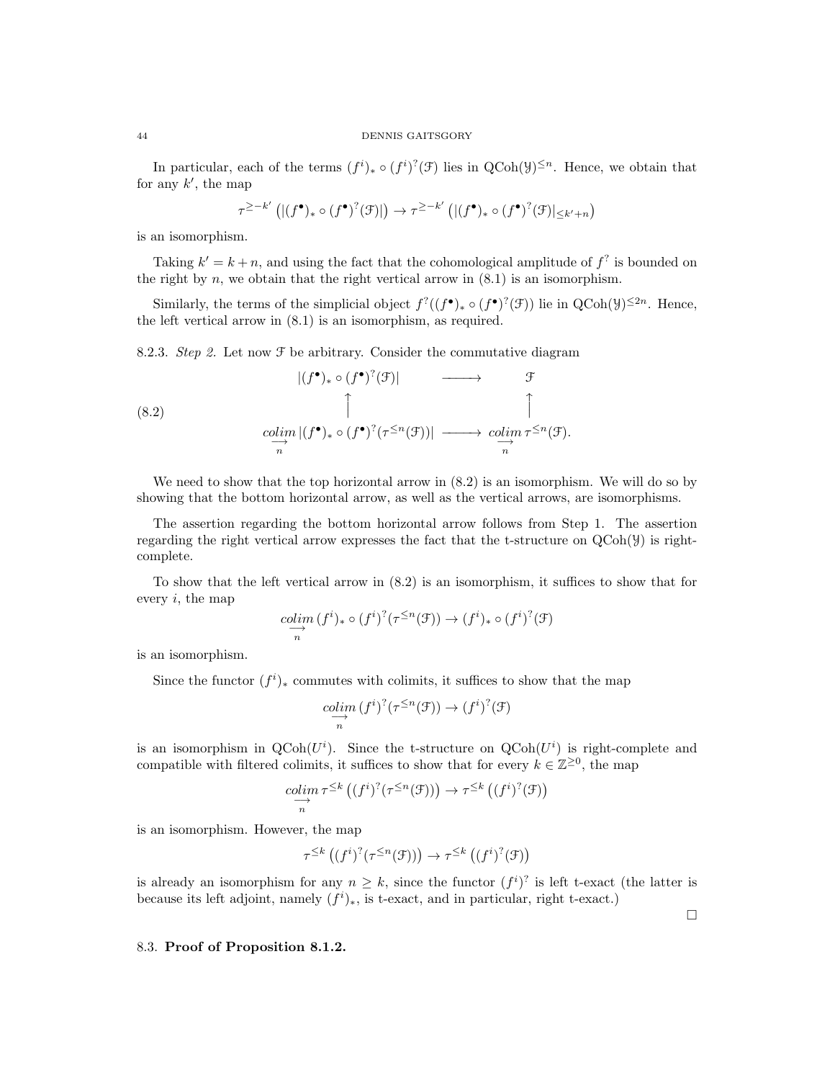#### 44 DENNIS GAITSGORY

In particular, each of the terms  $(f^i)_* \circ (f^i)^?(\mathcal{F})$  lies in  $\text{QCoh}(\mathcal{Y})^{\leq n}$ . Hence, we obtain that for any  $k'$ , the map

$$
\tau^{\geq -k'}\left(|(f^{\bullet})_{*}\circ (f^{\bullet})^?(\mathcal{F})|\right) \to \tau^{\geq -k'}\left(|(f^{\bullet})_{*}\circ (f^{\bullet})^?(\mathcal{F})|_{\leq k'+n}\right)
$$

is an isomorphism.

Taking  $k' = k + n$ , and using the fact that the cohomological amplitude of  $f^?$  is bounded on the right by  $n$ , we obtain that the right vertical arrow in  $(8.1)$  is an isomorphism.

Similarly, the terms of the simplicial object  $f^?((f^{\bullet})_* \circ (f^{\bullet})^?(\mathcal{F}))$  lie in  $QCoh(\mathcal{Y})^{\leq 2n}$ . Hence, the left vertical arrow in (8.1) is an isomorphism, as required.

8.2.3. Step 2. Let now  $\mathcal F$  be arbitrary. Consider the commutative diagram

(8.2)  
\n
$$
|(f^{\bullet})_{*} \circ (f^{\bullet})^{?}(\mathcal{F})| \longrightarrow \mathcal{F}
$$
\n
$$
\uparrow \qquad \qquad \uparrow
$$
\n
$$
\underset{n}{\text{colim }} |(f^{\bullet})_{*} \circ (f^{\bullet})^{?}(\tau^{\leq n}(\mathcal{F}))| \longrightarrow \underset{n}{\text{colim }} \tau^{\leq n}(\mathcal{F}).
$$

We need to show that the top horizontal arrow in  $(8.2)$  is an isomorphism. We will do so by showing that the bottom horizontal arrow, as well as the vertical arrows, are isomorphisms.

The assertion regarding the bottom horizontal arrow follows from Step 1. The assertion regarding the right vertical arrow expresses the fact that the t-structure on  $QCoh(\mathcal{Y})$  is rightcomplete.

To show that the left vertical arrow in (8.2) is an isomorphism, it suffices to show that for every  $i$ , the map

$$
\underset{n}{\underset{n}{colim}} (f^i)_* \circ (f^i)^? (\tau^{\leq n}(\mathcal{F})) \to (f^i)_* \circ (f^i)^? (\mathcal{F})
$$

is an isomorphism.

Since the functor  $(f<sup>i</sup>)_*$  commutes with colimits, it suffices to show that the map

$$
\underset{n}{\underset{n}{colim}} (f^i)^?(\tau^{\leq n}(\mathfrak{F})) \to (f^i)^?(\mathfrak{F})
$$

is an isomorphism in  $\text{QCoh}(U^i)$ . Since the t-structure on  $\text{QCoh}(U^i)$  is right-complete and compatible with filtered colimits, it suffices to show that for every  $k \in \mathbb{Z}^{\geq 0}$ , the map

$$
\underset{n}{\underset{n}{colim}} \tau^{\leq k} \left( (f^i)^?(\tau^{\leq n}(\mathcal{F})) \right) \to \tau^{\leq k} \left( (f^i)^?(\mathcal{F}) \right)
$$

is an isomorphism. However, the map

$$
\tau^{\leq k}\left((f^{i})^{?}(\tau^{\leq n}(\mathfrak{F}))\right) \to \tau^{\leq k}\left((f^{i})^{?}(\mathfrak{F})\right)
$$

is already an isomorphism for any  $n \geq k$ , since the functor  $(f^i)^2$  is left t-exact (the latter is because its left adjoint, namely  $(f<sup>i</sup>)<sub>*</sub>$ , is t-exact, and in particular, right t-exact.)

 $\Box$ 

# 8.3. Proof of Proposition 8.1.2.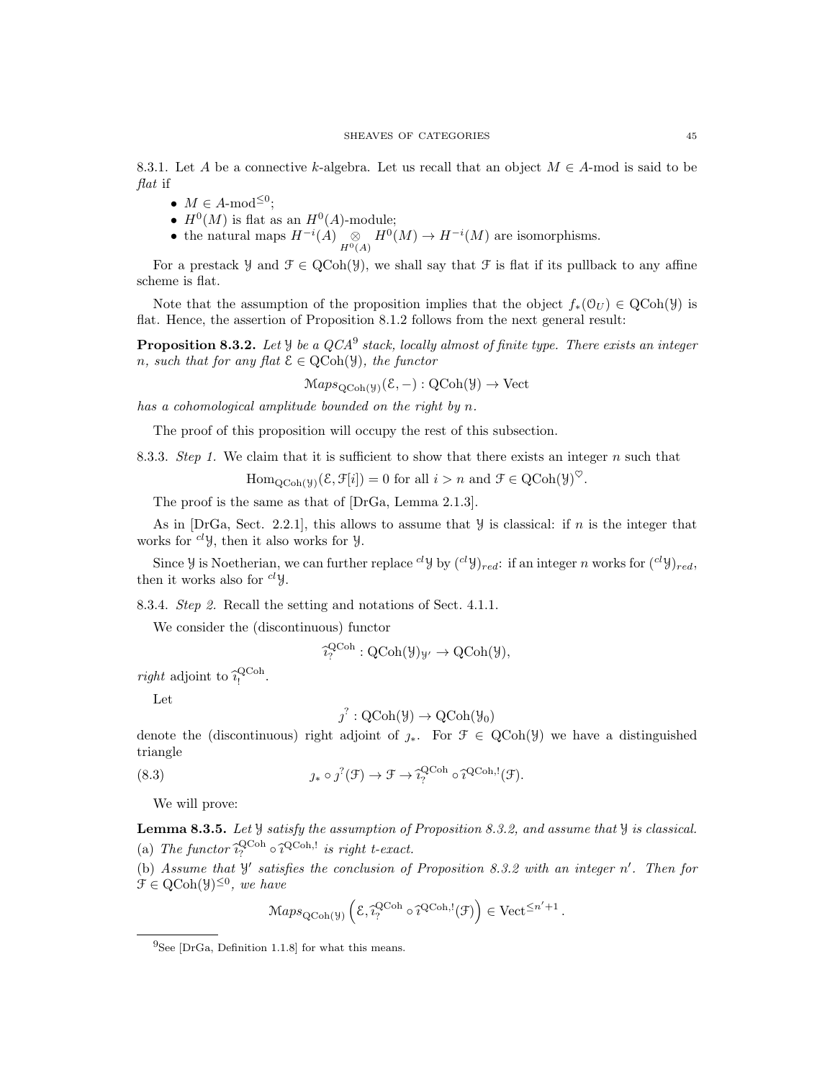8.3.1. Let A be a connective k-algebra. Let us recall that an object  $M \in A$ -mod is said to be flat if

- $M \in A\text{-mod}^{\leq 0}$ ;
- $H^0(M)$  is flat as an  $H^0(A)$ -module;
- the natural maps  $H^{-i}(A) \underset{H^0(A)}{\otimes} H^0(M) \to H^{-i}(M)$  are isomorphisms.

For a prestack  $\mathcal{Y}$  and  $\mathcal{F} \in \text{QCoh}(\mathcal{Y})$ , we shall say that  $\mathcal{F}$  is flat if its pullback to any affine scheme is flat.

Note that the assumption of the proposition implies that the object  $f_*(\mathcal{O}_U) \in \text{QCoh}(\mathcal{Y})$  is flat. Hence, the assertion of Proposition 8.1.2 follows from the next general result:

**Proposition 8.3.2.** Let  $\mathcal{Y}$  be a QCA<sup>9</sup> stack, locally almost of finite type. There exists an integer n, such that for any flat  $\mathcal{E} \in \text{QCoh}(\mathcal{Y})$ , the functor

 $\operatorname{Maps}_{\operatorname{QCoh}(\mathcal{Y})}(\mathcal{E},-) : \operatorname{QCoh}(\mathcal{Y}) \to \operatorname{Vect}$ 

has a cohomological amplitude bounded on the right by n.

The proof of this proposition will occupy the rest of this subsection.

8.3.3. Step 1. We claim that it is sufficient to show that there exists an integer  $n$  such that

 $\text{Hom}_{\text{QCoh}(\mathcal{Y})}(\mathcal{E}, \mathcal{F}[i]) = 0 \text{ for all } i > n \text{ and } \mathcal{F} \in \text{QCoh}(\mathcal{Y})^{\heartsuit}.$ 

The proof is the same as that of [DrGa, Lemma 2.1.3].

As in  $[DrGa, Sect. 2.2.1],$  this allows to assume that  $\mathcal Y$  is classical: if n is the integer that works for  $^{cl}$ *y*, then it also works for *y*.

Since *y* is Noetherian, we can further replace <sup>cl</sup>y by  $({}^{cl}y)_{red}$ : if an integer *n* works for  $({}^{cl}y)_{red}$ , then it works also for  $^{cl}$  *y*.

8.3.4. Step 2. Recall the setting and notations of Sect. 4.1.1.

We consider the (discontinuous) functor

$$
\widehat{\imath}_{?}^{\text{QCoh}} : \text{QCoh}(\mathcal{Y})_{\mathcal{Y}'} \to \text{QCoh}(\mathcal{Y}),
$$

*right* adjoint to  $\hat{i}_1^{\text{QCoh}}$ .

Let

$$
\jmath^? : \mathrm{QCoh}(\mathcal{Y}) \to \mathrm{QCoh}(\mathcal{Y}_0)
$$

denote the (discontinuous) right adjoint of  $j_*$ . For  $\mathcal{F} \in \text{QCoh}(\mathcal{Y})$  we have a distinguished triangle

(8.3) 
$$
j_* \circ j^?(\mathcal{F}) \to \mathcal{F} \to \widehat{i}_?^{\text{QCoh}} \circ \widehat{i}^{\text{QCoh},!}(\mathcal{F}).
$$

We will prove:

Lemma 8.3.5. Let Y satisfy the assumption of Proposition 8.3.2, and assume that Y is classical. (a) The functor  $\hat{i}_{\gamma}^{\text{QCoh}} \circ \hat{i}_{\gamma}^{\text{QCoh}}$ , is right t-exact.

(b) Assume that  $\mathcal{Y}'$  satisfies the conclusion of Proposition 8.3.2 with an integer n'. Then for  $\mathcal{F} \in \mathrm{QCoh}(\mathcal{Y})^{\leq 0}$ , we have

$$
\mathcal{M}aps_{\mathrm{QCoh}(\mathcal{Y})}\left(\mathcal{E}, \widehat{i}_?^{\mathrm{QCoh}} \circ \widehat{i}^{\mathrm{QCoh},!}(\mathcal{F})\right) \in \mathrm{Vect}^{\leq n'+1}.
$$

 $^{9}$ See [DrGa, Definition 1.1.8] for what this means.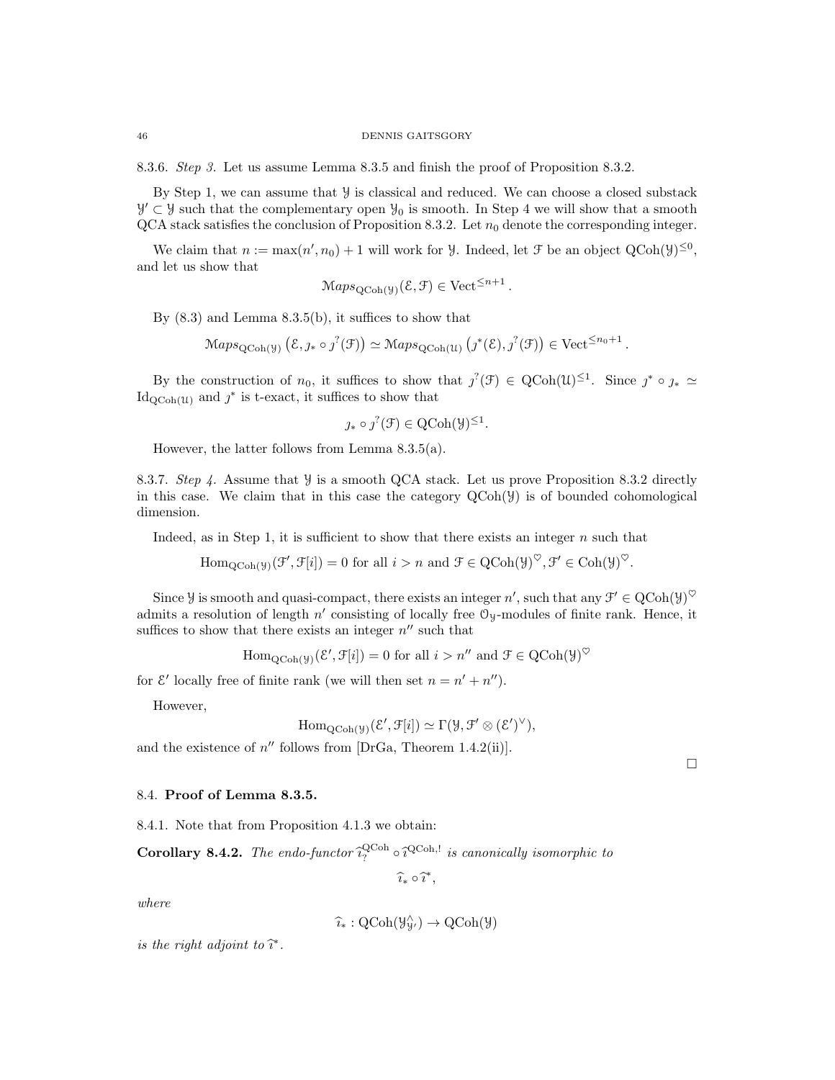8.3.6. Step 3. Let us assume Lemma 8.3.5 and finish the proof of Proposition 8.3.2.

By Step 1, we can assume that  $\mathcal Y$  is classical and reduced. We can choose a closed substack  $\mathcal{Y}' \subset \mathcal{Y}$  such that the complementary open  $\mathcal{Y}_0$  is smooth. In Step 4 we will show that a smooth  $QCA$  stack satisfies the conclusion of Proposition 8.3.2. Let  $n_0$  denote the corresponding integer.

We claim that  $n := \max(n', n_0) + 1$  will work for *Y*. Indeed, let *F* be an object  $QCoh(\mathcal{Y})^{\leq 0}$ , and let us show that

$$
Maps_{QCoh(\mathcal{Y})}(\mathcal{E}, \mathcal{F}) \in Vect^{\leq n+1}.
$$

By  $(8.3)$  and Lemma  $8.3.5(b)$ , it suffices to show that

 $\operatorname{Maps}_{\text{QCoh}(\mathcal{Y})} (\mathcal{E}, j_* \circ j^?(\mathcal{F})) \simeq \operatorname{Maps}_{\text{QCoh}(\mathcal{U})} (j^*(\mathcal{E}), j^?(\mathcal{F})) \in \text{Vect}^{\leq n_0+1}.$ 

By the construction of  $n_0$ , it suffices to show that  $j^2(\mathcal{F}) \in \text{QCoh}(\mathcal{U})^{\leq 1}$ . Since  $j^* \circ j_* \simeq$  $\mathrm{Id}_{\mathrm{QCoh}(\mathcal{U})}$  and  $j^*$  is t-exact, it suffices to show that

$$
* \circ j^{?}(\mathcal{F}) \in \mathrm{QCoh}(\mathcal{Y})^{\leq 1}.
$$

However, the latter follows from Lemma 8.3.5(a).

∴

8.3.7. Step 4. Assume that  $\mathcal Y$  is a smooth QCA stack. Let us prove Proposition 8.3.2 directly in this case. We claim that in this case the category  $\text{QCoh}(\mathcal{Y})$  is of bounded cohomological dimension.

Indeed, as in Step 1, it is sufficient to show that there exists an integer  $n$  such that

 $\text{Hom}_{\text{QCoh}(\mathcal{Y})}(\mathcal{F}', \mathcal{F}[i]) = 0$  for all  $i > n$  and  $\mathcal{F} \in \text{QCoh}(\mathcal{Y})^{\heartsuit}, \mathcal{F}' \in \text{Coh}(\mathcal{Y})^{\heartsuit}.$ 

Since *y* is smooth and quasi-compact, there exists an integer n', such that any  $\mathcal{F}' \in \text{QCoh}(\mathcal{Y})^{\heartsuit}$ admits a resolution of length  $n'$  consisting of locally free  $\mathcal{O}_y$ -modules of finite rank. Hence, it suffices to show that there exists an integer  $n''$  such that

 $\mathrm{Hom}_{\mathrm{QCoh}(\mathcal{Y})}(\mathcal{E}', \mathcal{F}[i]) = 0 \text{ for all } i > n'' \text{ and } \mathcal{F} \in \mathrm{QCoh}(\mathcal{Y})^{\heartsuit}$ 

for  $\mathcal{E}'$  locally free of finite rank (we will then set  $n = n' + n''$ ).

However,

$$
\mathrm{Hom}_{\mathrm{QCoh}(\mathcal{Y})}(\mathcal{E}', \mathcal{F}[i]) \simeq \Gamma(\mathcal{Y}, \mathcal{F}' \otimes (\mathcal{E}')^{\vee}),
$$

and the existence of  $n''$  follows from [DrGa, Theorem 1.4.2(ii)].

 $\Box$ 

# 8.4. Proof of Lemma 8.3.5.

8.4.1. Note that from Proposition 4.1.3 we obtain:

**Corollary 8.4.2.** The endo-functor  $\hat{i}_{7}^{\text{QCoh}} \circ \hat{i}_{7}^{\text{QCoh}}$  is canonically isomorphic to

 $\widehat{i_*} \circ \widehat{i^*},$ 

where

$$
\widehat{\imath}_*: \mathrm{QCoh}(\mathcal{Y}_{\mathcal{Y}'}^{\wedge}) \to \mathrm{QCoh}(\mathcal{Y})
$$

is the right adjoint to  $\hat{\imath}^*$ .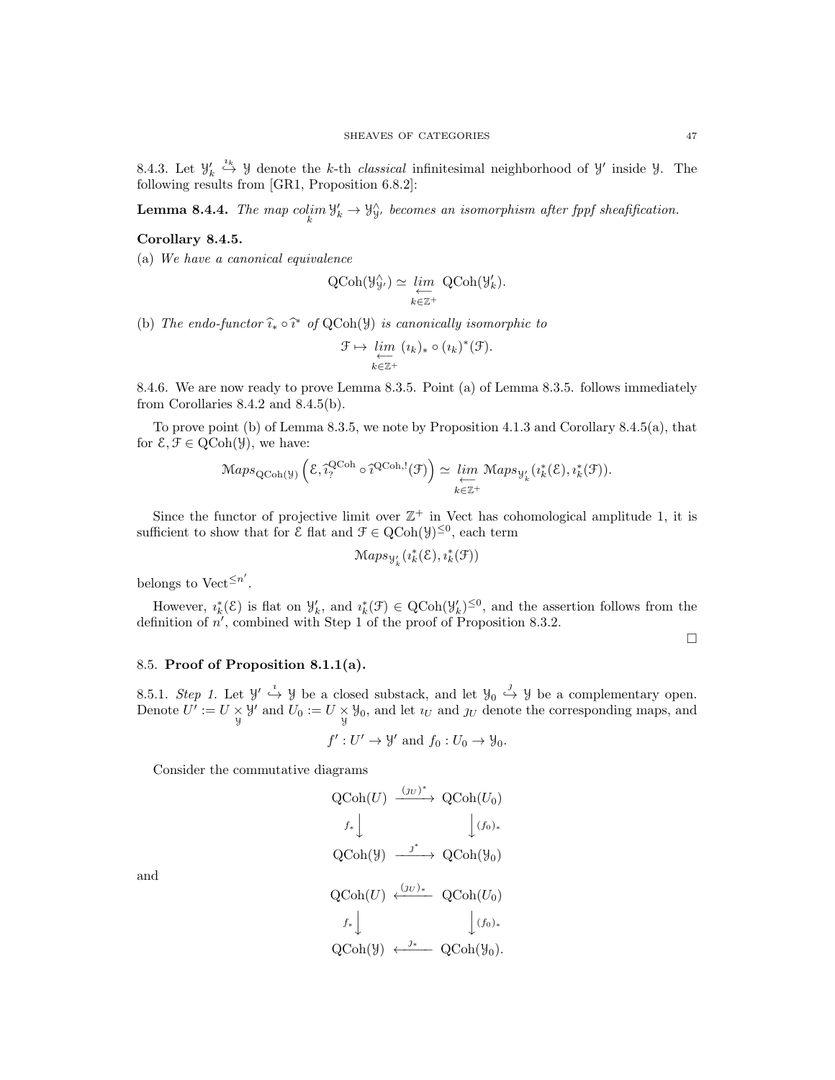8.4.3. Let  $\mathcal{Y}'_k$ <sup>*ik*</sup> y denote the *k*-th *classical* infinitesimal neighborhood of y' inside y. The following results from [GR1, Proposition 6.8.2]:

**Lemma 8.4.4.** The map  $\text{colim } \mathcal{Y}'_k \to \mathcal{Y}'_y$ , becomes an isomorphism after fppf sheafification.

# Corollary 8.4.5.

(a) We have a canonical equivalence

$$
\text{QCoh}(\mathcal{Y}_{\mathcal{Y}}^{\wedge}) \simeq \varprojlim_{k \in \mathbb{Z}^+} \text{QCoh}(\mathcal{Y}_{k}').
$$

(b) The endo-functor  $\widehat{i}_* \circ \widehat{i}^*$  of QCoh(Y) is canonically isomorphic to

$$
\mathcal{F} \mapsto \varprojlim_{k \in \mathbb{Z}^+} (i_k)_* \circ (i_k)^*(\mathcal{F}).
$$

8.4.6. We are now ready to prove Lemma 8.3.5. Point (a) of Lemma 8.3.5. follows immediately from Corollaries 8.4.2 and 8.4.5(b).

To prove point (b) of Lemma 8.3.5, we note by Proposition 4.1.3 and Corollary 8.4.5(a), that for  $\mathcal{E}, \mathcal{F} \in \text{QCoh}(\mathcal{Y})$ , we have:

$$
\mathrm{Maps}_{\mathrm{QCoh}(\mathcal{Y})}\left(\mathcal{E}, \widehat{i}_{?}^{\mathrm{QCoh}} \circ \widehat{i}^{\mathrm{QCoh},!}(\mathcal{F})\right) \simeq \varprojlim_{k \in \mathbb{Z}^+} \mathrm{Maps}_{\mathcal{Y}'_k}(i_k^*(\mathcal{E}), i_k^*(\mathcal{F})).
$$

Since the functor of projective limit over  $\mathbb{Z}^+$  in Vect has cohomological amplitude 1, it is sufficient to show that for  $\mathcal{E}$  flat and  $\mathcal{F} \in \mathrm{QCoh}(\mathcal{Y})^{\leq 0}$ , each term

$$
\mathcal{M}aps_{\mathcal{Y}'_k}(\imath_k^*(\mathcal{E}),\imath_k^*(\mathcal{F}))
$$

belongs to Vect<sup> $\leq n'$ </sup>.

However,  $i_k^*(\mathcal{E})$  is flat on  $\mathcal{Y}'_k$ , and  $i_k^*(\mathcal{F}) \in \mathrm{QCoh}(\mathcal{Y}'_k)^{\leq 0}$ , and the assertion follows from the definition of  $n'$ , combined with Step 1 of the proof of Proposition 8.3.2.

 $\Box$ 

### 8.5. Proof of Proposition 8.1.1(a).

8.5.1. Step 1. Let  $\mathcal{Y}' \stackrel{i}{\hookrightarrow} \mathcal{Y}$  be a closed substack, and let  $\mathcal{Y}_0 \stackrel{j}{\hookrightarrow} \mathcal{Y}$  be a complementary open. Denote  $U' := U \times \mathcal{Y}'$  and  $U_0 := U \times \mathcal{Y}_0$ , and let  $i_U$  and  $j_U$  denote the corresponding maps, and

$$
f': U' \to \mathcal{Y}'
$$
 and  $f_0: U_0 \to \mathcal{Y}_0$ .

Consider the commutative diagrams

$$
\begin{aligned}\n\text{QCoh}(U) & \xrightarrow{(J_U)^*} \text{QCoh}(U_0) \\
f_* \downarrow \qquad \qquad \downarrow (f_0)_* \\
\text{QCoh}(\mathcal{Y}) & \xrightarrow{j^*} \text{QCoh}(\mathcal{Y}_0) \\
\text{QCoh}(U) & \xleftarrow{(J_U)_*} \text{QCoh}(U_0) \\
f_* \downarrow \qquad \qquad \downarrow (f_0)_* \\
\text{QCoh}(\mathcal{Y}) & \xleftarrow{j^*} \text{QCoh}(\mathcal{Y}_0).\n\end{aligned}
$$

and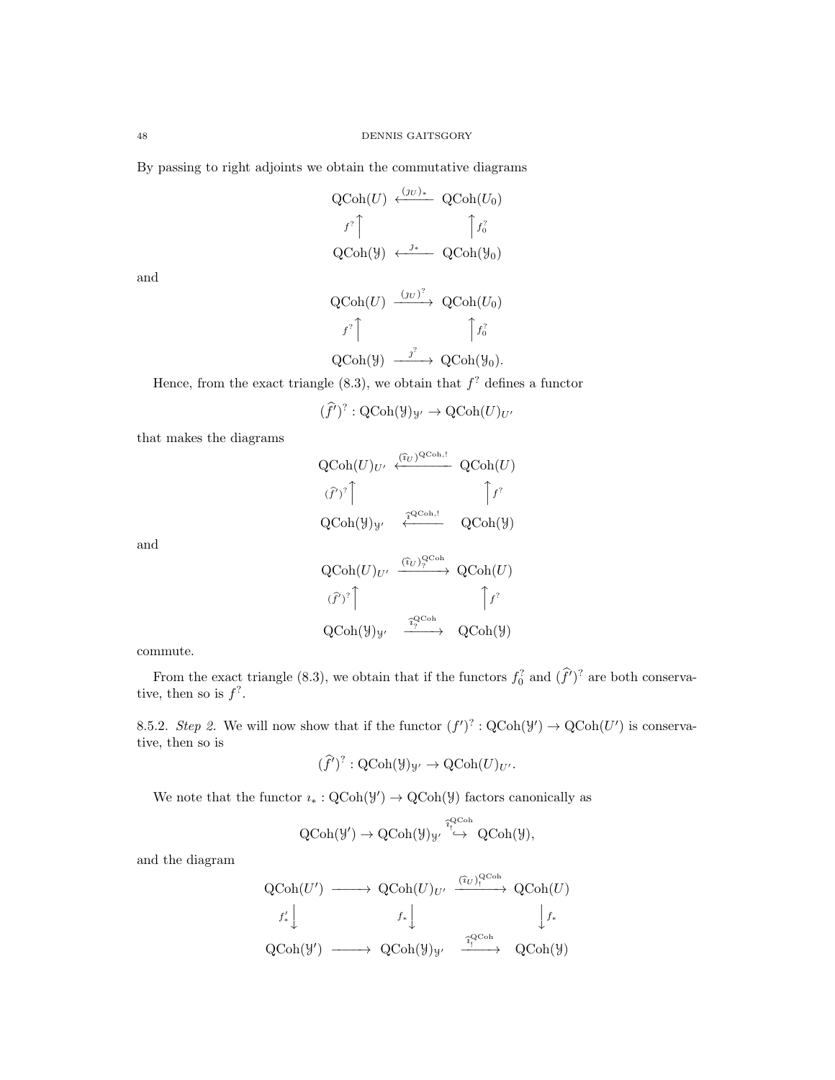By passing to right adjoints we obtain the commutative diagrams

$$
\begin{array}{ccc}\n\text{QCoh}(U) & \xleftarrow{(jU)*} & \text{QCoh}(U_0) \\
\downarrow f^? \uparrow & & \uparrow f_0^? \\
\text{QCoh}(\mathcal{Y}) & \xleftarrow{j*} & \text{QCoh}(\mathcal{Y}_0)\n\end{array}
$$

and

$$
\begin{array}{ccc}\n\text{QCoh}(U) & \xrightarrow{(JU)^2} & \text{QCoh}(U_0) \\
\downarrow f^2 \uparrow & & \uparrow f_0^2 \\
\text{QCoh}(\mathcal{Y}) & \xrightarrow{j^2} & \text{QCoh}(\mathcal{Y}_0).\n\end{array}
$$

Hence, from the exact triangle  $(8.3)$ , we obtain that  $f^?$  defines a functor

 $(\widehat{f}')^? : \text{QCoh}(\mathcal{Y})_{\mathcal{Y}'} \to \text{QCoh}(U)_{U'}$ 

that makes the diagrams

 $\operatorname{QCoh}(U)_{U'} \stackrel{(\widehat{\imath}_U)^{\operatorname{QCoh},!}}{\longleftarrow} \operatorname{QCoh}(U)$  $(\widehat{f}')^?$  $\int f^2$  $\operatorname{QCoh}(\mathcal{Y})_{\mathcal{Y}'} \quad \overbrace{\cdot}^{\widehat{\tau}^{\operatorname{QCoh},!}} \quad \operatorname{QCoh}(\mathcal{Y})$  $\operatorname{QCoh}(U)_{U'} \xrightarrow{(\widehat{\imath}_U)_{?}^{\operatorname{QCoh}}} \operatorname{QCoh}(U)$  $(\widehat{f}')^?$  $\int f^2$  $\mathrm{QCoh}(\mathcal{Y})_{\mathcal{Y}'} \quad \xrightarrow{\widehat{\imath}^{\mathrm{QCoh}}_{\gamma}} \quad \mathrm{QCoh}(\mathcal{Y})$ 

commute.

and

From the exact triangle (8.3), we obtain that if the functors  $f_0^2$  and  $(\hat{f}')^2$  are both conservative, then so is  $f^?$ .

8.5.2. Step 2. We will now show that if the functor  $(f')^? : Q\text{Coh}(\mathcal{Y}') \to Q\text{Coh}(U')$  is conservative, then so is

$$
(\widehat{f}')^? : \mathrm{QCoh}(\mathcal{Y})_{\mathcal{Y}'} \to \mathrm{QCoh}(U)_{U'}.
$$

We note that the functor  $i_* : \text{QCoh}(\mathcal{Y}) \to \text{QCoh}(\mathcal{Y})$  factors canonically as

$$
\operatorname{QCoh}(\mathcal{Y}') \to \operatorname{QCoh}(\mathcal{Y})_{\mathcal{Y}'} \stackrel{\widehat{\iota}_{\mathcal{Y}}^{\operatorname{QCoh}}}{\hookrightarrow} \operatorname{QCoh}(\mathcal{Y}),
$$

and the diagram

$$
\begin{array}{ccc}\n\text{QCoh}(U') & \longrightarrow & \text{QCoh}(U)_{U'} \xrightarrow{\ (\hat{i}_U)_{\mathfrak{l}}^{\text{QCoh}}} \text{QCoh}(U) \\
f'_* \downarrow & & f_* \downarrow \qquad & \downarrow f_* \\
\text{QCoh}(\mathcal{Y}) & \longrightarrow & \text{QCoh}(\mathcal{Y})_{\mathcal{Y}'} \xrightarrow{\ \hat{i}_\mathfrak{l}^{\text{QCoh}}} \text{QCoh}(\mathcal{Y})\n\end{array}
$$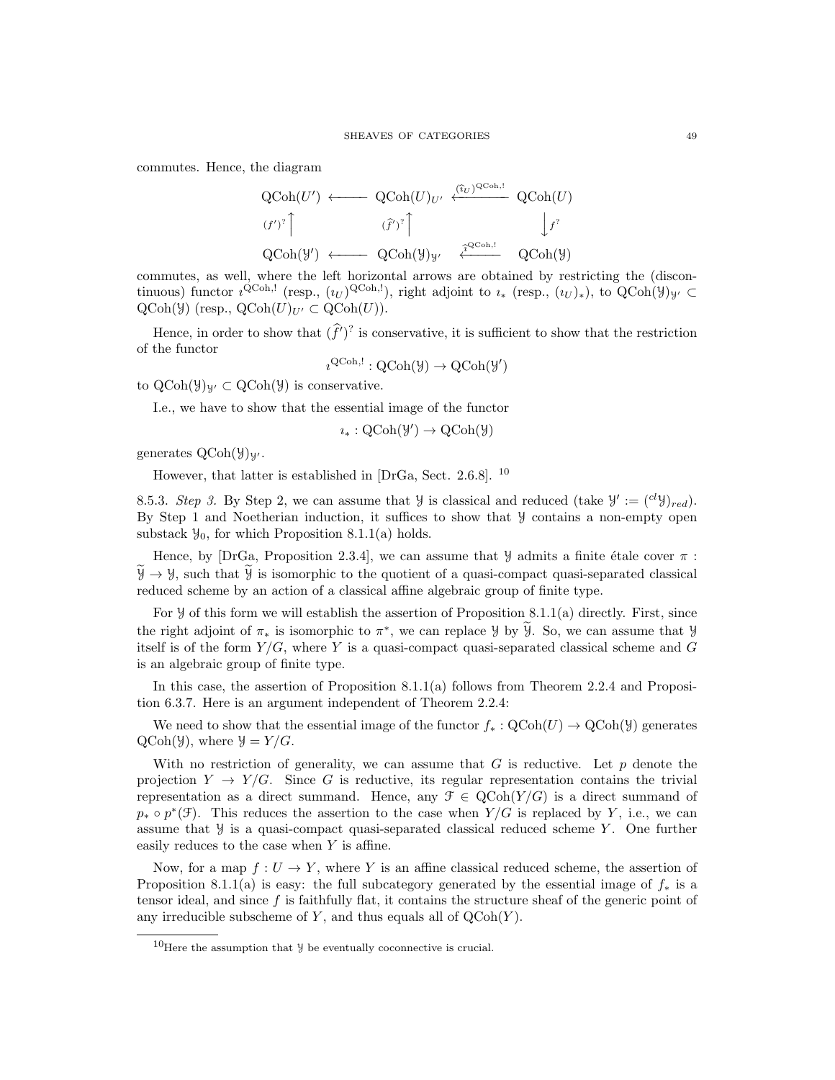commutes. Hence, the diagram

$$
\begin{array}{ccc}\n\text{QCoh}(U') & \longleftarrow & \text{QCoh}(U)_{U'} \xleftarrow{\langle \hat{\imath}_U \rangle^{\text{QCoh},!}} & \text{QCoh}(U) \\
\text{(f')}^{\uparrow} \uparrow & \text{(f')}^{\uparrow} \uparrow & \downarrow \\
\text{QCoh}(Y) & \longleftarrow & \text{QCoh}(\mathcal{Y})_{\mathcal{Y}'} \xleftarrow{\hat{\imath}^{\text{QCoh},!}} & \text{QCoh}(\mathcal{Y})\n\end{array}
$$

commutes, as well, where the left horizontal arrows are obtained by restricting the (discontinuous) functor  $i^{\text{QCoh},!}$  (resp.,  $(i_U)^{\text{QCoh},!}$ ), right adjoint to  $i_*$  (resp.,  $(i_U)_*$ ), to  $\text{QCoh}(\mathcal{Y})_{\mathcal{Y}'} \subset$  $QCoh(\mathcal{Y})$  (resp.,  $QCoh(U)_{U'} \subset QCoh(U)$ ).

Hence, in order to show that  $(\hat{f}')^2$  is conservative, it is sufficient to show that the restriction of the functor

$$
i^{\text{QCoh},!} : \text{QCoh}(\mathcal{Y}) \to \text{QCoh}(\mathcal{Y}')
$$

to  $QCoh(\mathcal{Y})_{\mathcal{Y}'} \subset QCoh(\mathcal{Y})$  is conservative.

I.e., we have to show that the essential image of the functor

$$
\imath_*: \mathrm{QCoh}(\mathcal{Y}') \to \mathrm{QCoh}(\mathcal{Y})
$$

generates  $QCoh(\mathcal{Y})_{\mathcal{Y}}$ .

However, that latter is established in [DrGa, Sect. 2.6.8]. <sup>10</sup>

8.5.3. Step 3. By Step 2, we can assume that  $\mathcal{Y}$  is classical and reduced (take  $\mathcal{Y}' := ({}^{cl}\mathcal{Y})_{red}$ ). By Step 1 and Noetherian induction, it suffices to show that Y contains a non-empty open substack  $\mathcal{Y}_0$ , for which Proposition 8.1.1(a) holds.

Hence, by [DrGa, Proposition 2.3.4], we can assume that  $\mathcal Y$  admits a finite étale cover  $\pi$ :  $\mathcal{Y} \to \mathcal{Y}$ , such that  $\mathcal{Y}$  is isomorphic to the quotient of a quasi-compact quasi-separated classical reduced scheme by an action of a classical affine algebraic group of finite type.

For  $\mathcal Y$  of this form we will establish the assertion of Proposition 8.1.1(a) directly. First, since the right adjoint of  $\pi_*$  is isomorphic to  $\pi^*$ , we can replace  $\mathcal{Y}$  by  $\mathcal{Y}$ . So, we can assume that  $\mathcal{Y}$ itself is of the form  $Y/G$ , where Y is a quasi-compact quasi-separated classical scheme and G is an algebraic group of finite type.

In this case, the assertion of Proposition 8.1.1(a) follows from Theorem 2.2.4 and Proposition 6.3.7. Here is an argument independent of Theorem 2.2.4:

We need to show that the essential image of the functor  $f_* : \text{QCoh}(U) \to \text{QCoh}(\mathcal{Y})$  generates  $QCoh(\mathcal{Y})$ , where  $\mathcal{Y} = Y/G$ .

With no restriction of generality, we can assume that  $G$  is reductive. Let  $p$  denote the projection  $Y \to Y/G$ . Since G is reductive, its regular representation contains the trivial representation as a direct summand. Hence, any  $\mathcal{F} \in \text{QCoh}(Y/G)$  is a direct summand of  $p_* \circ p^*(\mathcal{F})$ . This reduces the assertion to the case when  $Y/G$  is replaced by Y, i.e., we can assume that  $\mathcal Y$  is a quasi-compact quasi-separated classical reduced scheme Y. One further easily reduces to the case when  $Y$  is affine.

Now, for a map  $f: U \to Y$ , where Y is an affine classical reduced scheme, the assertion of Proposition 8.1.1(a) is easy: the full subcategory generated by the essential image of  $f_*$  is a tensor ideal, and since  $f$  is faithfully flat, it contains the structure sheaf of the generic point of any irreducible subscheme of Y, and thus equals all of  $QCoh(Y)$ .

 $10$ Here the assumption that  $\gamma$  be eventually coconnective is crucial.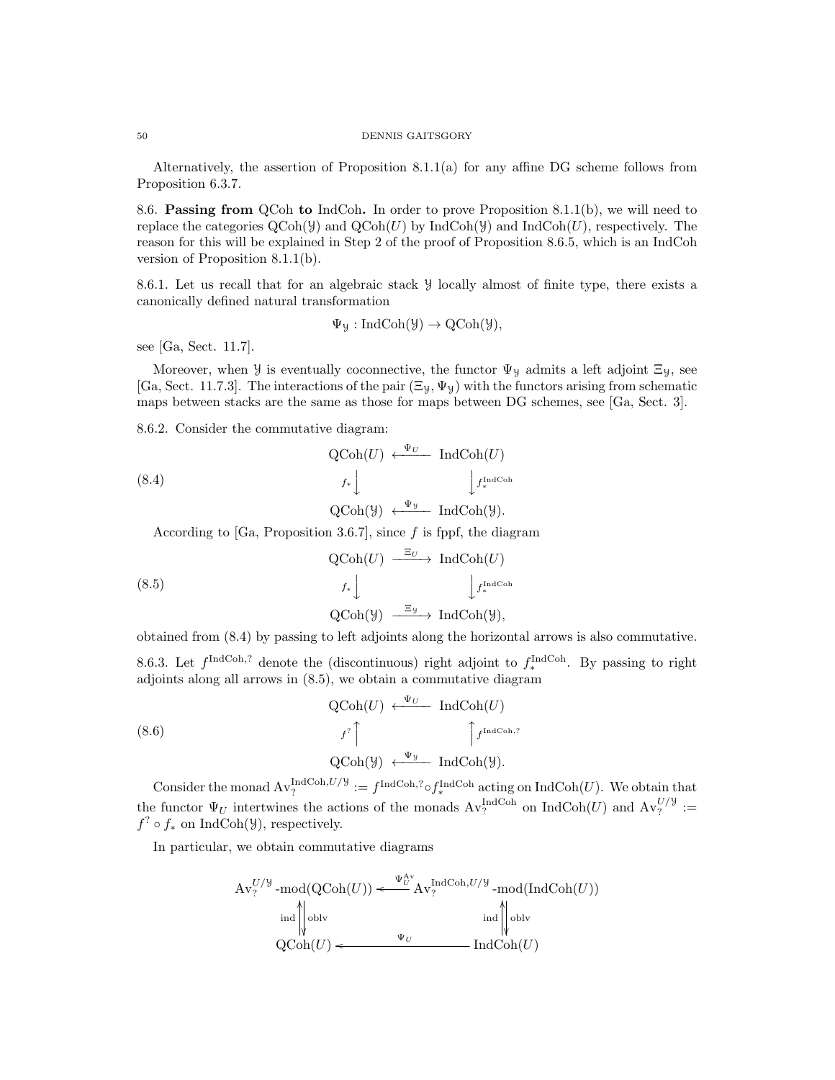Alternatively, the assertion of Proposition 8.1.1(a) for any affine DG scheme follows from Proposition 6.3.7.

8.6. Passing from QCoh to IndCoh. In order to prove Proposition 8.1.1(b), we will need to replace the categories  $\text{QCoh}(\mathcal{Y})$  and  $\text{QCoh}(U)$  by IndCoh( $\mathcal{Y}$ ) and IndCoh( $U$ ), respectively. The reason for this will be explained in Step 2 of the proof of Proposition 8.6.5, which is an IndCoh version of Proposition 8.1.1(b).

8.6.1. Let us recall that for an algebraic stack Y locally almost of finite type, there exists a canonically defined natural transformation

$$
\Psi_{\mathcal{Y}}: \mathrm{IndCoh}(\mathcal{Y}) \to \mathrm{QCoh}(\mathcal{Y}),
$$

see [Ga, Sect. 11.7].

Moreover, when *y* is eventually coconnective, the functor  $\Psi_y$  admits a left adjoint  $\Xi_y$ , see [Ga, Sect. 11.7.3]. The interactions of the pair  $(\Xi_y, \Psi_y)$  with the functors arising from schematic maps between stacks are the same as those for maps between DG schemes, see [Ga, Sect. 3].

8.6.2. Consider the commutative diagram:

(8.4) 
$$
\operatorname{QCoh}(U) \xleftarrow{\Psi_U} \operatorname{IndCoh}(U)
$$

$$
f_* \downarrow \qquad \qquad \downarrow f_*^{\operatorname{IndCoh}} \downarrow
$$

$$
\operatorname{QCoh}(\mathcal{Y}) \xleftarrow{\Psi_{\mathcal{Y}}} \operatorname{IndCoh}(\mathcal{Y}).
$$

According to [Ga, Proposition 3.6.7], since  $f$  is fppf, the diagram

(8.5)  
\n
$$
\begin{array}{c}\n\text{QCoh}(U) \xrightarrow{\Xi_U} \text{IndCoh}(U) \\
f_* \downarrow \qquad \qquad \downarrow f_*^{\text{IndCoh}} \\
\text{QCoh}(\mathcal{Y}) \xrightarrow{\Xi_{\mathcal{Y}}} \text{IndCoh}(\mathcal{Y}),\n\end{array}
$$

obtained from (8.4) by passing to left adjoints along the horizontal arrows is also commutative.

8.6.3. Let  $f^{\text{IndCoh},?}$  denote the (discontinuous) right adjoint to  $f_*^{\text{IndCoh}}$ . By passing to right adjoints along all arrows in (8.5), we obtain a commutative diagram

(8.6) 
$$
QCoh(U) \leftarrow \Psi_U \qquad IndCoh(U)
$$

$$
f^? \qquad \qquad \int f^{\text{Ind}Coh,?}
$$

$$
QCoh(Y) \leftarrow \Psi_Y \qquad IndCoh(Y).
$$

Consider the monad  $\text{Av}_?^{\text{IndCoh},U/\mathcal{Y}} := f^{\text{IndCoh},?} \circ f_*^{\text{IndCoh}}$  acting on  $\text{IndCoh}(U)$ . We obtain that the functor  $\Psi_U$  intertwines the actions of the monads  $Av_?^{\text{IndCoh}}$  on  $\text{IndCoh}(U)$  and  $Av_?^{U/y}$  :=  $f^? \circ f_*$  on IndCoh( $\mathcal{Y}$ ), respectively.

In particular, we obtain commutative diagrams

$$
\mathrm{Av}_{?}^{U/\mathcal{Y}}\text{-mod}(\mathrm{QCoh}(U)) \xleftarrow{\Psi_{U}^{\mathrm{Av}}} \mathrm{Av}_{?}^{\mathrm{IndCoh}, U/\mathcal{Y}}\text{-mod}(\mathrm{IndCoh}(U))
$$
  
ind  $\|\text{oblv}$   

$$
\mathrm{QCoh}(U) \xleftarrow{\Psi_{U}} \mathrm{IndCoh}(U)
$$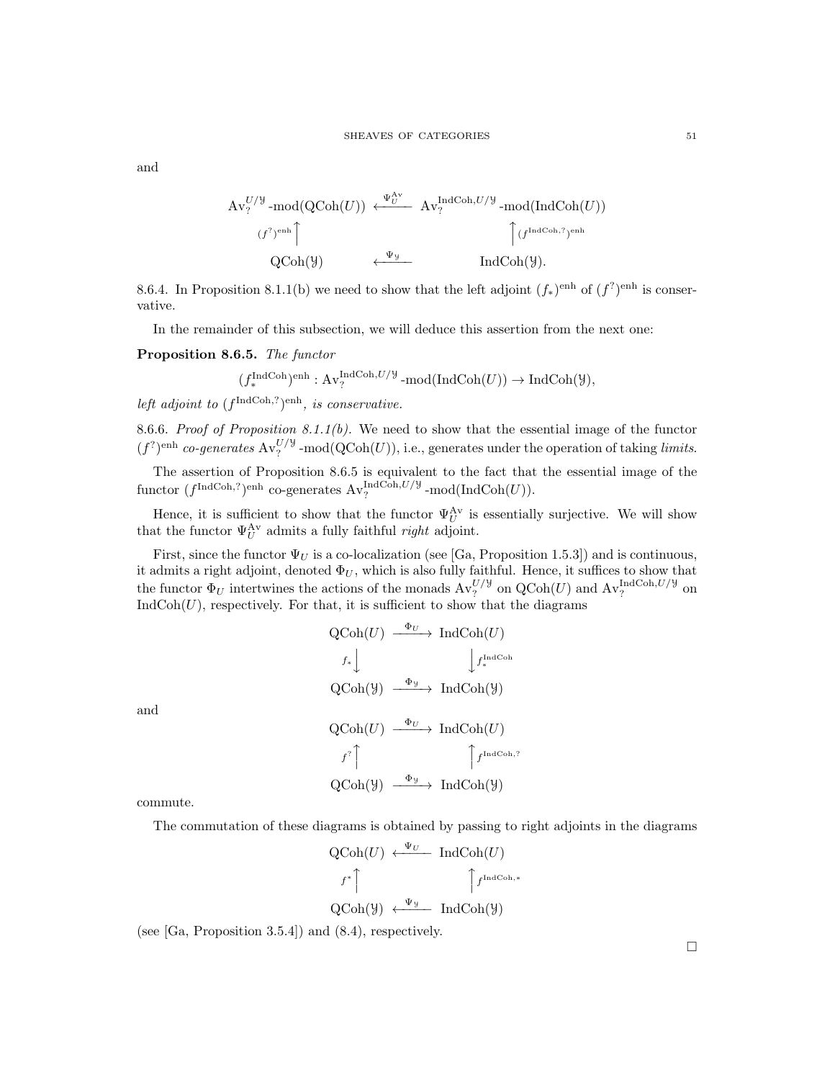$$
\begin{array}{ccc}\n\operatorname{Av}_{?}^{U/\mathcal{Y}}\text{-mod}(\operatorname{QCoh}(U)) & \xleftarrow{\Psi_{U}^{\operatorname{Av}}} & \operatorname{Av}_{?}^{\operatorname{IndCoh}, U/\mathcal{Y}}\text{-mod}(\operatorname{IndCoh}(U)) \\
& (f^{?})^{\operatorname{enh}} \hspace{2.5cm} & \text{QCoh}(\mathcal{Y}) & \xleftarrow{\Psi_{\mathcal{Y}}} & \operatorname{IndCoh}(\mathcal{Y}).\n\end{array}
$$

8.6.4. In Proposition 8.1.1(b) we need to show that the left adjoint  $(f_*)^{\text{enh}}$  of  $(f^?)^{\text{enh}}$  is conservative.

In the remainder of this subsection, we will deduce this assertion from the next one:

Proposition 8.6.5. The functor

$$
(f_*^{\text{IndCoh}})^{\text{enh}}: \mathrm{Av}^{\text{IndCoh}, U/\mathcal{Y}}_? - \text{mod}(\text{IndCoh}(U)) \to \text{IndCoh}(\mathcal{Y}),
$$

left adjoint to  $(f^{\text{IndCoh},?})^{\text{enh}}$ , is conservative.

8.6.6. Proof of Proposition 8.1.1(b). We need to show that the essential image of the functor  $(f<sup>?)</sup>$ <sup>enh</sup> co-generates  $Av<sub>?</sub><sup>U/Y</sup>$ -mod(QCoh(U)), i.e., generates under the operation of taking *limits*.

The assertion of Proposition 8.6.5 is equivalent to the fact that the essential image of the functor  $(f^{\text{IndCoh},?})^{\text{enh}}$  co-generates  $\text{Av}_?^{\text{IndCoh},U/\mathcal{Y}}$ -mod $(\text{IndCoh}(U)).$ 

Hence, it is sufficient to show that the functor  $\Psi_U^{\mathbf{A}\mathbf{v}}$  is essentially surjective. We will show that the functor  $\Psi_U^{\mathbf{A}\mathbf{v}}$  admits a fully faithful *right* adjoint.

First, since the functor  $\Psi_U$  is a co-localization (see [Ga, Proposition 1.5.3]) and is continuous, it admits a right adjoint, denoted  $\Phi_U$ , which is also fully faithful. Hence, it suffices to show that the functor  $\Phi_U$  intertwines the actions of the monads  $Av_?^{U/\mathcal{Y}}$  on  $Q\text{Coh}(U)$  and  $Av_?^{\text{IndCoh},U/\mathcal{Y}}$  on  $IndCoh(U)$ , respectively. For that, it is sufficient to show that the diagrams

$$
\begin{array}{ccc}\n\text{QCoh}(U) & \xrightarrow{\Phi_U} & \text{IndCoh}(U) \\
\downarrow f_* \downarrow & & \downarrow f_*^{\text{IndCoh}} \\
\text{QCoh}(Y) & \xrightarrow{\Phi_y} & \text{IndCoh}(Y) \\
\text{QCoh}(U) & \xrightarrow{\Phi_U} & \text{IndCoh}(U) \\
\downarrow f^? \uparrow & & \uparrow f^{\text{IndCoh},?} \\
\text{QCoh}(Y) & \xrightarrow{\Phi_y} & \text{IndCoh}(Y)\n\end{array}
$$

commute.

and

The commutation of these diagrams is obtained by passing to right adjoints in the diagrams

ντ,

$$
\begin{array}{ccc}\n\text{QCoh}(U) & \xleftarrow{\Psi_U} & \text{IndCoh}(U) \\
\downarrow f^* & \uparrow f^{\text{IndCoh},*} \\
\text{QCoh}(\mathcal{Y}) & \xleftarrow{\Psi_{\mathcal{Y}}} & \text{IndCoh}(\mathcal{Y})\n\end{array}
$$

(see [Ga, Proposition 3.5.4]) and (8.4), respectively.

 $\Box$ 

and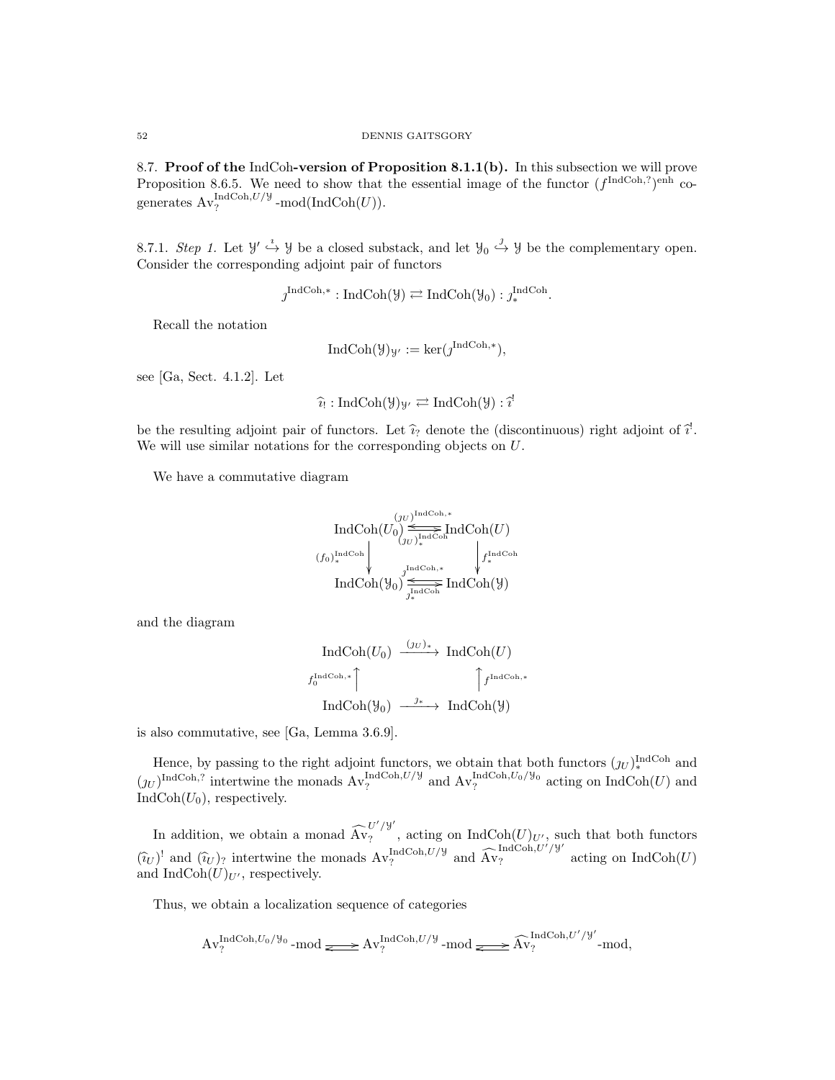8.7. Proof of the IndCoh-version of Proposition 8.1.1(b). In this subsection we will prove Proposition 8.6.5. We need to show that the essential image of the functor  $(f^{\text{IndCoh},?})^{\text{enh}}$  cogenerates  $\operatorname{Av}_?^{\operatorname{IndCoh}, U/\mathcal{Y}}$ -mod $(\operatorname{IndCoh}(U)).$ 

8.7.1. Step 1. Let  $\mathcal{Y}' \stackrel{i}{\hookrightarrow} \mathcal{Y}$  be a closed substack, and let  $\mathcal{Y}_0 \stackrel{j}{\hookrightarrow} \mathcal{Y}$  be the complementary open. Consider the corresponding adjoint pair of functors

$$
j^{\text{IndCoh},*}: \text{IndCoh}(\mathcal{Y}) \rightleftarrows \text{IndCoh}(\mathcal{Y}_0) : j^{\text{IndCoh}}_*
$$

Recall the notation

$$
\operatorname{IndCoh}(\mathcal{Y})_{\mathcal{Y}'} := \ker(\jmath^{\operatorname{IndCoh}, *}),
$$

see [Ga, Sect. 4.1.2]. Let

$$
\widehat{\imath}_! : \mathrm{IndCoh}(\mathcal{Y})_{\mathcal{Y}'} \rightleftarrows \mathrm{IndCoh}(\mathcal{Y}) : \widehat{\imath}^!
$$

be the resulting adjoint pair of functors. Let  $\hat{i}_7$  denote the (discontinuous) right adjoint of  $\hat{i}$ .<br>We will use similar potations for the corresponding objects on  $I$ . We will use similar notations for the corresponding objects on U.

We have a commutative diagram

$$
\begin{array}{c}\n\text{IndCoh}(U_0) \stackrel{(j_U)^{\text{IndCoh},*}}{\underset{(j_U)^{\text{IndCoh}}_*}{\text{IndCoh}}}\n\text{IndCoh}(U) \\
(f_0)^{\text{IndCoh}}_* \downarrow \downarrow^{\text{IndCoh}}\n\text{IndCoh}(y_0) \stackrel{\underset{j_{\text{IndCoh}}}{\text{IndCoh},*}}{\underset{j_{\text{IndCoh}}}{\text{IndCoh}}}\n\text{IndCoh}(y)\n\end{array}
$$

and the diagram

$$
\operatorname{IndCoh}(U_0) \xrightarrow{(jU)_*} \operatorname{IndCoh}(U)
$$
\n
$$
f_0^{\operatorname{IndCoh},*} \uparrow \qquad \qquad \uparrow f^{\operatorname{IndCoh},*}
$$
\n
$$
\operatorname{IndCoh}(\mathcal{Y}_0) \xrightarrow{j_*} \operatorname{IndCoh}(\mathcal{Y})
$$

is also commutative, see [Ga, Lemma 3.6.9].

Hence, by passing to the right adjoint functors, we obtain that both functors  $(y_U)_{*}^{\text{IndCoh}}$  and  $(y_U)^{\text{IndCoh},?}$  intertwine the monads  $\text{Av}_?^{\text{IndCoh},U/\mathcal{Y}}$  and  $\text{Av}_?^{\text{IndCoh},U_0/\mathcal{Y}_0}$  acting on  $\text{IndCoh}(U)$  and  $IndCoh(U_0)$ , respectively.

In addition, we obtain a monad  $\widehat{\text{Av}}_?^{U'/\mathcal{Y}'}$  $\sum_{i=1}^{N}$ , acting on IndCoh $(U)_{U'}$ , such that both functors  $(\hat{i}_U)^!$  and  $(\hat{i}_U)_?$  intertwine the monads  $\text{Av}_?^{\text{IndCoh},U/\mathcal{Y}}$  and  $\widehat{\text{Av}}_?^{\text{IndCoh},U'/\mathcal{Y}'}$  acting on IndCoh(U) and IndCoh $(U)_{U'}$ , respectively.

Thus, we obtain a localization sequence of categories

$$
\mathrm{Av}_{?}^{\mathrm{IndCoh}, U_0/\mathcal{Y}_0} \text{-mod} \Longleftrightarrow \mathrm{Av}_{?}^{\mathrm{IndCoh}, U/\mathcal{Y}} \text{-mod} \Longleftrightarrow \widehat{\mathrm{Av}}_{?}^{\mathrm{IndCoh}, U'/\mathcal{Y}'} \text{-mod},
$$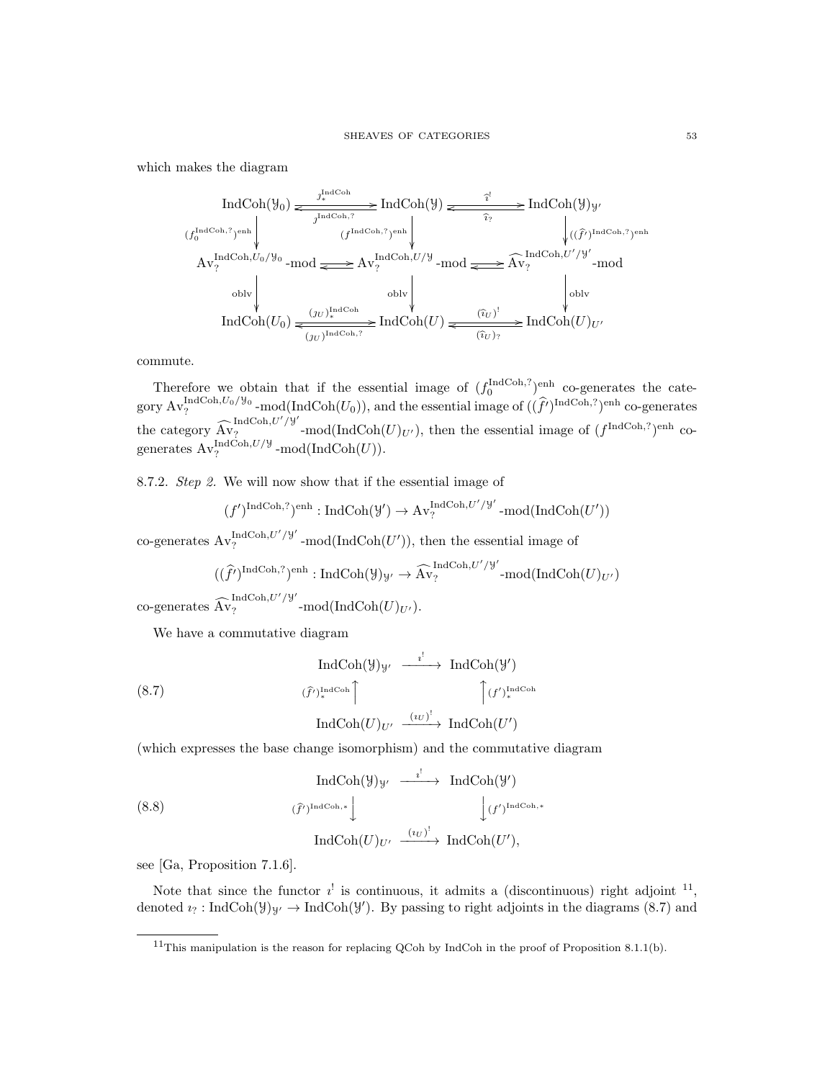which makes the diagram

$$
\text{IndCoh}(\mathcal{Y}_0) \xrightarrow{\mathcal{I}_*^{\text{IndCoh},?}} \text{IndCoh}(\mathcal{Y}) \xrightarrow{\mathcal{I}_*^{\text{IndCoh},?}} \text{IndCoh}(\mathcal{Y}) \xrightarrow{\mathcal{I}_*^{\text{IndCoh},?}} \text{IndCoh}(\mathcal{Y}) \mathcal{Y}
$$
\n
$$
(f_0^{\text{IndCoh},?})^{\text{enh}} \qquad (f^{\text{IndCoh},?})^{\text{enh}} \qquad \qquad \downarrow \qquad \qquad \downarrow \qquad \qquad \downarrow \qquad \qquad \downarrow \qquad \qquad \downarrow \qquad \qquad \downarrow \qquad \qquad \downarrow \qquad \qquad \downarrow \qquad \qquad \downarrow \qquad \qquad \downarrow \qquad \downarrow \qquad \downarrow \qquad \downarrow \qquad \downarrow \qquad \downarrow \qquad \downarrow \qquad \downarrow \qquad \downarrow \qquad \downarrow \qquad \downarrow \qquad \downarrow \qquad \downarrow \qquad \downarrow \qquad \downarrow \qquad \downarrow \qquad \downarrow \qquad \downarrow \qquad \downarrow \qquad \downarrow \qquad \downarrow \qquad \downarrow \qquad \downarrow \qquad \downarrow \qquad \downarrow \qquad \downarrow \qquad \downarrow \qquad \downarrow \qquad \downarrow \qquad \downarrow \qquad \downarrow \qquad \downarrow \qquad \downarrow \qquad \downarrow \qquad \downarrow \qquad \downarrow \qquad \downarrow \qquad \downarrow \qquad \downarrow \qquad \downarrow \qquad \downarrow \qquad \downarrow \qquad \downarrow \qquad \downarrow \qquad \downarrow \qquad \downarrow \qquad \downarrow \qquad \downarrow \qquad \downarrow \qquad \downarrow \qquad \downarrow \qquad \downarrow \qquad \downarrow \qquad \downarrow \qquad \downarrow \qquad \downarrow \qquad \downarrow \qquad \downarrow \qquad \downarrow \qquad \downarrow \qquad \downarrow \qquad \downarrow \qquad \downarrow \qquad \downarrow \qquad \downarrow \qquad \downarrow \qquad \downarrow \qquad \downarrow \qquad \downarrow \qquad \downarrow \qquad \downarrow \qquad \downarrow \qquad \downarrow \qquad \downarrow \qquad \downarrow \qquad \downarrow \qquad \downarrow \qquad \downarrow \qquad \downarrow \qquad \downarrow \qquad \downarrow \qquad \downarrow \qquad \downarrow \qquad \downarrow \qquad
$$

commute.

Therefore we obtain that if the essential image of  $(f_0^{\text{IndCoh},?})^{\text{enh}}$  co-generates the category  $\operatorname{Av}_?^{\operatorname{IndCoh}, U_0/\mathcal{Y}_0}$ -mod(IndCoh( $U_0$ )), and the essential image of  $((\hat{f}')^{\operatorname{IndCoh},?})^{\operatorname{enh}}$  co-generates the category  $\widehat{A}^{IndCoh, U'/y'}$  $\frac{1}{2}$   $\ldots$   $\frac{1}{2}$   $\ldots$   $\ldots$   $\ldots$   $\ldots$   $\ldots$   $\ldots$   $\ldots$   $\ldots$   $\ldots$   $\ldots$   $\ldots$   $\ldots$   $\ldots$   $\ldots$   $\ldots$   $\ldots$   $\ldots$   $\ldots$   $\ldots$   $\ldots$   $\ldots$   $\ldots$   $\ldots$   $\ldots$   $\ldots$   $\ldots$   $\ldots$   $\ldots$   $\ldots$   $\ldots$   $\ldots$   $\ldots$   $\ld$ generates  $\operatorname{Av}_?^{\operatorname{IndCoh}, U/\mathcal{Y}}$ -mod $(\operatorname{IndCoh}(U)).$ 

8.7.2. Step 2. We will now show that if the essential image of

$$
(f')^{\operatorname{IndCoh},?})^{\operatorname{enh}}:\operatorname{IndCoh}(\mathcal{Y'})\rightarrow \operatorname{Av}^{\operatorname{IndCoh},U'/\mathcal{Y'}}_? \operatorname{-mod}(\operatorname{IndCoh}(U'))
$$

co-generates  $Av_2^{\text{IndCoh},U'/\mathcal{Y}'}$  $\frac{\text{IndCoh}, U'/\mathcal{Y}}{2}$  -mod(IndCoh(U')), then the essential image of

$$
((\hat{f}')^{\text{IndCoh},?})^{\text{enh}} : \text{IndCoh}(\mathcal{Y})_{\mathcal{Y}'} \to \widehat{\text{Av}}_?^{\text{IndCoh},U'/\mathcal{Y}'} \text{-mod}(\text{IndCoh}(U)_{U'})
$$
  

$$
\sim \text{IndCoh}, U'/\mathcal{Y}'
$$

co-generates  $\widehat{A}v_?$  $\frac{1}{2}$  -mod(IndCoh(U)<sub>U'</sub>).

We have a commutative diagram

$$
\operatorname{IndCoh}(\mathcal{Y})_{\mathcal{Y}'} \xrightarrow{\quad i' \quad} \operatorname{IndCoh}(\mathcal{Y}')
$$
\n
$$
(\hat{f})_*^{\operatorname{IndCoh}} \uparrow \qquad \qquad \uparrow (f')_*^{\operatorname{IndCoh}}(\mathcal{Y})
$$
\n
$$
\operatorname{IndCoh}(U)_{U'} \xrightarrow{\quad (iv)^!} \operatorname{IndCoh}(U')
$$

(which expresses the base change isomorphism) and the commutative diagram

(8.8)  
\n
$$
\operatorname{IndCoh}(\mathcal{Y})_{\mathcal{Y}'} \xrightarrow{\qquad \qquad \qquad \qquad} \operatorname{IndCoh}(\mathcal{Y}')
$$
\n
$$
\left(\widehat{f'}\right)^{\operatorname{IndCoh},*} \downarrow \qquad \qquad \downarrow \left(f'\right)^{\operatorname{IndCoh},*}
$$
\n
$$
\operatorname{IndCoh}(U)_{U'} \xrightarrow{\qquad \qquad \left(\iota_U\right)^!} \operatorname{IndCoh}(U'),
$$

see [Ga, Proposition 7.1.6].

Note that since the functor  $i^!$  is continuous, it admits a (discontinuous) right adjoint  $1^1$ , denoted  $i_? : \text{IndCoh}(\mathcal{Y})_{\mathcal{Y}'} \to \text{IndCoh}(\mathcal{Y}')$ . By passing to right adjoints in the diagrams (8.7) and

<sup>&</sup>lt;sup>11</sup>This manipulation is the reason for replacing QCoh by IndCoh in the proof of Proposition 8.1.1(b).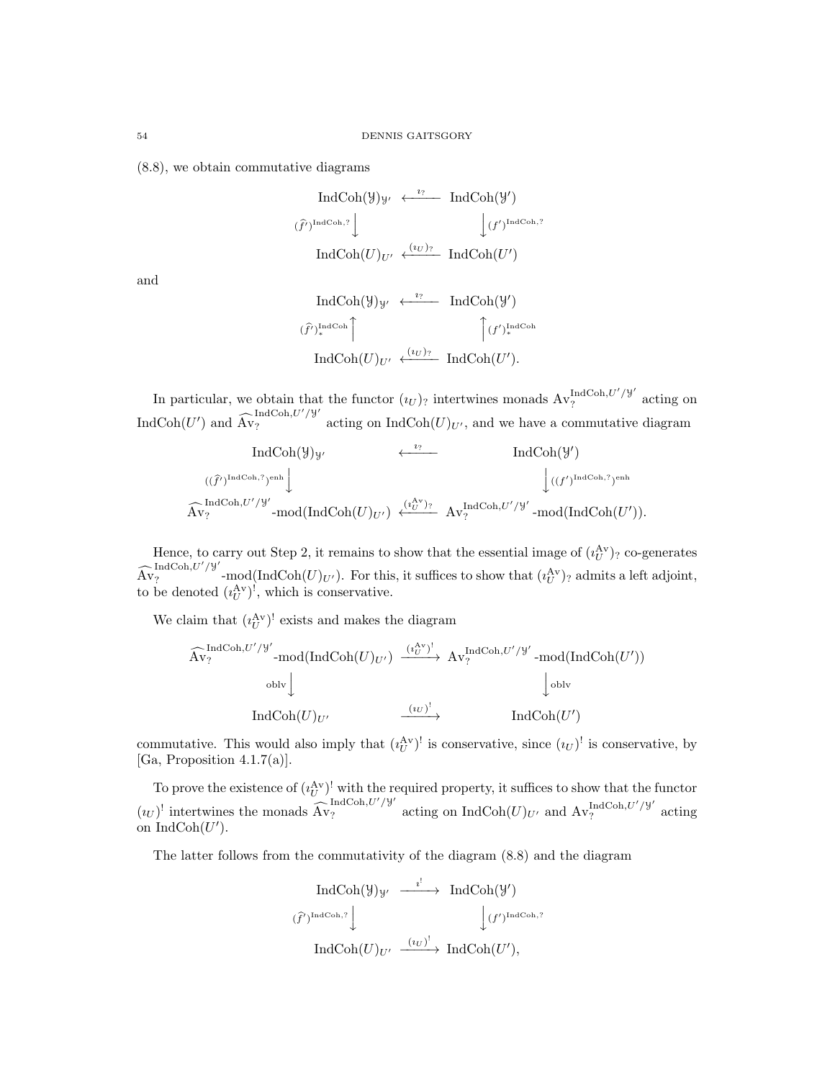(8.8), we obtain commutative diagrams

$$
\begin{array}{ccc}\n\text{IndCoh}(\mathcal{Y})_{\mathcal{Y}'} & \xleftarrow{i?} & \text{IndCoh}(\mathcal{Y}') \\
\text{(f')IndCoh?\n} & & \downarrow \text{(f')IndCoh?\n}\n\end{array}
$$
\n
$$
\text{IndCoh}(U)_{U'} \xleftarrow{\langle i_U \rangle_{?}} \text{IndCoh}(U')
$$

and

$$
\operatorname{IndCoh}(\mathcal{Y})_{\mathcal{Y}'} \leftarrow \mathcal{Y}^{\text{IndCoh}}(\mathcal{Y}')^{\operatorname{IndCoh}}(\mathcal{Y}')
$$
  

$$
(\hat{f}')_*^{\operatorname{IndCoh}} \qquad \qquad \int_{\mathcal{Y}'} (f')_*^{\operatorname{IndCoh}}(\hat{U})_{\mathcal{Y}'} \leftarrow \operatorname{IndCoh}(U').
$$

In particular, we obtain that the functor  $(u_U)$ ? intertwines monads  $Av_?^{\text{IndCoh},U'/\mathcal{Y}'}$  $\int_{?}^{\ln(\text{C} \cup \text{C} \cup \text{C})} e^{-\gamma t}$  acting on IndCoh $(U')$  and  $\widehat{\text{Av}}_?^{\text{IndCoh},U'/Y'}$  acting on IndCoh $(U)_{U'}$ , and we have a commutative diagram

$$
\operatorname{IndCoh}(\mathcal{Y})_{\mathcal{Y}'} \xleftarrow{\iota_{?}} \operatorname{IndCoh}(\mathcal{Y}')
$$
  

$$
((\hat{f'})^{\operatorname{IndCoh},?})^{\operatorname{enh}} \downarrow \qquad \qquad \downarrow ((f')^{\operatorname{IndCoh},?})^{\operatorname{enh}}
$$
  

$$
\widehat{\operatorname{Av}}_{?}^{\operatorname{IndCoh},U'/\mathcal{Y}'} \cdot \operatorname{mod}(\operatorname{IndCoh}(U)_{U'}) \xleftarrow{\iota_{U'}^{\operatorname{Av}})_{?}} \operatorname{Av}_{?}^{\operatorname{IndCoh},U'/\mathcal{Y}'} \cdot \operatorname{mod}(\operatorname{IndCoh}(U')).
$$

Hence, to carry out Step 2, it remains to show that the essential image of  $(i<sub>U</sub><sup>Av</sup>)<sub>?</sub>$  co-generates  $\widehat{\mathrm{Av}}_?^{\mathrm{IndCoh}, U'/\mathcal{Y}'}$  $\int_{R_1}^R$  admits a left adjoint, to be denoted  $(i_U^{\text{Av}})^!$ , which is conservative.

We claim that  $(i_U^{\text{Av}})^!$  exists and makes the diagram

$$
\begin{array}{ccc}\n\widehat{\mathrm{Av}}_{?}^{\mathrm{IndCoh}, U'/\mathcal{Y'}}\text{-mod}(\mathrm{IndCoh}(U)_{U'}) & \xrightarrow{\;\; (i_{U}^{\mathrm{Av}})^{\mathrm{!}}\;}\; \mathrm{Av}_{?}^{\mathrm{IndCoh}, U'/\mathcal{Y'}}\text{-mod}(\mathrm{IndCoh}(U'))\\
&\text{oblv}\downarrow & & \downarrow\n\end{array}
$$
\n
$$
\mathrm{IndCoh}(U)_{U'} \qquad \xrightarrow{\;\; (i_{U})^{\mathrm{!}}\;}\; \mathrm{IndCoh}(U')
$$

commutative. This would also imply that  $({i_U^{\text{Av}}})^!$  is conservative, since  $(u_U)^!$  is conservative, by [Ga, Proposition 4.1.7(a)].

To prove the existence of  $(i_U^{\text{Av}})'$  with the required property, it suffices to show that the functor  $(i_U)^!$  intertwines the monads  $\widehat{\text{Av}}_?^{\text{IndCoh},U'/y'}$  acting on IndCoh $(U)_{U'}$  and  $\text{Av}_?^{\text{IndCoh},U'/y'}$  $i^{\text{naCon}, U \neq \emptyset}$  acting on  $\text{IndCoh}(U')$ .

The latter follows from the commutativity of the diagram (8.8) and the diagram

$$
\text{IndCoh}(\mathcal{Y})_{\mathcal{Y}'} \xrightarrow{\qquad \qquad \qquad} \text{IndCoh}(\mathcal{Y}')
$$
\n
$$
(\hat{f}')^{\text{IndCoh},?} \downarrow \qquad \qquad \downarrow (f')^{\text{IndCoh},?}
$$
\n
$$
\text{IndCoh}(U)_{U'} \xrightarrow{(\iota_U)^!} \text{IndCoh}(U'),
$$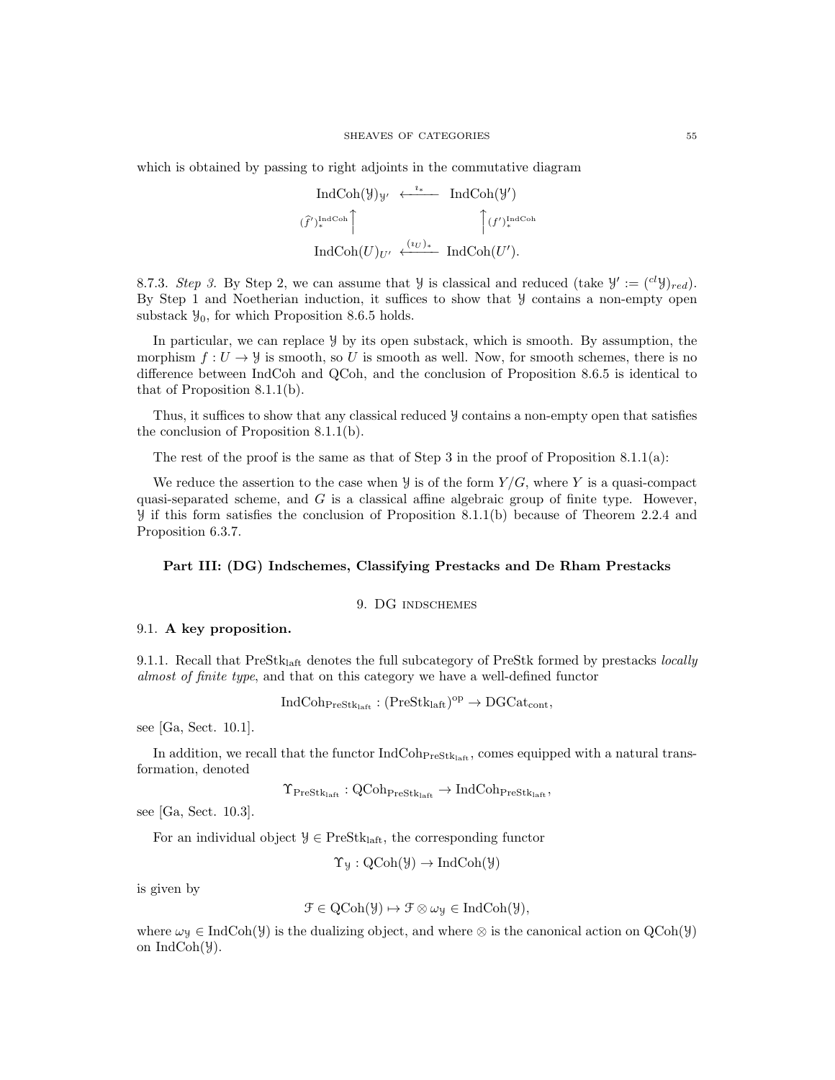which is obtained by passing to right adjoints in the commutative diagram

$$
\text{IndCoh}(\mathcal{Y})_{\mathcal{Y}'} \leftarrow \text{IndCoh}(\mathcal{Y}')
$$
\n
$$
\left(\widehat{f}'\right)_{*}^{\text{IndCoh}} \left( \int_{U} f' \right)_{*}^{\text{IndCoh}} \left( \int_{U} f' \right)_{*}^{\text{IndCoh}} \left( \int_{U} f' \right)_{*}^{\text{IndCoh}} \left( \int_{U} f' \right)_{*}^{\text{IndCoh}} \left( \int_{U} f' \right)_{*}^{\text{IndCoh}} \left( \int_{U} f' \right)_{*}^{\text{IndCoh}} \left( \int_{U} f' \right)_{*}^{\text{IndCoh}} \left( \int_{U} f' \right)_{*}^{\text{IndCoh}} \left( \int_{U} f' \right)_{*}^{\text{IndCoh}} \left( \int_{U} f' \right)_{*}^{\text{IndCoh}} \left( \int_{U} f' \right)_{*}^{\text{IndCoh}} \left( \int_{U} f' \right)_{*}^{\text{IndCoh}} \left( \int_{U} f' \right)_{*}^{\text{IndCoh}} \left( \int_{U} f' \right)_{*}^{\text{IndCoh}} \left( \int_{U} f' \right)_{*}^{\text{IndCoh}} \left( \int_{U} f' \right)_{*}^{\text{IndCoh}} \left( \int_{U} f' \right)_{*}^{\text{IndCoh}} \left( \int_{U} f' \right)_{*}^{\text{IndCoh}} \left( \int_{U} f' \right)_{*}^{\text{IndCoh}} \left( \int_{U} f' \right)_{*}^{\text{IndCoh}} \left( \int_{U} f' \right)_{*}^{\text{IndCoh}} \left( \int_{U} f' \right)_{*}^{\text{IndCoh}} \left( \int_{U} f' \right)_{*}^{\text{IndCoh}} \left( \int_{U} f' \right)_{*}^{\text{IndCoh}} \left( \int_{U} f' \right)_{*}^{\text{IndCoh}} \left( \int_{U} f' \right)_{*}^{\text{IndCoh}} \left( \int_{U} f' \right)_{*}^{\text{IndCoh}} \left( \int_{U} f' \right)_{*}^{\text{IndCoh}} \left( \int_{U} f' \right)_{*}^{\text{
$$

8.7.3. Step 3. By Step 2, we can assume that  $\mathcal{Y}$  is classical and reduced (take  $\mathcal{Y}' := ({}^{cl}\mathcal{Y})_{red}$ ). By Step 1 and Noetherian induction, it suffices to show that Y contains a non-empty open substack  $\mathcal{Y}_0$ , for which Proposition 8.6.5 holds.

In particular, we can replace  $\mathcal{Y}$  by its open substack, which is smooth. By assumption, the morphism  $f: U \to \mathcal{Y}$  is smooth, so U is smooth as well. Now, for smooth schemes, there is no difference between IndCoh and QCoh, and the conclusion of Proposition 8.6.5 is identical to that of Proposition 8.1.1(b).

Thus, it suffices to show that any classical reduced Y contains a non-empty open that satisfies the conclusion of Proposition 8.1.1(b).

The rest of the proof is the same as that of Step 3 in the proof of Proposition 8.1.1(a):

We reduce the assertion to the case when  $\frac{y}{x}$  is of the form  $Y/G$ , where Y is a quasi-compact quasi-separated scheme, and  $G$  is a classical affine algebraic group of finite type. However, Y if this form satisfies the conclusion of Proposition 8.1.1(b) because of Theorem 2.2.4 and Proposition 6.3.7.

# Part III: (DG) Indschemes, Classifying Prestacks and De Rham Prestacks

## 9. DG indschemes

### 9.1. A key proposition.

9.1.1. Recall that  $PreStk<sub>laff</sub>$  denotes the full subcategory of PreStk formed by prestacks *locally* almost of finite type, and that on this category we have a well-defined functor

$$
\text{IndCoh}_{\text{PreStk}_{\text{laft}}} : (\text{PreStk}_{\text{laft}})^{\text{op}} \to \text{DGCat}_{\text{cont}},
$$

 $\alpha = \alpha + \alpha$ 

see [Ga, Sect. 10.1].

In addition, we recall that the functor  $IndCoh<sub>Presk<sub>laff</sub></sub>$ , comes equipped with a natural transformation, denoted

$$
\Upsilon_{\mathrm{PreStk}_{\mathrm{laft}}}: \mathrm{QCoh}_{\mathrm{PreStk}_{\mathrm{laft}}} \to \mathrm{IndCoh}_{\mathrm{PreStk}_{\mathrm{laft}}},
$$

see [Ga, Sect. 10.3].

For an individual object  $\mathcal{Y} \in \text{PreStk}_{\text{left}}$ , the corresponding functor

 $\Upsilon_y : \mathrm{QCoh}(\mathcal{Y}) \to \mathrm{IndCoh}(\mathcal{Y})$ 

is given by

$$
\mathcal{F} \in \mathrm{QCoh}(\mathcal{Y}) \mapsto \mathcal{F} \otimes \omega_{\mathcal{Y}} \in \mathrm{IndCoh}(\mathcal{Y}),
$$

where  $\omega_{\mathcal{Y}} \in \text{IndCoh}(\mathcal{Y})$  is the dualizing object, and where ⊗ is the canonical action on  $\text{QCoh}(\mathcal{Y})$ on IndCoh(Y).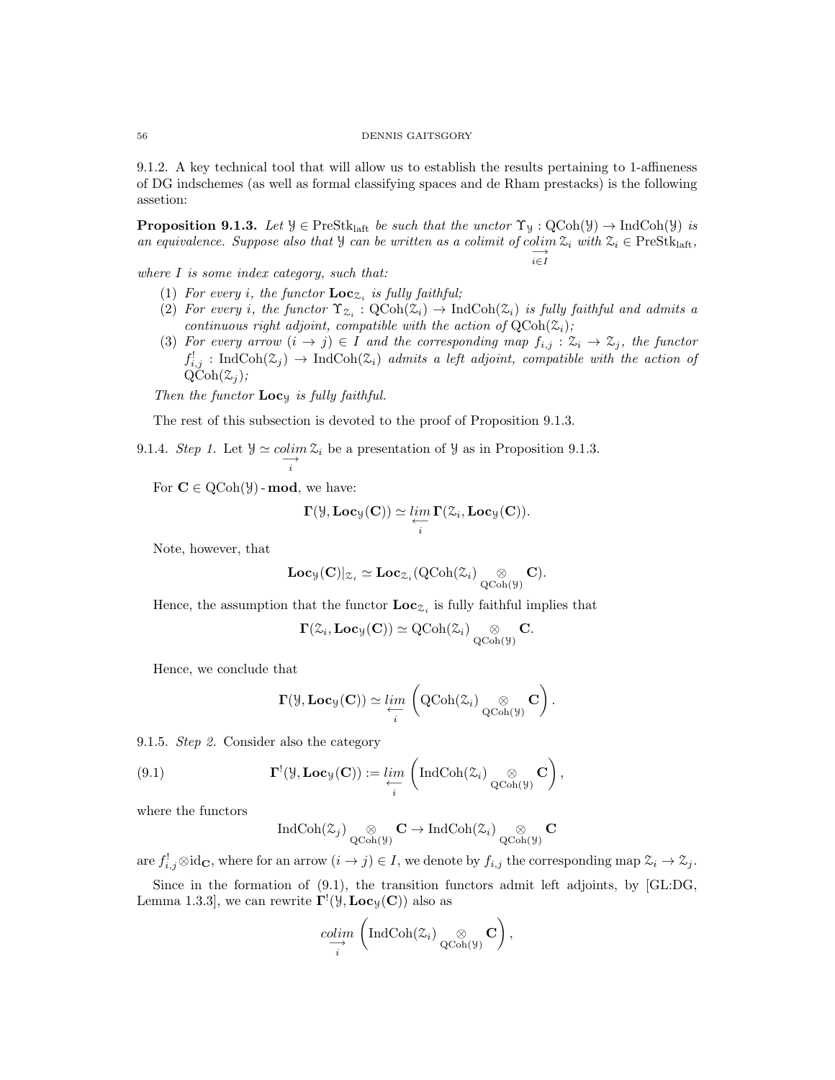#### 56 DENNIS GAITSGORY

9.1.2. A key technical tool that will allow us to establish the results pertaining to 1-affineness of DG indschemes (as well as formal classifying spaces and de Rham prestacks) is the following assetion:

**Proposition 9.1.3.** Let  $\mathcal{Y} \in \text{PreStk}_{\text{laff}}$  be such that the unctor  $\Upsilon_{\mathcal{Y}} : \text{QCoh}(\mathcal{Y}) \to \text{IndCoh}(\mathcal{Y})$  is an equivalence. Suppose also that  $\mathcal{Y}$  can be written as a colimit of colim  $\mathcal{Z}_i$  with  $\mathcal{Z}_i \in \text{PreStk}_{\text{laff}},$ i∈I

where I is some index category, such that:

- (1) For every *i*, the functor  $\text{Loc}_{\mathcal{Z}_i}$  is fully faithful;
- (2) For every i, the functor  $\Upsilon_{\mathcal{Z}_i} : \mathrm{QCoh}(\mathcal{Z}_i) \to \mathrm{IndCoh}(\mathcal{Z}_i)$  is fully faithful and admits a continuous right adjoint, compatible with the action of  $QCoh(\mathcal{Z}_i)$ ;
- (3) For every arrow  $(i \to j) \in I$  and the corresponding map  $f_{i,j} : \mathcal{Z}_i \to \mathcal{Z}_j$ , the functor  $f_{i,j}^!$ : IndCoh $(\mathfrak{Z}_j) \to \text{IndCoh}(\mathfrak{Z}_i)$  admits a left adjoint, compatible with the action of  $QCoh(\mathcal{Z}_i);$

Then the functor  $Loc_{y}$  is fully faithful.

The rest of this subsection is devoted to the proof of Proposition 9.1.3.

9.1.4. Step 1. Let 
$$
\mathcal{Y} \simeq \operatorname{colim}_{i} \mathcal{Z}_{i}
$$
 be a presentation of  $\mathcal{Y}$  as in Proposition 9.1.3.

For  $C \in \mathrm{QCoh}(\mathcal{Y})$  - mod, we have:

$$
\Gamma(\mathcal{Y}, \mathbf{Loc}_{\mathcal{Y}}(\mathbf{C})) \simeq \varprojlim_{i} \Gamma(\mathcal{Z}_i, \mathbf{Loc}_{\mathcal{Y}}(\mathbf{C})).
$$

Note, however, that

$$
\mathbf{Loc}_{\mathcal{Y}}(\mathbf{C})|_{\mathcal{Z}_i} \simeq \mathbf{Loc}_{\mathcal{Z}_i}(\mathrm{QCoh}(\mathcal{Z}_i) \underset{\mathrm{QCoh}(\mathcal{Y})}{\otimes} \mathbf{C}).
$$

Hence, the assumption that the functor  $\text{Loc}_{\mathcal{Z}_i}$  is fully faithful implies that

$$
\Gamma(\mathcal{Z}_i,\mathbf{Loc}_{\mathcal{Y}}(\mathbf{C}))\simeq \operatorname{QCoh}(\mathcal{Z}_i)\underset{\operatorname{QCoh}(\mathcal{Y})}{\otimes}\mathbf{C}.
$$

Hence, we conclude that

$$
\Gamma(\mathcal{Y}, \mathbf{Loc}_{\mathcal{Y}}(\mathbf{C})) \simeq \lim_{\substack{\longleftarrow \\ i}} \left( \mathrm{QCoh}(\mathcal{Z}_i) \underset{\mathrm{QCoh}(\mathcal{Y})}{\otimes} \mathbf{C} \right).
$$

9.1.5. Step 2. Consider also the category

(9.1) 
$$
\mathbf{\Gamma}^!(\mathcal{Y}, \mathbf{Loc}_{\mathcal{Y}}(\mathbf{C})) := \lim_{\substack{\longleftarrow \\ i}} \left( \mathrm{IndCoh}(\mathcal{Z}_i) \underset{\mathrm{QCoh}(\mathcal{Y})}{\otimes} \mathbf{C} \right),
$$

where the functors

$$
\operatorname{IndCoh}(\mathcal{Z}_j) \underset{\operatorname{QCoh}(\mathcal{Y})}{\otimes} \mathbf{C} \to \operatorname{IndCoh}(\mathcal{Z}_i) \underset{\operatorname{QCoh}(\mathcal{Y})}{\otimes} \mathbf{C}
$$

are  $f_{i,j}^{\dagger} \otimes id_{\mathbf{C}}$ , where for an arrow  $(i \to j) \in I$ , we denote by  $f_{i,j}$  the corresponding map  $\mathcal{Z}_i \to \mathcal{Z}_j$ .

Since in the formation of (9.1), the transition functors admit left adjoints, by [GL:DG, Lemma 1.3.3], we can rewrite  $\Gamma^!(\mathcal{Y}, \mathbf{Loc}_{\mathcal{Y}}(\mathbf{C}))$  also as

$$
\underset{i}{\text{colim}} \left( \text{IndCoh}(\mathcal{Z}_i) \underset{\text{QCoh}(\mathcal{Y})}{\otimes} \mathbf{C} \right),
$$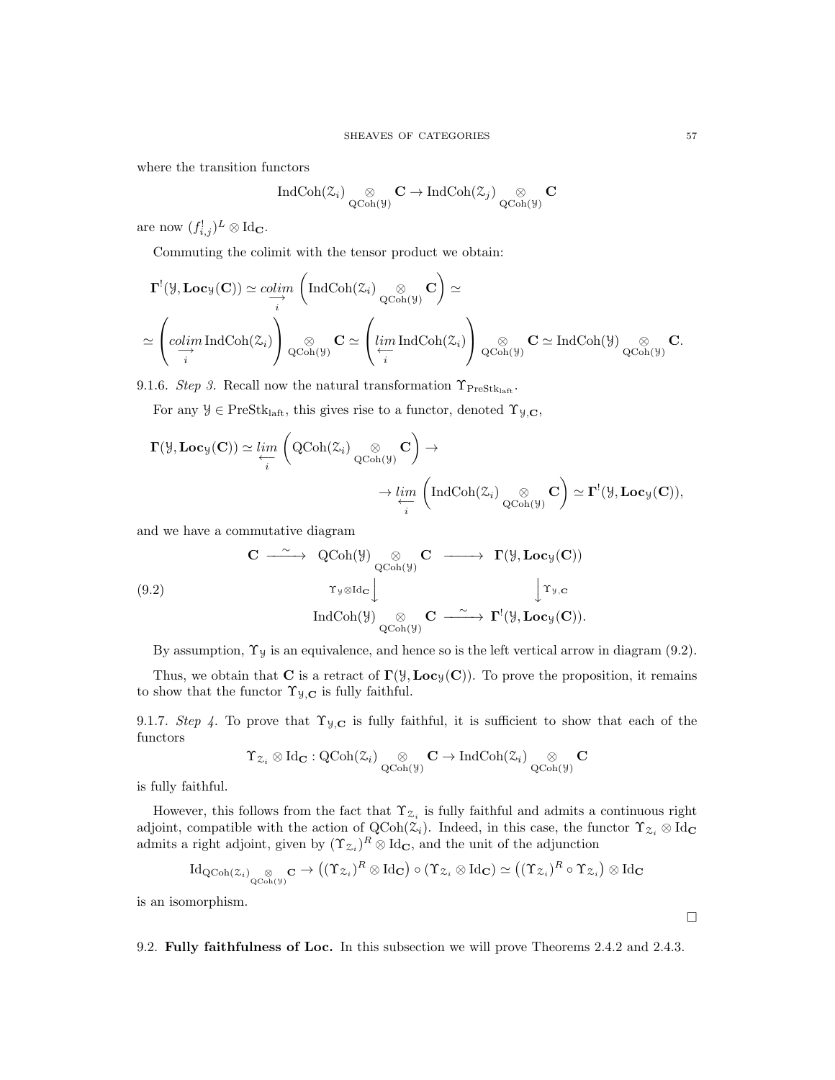where the transition functors

$$
\operatorname{IndCoh}(\mathcal{Z}_i) \underset{\operatorname{QCoh}(\mathcal{Y})}{\otimes} \mathbf{C} \to \operatorname{IndCoh}(\mathcal{Z}_j) \underset{\operatorname{QCoh}(\mathcal{Y})}{\otimes} \mathbf{C}
$$

are now  $(f_{i,j}^!)^L \otimes \mathrm{Id}_{\mathbf{C}}$ .

Commuting the colimit with the tensor product we obtain:

$$
\Gamma^{!}(\mathcal{Y}, \mathbf{Loc}_{\mathcal{Y}}(\mathbf{C})) \simeq \underset{i}{\underset{\longrightarrow}{colim}} \left(\mathrm{IndCoh}(\mathcal{Z}_{i}) \underset{\mathrm{QCoh}(\mathcal{Y})}{\otimes} \mathbf{C}\right) \simeq
$$
\n
$$
\simeq \left(\underset{i}{\underset{\longrightarrow}{colim}} \mathrm{IndCoh}(\mathcal{Z}_{i})\right) \underset{\mathrm{QCoh}(\mathcal{Y})}{\otimes} \mathbf{C} \simeq \left(\underset{i}{\underset{\longrightarrow}{lim}} \mathrm{IndCoh}(\mathcal{Z}_{i})\right) \underset{\mathrm{QCoh}(\mathcal{Y})}{\otimes} \mathbf{C} \simeq \mathrm{IndCoh}(\mathcal{Y}) \underset{\mathrm{QCoh}(\mathcal{Y})}{\otimes} \mathbf{C}.
$$

9.1.6. Step 3. Recall now the natural transformation  $\Upsilon_{\text{PreStk}_{\text{left}}}$ .

For any  $\mathcal{Y} \in \text{PreStk}_{\text{laff}},$  this gives rise to a functor, denoted  $\Upsilon_{\mathcal{Y},\mathbf{C}},$ 

$$
\begin{aligned} \Gamma(\mathcal{Y}, \mathbf{Loc}_{\mathcal{Y}}(\mathbf{C})) &\simeq \varprojlim_i \left( \mathrm{QCoh}(\mathcal{Z}_i) \underset{\mathrm{QCoh}(\mathcal{Y})}{\otimes} \mathbf{C} \right) \to \\ &\to \varprojlim_i \left( \mathrm{IndCoh}(\mathcal{Z}_i) \underset{\mathrm{QCoh}(\mathcal{Y})}{\otimes} \mathbf{C} \right) \simeq \Gamma^!(\mathcal{Y}, \mathbf{Loc}_{\mathcal{Y}}(\mathbf{C})), \end{aligned}
$$

and we have a commutative diagram

(9.2)  
\n
$$
\mathbf{C} \longrightarrow \operatorname{QCoh}(\mathcal{Y}) \underset{\mathbf{QCoh}(\mathcal{Y})}{\otimes} \mathbf{C} \longrightarrow \Gamma(\mathcal{Y}, \mathbf{Loc}_{\mathcal{Y}}(\mathbf{C}))
$$
\n
$$
\uparrow_{\mathcal{Y}, \mathbf{C}} \longrightarrow \Gamma(\mathcal{Y}, \mathbf{Loc}_{\mathcal{Y}}(\mathbf{C}))
$$
\n
$$
\operatorname{IndCoh}(\mathcal{Y}) \underset{\mathbf{QCoh}(\mathcal{Y})}{\otimes} \mathbf{C} \longrightarrow \Gamma^!(\mathcal{Y}, \mathbf{Loc}_{\mathcal{Y}}(\mathbf{C})).
$$

By assumption,  $\Upsilon_y$  is an equivalence, and hence so is the left vertical arrow in diagram (9.2).

Thus, we obtain that **C** is a retract of  $\Gamma(\mathcal{Y}, \mathbf{Loc}_{\mathcal{Y}}(C))$ . To prove the proposition, it remains to show that the functor  $\Upsilon_{\mathcal{Y},\mathbf{C}}$  is fully faithful.

9.1.7. Step 4. To prove that  $\Upsilon_{\mathcal{Y},\mathbf{C}}$  is fully faithful, it is sufficient to show that each of the functors

$$
\Upsilon_{\mathcal{Z}_i} \otimes \mathrm{Id}_{\mathbf{C}}: \mathrm{QCoh}(\mathcal{Z}_i) \underset{\mathrm{QCoh}(\mathcal{Y})}{\otimes} \mathbf{C} \to \mathrm{IndCoh}(\mathcal{Z}_i) \underset{\mathrm{QCoh}(\mathcal{Y})}{\otimes} \mathbf{C}
$$

is fully faithful.

However, this follows from the fact that  $\Upsilon_{\mathcal{Z}_i}$  is fully faithful and admits a continuous right adjoint, compatible with the action of  $QCoh(\mathcal{Z}_i)$ . Indeed, in this case, the functor  $\Upsilon_{\mathcal{Z}_i} \otimes \mathrm{Id}_{\mathbf{C}}$ admits a right adjoint, given by  $({\Upsilon}_{\mathcal{Z}_i})^R \otimes \text{Id}_{\mathbf{C}}$ , and the unit of the adjunction

$$
\mathrm{Id}_{\mathrm{QCoh}(\mathcal{Z}_i)}\underset{\mathrm{QCoh}(\mathcal{Y})}{\otimes} \mathbf{C} \to ((\Upsilon_{\mathcal{Z}_i})^R \otimes \mathrm{Id}_{\mathbf{C}}) \circ (\Upsilon_{\mathcal{Z}_i} \otimes \mathrm{Id}_{\mathbf{C}}) \simeq ((\Upsilon_{\mathcal{Z}_i})^R \circ \Upsilon_{\mathcal{Z}_i}) \otimes \mathrm{Id}_{\mathbf{C}}
$$

is an isomorphism.

9.2. Fully faithfulness of Loc. In this subsection we will prove Theorems 2.4.2 and 2.4.3.

 $\Box$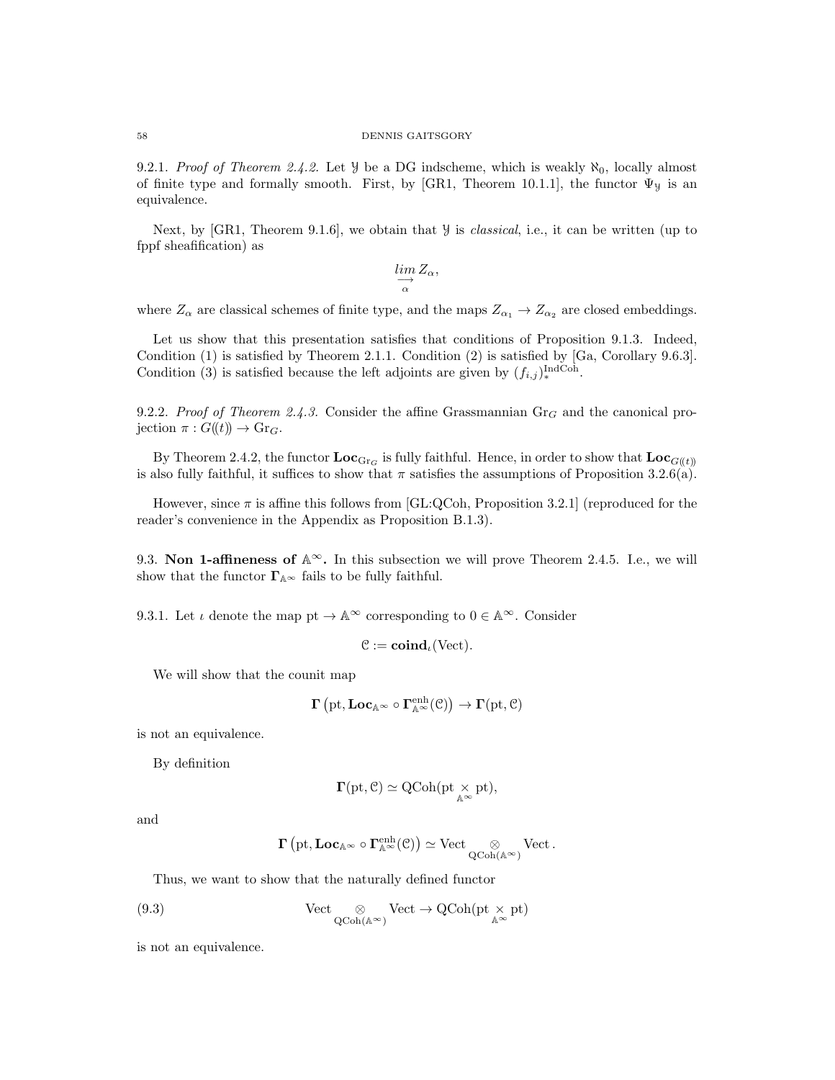9.2.1. Proof of Theorem 2.4.2. Let  $\mathcal{Y}$  be a DG indscheme, which is weakly  $\aleph_0$ , locally almost of finite type and formally smooth. First, by [GR1, Theorem 10.1.1], the functor  $\Psi_y$  is an equivalence.

Next, by [GR1, Theorem 9.1.6], we obtain that  $\mathcal Y$  is *classical*, i.e., it can be written (up to fppf sheafification) as

$$
\lim_{\substack{\longrightarrow \\ \alpha}} Z_{\alpha},
$$

where  $Z_{\alpha}$  are classical schemes of finite type, and the maps  $Z_{\alpha_1} \to Z_{\alpha_2}$  are closed embeddings.

Let us show that this presentation satisfies that conditions of Proposition 9.1.3. Indeed, Condition (1) is satisfied by Theorem 2.1.1. Condition (2) is satisfied by [Ga, Corollary 9.6.3]. Condition (3) is satisfied because the left adjoints are given by  $(f_{i,j})_*^{\text{IndCoh}}$ .

9.2.2. Proof of Theorem 2.4.3. Consider the affine Grassmannian  $Gr_G$  and the canonical projection  $\pi: G(\!(t)\!) \to \mathrm{Gr}_G$ .

By Theorem 2.4.2, the functor  $\mathbf{Loc}_{\text{Gr}_G}$  is fully faithful. Hence, in order to show that  $\mathbf{Loc}_{G(t)}$ is also fully faithful, it suffices to show that  $\pi$  satisfies the assumptions of Proposition 3.2.6(a).

However, since  $\pi$  is affine this follows from [GL:QCoh, Proposition 3.2.1] (reproduced for the reader's convenience in the Appendix as Proposition B.1.3).

9.3. Non 1-affineness of  $\mathbb{A}^{\infty}$ . In this subsection we will prove Theorem 2.4.5. I.e., we will show that the functor  $\boldsymbol{\Gamma}_{\mathbb{A}^\infty}$  fails to be fully faithful.

9.3.1. Let  $\iota$  denote the map  $pt \to \mathbb{A}^{\infty}$  corresponding to  $0 \in \mathbb{A}^{\infty}$ . Consider

$$
\mathcal{C}:=\mathbf{coind}_{\iota}(\text{Vect}).
$$

We will show that the counit map

$$
\Gamma\left(\mathrm{pt},\mathbf{Loc}_{\mathbb{A}^{\infty}}\circ\Gamma^{\mathrm{enh}}_{\mathbb{A}^{\infty}}(\mathcal{C})\right)\rightarrow\Gamma(\mathrm{pt},\mathcal{C})
$$

is not an equivalence.

By definition

$$
\Gamma(\mathrm{pt},\mathcal{C})\simeq \mathrm{QCoh}(\mathrm{pt}\underset{\mathbb{A}^\infty}{\times}\mathrm{pt}),
$$

and

$$
\Gamma\left(\mathrm{pt},\mathbf{Loc}_{\mathbb{A}^{\infty}}\circ\Gamma^{\mathrm{enh}}_{\mathbb{A}^{\infty}}(\mathbb{C})\right)\simeq\mathrm{Vect}_{\underset{\mathrm{QCoh}(\mathbb{A}^{\infty})}{\otimes}}\mathrm{Vect}\,.
$$

Thus, we want to show that the naturally defined functor

(9.3) 
$$
\text{Vect}_{\bigotimes_{\text{QCoh}(\mathbb{A}^{\infty})}} \text{Vect} \to \text{QCoh}(\text{pt} \times_{\mathbb{A}^{\infty}} \text{pt})
$$

is not an equivalence.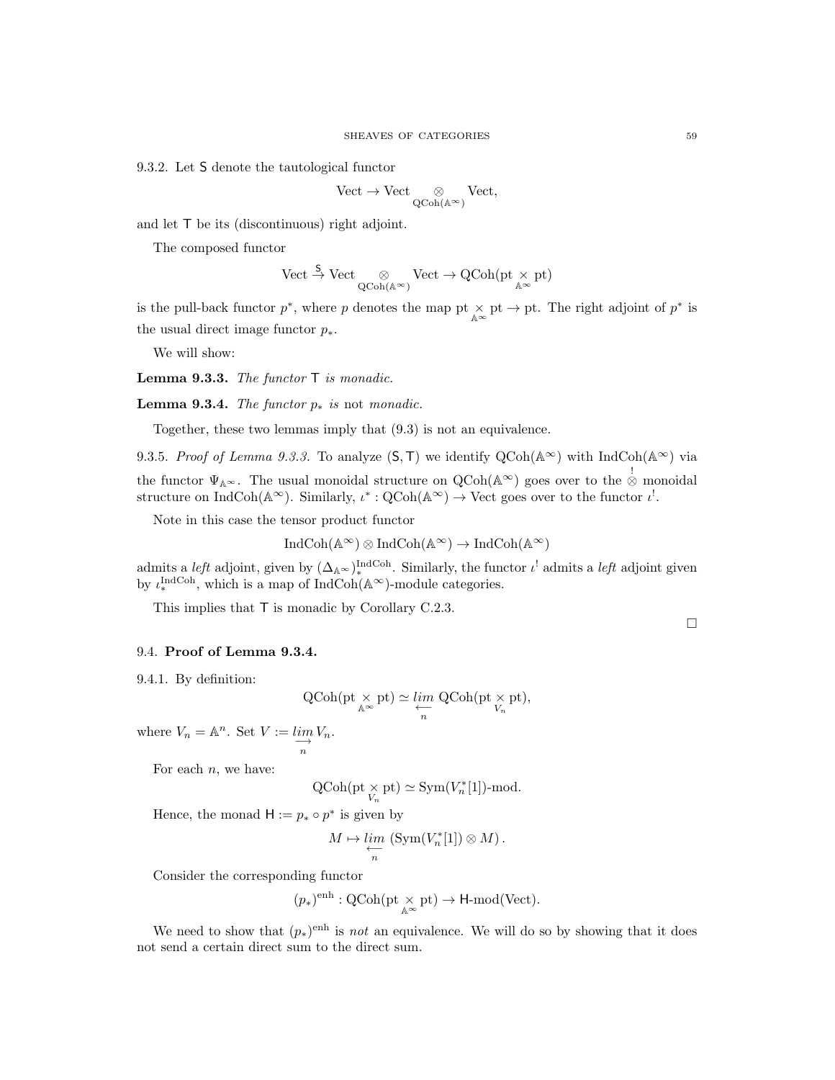9.3.2. Let S denote the tautological functor

$$
\mathrm{Vect}\to\mathrm{Vect}\underset{\mathrm{QCoh}(\mathbb{A}^{\infty})}{\otimes}\mathrm{Vect},
$$

and let T be its (discontinuous) right adjoint.

The composed functor

$$
\mathrm{Vect} \stackrel{S}\to \mathrm{Vect} \underset{\mathrm{QCoh}(\mathbb{A}^{\infty})}\otimes \mathrm{Vect} \to \mathrm{QCoh}(\mathrm{pt} \underset{\mathbb{A}^{\infty}}\times \mathrm{pt})
$$

is the pull-back functor  $p^*$ , where p denotes the map pt  $\times$  pt  $\rightarrow$  pt. The right adjoint of  $p^*$  is the usual direct image functor  $p_*$ .

We will show:

**Lemma 9.3.3.** The functor  $\mathsf{T}$  is monadic.

Lemma 9.3.4. The functor  $p_*$  is not monadic.

Together, these two lemmas imply that (9.3) is not an equivalence.

9.3.5. Proof of Lemma 9.3.3. To analyze  $(S, T)$  we identify  $QCoh(A^{\infty})$  with IndCoh( $A^{\infty}$ ) via the functor  $\Psi_{\mathbb{A}^{\infty}}$ . The usual monoidal structure on  $\text{QCoh}(\mathbb{A}^{\infty})$  goes over to the  $\stackrel{!}{\otimes}$  monoidal structure on IndCoh( $\mathbb{A}^{\infty}$ ). Similarly,  $\iota^* : \mathrm{QCoh}(\mathbb{A}^{\infty}) \to \mathrm{Vect}$  goes over to the functor  $\iota^!$ .

Note in this case the tensor product functor

$$
IndCoh(\mathbb{A}^{\infty}) \otimes IndCoh(\mathbb{A}^{\infty}) \to IndCoh(\mathbb{A}^{\infty})
$$

admits a *left* adjoint, given by  $(\Delta_{\mathbb{A}^{\infty}})^{\text{IndCoh}}$ . Similarly, the functor  $\iota^!$  admits a *left* adjoint given by  $\iota^{\text{IndCoh}}_*$ , which is a map of IndCoh( $\mathbb{A}^{\infty}$ )-module categories.

This implies that T is monadic by Corollary C.2.3.

# 9.4. Proof of Lemma 9.3.4.

9.4.1. By definition:

$$
\operatorname{QCoh}(\operatorname{pt} \mathop{\times}_{\mathbb{A}^{\infty}} \operatorname{pt}) \simeq \varprojlim_{n} \, \operatorname{QCoh}(\operatorname{pt} \mathop{\times}_{V_n} \operatorname{pt}),
$$

where  $V_n = \mathbb{A}^n$ . Set  $V := \lim_{n \to \infty}$  $V_n$ .

For each  $n$ , we have:

$$
\operatorname{QCoh}(\operatorname{pt}\nolimits_{V_n} \times \operatorname{pt}\nolimits) \simeq \operatorname{Sym}\nolimits(V_n^*[1])\text{-mod}.
$$

Hence, the monad  $H := p_* \circ p^*$  is given by

$$
M \mapsto \varprojlim_n \left( \mathrm{Sym}(V_n^*[1]) \otimes M \right).
$$

Consider the corresponding functor

$$
(p_*)^{\text{enh}} : \text{QCoh}(\text{pt} \underset{\mathbb{A}^{\infty}}{\times} \text{pt}) \to \text{H-mod}(\text{Vect}).
$$

We need to show that  $(p_*)^{\text{enh}}$  is not an equivalence. We will do so by showing that it does not send a certain direct sum to the direct sum.

 $\Box$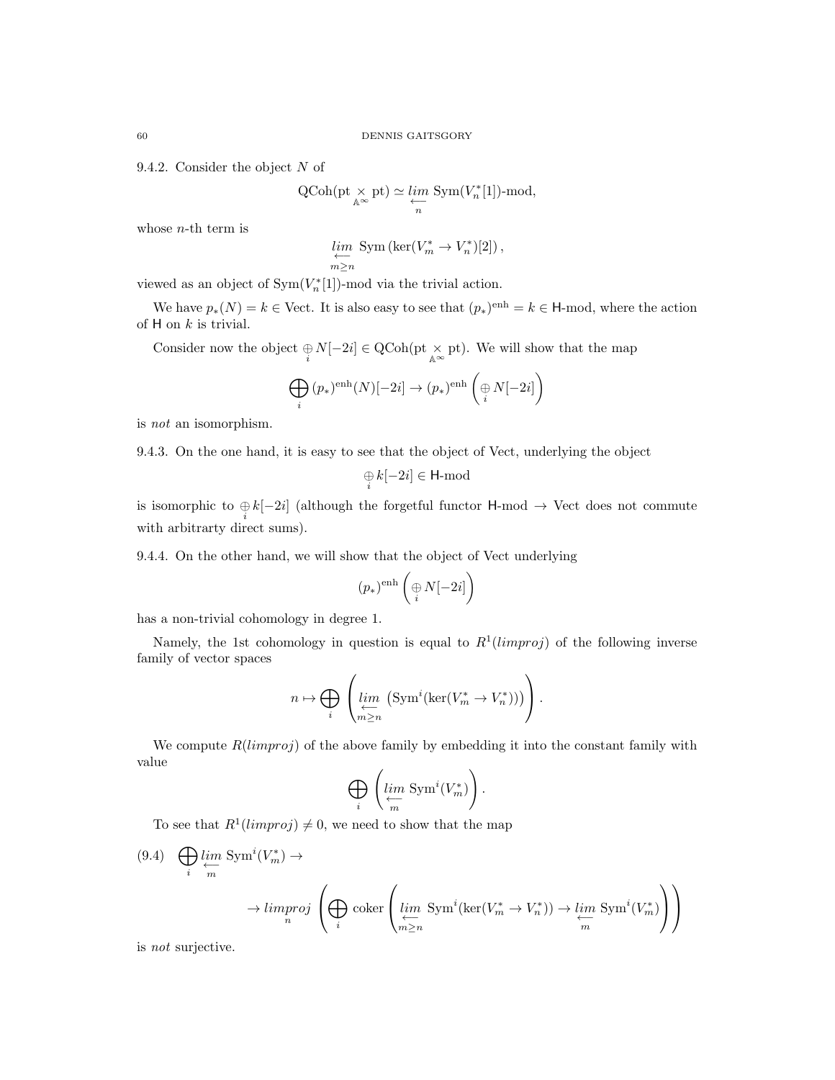9.4.2. Consider the object N of

$$
\operatorname{QCoh}(\operatorname{pt} \underset{\mathbb{A}^{\infty}}{\times} \operatorname{pt}) \simeq \varprojlim_{n} \operatorname{Sym}(V_{n}^{*}[1])\text{-mod},
$$

whose  $n$ -th term is

$$
\lim_{m \ge n} \text{Sym}(\text{ker}(V_m^* \to V_n^*)[2]),
$$

viewed as an object of  $\text{Sym}(V_n^*[1])$ -mod via the trivial action.

We have  $p_*(N) = k \in$  Vect. It is also easy to see that  $(p_*)^{\text{enh}} = k \in \mathsf{H}\text{-mod}$ , where the action of  $H$  on  $k$  is trivial.

Consider now the object  $\bigoplus_i N[-2i] \in \text{QCoh}(\text{pt} \times_{\mathbb{A}^{\infty}} \text{pt})$ . We will show that the map

$$
\bigoplus_i (p_*)^{\text{enh}}(N)[-2i] \to (p_*)^{\text{enh}}\left(\underset{i}{\oplus} N[-2i]\right)
$$

is not an isomorphism.

9.4.3. On the one hand, it is easy to see that the object of Vect, underlying the object

$$
\mathop{\oplus}\limits_i k[-2i] \in {\rm H\text{-}mod}
$$

is isomorphic to  $\bigoplus_i k[-2i]$  (although the forgetful functor H-mod  $\rightarrow$  Vect does not commute with arbitrarty direct sums).

9.4.4. On the other hand, we will show that the object of Vect underlying

$$
(p_*)^{\text{enh}}\left(\underset{i}{\oplus}N[-2i]\right)
$$

has a non-trivial cohomology in degree 1.

Namely, the 1st cohomology in question is equal to  $R<sup>1</sup>(limproj)$  of the following inverse family of vector spaces

$$
n \mapsto \bigoplus_{i} \left( \lim_{\substack{\longleftarrow \\ m \ge n}} \left( \text{Sym}^i(\text{ker}(V_m^* \to V_n^*)) \right) \right).
$$

We compute  $R(limproj)$  of the above family by embedding it into the constant family with value

$$
\bigoplus_i \left(\lim_m {\rm Sym}^i (V_m^*)\right).
$$

To see that  $R^1(limproj) \neq 0$ , we need to show that the map

$$
(9.4) \quad \bigoplus_{i} \underbrace{\lim_{m} \text{Sym}^{i}(V_{m}^{*}) \to}_{n} \longrightarrow \text{Limproj} \left( \bigoplus_{i} \text{coker}\left(\underbrace{\lim_{m \ge n} \text{Sym}^{i}(\ker(V_{m}^{*} \to V_{n}^{*})) \to \lim_{m} \text{Sym}^{i}(V_{m}^{*})}{m}\right) \right)
$$

is not surjective.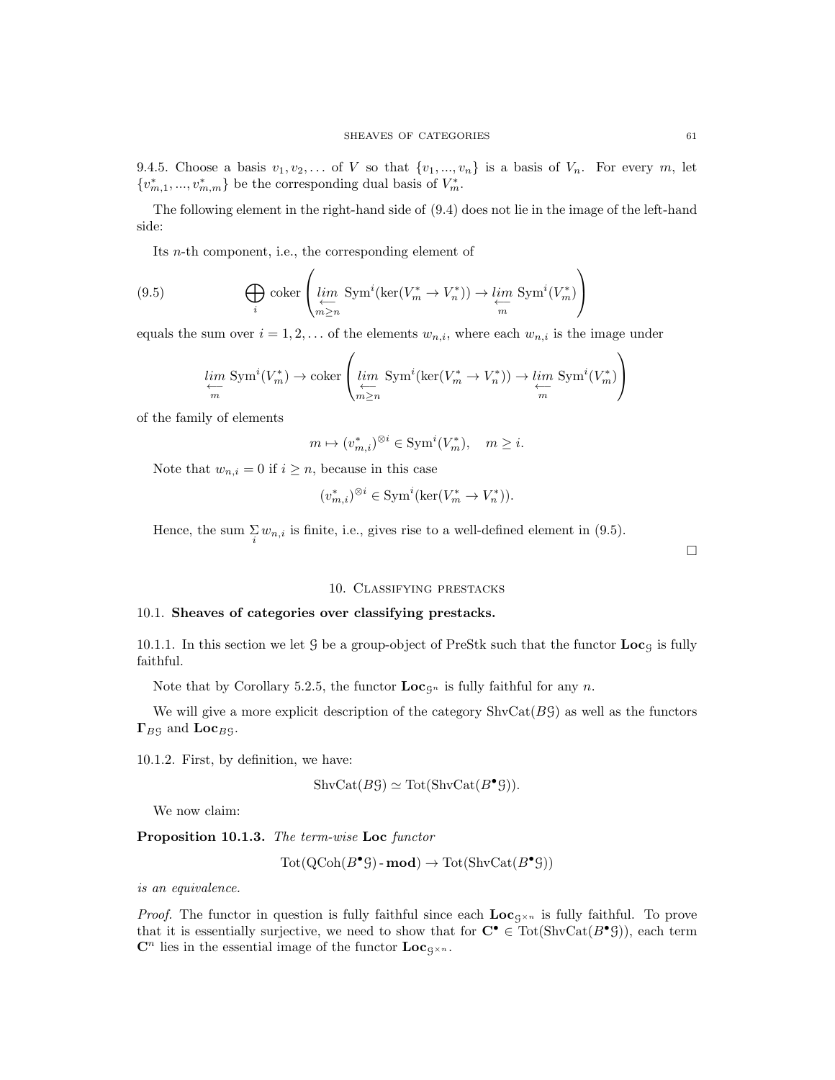9.4.5. Choose a basis  $v_1, v_2, \ldots$  of V so that  $\{v_1, \ldots, v_n\}$  is a basis of  $V_n$ . For every m, let  ${v_{m,1}^*,...,v_{m,m}^*}$  be the corresponding dual basis of  $V_m^*$ .

The following element in the right-hand side of (9.4) does not lie in the image of the left-hand side:

Its n-th component, i.e., the corresponding element of

(9.5) 
$$
\bigoplus_{i} \text{coker}\left(\lim_{\substack{\longleftarrow \\ m \ge n}} \text{Sym}^i(\ker(V_m^* \to V_n^*)) \to \lim_{\substack{\longleftarrow \\ m}} \text{Sym}^i(V_m^*)\right)
$$

equals the sum over  $i = 1, 2, \ldots$  of the elements  $w_{n,i}$ , where each  $w_{n,i}$  is the image under

$$
\lim_{m \to \infty} \text{Sym}^i(V_m^*) \to \text{coker}\left(\lim_{m \ge n} \text{Sym}^i(\text{ker}(V_m^* \to V_n^*)) \to \lim_{m \to \infty} \text{Sym}^i(V_m^*)\right)
$$

of the family of elements

$$
m \mapsto (v_{m,i}^*)^{\otimes i} \in \text{Sym}^i(V_m^*), \quad m \ge i.
$$

Note that  $w_{n,i} = 0$  if  $i \geq n$ , because in this case

$$
(v_{m,i}^*)^{\otimes i}\in \mathrm{Sym}^i(\ker(V_m^*\to V_n^*)).
$$

Hence, the sum  $\sum_i w_{n,i}$  is finite, i.e., gives rise to a well-defined element in (9.5).

# $\Box$

# 10. Classifying prestacks

### 10.1. Sheaves of categories over classifying prestacks.

10.1.1. In this section we let  $G$  be a group-object of PreStk such that the functor  $Loc<sub>G</sub>$  is fully faithful.

Note that by Corollary 5.2.5, the functor  $\mathbf{Loc}_{\mathbf{G}^n}$  is fully faithful for any n.

We will give a more explicit description of the category  $\text{ShvCat}(B\mathcal{G})$  as well as the functors  $\Gamma_{BS}$  and  $\text{Loc}_{BS}$ .

10.1.2. First, by definition, we have:

$$
ShvCat(B\mathcal{G}) \simeq Tot(ShvCat(B^{\bullet}\mathcal{G})).
$$

We now claim:

Proposition 10.1.3. The term-wise Loc functor

$$
Tot(QCoh(B^{\bullet}\mathcal{G}) - \mathbf{mod}) \to Tot(\mathrm{ShvCat}(B^{\bullet}\mathcal{G}))
$$

is an equivalence.

*Proof.* The functor in question is fully faithful since each  $\text{Loc}_{g\times n}$  is fully faithful. To prove that it is essentially surjective, we need to show that for  $C^{\bullet} \in \text{Tot}(\text{ShvCat}(B^{\bullet} \mathcal{G}))$ , each term  $\mathbf{C}^n$  lies in the essential image of the functor  $\mathbf{Loc}_{S^{\times n}}$ .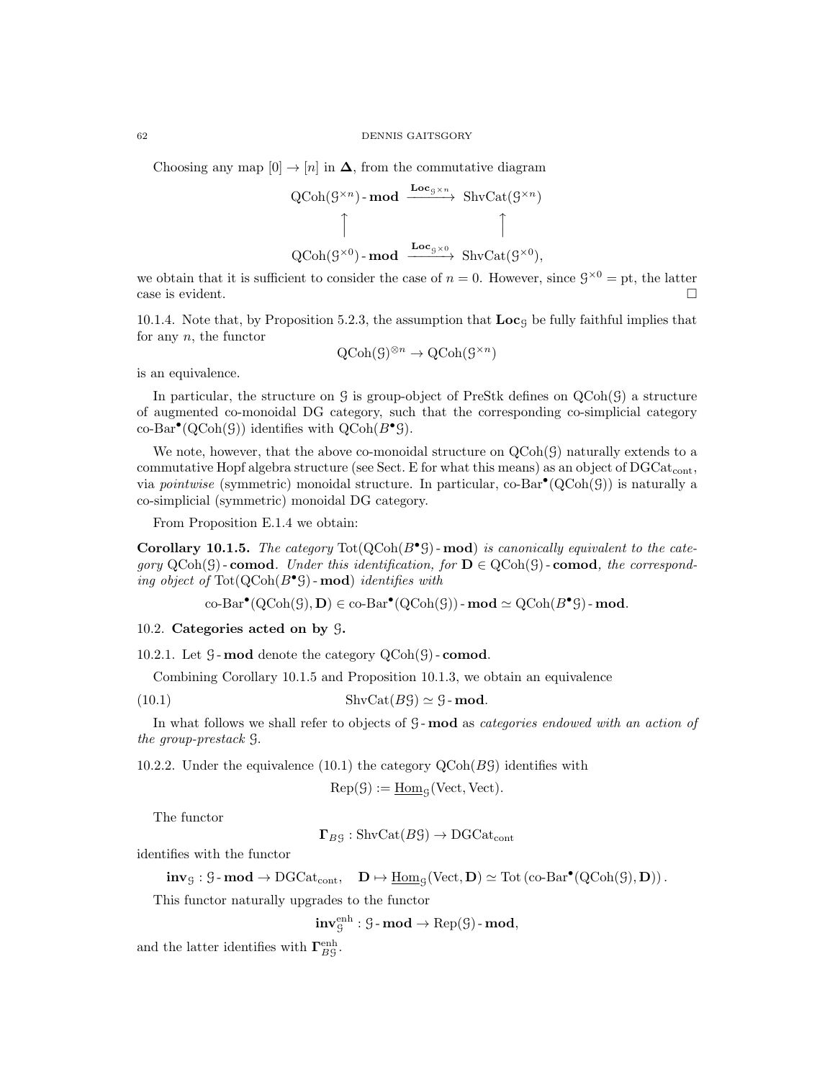#### 62 DENNIS GAITSGORY

Choosing any map  $[0] \rightarrow [n]$  in  $\Delta$ , from the commutative diagram

QCoh(
$$
\mathcal{G}^{\times n}
$$
)-**mod**  $\xrightarrow{\mathbf{Loc}_{\mathcal{G}^{\times n}}} \text{ShvCat}(\mathcal{G}^{\times n})$   
\n
$$
\uparrow \qquad \qquad \uparrow
$$
\nQCoh( $\mathcal{G}^{\times 0}$ )-**mod**  $\xrightarrow{\mathbf{Loc}_{\mathcal{G}^{\times 0}}} \text{ShvCat}(\mathcal{G}^{\times 0}),$ 

we obtain that it is sufficient to consider the case of  $n = 0$ . However, since  $\mathcal{G}^{\times 0} = \text{pt}$ , the latter case is evident.

10.1.4. Note that, by Proposition 5.2.3, the assumption that  $Loc<sub>g</sub>$  be fully faithful implies that for any  $n$ , the functor

$$
\mathrm{QCoh}(\mathcal{G})^{\otimes n} \to \mathrm{QCoh}(\mathcal{G}^{\times n})
$$

is an equivalence.

In particular, the structure on G is group-object of PreStk defines on QCoh(G) a structure of augmented co-monoidal DG category, such that the corresponding co-simplicial category  $\operatorname{co-Bar}^{\bullet}(\operatorname{QCoh}(\mathcal{G}))$  identifies with  $\operatorname{QCoh}(B^{\bullet}\mathcal{G})$ .

We note, however, that the above co-monoidal structure on  $QCoh(\mathcal{G})$  naturally extends to a commutative Hopf algebra structure (see Sect. E for what this means) as an object of  $DGCat_{cont}$ , via *pointwise* (symmetric) monoidal structure. In particular,  $\text{co-Bar}^{\bullet}(\text{QCoh}(\mathcal{G}))$  is naturally a co-simplicial (symmetric) monoidal DG category.

From Proposition E.1.4 we obtain:

Corollary 10.1.5. The category  $\text{Tot}(\text{QCoh}(B^{\bullet} \mathcal{G})$ -mod) is canonically equivalent to the category  $\mathrm{QCoh}(\mathcal{G})$  - comod. Under this identification, for  $\mathbf{D} \in \mathrm{QCoh}(\mathcal{G})$  - comod, the corresponding object of  $\text{Tot}(\text{QCoh}(B^{\bullet} \mathcal{G}) - \text{mod})$  identifies with

 $\operatorname{co-Bar}^{\bullet}(\operatorname{QCoh}(\mathcal{G}), \mathbf{D}) \in \operatorname{co-Bar}^{\bullet}(\operatorname{QCoh}(\mathcal{G}))$  -  $\operatorname{mod} \simeq \operatorname{QCoh}(B^{\bullet} \mathcal{G})$  -  $\operatorname{mod}.$ 

10.2. Categories acted on by G.

10.2.1. Let  $\mathcal G$ -mod denote the category  $\mathrm{QCoh}(\mathcal G)$ -comod.

Combining Corollary 10.1.5 and Proposition 10.1.3, we obtain an equivalence

(10.1) ShvCat( $B\mathcal{G}$ )  $\simeq$   $\mathcal{G}$ -mod.

In what follows we shall refer to objects of G-mod as *categories endowed with an action of* the group-prestack G.

10.2.2. Under the equivalence (10.1) the category  $Q\text{Coh}(B\mathcal{G})$  identifies with

$$
\operatorname{Rep}(\mathcal{G}):=\underline{\operatorname{Hom}}_{\mathcal{G}}(\operatorname{Vect},\operatorname{Vect}).
$$

The functor

 $\Gamma_{B}$ g : ShvCat $(B\mathcal{G}) \rightarrow \text{DGCat}_{cont}$ 

identifies with the functor

 $inv_{\mathcal{G}} : \mathcal{G}\text{-}\textbf{mod} \to \text{DGCat}_{cont}, \quad \mathbf{D} \mapsto \underline{\text{Hom}}_{\mathcal{G}}(\text{Vect}, \mathbf{D}) \simeq \text{Tot}(\text{co-Bar}^{\bullet}(\text{QCoh}(\mathcal{G}), \mathbf{D})).$ 

This functor naturally upgrades to the functor

 $\mathbf{inv}^\mathrm{enh}_\mathcal{G} : \mathcal{G}\text{-}\operatorname{\mathbf{mod}} \to \operatorname{Rep}(\mathcal{G})\text{-}\operatorname{\mathbf{mod}},$ 

and the latter identifies with  $\Gamma_{BG}^{\text{enh}}$ .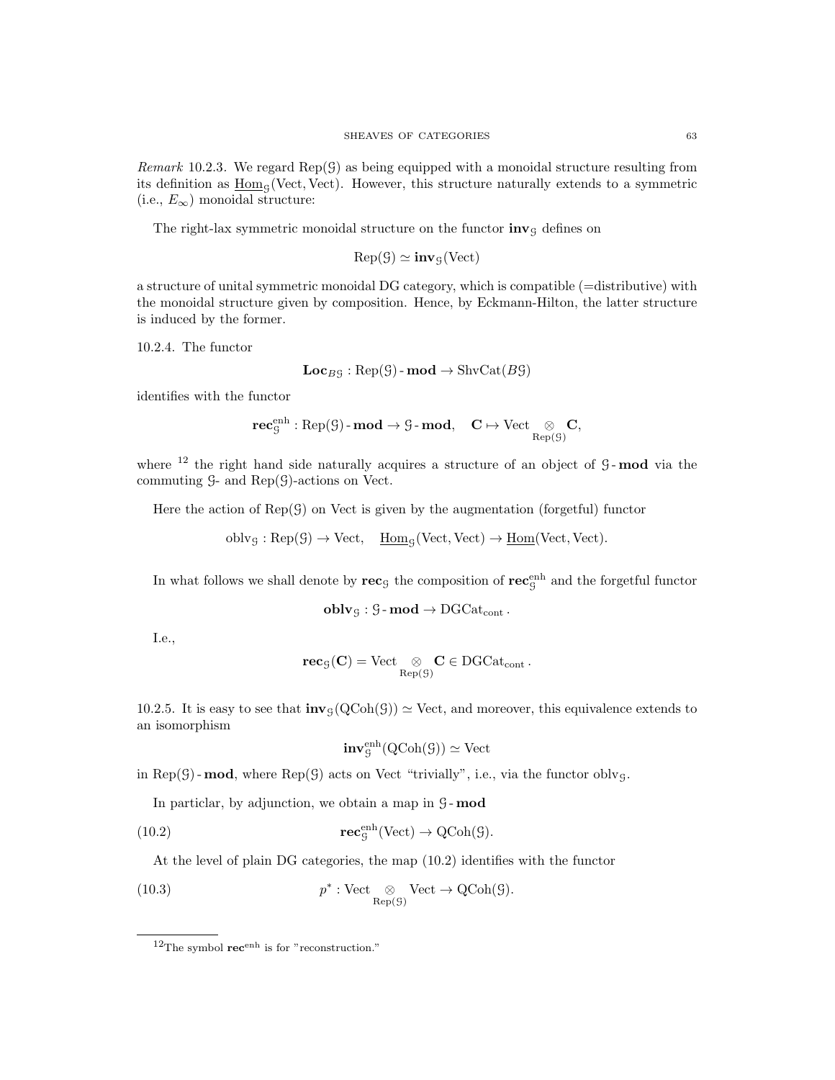Remark 10.2.3. We regard  $Rep(\mathcal{G})$  as being equipped with a monoidal structure resulting from its definition as  $\underline{Hom}_G(Vect, Vect)$ . However, this structure naturally extends to a symmetric (i.e.,  $E_{\infty}$ ) monoidal structure:

The right-lax symmetric monoidal structure on the functor  $\mathbf{inv}_\mathcal{G}$  defines on

$$
\operatorname{Rep}(\mathcal{G}) \simeq \mathbf{inv}_{\mathcal{G}}(\operatorname{Vect})
$$

a structure of unital symmetric monoidal DG category, which is compatible (=distributive) with the monoidal structure given by composition. Hence, by Eckmann-Hilton, the latter structure is induced by the former.

10.2.4. The functor

$$
Loc_{B\mathcal{G}} : \text{Rep}(\mathcal{G})\text{-}\mathbf{mod} \to \text{ShvCat}(B\mathcal{G})
$$

identifies with the functor

$$
\mathbf{rec}^\mathrm{enh}_\mathcal{G} : \mathrm{Rep}(\mathcal{G})\text{-}\mathbf{mod} \to \mathcal{G}\text{-}\mathbf{mod}, \quad \mathbf{C} \mapsto \mathrm{Vect} \underset{\mathrm{Rep}(\mathcal{G})}{\otimes} \mathbf{C},
$$

where  $12$  the right hand side naturally acquires a structure of an object of  $9$ -mod via the commuting  $G$ - and  $Rep(G)$ -actions on Vect.

Here the action of  $Rep(\mathcal{G})$  on Vect is given by the augmentation (forgetful) functor

 $oblvg : Rep(\mathcal{G}) \to Vect, \quad \underline{Hom}_{\mathcal{G}}(Vect, Vect) \to \underline{Hom}(Vect, Vect).$ 

In what follows we shall denote by  $\mathbf{rec}_\mathcal{G}$  the composition of  $\mathbf{rec}_\mathcal{G}^{\text{enh}}$  and the forgetful functor

$$
\mathbf{oblv}_{\mathcal{G}}: \mathcal{G}\text{-}\mathbf{mod} \to \mathrm{DGCat}_{\mathrm{cont}}\,.
$$

I.e.,

$$
\mathbf{rec}_{\mathcal{G}}(\mathbf{C}) = \mathrm{Vect} \underset{\mathrm{Rep}(\mathcal{G})}{\otimes} \mathbf{C} \in \mathrm{DGCat}_{\mathrm{cont}}\,.
$$

10.2.5. It is easy to see that  $inv_{\mathcal{G}}(QCoh(\mathcal{G})) \simeq$  Vect, and moreover, this equivalence extends to an isomorphism

$$
\mathbf{inv}_{\mathcal{G}}^{\mathrm{enh}}(\mathrm{QCoh}(\mathcal{G})) \simeq \mathrm{Vect}
$$

in Rep( $G$ ) - **mod**, where Rep( $G$ ) acts on Vect "trivially", i.e., via the functor oblyg.

In particlar, by adjunction, we obtain a map in  $G$ -mod

(10.2) 
$$
\mathbf{rec}_{\mathcal{G}}^{\text{enh}}(\text{Vect}) \to \text{QCoh}(\mathcal{G}).
$$

At the level of plain DG categories, the map (10.2) identifies with the functor

(10.3) 
$$
p^* : \text{Vect} \underset{\text{Rep}(\mathcal{G})}{\otimes} \text{Vect} \to \text{QCoh}(\mathcal{G}).
$$

 $12$ The symbol  $\mathbf{rec}^{\text{enh}}$  is for "reconstruction."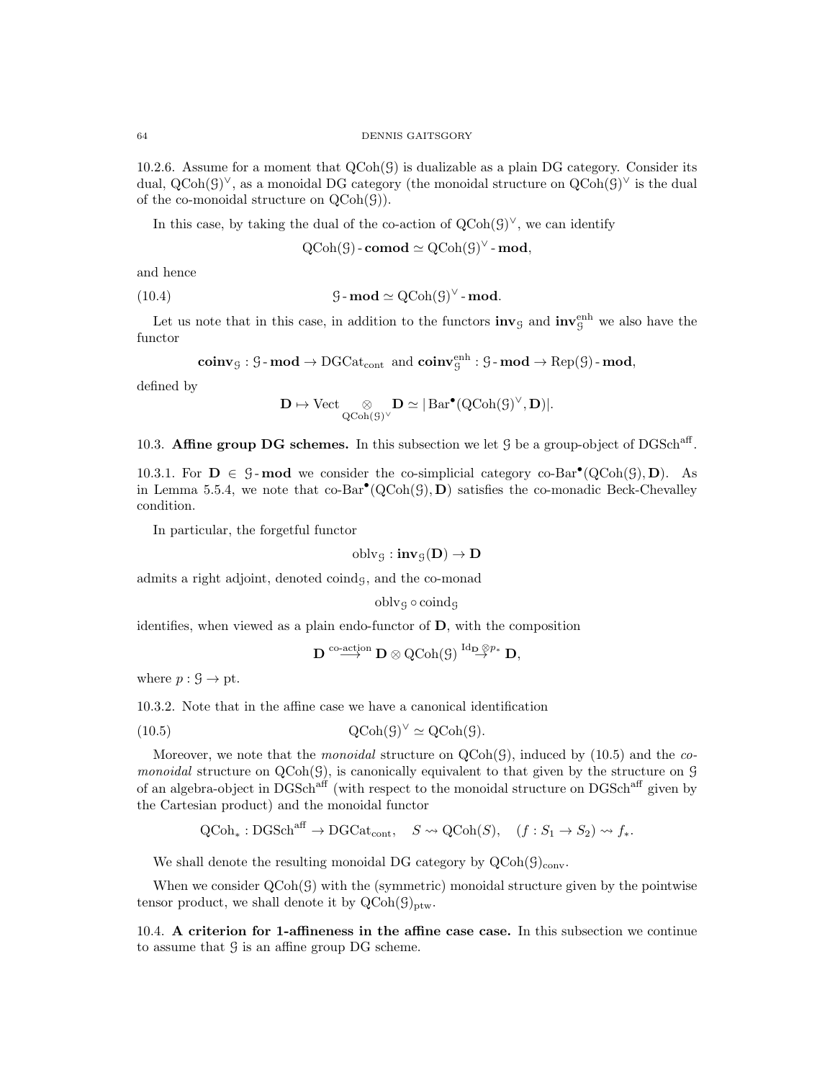10.2.6. Assume for a moment that  $QCoh(\mathcal{G})$  is dualizable as a plain DG category. Consider its dual,  $Q\text{Coh}(G)^{\vee}$ , as a monoidal DG category (the monoidal structure on  $Q\text{Coh}(G)^{\vee}$  is the dual of the co-monoidal structure on  $QCoh(\mathcal{G})$ .

In this case, by taking the dual of the co-action of  $QCoh(\mathcal{G})^{\vee}$ , we can identify

 $\operatorname{QCoh}(\mathcal{G})$  - comod  $\simeq \operatorname{QCoh}(\mathcal{G})^{\vee}$  - mod,

and hence

(10.4) 
$$
\mathcal{G}\text{-}\mathbf{mod}\simeq \mathrm{QCoh}(\mathcal{G})^{\vee}\text{-}\mathbf{mod}.
$$

Let us note that in this case, in addition to the functors  $\text{inv}_{\mathcal{G}}$  and  $\text{inv}_{\mathcal{G}}^{\text{enh}}$  we also have the functor

 $\mathbf{coinv}_{\mathcal{G}} : \mathcal{G}\text{-}\mathbf{mod} \to \text{DGCat}_{\text{cont}} \text{ and } \mathbf{coinv}_{\mathcal{G}}^{\text{enh}} : \mathcal{G}\text{-}\mathbf{mod} \to \text{Rep}(\mathcal{G})\text{-}\mathbf{mod},$ 

defined by

$$
\mathbf{D}\mapsto \mathrm{Vect}\underset{\mathrm{QCoh}(\mathcal{G})^{\vee}}{\otimes}\mathbf{D}\simeq |\operatorname{Bar}^{\bullet}(\mathrm{QCoh}(\mathcal{G})^{\vee},\mathbf{D})|.
$$

10.3. Affine group DG schemes. In this subsection we let  $\mathcal G$  be a group-object of DGSch<sup>aff</sup>.

10.3.1. For  $D \in \mathcal{G}$ -mod we consider the co-simplicial category co-Bar<sup>•</sup>(QCoh( $\mathcal{G}$ ), D). As in Lemma 5.5.4, we note that  $co-Bar^{\bullet}(QCoh(\mathcal{G}), D)$  satisfies the co-monadic Beck-Chevalley condition.

In particular, the forgetful functor

$$
\operatorname{oblv}_{\mathcal{G}}:\mathbf{inv}_{\mathcal{G}}(\mathbf{D})\rightarrow \mathbf{D}
$$

admits a right adjoint, denoted coindg, and the co-monad

$$
\operatorname{oblv}_{\mathcal{G}}\circ \operatorname{coind}_{\mathcal{G}}
$$

identifies, when viewed as a plain endo-functor of D, with the composition

$$
\mathbf{D} \stackrel{\text{co-action}}{\longrightarrow} \mathbf{D} \otimes \operatorname{QCoh}(\mathcal{G}) \stackrel{\text{Id}_{\mathbf{D}} \otimes p_*}{\longrightarrow} \mathbf{D},
$$

where  $p: \mathcal{G} \to \text{pt}$ .

10.3.2. Note that in the affine case we have a canonical identification

(10.5) 
$$
Q\text{Coh}(\mathcal{G})^{\vee} \simeq Q\text{Coh}(\mathcal{G}).
$$

Moreover, we note that the *monoidal* structure on  $QCoh(\mathcal{G})$ , induced by (10.5) and the *co*monoidal structure on  $QCoh(\mathcal{G})$ , is canonically equivalent to that given by the structure on  $\mathcal G$ of an algebra-object in DGSch<sup>aff</sup> (with respect to the monoidal structure on DGSch<sup>aff</sup> given by the Cartesian product) and the monoidal functor

$$
Q\text{Coh}_* : \text{DGSch}^{\text{aff}} \to \text{DGCat}_{\text{cont}}, \quad S \leadsto Q\text{Coh}(S), \quad (f : S_1 \to S_2) \leadsto f_*
$$

We shall denote the resulting monoidal DG category by  $Q\text{Coh}(G)_{\text{conv}}$ .

When we consider  $QCoh(\mathcal{G})$  with the (symmetric) monoidal structure given by the pointwise tensor product, we shall denote it by  $QCoh(\mathcal{G})_{ptw}$ .

10.4. A criterion for 1-affineness in the affine case case. In this subsection we continue to assume that  $\mathcal G$  is an affine group DG scheme.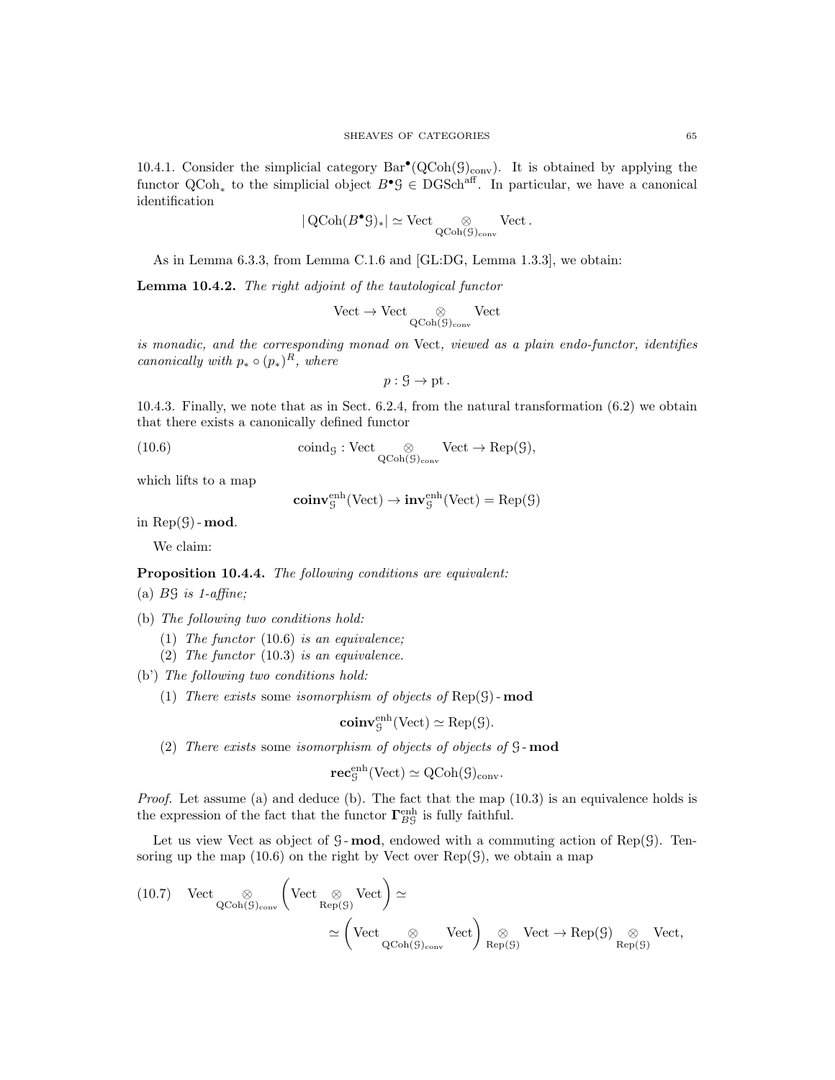10.4.1. Consider the simplicial category  $Bar^{\bullet}(QCoh(\mathcal{G})_{conv})$ . It is obtained by applying the functor  $QCoh_*$  to the simplicial object  $B^{\bullet} \mathcal{G} \in DGSch^{aff}$ . In particular, we have a canonical identification

$$
|\operatorname{QCoh}(B^{\bullet}\mathcal{G})_*|\simeq \operatorname{Vect} \underset{\operatorname{QCoh}(\mathcal{G})_{\operatorname{conv}}}{\otimes} \operatorname{Vect}.
$$

As in Lemma 6.3.3, from Lemma C.1.6 and [GL:DG, Lemma 1.3.3], we obtain:

Lemma 10.4.2. The right adjoint of the tautological functor

$$
\mathrm{Vect}\to\mathrm{Vect}\underset{\mathrm{QCoh}(\mathcal{G})_{\mathrm{conv}}}{\otimes}\mathrm{Vect}
$$

is monadic, and the corresponding monad on Vect, viewed as a plain endo-functor, identifies canonically with  $p_* \circ (p_*)^R$ , where

$$
p: \mathcal{G} \to \mathrm{pt}.
$$

10.4.3. Finally, we note that as in Sect. 6.2.4, from the natural transformation (6.2) we obtain that there exists a canonically defined functor

(10.6) 
$$
\text{coind}_{\mathcal{G}} : \text{Vect} \underset{\text{QCoh}(\mathcal{G})_{\text{conv}}} {\otimes} \text{Vect} \to \text{Rep}(\mathcal{G}),
$$

which lifts to a map

$$
\mathbf{coinv}^\mathrm{enh}_\mathcal{G}(\mathrm{Vect}) \to \mathbf{inv}^\mathrm{enh}_\mathcal{G}(\mathrm{Vect}) = \mathrm{Rep}(\mathcal{G})
$$

in  $Rep(\mathcal{G})$  - mod.

We claim:

# Proposition 10.4.4. The following conditions are equivalent:

- (a)  $BS$  is 1-affine;
- (b) The following two conditions hold:
	- (1) The functor  $(10.6)$  is an equivalence;
	- (2) The functor (10.3) is an equivalence.

(b') The following two conditions hold:

(1) There exists some isomorphism of objects of  $Rep(\mathcal{G})$ -mod

$$
\mathbf{coinv}_{\mathcal{G}}^{\mathrm{enh}}(\mathrm{Vect}) \simeq \mathrm{Rep}(\mathcal{G}).
$$

(2) There exists some isomorphism of objects of objects of  $G$ -mod

$$
\mathbf{rec}_{\mathcal{G}}^{\text{enh}}(\text{Vect}) \simeq \text{QCoh}(\mathcal{G})_{\text{conv}}.
$$

Proof. Let assume (a) and deduce (b). The fact that the map (10.3) is an equivalence holds is the expression of the fact that the functor  $\Gamma_{BS}^{\text{enh}}$  is fully faithful.

Let us view Vect as object of  $G$ -mod, endowed with a commuting action of Rep( $G$ ). Tensoring up the map  $(10.6)$  on the right by Vect over Rep $(\mathcal{G})$ , we obtain a map

(10.7) Vect 
$$
\underset{QCoh(\mathcal{G})_{\text{conv}}}{\otimes} \left( \text{Vect} \underset{Rep(\mathcal{G})}{\otimes} \text{Vect} \right) \simeq
$$
  

$$
\simeq \left( \text{Vect} \underset{QCoh(\mathcal{G})_{\text{conv}}}{\otimes} \text{Vect} \right) \underset{Rep(\mathcal{G})}{\otimes} \text{Vect} \to \text{Rep}(\mathcal{G}) \underset{Rep(\mathcal{G})}{\otimes} \text{Vect},
$$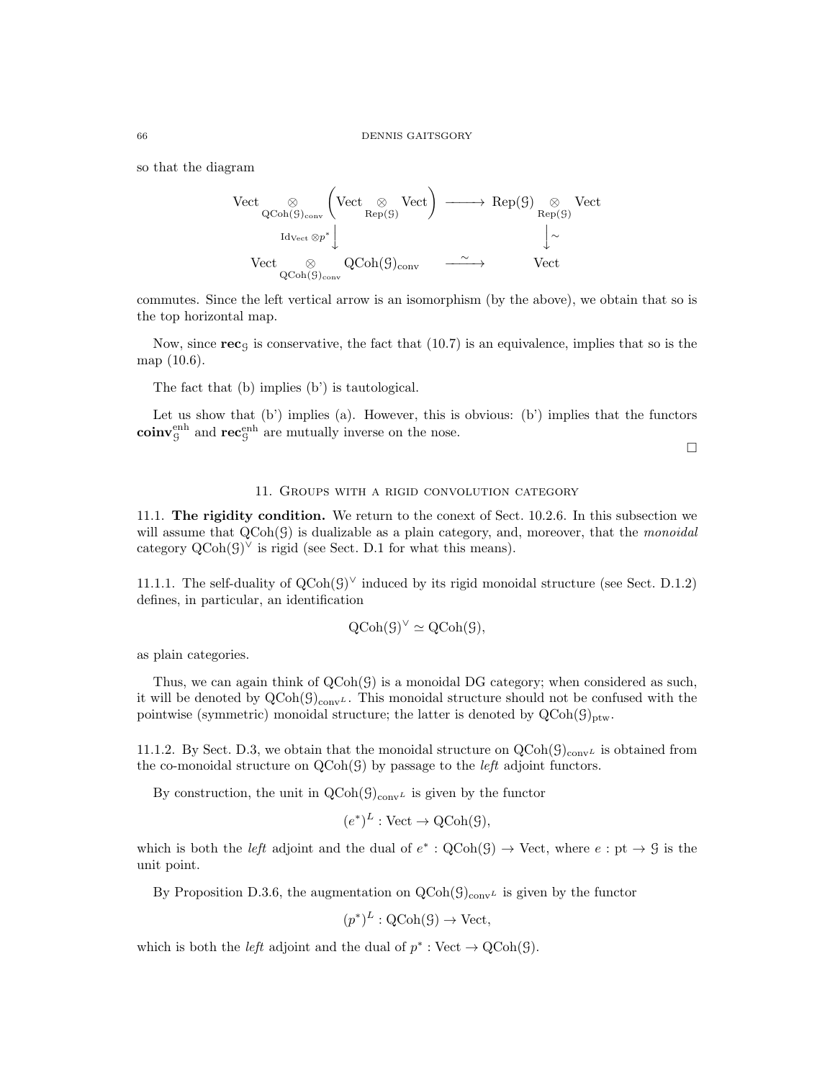so that the diagram

$$
\begin{array}{ccc}\n\text{Vect} & \underset{\mathrm{QCoh}(\mathcal{G})_{\mathrm{conv}}}{\otimes} \left( \text{Vect} & \underset{\mathrm{Rep}(\mathcal{G})}{\otimes} \text{Vect} \right) & \longrightarrow & \text{Rep}(\mathcal{G}) \underset{\mathrm{Rep}(\mathcal{G})}{\otimes} \text{Vect} \\
& \text{Id}_{\text{Vect}} \otimes p^* & & \downarrow \sim \\
& \text{Vect} & \underset{\mathrm{QCoh}(\mathcal{G})_{\mathrm{conv}}}{\otimes} & \text{QCoh}(\mathcal{G})_{\mathrm{conv}} & \xrightarrow{\sim} & \text{Vect}\n\end{array}
$$

commutes. Since the left vertical arrow is an isomorphism (by the above), we obtain that so is the top horizontal map.

Now, since  $\text{rec}_{G}$  is conservative, the fact that (10.7) is an equivalence, implies that so is the map (10.6).

The fact that (b) implies (b') is tautological.

Let us show that (b') implies (a). However, this is obvious: (b') implies that the functors  $\mathbf{coinv}_{\mathcal{G}}^{\text{enh}}$  and  $\mathbf{rec}_{\mathcal{G}}^{\text{enh}}$  are mutually inverse on the nose.

 $\Box$ 

#### 11. Groups with a rigid convolution category

11.1. The rigidity condition. We return to the conext of Sect. 10.2.6. In this subsection we will assume that  $Q\text{Coh}(\mathcal{G})$  is dualizable as a plain category, and, moreover, that the *monoidal* category  $Q\text{Coh}(\mathcal{G})^{\vee}$  is rigid (see Sect. D.1 for what this means).

11.1.1. The self-duality of  $Q\text{Coh}(G)^{\vee}$  induced by its rigid monoidal structure (see Sect. D.1.2) defines, in particular, an identification

$$
\mathrm{QCoh}(\mathcal{G})^{\vee} \simeq \mathrm{QCoh}(\mathcal{G}),
$$

as plain categories.

Thus, we can again think of  $QCoh(\mathcal{G})$  is a monoidal DG category; when considered as such, it will be denoted by  $QCoh(\mathcal{G})_{conv}\text{L}$ . This monoidal structure should not be confused with the pointwise (symmetric) monoidal structure; the latter is denoted by  $QCoh(\mathcal{G})_{\text{ptw}}$ .

11.1.2. By Sect. D.3, we obtain that the monoidal structure on  $QCoh(\mathcal{G})_{conv}$  is obtained from the co-monoidal structure on  $Q\text{Coh}(\mathcal{G})$  by passage to the *left* adjoint functors.

By construction, the unit in  $QCoh(\mathcal{G})_{conv}$  is given by the functor

$$
(e^*)^L : \text{Vect} \to \text{QCoh}(\mathcal{G}),
$$

which is both the *left* adjoint and the dual of  $e^* : \text{QCoh}(\mathcal{G}) \to \text{Vect}$ , where  $e : \text{pt} \to \mathcal{G}$  is the unit point.

By Proposition D.3.6, the augmentation on  $QCoh(\mathcal{G})_{conv}$  is given by the functor

$$
(p^*)^L
$$
:  $QCoh(\mathcal{G}) \rightarrow Vect$ ,

which is both the *left* adjoint and the dual of  $p^* : Vect \to QCoh(\mathcal{G})$ .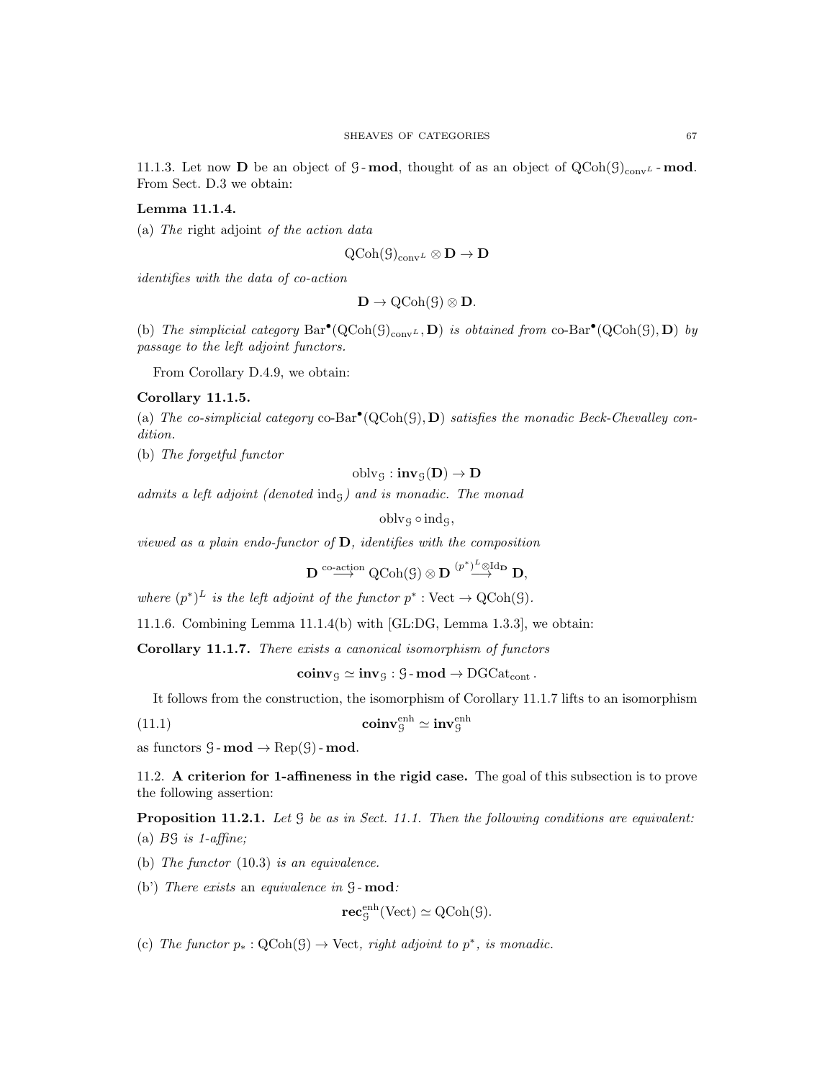11.1.3. Let now **D** be an object of G-mod, thought of as an object of  $QCoh(\mathcal{G})_{conv}$ -mod. From Sect. D.3 we obtain:

# Lemma 11.1.4.

(a) The right adjoint of the action data

$$
\mathrm{QCoh}(\mathcal{G})_{\mathrm{conv}^L}\otimes \mathbf{D}\to \mathbf{D}
$$

identifies with the data of co-action

$$
\mathbf{D}\to \operatorname{QCoh}(\mathcal G)\otimes \mathbf{D}.
$$

(b) The simplicial category  $Bar^{\bullet}(QCoh(\mathcal{G})_{conv^L}, \mathbf{D})$  is obtained from co-Bar<sup> $\bullet$ </sup>( $QCoh(\mathcal{G})$ ,  $\mathbf{D}$ ) by passage to the left adjoint functors.

From Corollary D.4.9, we obtain:

# Corollary 11.1.5.

(a) The co-simplicial category  $co-Bar^{\bullet}(QCoh(\mathcal{G}), D)$  satisfies the monadic Beck-Chevalley condition.

(b) The forgetful functor

$$
\operatorname{oblv}_{\mathcal{G}}:\mathbf{inv}_{\mathcal{G}}(\mathbf{D})\rightarrow \mathbf{D}
$$

admits a left adjoint (denoted indg) and is monadic. The monad

 $oblvq \circ indq,$ 

viewed as a plain endo-functor of  $D$ , identifies with the composition

 $\mathbf{D} \overset{\text{co-action}}{\longrightarrow} \text{QCoh}(\mathcal{G}) \otimes \mathbf{D} \overset{(p^*)^L \otimes \text{Id}_\mathbf{D}}{\longrightarrow} \mathbf{D},$ 

where  $(p^*)^L$  is the left adjoint of the functor  $p^* : \text{Vect} \to \text{QCoh}(\mathcal{G})$ .

11.1.6. Combining Lemma 11.1.4(b) with [GL:DG, Lemma 1.3.3], we obtain:

Corollary 11.1.7. There exists a canonical isomorphism of functors

 $\mathbf{coinv}_{\mathcal{G}} \simeq \mathbf{inv}_{\mathcal{G}} : \mathcal{G}\text{-}\mathbf{mod} \to \mathrm{DGCat}_{\mathrm{cont}}$ .

It follows from the construction, the isomorphism of Corollary 11.1.7 lifts to an isomorphism

(11.1) coinv ${}_{\mathcal{G}}^{\text{enh}} \simeq \text{inv}_{\mathcal{G}}^{\text{enh}}$ 

as functors  $\mathcal{G}$ -mod  $\rightarrow$  Rep( $\mathcal{G}$ )-mod.

11.2. A criterion for 1-affineness in the rigid case. The goal of this subsection is to prove the following assertion:

Proposition 11.2.1. Let  $\mathcal G$  be as in Sect. 11.1. Then the following conditions are equivalent: (a)  $B\mathcal{G}$  is 1-affine;

(b) The functor (10.3) is an equivalence.

(b') There exists an equivalence in  $\mathcal{G}\text{-}\mathbf{mod}$ :

$$
\mathbf{rec}^{\mathrm{enh}}_{\mathcal{G}}(\mathrm{Vect}) \simeq \mathrm{QCoh}(\mathcal{G}).
$$

(c) The functor  $p_*: \text{QCoh}(\mathcal{G}) \to \text{Vect}$ , right adjoint to  $p^*$ , is monadic.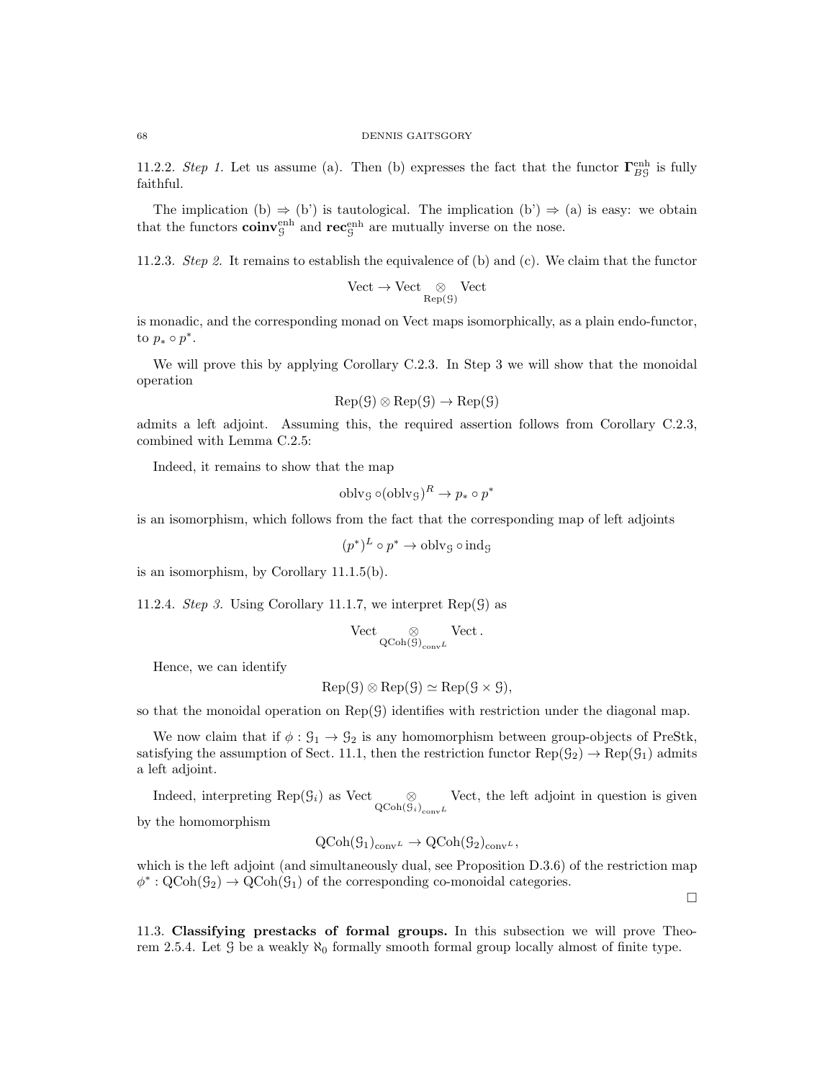11.2.2. Step 1. Let us assume (a). Then (b) expresses the fact that the functor  $\Gamma_{BG}^{\text{enh}}$  is fully faithful.

The implication (b)  $\Rightarrow$  (b') is tautological. The implication (b')  $\Rightarrow$  (a) is easy: we obtain that the functors  $\mathbf{coinv}_{\mathcal{G}}^{\text{enh}}$  and  $\mathbf{rec}_{\mathcal{G}}^{\text{enh}}$  are mutually inverse on the nose.

11.2.3. Step 2. It remains to establish the equivalence of (b) and (c). We claim that the functor

$$
\mathrm{Vect} \to \mathrm{Vect} \underset{\mathrm{Rep}(\mathcal{G})}{\otimes} \mathrm{Vect}
$$

is monadic, and the corresponding monad on Vect maps isomorphically, as a plain endo-functor, to  $p_* \circ p^*$ .

We will prove this by applying Corollary C.2.3. In Step 3 we will show that the monoidal operation

$$
Rep(\mathcal{G}) \otimes Rep(\mathcal{G}) \to Rep(\mathcal{G})
$$

admits a left adjoint. Assuming this, the required assertion follows from Corollary C.2.3, combined with Lemma C.2.5:

Indeed, it remains to show that the map

$$
\text{oblvg}\circ(\text{oblvg})^R\to p_*\circ p^*
$$

is an isomorphism, which follows from the fact that the corresponding map of left adjoints

$$
(p^*)^L \circ p^* \to \text{oblvg} \circ \text{indg}
$$

is an isomorphism, by Corollary 11.1.5(b).

11.2.4. Step 3. Using Corollary 11.1.7, we interpret  $\text{Rep}(\mathcal{G})$  as

$$
\mathrm{Vect} \underset{\mathrm{QCoh}(\mathcal{G})_{\mathrm{conv}L}}{\otimes} \mathrm{Vect}\,.
$$

Hence, we can identify

$$
Rep(\mathcal{G}) \otimes Rep(\mathcal{G}) \simeq Rep(\mathcal{G} \times \mathcal{G}),
$$

so that the monoidal operation on  $\text{Rep}(\mathcal{G})$  identifies with restriction under the diagonal map.

We now claim that if  $\phi: \mathcal{G}_1 \to \mathcal{G}_2$  is any homomorphism between group-objects of PreStk, satisfying the assumption of Sect. 11.1, then the restriction functor  $\text{Rep}(\mathcal{G}_2) \to \text{Rep}(\mathcal{G}_1)$  admits a left adjoint.

Indeed, interpreting Rep( $\mathcal{G}_i$ ) as Vect  $\otimes_{\text{QCoh}(\mathcal{G}_i)_{\text{conv}}L}$ Vect, the left adjoint in question is given

by the homomorphism

$$
Q\text{Coh}(G_1)_{\text{conv}^L} \to Q\text{Coh}(G_2)_{\text{conv}^L},
$$

which is the left adjoint (and simultaneously dual, see Proposition D.3.6) of the restriction map  $\phi^*: \text{QCoh}(\mathcal{G}_2) \to \text{QCoh}(\mathcal{G}_1)$  of the corresponding co-monoidal categories.

 $\Box$ 

11.3. Classifying prestacks of formal groups. In this subsection we will prove Theorem 2.5.4. Let G be a weakly  $\aleph_0$  formally smooth formal group locally almost of finite type.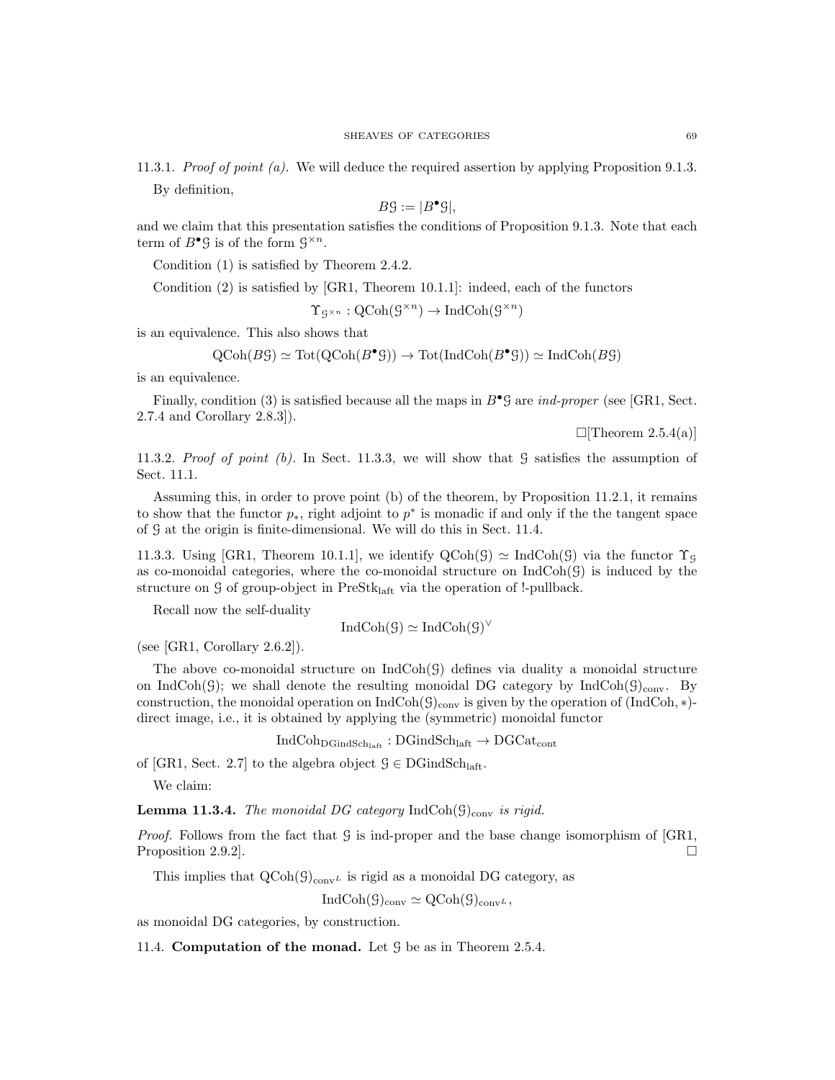11.3.1. *Proof of point (a).* We will deduce the required assertion by applying Proposition 9.1.3. By definition,

$$
B\mathcal{G} := |B^{\bullet}\mathcal{G}|,
$$

and we claim that this presentation satisfies the conditions of Proposition 9.1.3. Note that each term of  $B^{\bullet} \mathcal{G}$  is of the form  $\mathcal{G}^{\times n}$ .

Condition (1) is satisfied by Theorem 2.4.2.

Condition (2) is satisfied by [GR1, Theorem 10.1.1]: indeed, each of the functors

$$
\Upsilon_{\mathcal{G}^{\times n}} : \mathrm{QCoh}(\mathcal{G}^{\times n}) \to \mathrm{IndCoh}(\mathcal{G}^{\times n})
$$

is an equivalence. This also shows that

$$
\text{QCoh}(B\mathcal{G}) \simeq \text{Tot}(\text{QCoh}(B^{\bullet}\mathcal{G})) \to \text{Tot}(\text{IndCoh}(B^{\bullet}\mathcal{G})) \simeq \text{IndCoh}(B\mathcal{G})
$$

is an equivalence.

Finally, condition (3) is satisfied because all the maps in  $B^{\bullet} \mathcal{G}$  are *ind-proper* (see [GR1, Sect. 2.7.4 and Corollary 2.8.3]).

 $\Box$ [Theorem 2.5.4(a)]

11.3.2. Proof of point  $(b)$ . In Sect. 11.3.3, we will show that G satisfies the assumption of Sect. 11.1.

Assuming this, in order to prove point (b) of the theorem, by Proposition 11.2.1, it remains to show that the functor  $p_*$ , right adjoint to  $p^*$  is monadic if and only if the the tangent space of G at the origin is finite-dimensional. We will do this in Sect. 11.4.

11.3.3. Using [GR1, Theorem 10.1.1], we identify  $QCoh(\mathcal{G}) \simeq IndCoh(\mathcal{G})$  via the functor  $\Upsilon_{\mathcal{G}}$ as co-monoidal categories, where the co-monoidal structure on  $IndCoh(\mathcal{G})$  is induced by the structure on  $\mathcal G$  of group-object in PreSt $k_{\text{left}}$  via the operation of !-pullback.

Recall now the self-duality

$$
IndCoh(\mathcal{G}) \simeq IndCoh(\mathcal{G})^{\vee}
$$

(see [GR1, Corollary  $2.6.2$ ]).

The above co-monoidal structure on  $IndCoh(\mathcal{G})$  defines via duality a monoidal structure on IndCoh( $\mathcal{G}$ ); we shall denote the resulting monoidal DG category by IndCoh( $\mathcal{G}$ )<sub>conv</sub>. By construction, the monoidal operation on  $IndCoh(\mathcal{G})_{conv}$  is given by the operation of  $(IndCoh, *)$ direct image, i.e., it is obtained by applying the (symmetric) monoidal functor

 $IndCoh<sub>DGindSch<sub>laff</sub></sub> : DGindSch<sub>laff</sub> \rightarrow DGCat<sub>cont</sub>$ 

of [GR1, Sect. 2.7] to the algebra object  $\mathcal{G} \in \text{DGindSch}_{\text{laff}}$ .

We claim:

**Lemma 11.3.4.** The monoidal DG category IndCoh( $\mathcal{G}$ )<sub>conv</sub> is rigid.

*Proof.* Follows from the fact that G is ind-proper and the base change isomorphism of  $[GR1,$ Proposition 2.9.2].

This implies that  $QCoh(\mathcal{G})_{conv}$  is rigid as a monoidal DG category, as

$$
\operatorname{IndCoh}(\mathcal{G})_{\operatorname{conv}} \simeq \operatorname{QCoh}(\mathcal{G})_{\operatorname{conv}^L},
$$

as monoidal DG categories, by construction.

11.4. Computation of the monad. Let  $\mathcal G$  be as in Theorem 2.5.4.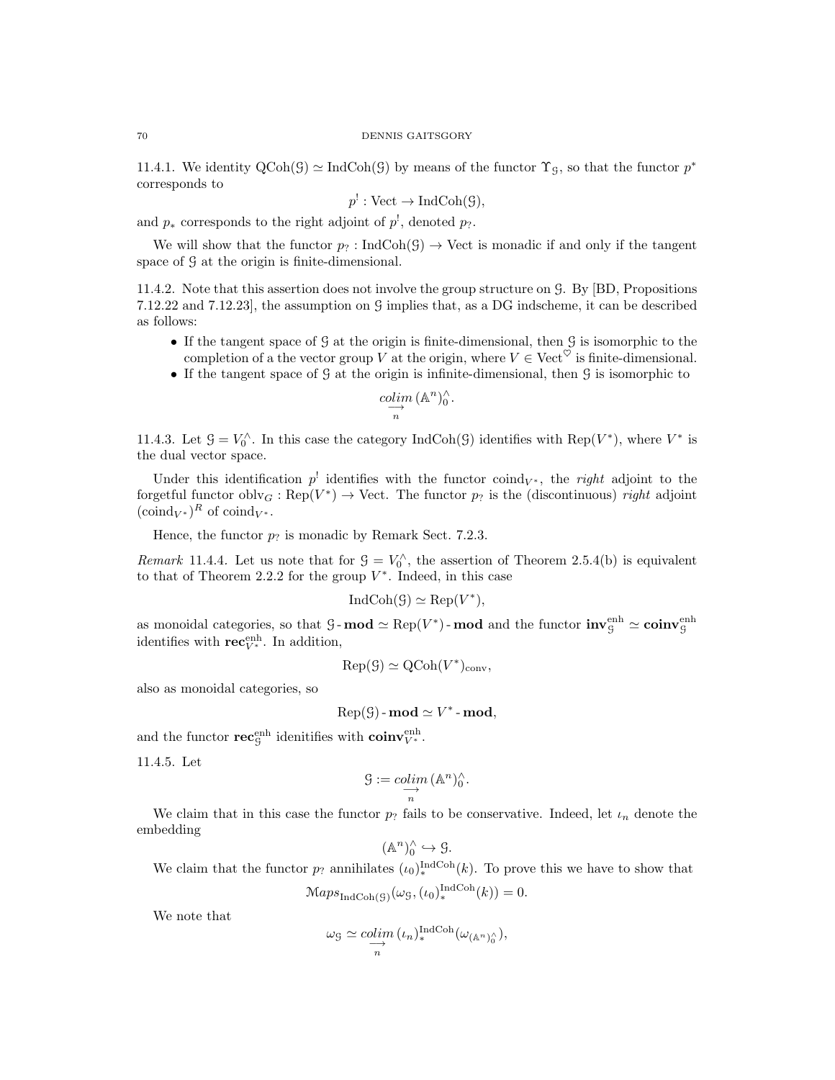11.4.1. We identity  $\text{QCoh}(\mathcal{G}) \simeq \text{IndCoh}(\mathcal{G})$  by means of the functor  $\Upsilon_{\mathcal{G}}$ , so that the functor  $p^*$ corresponds to

$$
p^!: \text{Vect} \to \text{IndCoh}(\mathcal{G}),
$$

and  $p_*$  corresponds to the right adjoint of  $p^!,$  denoted  $p_?$ .

We will show that the functor  $p_2$ : IndCoh(G)  $\rightarrow$  Vect is monadic if and only if the tangent space of  $\mathcal G$  at the origin is finite-dimensional.

11.4.2. Note that this assertion does not involve the group structure on G. By [BD, Propositions 7.12.22 and 7.12.23], the assumption on G implies that, as a DG indscheme, it can be described as follows:

- If the tangent space of G at the origin is finite-dimensional, then G is isomorphic to the completion of a the vector group V at the origin, where  $V \in \text{Vect}^{\heartsuit}$  is finite-dimensional.
- If the tangent space of G at the origin is infinite-dimensional, then G is isomorphic to

$$
\underset{n}{\overset{colim}{\longrightarrow}} (\mathbb{A}^n)_0^{\wedge}.
$$

11.4.3. Let  $\mathcal{G} = V_0^{\wedge}$ . In this case the category IndCoh( $\mathcal{G}$ ) identifies with Rep( $V^*$ ), where  $V^*$  is the dual vector space.

Under this identification  $p^!$  identifies with the functor coind<sub>V<sup>\*</sup></sub>, the *right* adjoint to the forgetful functor  $oblv_G : Rep(V^*) \to Vect$ . The functor  $p_?$  is the (discontinuous) right adjoint  $(\text{coind}_{V^*})^R$  of  $\text{coind}_{V^*}$ .

Hence, the functor  $p_?$  is monadic by Remark Sect. 7.2.3.

Remark 11.4.4. Let us note that for  $\mathcal{G} = V_0^{\wedge}$ , the assertion of Theorem 2.5.4(b) is equivalent to that of Theorem 2.2.2 for the group  $V^*$ . Indeed, in this case

$$
IndCoh(\mathcal{G}) \simeq Rep(V^*),
$$

as monoidal categories, so that  $\mathcal{G}$ -mod  $\simeq \text{Rep}(V^*)$ -mod and the functor  $\text{inv}_{\mathcal{G}}^{\text{enh}} \simeq \text{coinv}_{\mathcal{G}}^{\text{enh}}$ identifies with  $\mathbf{rec}_{V^*}^{\text{enh}}$ . In addition,

$$
Rep(\mathcal{G}) \simeq QCoh(V^*)_{conv},
$$

also as monoidal categories, so

$$
Rep(\mathcal{G})\text{-}\mathbf{mod} \simeq V^*\text{-}\mathbf{mod},
$$

and the functor  $\mathbf{rec}_{\mathcal{G}}^{\text{enh}}$  idenitifies with  $\mathbf{coinv}_{V^*}^{\text{enh}}$ .

11.4.5. Let

$$
\mathcal{G} := \underset{n}{\underset{n}{\text{colim}}} (\mathbb{A}^n)_0^{\wedge}.
$$

We claim that in this case the functor  $p_?$  fails to be conservative. Indeed, let  $\iota_n$  denote the embedding

$$
(\mathbb{A}^n)_0^\wedge \hookrightarrow \mathcal{G}.
$$

We claim that the functor  $p_?$  annihilates  $(\iota_0)_*^{\text{IndCoh}}(k)$ . To prove this we have to show that

$$
\mathcal{M}aps_{\text{IndCoh}(\mathcal{G})}(\omega_{\mathcal{G}}, (\iota_0)^{\text{IndCoh}}_*(k)) = 0.
$$

We note that

$$
\omega_{\mathcal{G}} \simeq \underset{n}{\underset{n}{\text{colim}}} (\iota_n)_*^{\text{IndCoh}}(\omega_{(\mathbb{A}^n)_0^\wedge}),
$$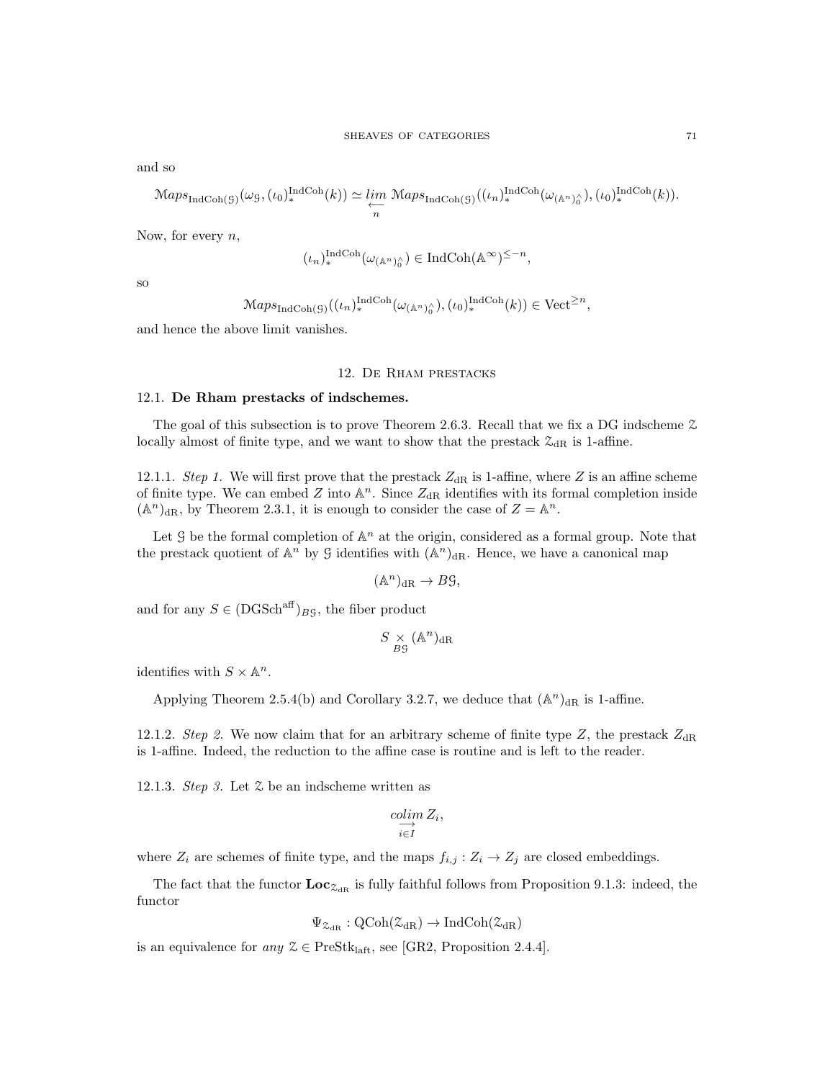and so

$$
\mathrm{Maps}_{\mathrm{IndCoh}(\mathcal{G})}(\omega_{\mathcal{G}},(\iota_0)_*^{\mathrm{IndCoh}}(k)) \simeq \varprojlim_n \mathrm{Maps}_{\mathrm{IndCoh}(\mathcal{G})}((\iota_n)_*^{\mathrm{IndCoh}}(\omega_{(\mathbb{A}^n)_0^\wedge}), (\iota_0)_*^{\mathrm{IndCoh}}(k)).
$$

Now, for every  $n$ ,

$$
(\iota_n)_*^{\mathrm{IndCoh}}(\omega_{(\mathbb{A}^n)_0^\wedge}) \in \mathrm{IndCoh}(\mathbb{A}^\infty)^{\leq -n},
$$

so

$$
\mathcal{M}aps_{\mathrm{IndCoh}(\mathcal{G})}((\iota_n)_*^{\mathrm{IndCoh}}(\omega_{(\mathbb{A}^n)_0^\wedge}), (\iota_0)_*^{\mathrm{IndCoh}}(k)) \in \mathrm{Vect}^{\geq n},
$$

and hence the above limit vanishes.

#### 12. De Rham prestacks

#### 12.1. De Rham prestacks of indschemes.

The goal of this subsection is to prove Theorem 2.6.3. Recall that we fix a DG indscheme Z locally almost of finite type, and we want to show that the prestack  $\mathcal{Z}_{dR}$  is 1-affine.

12.1.1. Step 1. We will first prove that the prestack  $Z_{dR}$  is 1-affine, where Z is an affine scheme of finite type. We can embed  $Z$  into  $\mathbb{A}^n$ . Since  $Z_{dR}$  identifies with its formal completion inside  $(A^n)_{\text{dR}}$ , by Theorem 2.3.1, it is enough to consider the case of  $Z = A^n$ .

Let  $\mathcal G$  be the formal completion of  $\mathbb A^n$  at the origin, considered as a formal group. Note that the prestack quotient of  $\mathbb{A}^n$  by G identifies with  $(\mathbb{A}^n)_{\text{dR}}$ . Hence, we have a canonical map

$$
(\mathbb{A}^n)_{\mathrm{dR}} \to B\mathcal{G},
$$

and for any  $S \in (DGSch^{aff})_{B}$ <sub>G</sub>, the fiber product

$$
S \underset{B\mathcal{G}}{\times} (\mathbb{A}^n)_{\mathrm{dR}}
$$

identifies with  $S \times \mathbb{A}^n$ .

Applying Theorem 2.5.4(b) and Corollary 3.2.7, we deduce that  $(\mathbb{A}^n)_{\text{dR}}$  is 1-affine.

12.1.2. Step 2. We now claim that for an arbitrary scheme of finite type Z, the prestack  $Z_{\text{dR}}$ is 1-affine. Indeed, the reduction to the affine case is routine and is left to the reader.

12.1.3. *Step 3*. Let  $\mathcal Z$  be an indscheme written as

$$
\underset{i\in I}{\underset{i\in I}{colim}} Z_i,
$$

where  $Z_i$  are schemes of finite type, and the maps  $f_{i,j}: Z_i \to Z_j$  are closed embeddings.

The fact that the functor  $\text{Loc}_{z_{\text{dR}}}$  is fully faithful follows from Proposition 9.1.3: indeed, the functor

$$
\Psi_{\mathcal{Z}_{\mathrm{dR}}} : \mathrm{QCoh}(\mathcal{Z}_{\mathrm{dR}}) \to \mathrm{IndCoh}(\mathcal{Z}_{\mathrm{dR}})
$$

is an equivalence for any  $\mathcal{Z} \in \text{PreStk}_{\text{laff}},$  see [GR2, Proposition 2.4.4].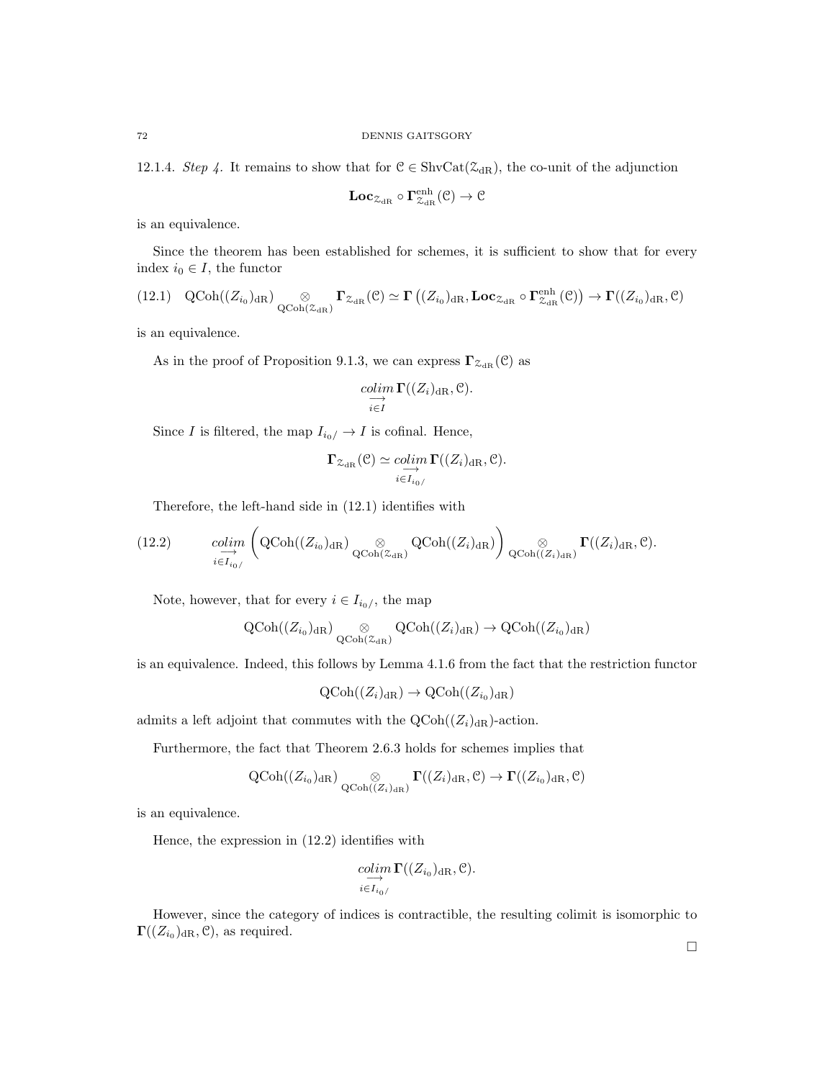12.1.4. Step 4. It remains to show that for  $C \in ShvCat(\mathcal{Z}_{dR})$ , the co-unit of the adjunction

$$
\mathbf{Loc}_{\mathcal{Z}_{\mathrm{dR}}}\circ\Gamma^{\mathrm{enh}}_{\mathcal{Z}_{\mathrm{dR}}}(\mathcal{C})\rightarrow \mathcal{C}
$$

is an equivalence.

Since the theorem has been established for schemes, it is sufficient to show that for every index  $i_0 \in I$ , the functor

$$
(12.1) \quad \mathrm{QCoh}((Z_{i_0})_{\mathrm{dR}}) \underset{\mathrm{QCoh}(\mathcal{Z}_{\mathrm{dR}})}{\otimes} \Gamma_{\mathcal{Z}_{\mathrm{dR}}}(\mathcal{C}) \simeq \Gamma\left((Z_{i_0})_{\mathrm{dR}}, \mathbf{Loc}_{\mathcal{Z}_{\mathrm{dR}}}\circ \mathbf{\Gamma}_{\mathcal{Z}_{\mathrm{dR}}}^{\mathrm{enh}}(\mathcal{C})\right) \to \Gamma((Z_{i_0})_{\mathrm{dR}}, \mathcal{C})
$$

is an equivalence.

As in the proof of Proposition 9.1.3, we can express  $\Gamma_{\mathcal{Z}_{\text{dR}}}(\mathcal{C})$  as

$$
\underset{i\in I}{\underset{i\in I}{colim}}\Gamma((Z_i)_{\rm dR},\mathcal{C}).
$$

Since  $I$  is filtered, the map  $I_{i_0/}\rightarrow I$  is cofinal. Hence,

$$
\Gamma_{\mathcal{Z}_{\mathrm{dR}}}(\mathcal{C}) \simeq \underset{i \in I_{i_0/}}{\underset{i \in I_{i_0/}}{\longrightarrow}} \Gamma((Z_i)_{\mathrm{dR}}, \mathcal{C}).
$$

Therefore, the left-hand side in (12.1) identifies with

(12.2) 
$$
\underset{i \in I_{i_0/}}{\text{colim}} \left( \text{QCoh}((Z_{i_0})_{dR}) \underset{\text{QCoh}(\mathcal{Z}_{dR})}{\otimes} \text{QCoh}((Z_i)_{dR}) \right) \underset{\text{QCoh}((Z_i)_{dR})}{\otimes} \Gamma((Z_i)_{dR}, \mathcal{C}).
$$

Note, however, that for every  $i \in I_{i_0/}$ , the map

$$
\operatorname{QCoh}((Z_{i_0})_{\operatorname{dR}}) \underset{\operatorname{QCoh}(\mathcal{Z}_{\operatorname{dR}})}{\otimes} \operatorname{QCoh}((Z_i)_{\operatorname{dR}}) \to \operatorname{QCoh}((Z_{i_0})_{\operatorname{dR}})
$$

is an equivalence. Indeed, this follows by Lemma 4.1.6 from the fact that the restriction functor

$$
\mathrm{QCoh}((Z_i)_{\mathrm{dR}}) \to \mathrm{QCoh}((Z_{i_0})_{\mathrm{dR}})
$$

admits a left adjoint that commutes with the  $Q\text{Coh}((Z_i)_{\text{dR}})$ -action.

Furthermore, the fact that Theorem 2.6.3 holds for schemes implies that

$$
\operatorname{QCoh}((Z_{i_0})_{\operatorname{dR}}) \underset{\operatorname{QCoh}((Z_i)_{\operatorname{dR}})}{\otimes} \Gamma((Z_i)_{\operatorname{dR}}, \mathcal{C}) \to \Gamma((Z_{i_0})_{\operatorname{dR}}, \mathcal{C})
$$

is an equivalence.

Hence, the expression in (12.2) identifies with

$$
\operatornamewithlimits{colim}_{i\in I_{i_0/}}\Gamma((Z_{i_0})_{\operatorname{dR}},\mathcal{C}).
$$

However, since the category of indices is contractible, the resulting colimit is isomorphic to  $\Gamma((Z_{i_0})_{\text{dR}}, \mathcal{C}),$  as required.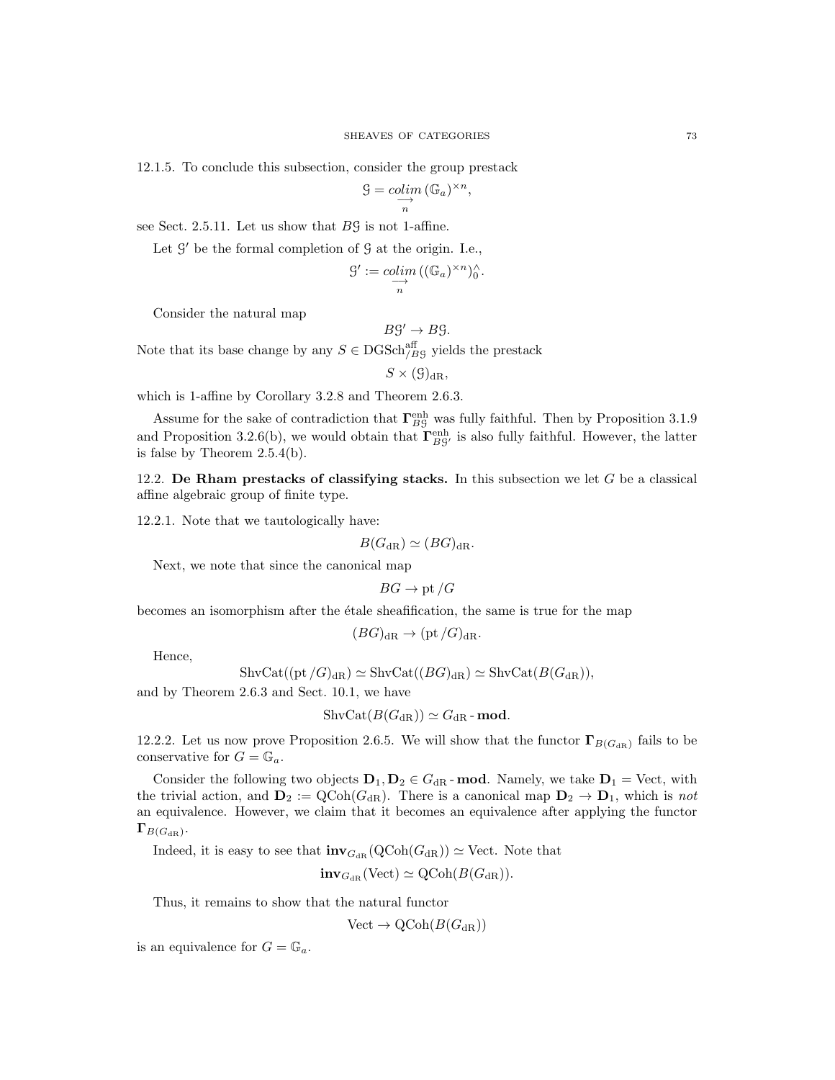12.1.5. To conclude this subsection, consider the group prestack

$$
\mathcal{G} = \underset{n}{\text{colim}} \left( \mathbb{G}_a \right)^{\times n},
$$

see Sect. 2.5.11. Let us show that  $B\mathcal{G}$  is not 1-affine.

Let  $\mathcal{G}'$  be the formal completion of  $\mathcal{G}$  at the origin. I.e.,

$$
\mathcal{G}' := \mathop{colim}\limits_{\substack{\longrightarrow \\ n}} ((\mathbb{G}_a)^{\times n})_0^{\wedge}
$$

.

Consider the natural map

$$
B\mathcal{G}' \to B\mathcal{G}.
$$

Note that its base change by any  $S \in \text{DGSch}^{\text{aff}}_{/B\mathcal{G}}$  yields the prestack

$$
S \times (\mathcal{G})_{\mathrm{dR}},
$$

which is 1-affine by Corollary 3.2.8 and Theorem 2.6.3.

Assume for the sake of contradiction that  $\Gamma_{BG}^{\text{enh}}$  was fully faithful. Then by Proposition 3.1.9 and Proposition 3.2.6(b), we would obtain that  $\Gamma_{BG}^{\text{enh}}$  is also fully faithful. However, the latter is false by Theorem 2.5.4(b).

12.2. De Rham prestacks of classifying stacks. In this subsection we let  $G$  be a classical affine algebraic group of finite type.

12.2.1. Note that we tautologically have:

$$
B(G_{\rm dR}) \simeq (BG)_{\rm dR}.
$$

Next, we note that since the canonical map

$$
BG \to \text{pt}/G
$$

becomes an isomorphism after the etale sheafification, the same is true for the map

$$
(BG)_{\mathrm{dR}} \to (\mathrm{pt}/G)_{\mathrm{dR}}.
$$

Hence,

$$
\operatorname{ShvCat}((\operatorname{pt}/G)_{\mathrm{dR}}) \simeq \operatorname{ShvCat}((BG)_{\mathrm{dR}}) \simeq \operatorname{ShvCat}(B(G_{\mathrm{dR}})),
$$

and by Theorem 2.6.3 and Sect. 10.1, we have

$$
\operatorname{ShvCat}(B(G_{\mathrm{dR}})) \simeq G_{\mathrm{dR}}\text{-}\mathbf{mod}.
$$

12.2.2. Let us now prove Proposition 2.6.5. We will show that the functor  $\Gamma_{B(G_{\text{dR}})}$  fails to be conservative for  $G = \mathbb{G}_a$ .

Consider the following two objects  $D_1, D_2 \in G_{\text{dR}}$ -mod. Namely, we take  $D_1 = \text{Vect}$ , with the trivial action, and  $\mathbf{D}_2 := \text{QCoh}(G_{\text{dR}})$ . There is a canonical map  $\mathbf{D}_2 \to \mathbf{D}_1$ , which is not an equivalence. However, we claim that it becomes an equivalence after applying the functor  $\Gamma_{B(G_{\mathrm{dR}})}.$ 

Indeed, it is easy to see that  $\mathbf{inv}_{G_{dR}}(QCoh(G_{dR})) \simeq \text{Vect}$ . Note that

$$
\mathbf{inv}_{G_{\mathrm{dR}}}(\mathrm{Vect}) \simeq \mathrm{QCoh}(B(G_{\mathrm{dR}})).
$$

Thus, it remains to show that the natural functor

$$
Vect \to \mathrm{QCoh}(B(G_{\mathrm{dR}}))
$$

is an equivalence for  $G = \mathbb{G}_a$ .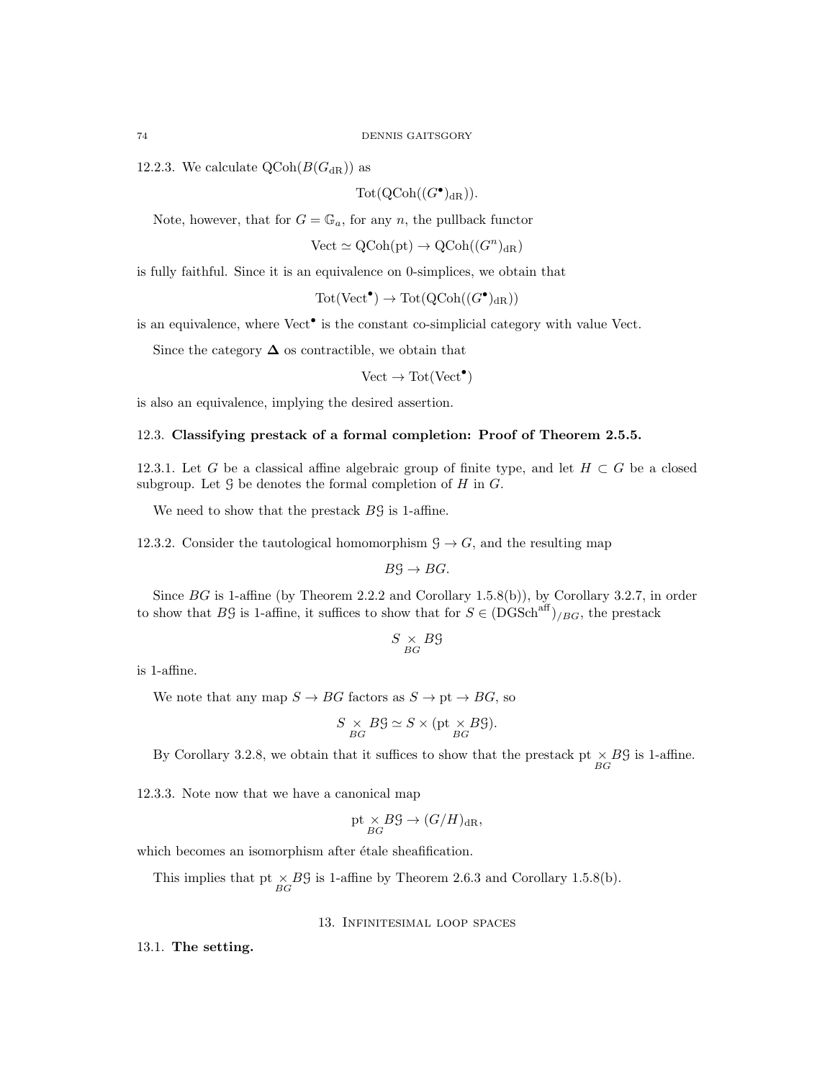12.2.3. We calculate  $Q\text{Coh}(B(G_{\text{dR}}))$  as

 $\operatorname{Tot}(\operatorname{QCoh}((G^{\bullet})_{\mathrm{dR}})).$ 

Note, however, that for  $G = \mathbb{G}_a$ , for any n, the pullback functor

 $Vect \simeq \mathrm{QCoh}(\mathrm{pt}) \to \mathrm{QCoh}((G^n)_{\mathrm{dR}})$ 

is fully faithful. Since it is an equivalence on 0-simplices, we obtain that

$$
Tot(Vect^{\bullet}) \to Tot(QCoh((G^{\bullet})_{dR}))
$$

is an equivalence, where  $Vect^{\bullet}$  is the constant co-simplicial category with value Vect.

Since the category  $\Delta$  os contractible, we obtain that

 $Vect \to \text{Tot}(\text{Vect}^{\bullet})$ 

is also an equivalence, implying the desired assertion.

# 12.3. Classifying prestack of a formal completion: Proof of Theorem 2.5.5.

12.3.1. Let G be a classical affine algebraic group of finite type, and let  $H \subset G$  be a closed subgroup. Let  $\mathcal G$  be denotes the formal completion of  $H$  in  $G$ .

We need to show that the prestack  $B\mathcal{G}$  is 1-affine.

12.3.2. Consider the tautological homomorphism  $\mathcal{G} \to G$ , and the resulting map

$$
B\mathcal{G} \to BG.
$$

Since BG is 1-affine (by Theorem 2.2.2 and Corollary 1.5.8(b)), by Corollary 3.2.7, in order to show that BG is 1-affine, it suffices to show that for  $S \in (DGSch<sup>aff</sup>)_{/BG}$ , the prestack

$$
S\underset{BG}{\times} B\mathcal{G}
$$

is 1-affine.

We note that any map  $S \to BG$  factors as  $S \to pt \to BG$ , so

$$
S \underset{BG}{\times} B\mathcal{G} \simeq S \times (\text{pt} \underset{BG}{\times} B\mathcal{G}).
$$

By Corollary 3.2.8, we obtain that it suffices to show that the prestack pt  $\times B\mathcal{G}$  is 1-affine.

12.3.3. Note now that we have a canonical map

$$
pt \underset{BG}{\times} B\mathcal{G} \to (G/H)_{dR},
$$

which becomes an isomorphism after étale sheafification.

This implies that pt  $\times B\mathcal{G}$  is 1-affine by Theorem 2.6.3 and Corollary 1.5.8(b).

13. Infinitesimal loop spaces

13.1. The setting.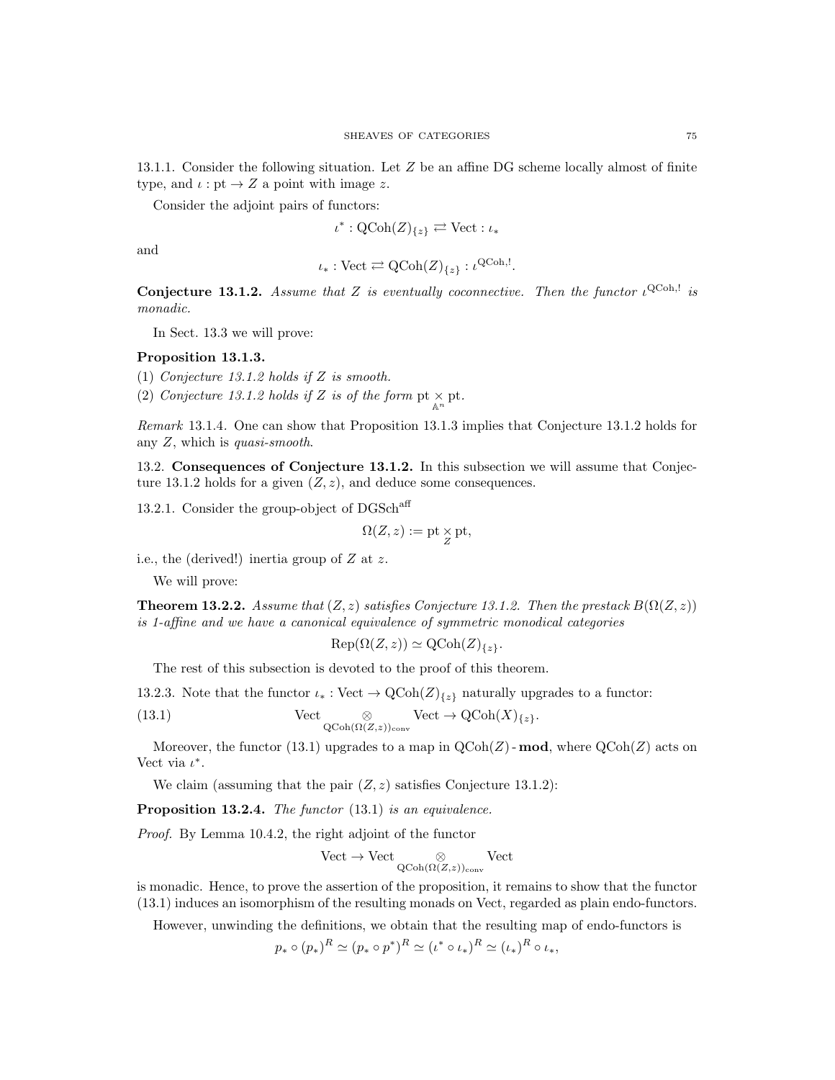13.1.1. Consider the following situation. Let Z be an affine DG scheme locally almost of finite type, and  $\iota : pt \to Z$  a point with image z.

Consider the adjoint pairs of functors:

$$
\iota^* : \mathrm{QCoh}(Z)_{\{z\}} \rightleftarrows \mathrm{Vect} : \iota_*
$$

and

$$
\iota_*: \mathrm{Vect} \rightleftarrows \mathrm{QCoh}(Z)_{\{z\}}: \iota^{\mathrm{QCoh},!}
$$

.

**Conjecture 13.1.2.** Assume that Z is eventually coconnective. Then the functor  $\iota^{\text{QCoh},!}$  is monadic.

In Sect. 13.3 we will prove:

# Proposition 13.1.3.

(1) Conjecture 13.1.2 holds if Z is smooth.

(2) Conjecture 13.1.2 holds if Z is of the form  $pt \times_{\mathbb{A}^n} pt$ .

Remark 13.1.4. One can show that Proposition 13.1.3 implies that Conjecture 13.1.2 holds for any  $Z$ , which is *quasi-smooth*.

13.2. Consequences of Conjecture 13.1.2. In this subsection we will assume that Conjecture 13.1.2 holds for a given  $(Z, z)$ , and deduce some consequences.

13.2.1. Consider the group-object of DGSch<sup>aff</sup>

$$
\Omega(Z,z):=\mathrm{pt}\mathop{\times}\limits_{Z}\mathrm{pt},
$$

i.e., the (derived!) inertia group of Z at z.

We will prove:

**Theorem 13.2.2.** Assume that  $(Z, z)$  satisfies Conjecture 13.1.2. Then the prestack  $B(\Omega(Z, z))$ is 1-affine and we have a canonical equivalence of symmetric monodical categories

$$
Rep(\Omega(Z, z)) \simeq QCoh(Z)_{\{z\}}.
$$

The rest of this subsection is devoted to the proof of this theorem.

13.2.3. Note that the functor  $\iota_* : \text{Vect} \to \text{QCoh}(Z)_{\{z\}}$  naturally upgrades to a functor:

(13.1) 
$$
\operatorname{Vect} \underset{\mathbf{QCoh}(\Omega(Z,z))_{\text{conv}}} {\otimes} \operatorname{Vect} \to \operatorname{QCoh}(X)_{\{z\}}.
$$

Moreover, the functor (13.1) upgrades to a map in  $\text{QCoh}(Z)$  - **mod**, where  $\text{QCoh}(Z)$  acts on Vect via  $\iota^*$ .

We claim (assuming that the pair  $(Z, z)$  satisfies Conjecture 13.1.2):

Proposition 13.2.4. The functor (13.1) is an equivalence.

Proof. By Lemma 10.4.2, the right adjoint of the functor

$$
\mathrm{Vect}\to\mathrm{Vect}\underset{\mathrm{QCoh}(\Omega(Z,z))_{\mathrm{conv}}}{\otimes}\mathrm{Vect}
$$

is monadic. Hence, to prove the assertion of the proposition, it remains to show that the functor (13.1) induces an isomorphism of the resulting monads on Vect, regarded as plain endo-functors.

However, unwinding the definitions, we obtain that the resulting map of endo-functors is

$$
p_* \circ (p_*)^R \simeq (p_* \circ p^*)^R \simeq (\iota^* \circ \iota_*)^R \simeq (\iota_*)^R \circ \iota_*,
$$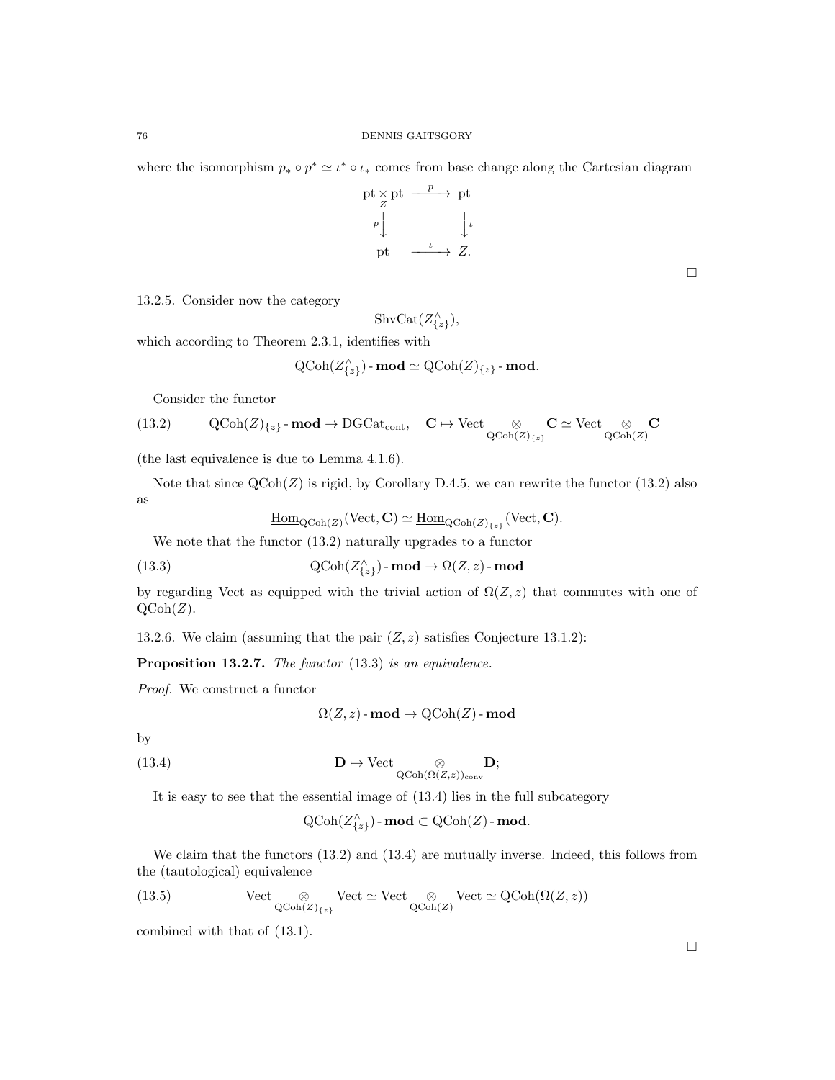where the isomorphism  $p_* \circ p^* \simeq \iota^* \circ \iota_*$  comes from base change along the Cartesian diagram

$$
\begin{array}{ccc}\n\text{pt} \times \text{pt} & \xrightarrow{p} & \text{pt} \\
\downarrow & & \downarrow \\
p & & \downarrow \\
\text{pt} & \xrightarrow{\iota} & \xrightarrow{\iota} \\
Z.\n\end{array}
$$

 $\Box$ 

13.2.5. Consider now the category

$$
\operatorname{ShvCat}(Z_{\{z\}}^{\wedge}),
$$

which according to Theorem 2.3.1, identifies with

$$
\text{QCoh}(Z_{\{z\}}^{\wedge})\text{-}\operatorname{\mathbf{mod}}\simeq \text{QCoh}(Z)_{\{z\}}\text{-}\operatorname{\mathbf{mod}}.
$$

Consider the functor

(13.2) 
$$
\mathrm{QCoh}(Z)_{\{z\}}\text{-}\mathbf{mod} \to \mathrm{DGCat}_{\mathrm{cont}}, \quad \mathbf{C} \mapsto \mathrm{Vect} \underset{\mathrm{QCoh}(Z)_{\{z\}}} {\otimes} \mathbf{C} \simeq \mathrm{Vect} \underset{\mathrm{QCoh}(Z)}{\otimes} \mathbf{C}
$$

(the last equivalence is due to Lemma 4.1.6).

Note that since  $QCoh(Z)$  is rigid, by Corollary D.4.5, we can rewrite the functor (13.2) also as

$$
\underline{\mathrm{Hom}}_{\mathrm{QCoh}(Z)}(\mathrm{Vect}, \mathbf{C}) \simeq \underline{\mathrm{Hom}}_{\mathrm{QCoh}(Z)_{\{z\}}}(\mathrm{Vect}, \mathbf{C}).
$$

We note that the functor (13.2) naturally upgrades to a functor

(13.3) 
$$
\mathrm{QCoh}(Z^{\wedge}_{\{z\}}) \text{-}\mathbf{mod} \to \Omega(Z, z) \text{-}\mathbf{mod}
$$

by regarding Vect as equipped with the trivial action of  $\Omega(Z, z)$  that commutes with one of  $QCoh(Z)$ .

13.2.6. We claim (assuming that the pair  $(Z, z)$  satisfies Conjecture 13.1.2):

Proposition 13.2.7. The functor (13.3) is an equivalence.

Proof. We construct a functor

$$
\Omega(Z, z) \text{-}\mathbf{mod} \to \mathrm{QCoh}(Z) \text{-}\mathbf{mod}
$$

by

(13.4) 
$$
\mathbf{D} \mapsto \mathrm{Vect} \underset{\mathrm{QCoh}(\Omega(Z,z))_{\mathrm{conv}}} \otimes \mathbf{D};
$$

It is easy to see that the essential image of (13.4) lies in the full subcategory

$$
\text{QCoh}(Z_{\{z\}}^{\wedge})\text{-}\operatorname{\textbf{mod}} \subset \text{QCoh}(Z)\text{-}\operatorname{\textbf{mod}}.
$$

We claim that the functors  $(13.2)$  and  $(13.4)$  are mutually inverse. Indeed, this follows from the (tautological) equivalence

(13.5) Vect 
$$
\otimes
$$
 Vect  $\simeq$  Vect  $\otimes$  Vect  $\otimes$  Vect  $\simeq$  QCoh $(\Omega(Z, z))$  QCoh $(Z)$ 

combined with that of (13.1).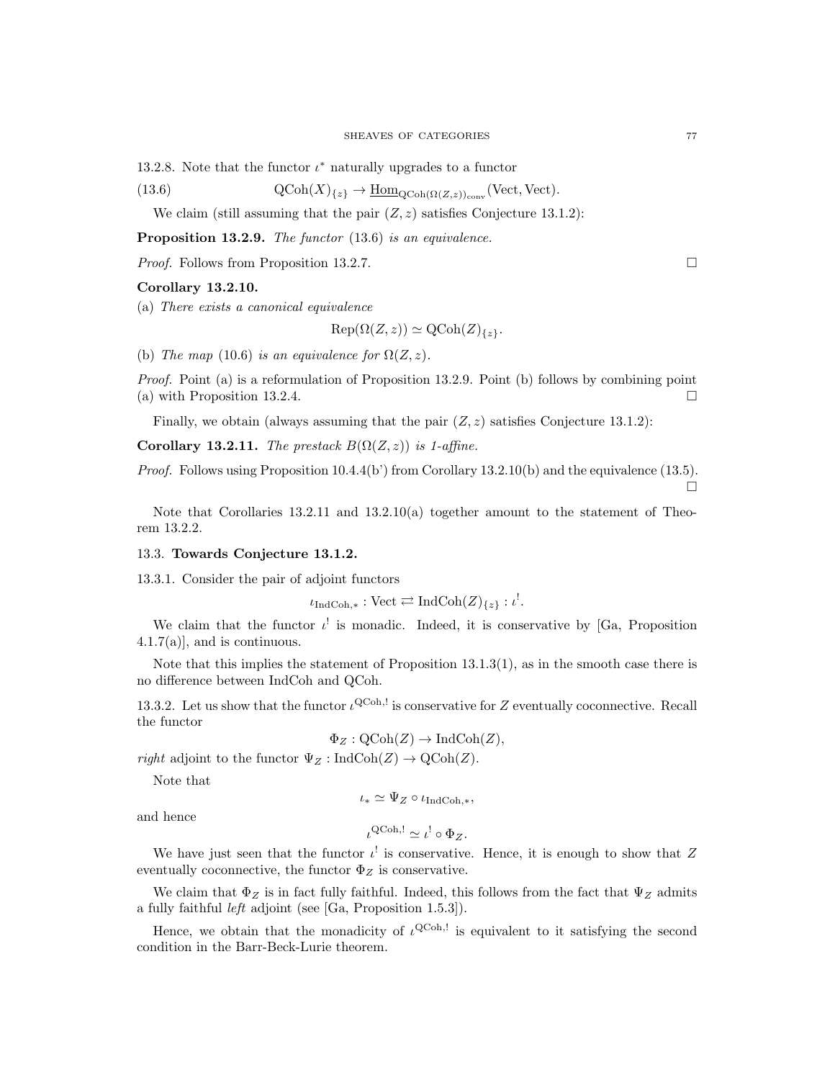13.2.8. Note that the functor  $\iota^*$  naturally upgrades to a functor

(13.6) 
$$
\mathrm{QCoh}(X)_{\{z\}} \to \underline{\mathrm{Hom}}_{\mathrm{QCoh}(\Omega(Z,z))_{\mathrm{conv}}}(\mathrm{Vect}, \mathrm{Vect}).
$$

We claim (still assuming that the pair  $(Z, z)$  satisfies Conjecture 13.1.2):

Proposition 13.2.9. The functor (13.6) is an equivalence.

*Proof.* Follows from Proposition 13.2.7.

### Corollary 13.2.10.

(a) There exists a canonical equivalence

$$
Rep(\Omega(Z, z)) \simeq QCoh(Z)_{\{z\}}.
$$

(b) The map (10.6) is an equivalence for  $\Omega(Z, z)$ .

Proof. Point (a) is a reformulation of Proposition 13.2.9. Point (b) follows by combining point (a) with Proposition 13.2.4.  $\Box$ 

Finally, we obtain (always assuming that the pair  $(Z, z)$  satisfies Conjecture 13.1.2):

Corollary 13.2.11. The prestack  $B(\Omega(Z, z))$  is 1-affine.

*Proof.* Follows using Proposition  $10.4.4(b')$  from Corollary  $13.2.10(b)$  and the equivalence (13.5).  $\Box$ 

Note that Corollaries  $13.2.11$  and  $13.2.10(a)$  together amount to the statement of Theorem 13.2.2.

### 13.3. Towards Conjecture 13.1.2.

13.3.1. Consider the pair of adjoint functors

$$
\iota_{\operatorname{IndCoh}, *} : \operatorname{Vect} \rightleftarrows \operatorname{IndCoh}(Z)_{\{z\}} : \iota^!.
$$

We claim that the functor  $\iota^!$  is monadic. Indeed, it is conservative by [Ga, Proposition  $(4.1.7(a))$ , and is continuous.

Note that this implies the statement of Proposition 13.1.3(1), as in the smooth case there is no difference between IndCoh and QCoh.

13.3.2. Let us show that the functor  $\iota^{\text{QCoh},!}$  is conservative for Z eventually coconnective. Recall the functor

$$
\Phi_Z : \mathrm{QCoh}(Z) \to \mathrm{IndCoh}(Z),
$$

*right* adjoint to the functor  $\Psi_Z$ : IndCoh(Z)  $\rightarrow$  QCoh(Z).

Note that

$$
\iota_* \simeq \Psi_Z \circ \iota_{\text{IndCoh},*},
$$

and hence

$$
\iota^{\mathsf{QCoh},!} \simeq \iota^! \circ \Phi_Z.
$$

We have just seen that the functor  $\iota^!$  is conservative. Hence, it is enough to show that Z eventually coconnective, the functor  $\Phi_Z$  is conservative.

We claim that  $\Phi_Z$  is in fact fully faithful. Indeed, this follows from the fact that  $\Psi_Z$  admits a fully faithful left adjoint (see [Ga, Proposition 1.5.3]).

Hence, we obtain that the monadicity of  $\iota^{\text{QCoh},!}$  is equivalent to it satisfying the second condition in the Barr-Beck-Lurie theorem.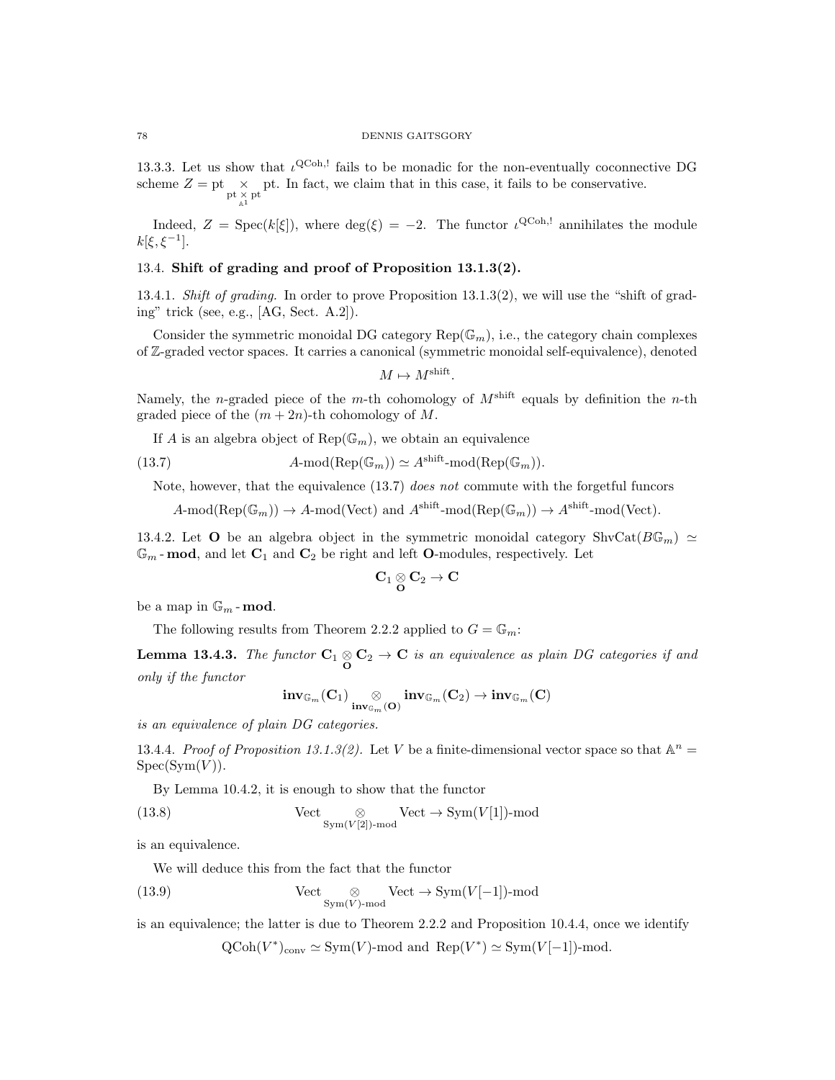13.3.3. Let us show that  $\iota^{\text{QCoh},!}$  fails to be monadic for the non-eventually coconnective DG scheme  $Z = \text{pt} \underset{\underset{\mathbb{A}^1}{\times} }{\times} \text{pt}$ . In fact, we claim that in this case, it fails to be conservative.

Indeed,  $Z = \text{Spec}(k[\xi])$ , where  $\deg(\xi) = -2$ . The functor  $\iota^{\text{QCoh},!}$  annihilates the module  $k[\xi, \xi^{-1}].$ 

# 13.4. Shift of grading and proof of Proposition 13.1.3(2).

13.4.1. Shift of grading. In order to prove Proposition 13.1.3(2), we will use the "shift of grading" trick (see, e.g., [AG, Sect. A.2]).

Consider the symmetric monoidal DG category  $\text{Rep}(\mathbb{G}_m)$ , i.e., the category chain complexes of Z-graded vector spaces. It carries a canonical (symmetric monoidal self-equivalence), denoted

$$
M \mapsto M^{\text{shift}}.
$$

Namely, the *n*-graded piece of the *m*-th cohomology of  $M^{\text{shift}}$  equals by definition the *n*-th graded piece of the  $(m+2n)$ -th cohomology of M.

If A is an algebra object of  $\text{Rep}(\mathbb{G}_m)$ , we obtain an equivalence

(13.7) 
$$
A\text{-mod}(\text{Rep}(\mathbb{G}_m)) \simeq A^{\text{shift}}\text{-mod}(\text{Rep}(\mathbb{G}_m)).
$$

Note, however, that the equivalence (13.7) does not commute with the forgetful funcors

 $A\text{-mod}(\text{Rep}(\mathbb{G}_m)) \to A\text{-mod}(\text{Vect})$  and  $A^{\text{shift}}\text{-mod}(\text{Rep}(\mathbb{G}_m)) \to A^{\text{shift}}\text{-mod}(\text{Vect})$ .

13.4.2. Let **O** be an algebra object in the symmetric monoidal category ShvCat $(B\mathbb{G}_m) \simeq$  $\mathbb{G}_m$ -mod, and let  $\mathbf{C}_1$  and  $\mathbf{C}_2$  be right and left **O**-modules, respectively. Let

$$
\mathbf{C}_1\underset{\mathbf{O}}{\otimes}\mathbf{C}_2\to\mathbf{C}
$$

be a map in  $\mathbb{G}_m$  - mod.

The following results from Theorem 2.2.2 applied to  $G = \mathbb{G}_m$ :

**Lemma 13.4.3.** The functor  $C_1 \otimes C_2 \rightarrow C$  is an equivalence as plain DG categories if and only if the functor

$$
\mathop{\mathrm{inv}}\nolimits_{\mathbb{G}_m}(\mathbf{C}_1) \underset{\mathop{\mathrm{inv}}\nolimits_{\mathbb{G}_m}(\mathbf{O})}{\otimes} \mathop{\mathrm{inv}}\nolimits_{\mathbb{G}_m}(\mathbf{C}_2) \to \mathop{\mathrm{inv}}\nolimits_{\mathbb{G}_m}(\mathbf{C})
$$

is an equivalence of plain DG categories.

13.4.4. Proof of Proposition 13.1.3(2). Let V be a finite-dimensional vector space so that  $\mathbb{A}^n =$  $Spec(Sym(V)).$ 

By Lemma 10.4.2, it is enough to show that the functor

(13.8) 
$$
\text{Vect} \underset{\text{Sym}(V[2])\text{-mod}}{\otimes} \text{Vect} \to \text{Sym}(V[1])\text{-mod}
$$

is an equivalence.

We will deduce this from the fact that the functor

(13.9) 
$$
\text{Vect}_{\text{Sym}(V)\text{-mod}}\text{Vect}\to \text{Sym}(V[-1])\text{-mod}
$$

is an equivalence; the latter is due to Theorem 2.2.2 and Proposition 10.4.4, once we identify

 $\mathrm{QCoh}(V^*)_{\text{conv}} \simeq \mathrm{Sym}(V)$ -mod and  $\mathrm{Rep}(V^*) \simeq \mathrm{Sym}(V[-1])$ -mod.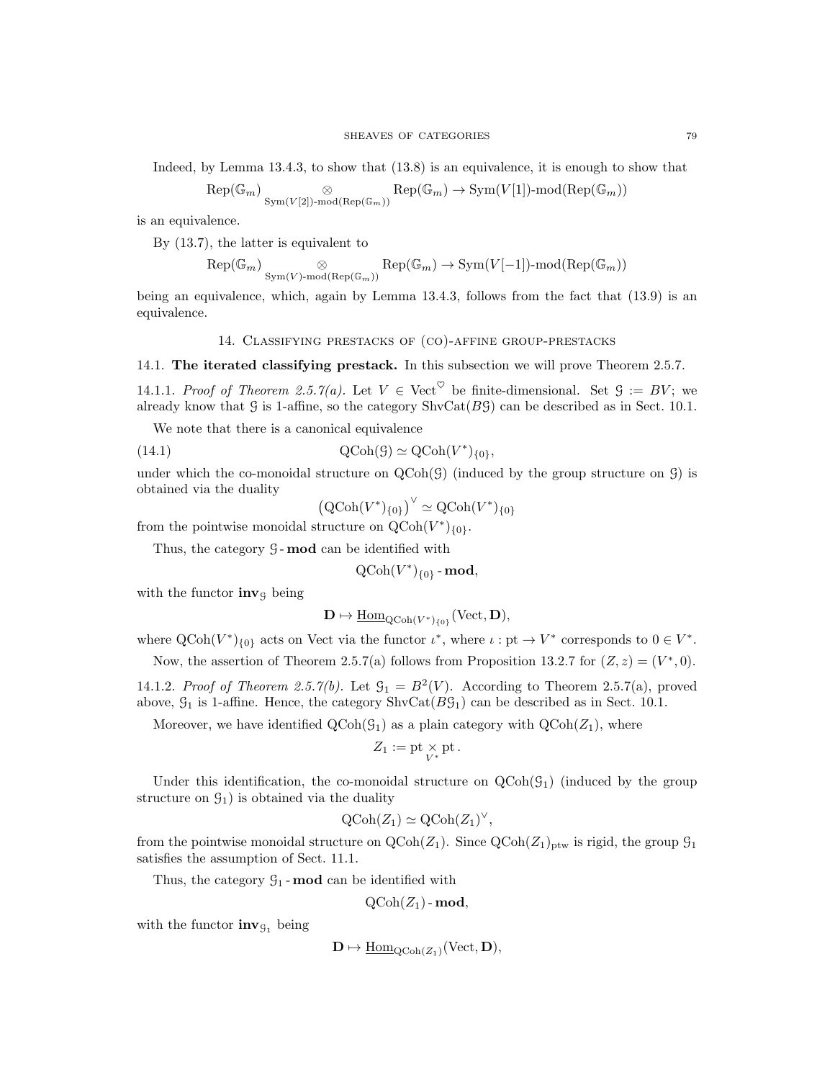Indeed, by Lemma 13.4.3, to show that (13.8) is an equivalence, it is enough to show that

$$
\text{Rep}(\mathbb{G}_m) \underset{\text{Sym}(V[2])\text{-}\text{mod}(\text{Rep}(\mathbb{G}_m))}{\otimes} \text{Rep}(\mathbb{G}_m) \to \text{Sym}(V[1])\text{-}\text{mod}(\text{Rep}(\mathbb{G}_m))
$$

is an equivalence.

By (13.7), the latter is equivalent to

$$
\text{Rep}(\mathbb{G}_m) \underset{\text{Sym}(V) \text{-}\text{mod}(\text{Rep}(\mathbb{G}_m))}{\otimes} \text{Rep}(\mathbb{G}_m) \to \text{Sym}(V[-1])\text{-}\text{mod}(\text{Rep}(\mathbb{G}_m))
$$

being an equivalence, which, again by Lemma 13.4.3, follows from the fact that (13.9) is an equivalence.

# 14. Classifying prestacks of (co)-affine group-prestacks

### 14.1. The iterated classifying prestack. In this subsection we will prove Theorem 2.5.7.

14.1.1. Proof of Theorem 2.5.7(a). Let  $V \in \text{Vect}^{\heartsuit}$  be finite-dimensional. Set  $\mathcal{G} := BV$ ; we already know that G is 1-affine, so the category  $\text{ShvCat}(BG)$  can be described as in Sect. 10.1.

We note that there is a canonical equivalence

(14.1) 
$$
\mathrm{QCoh}(\mathcal{G}) \simeq \mathrm{QCoh}(V^*)_{\{0\}},
$$

under which the co-monoidal structure on  $QCoh(\mathcal{G})$  (induced by the group structure on  $\mathcal{G}$ ) is obtained via the duality

$$
\left(\text{QCoh}(V^*)_{\{0\}}\right)^\vee \simeq \text{QCoh}(V^*)_{\{0\}}
$$

from the pointwise monoidal structure on  $Q\text{Coh}(V^*)_{\{0\}}$ .

Thus, the category  $G$ -mod can be identified with

 $\text{QCoh}(V^*)_{\{0\}}$  - mod,

with the functor  $inv<sub>G</sub>$  being

 $\mathbf{D} \mapsto \underline{\mathrm{Hom}}_{\mathrm{QCoh}(V^*)_{\{0\}}}(\mathrm{Vect}, \mathbf{D}),$ 

where  $\text{QCoh}(V^*)_{\{0\}}$  acts on Vect via the functor  $\iota^*$ , where  $\iota: \text{pt} \to V^*$  corresponds to  $0 \in V^*$ .

Now, the assertion of Theorem 2.5.7(a) follows from Proposition 13.2.7 for  $(Z, z) = (V^*, 0)$ .

14.1.2. Proof of Theorem 2.5.7(b). Let  $\mathcal{G}_1 = B^2(V)$ . According to Theorem 2.5.7(a), proved above,  $\mathcal{G}_1$  is 1-affine. Hence, the category ShvCat $(B\mathcal{G}_1)$  can be described as in Sect. 10.1.

Moreover, we have identified  $\text{QCoh}(\mathcal{G}_1)$  as a plain category with  $\text{QCoh}(Z_1)$ , where

$$
Z_1:=\operatorname{pt}\nolimits_{V^*}\operatorname{pt}\nolimits.
$$

Under this identification, the co-monoidal structure on  $\text{QCoh}(\mathcal{G}_1)$  (induced by the group structure on  $\mathcal{G}_1$ ) is obtained via the duality

$$
\mathrm{QCoh}(Z_1) \simeq \mathrm{QCoh}(Z_1)^{\vee},
$$

from the pointwise monoidal structure on  $\text{QCoh}(Z_1)$ . Since  $\text{QCoh}(Z_1)_{\text{ptw}}$  is rigid, the group  $\mathcal{G}_1$ satisfies the assumption of Sect. 11.1.

Thus, the category  $\mathcal{G}_1$ -mod can be identified with

$$
\text{QCoh}(Z_1)\text{-}\mathbf{mod},
$$

with the functor  $inv_{\mathcal{G}_1}$  being

$$
\mathbf{D} \mapsto \underline{\mathrm{Hom}}_{\mathrm{QCoh}(Z_1)}(\mathrm{Vect}, \mathbf{D}),
$$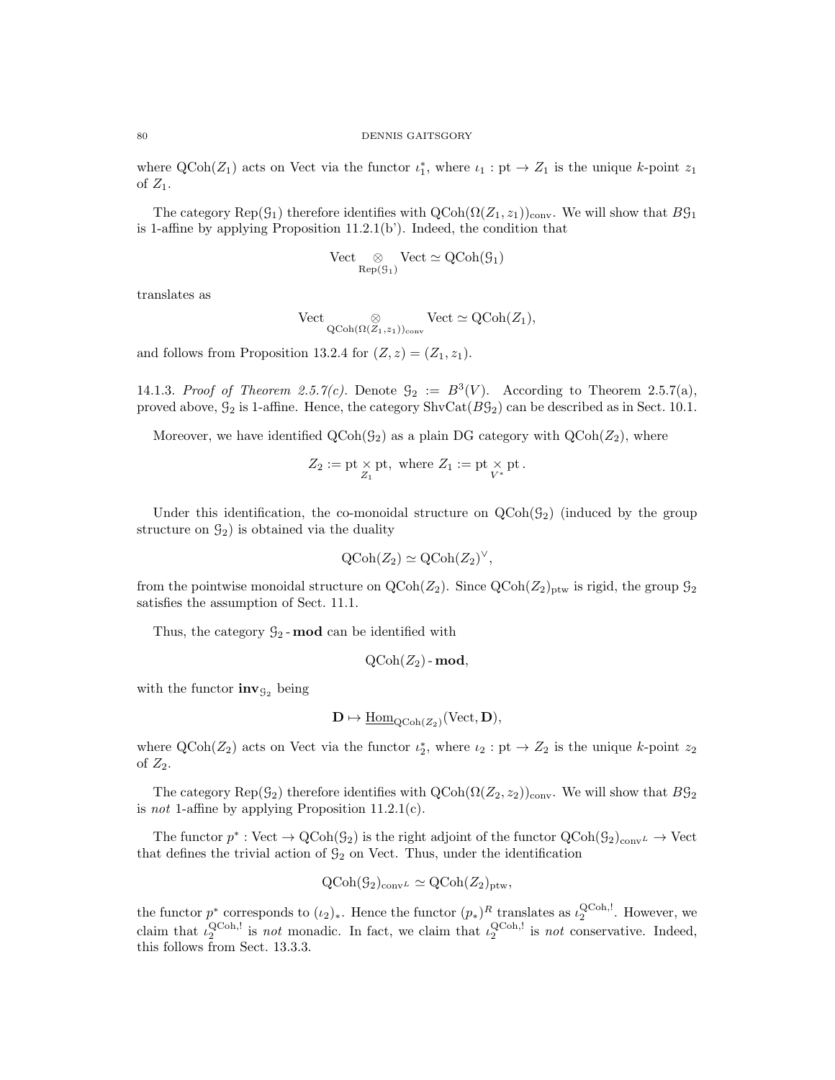where  $\text{QCoh}(Z_1)$  acts on Vect via the functor  $\iota_1^*$ , where  $\iota_1 : \text{pt} \to Z_1$  is the unique k-point  $z_1$ of  $Z_1$ .

The category Rep( $\mathcal{G}_1$ ) therefore identifies with  $\text{QCoh}(\Omega(\mathbb{Z}_1, z_1))_{\text{conv}}$ . We will show that  $B\mathcal{G}_1$ is 1-affine by applying Proposition 11.2.1(b'). Indeed, the condition that

$$
\mathrm{Vect} \underset{\mathrm{Rep}(\mathcal{G}_1)}{\otimes} \mathrm{Vect} \simeq \mathrm{QCoh}(\mathcal{G}_1)
$$

translates as

$$
\mathrm{Vect} \underset{\mathrm{QCoh}(\Omega(Z_1,z_1))_{\mathrm{conv}}}{\otimes} \mathrm{Vect} \simeq \mathrm{QCoh}(Z_1),
$$

and follows from Proposition 13.2.4 for  $(Z, z) = (Z_1, z_1)$ .

14.1.3. Proof of Theorem 2.5.7(c). Denote  $\mathcal{G}_2 := B^3(V)$ . According to Theorem 2.5.7(a), proved above,  $G_2$  is 1-affine. Hence, the category  $\text{ShvCat}(BG_2)$  can be described as in Sect. 10.1.

Moreover, we have identified  $\text{QCoh}(\mathcal{G}_2)$  as a plain DG category with  $\text{QCoh}(Z_2)$ , where

$$
Z_2:=\operatorname{pt}\nolimits_{Z_1}\operatorname{pt}\nolimits,\text{ where } Z_1:=\operatorname{pt}\nolimits_{V^*}\operatorname{pt}\nolimits.
$$

Under this identification, the co-monoidal structure on  $QCoh(\mathcal{G}_2)$  (induced by the group structure on  $\mathcal{G}_2$ ) is obtained via the duality

$$
\mathrm{QCoh}(Z_2) \simeq \mathrm{QCoh}(Z_2)^{\vee},
$$

from the pointwise monoidal structure on  $\text{QCoh}(Z_2)$ . Since  $\text{QCoh}(Z_2)_{\text{ptw}}$  is rigid, the group  $\mathcal{G}_2$ satisfies the assumption of Sect. 11.1.

Thus, the category  $\mathcal{G}_2$ -mod can be identified with

$$
\text{QCoh}(Z_2)\text{-}\mathbf{mod},
$$

with the functor  $inv_{\mathcal{G}_2}$  being

$$
\mathbf{D} \mapsto \underline{\mathrm{Hom}}_{\mathrm{QCoh}(Z_2)}(\mathrm{Vect}, \mathbf{D}),
$$

where  $\text{QCoh}(Z_2)$  acts on Vect via the functor  $\iota_2^*$ , where  $\iota_2: \text{pt} \to Z_2$  is the unique k-point  $z_2$ of  $Z_2$ .

The category Rep( $\mathcal{G}_2$ ) therefore identifies with QCoh( $\Omega(Z_2, z_2)$ )<sub>conv</sub>. We will show that  $B\mathcal{G}_2$ is not 1-affine by applying Proposition  $11.2.1(c)$ .

The functor  $p^*: Vect \to QCoh(\mathcal{G}_2)$  is the right adjoint of the functor  $QCoh(\mathcal{G}_2)_{conv} \to Vect$ that defines the trivial action of  $\mathcal{G}_2$  on Vect. Thus, under the identification

$$
\operatorname{QCoh}(\mathcal{G}_2)_{\operatorname{conv}^L} \simeq \operatorname{QCoh}(Z_2)_{\operatorname{ptw}},
$$

the functor  $p^*$  corresponds to  $(\iota_2)_*$ . Hence the functor  $(p_*)^R$  translates as  $\iota_2^{\text{QCoh},!}$ . However, we claim that  $\iota_2^{\text{QCoh},!}$  is not monadic. In fact, we claim that  $\iota_2^{\text{QCoh},!}$  is not conservative. Indeed, this follows from Sect. 13.3.3.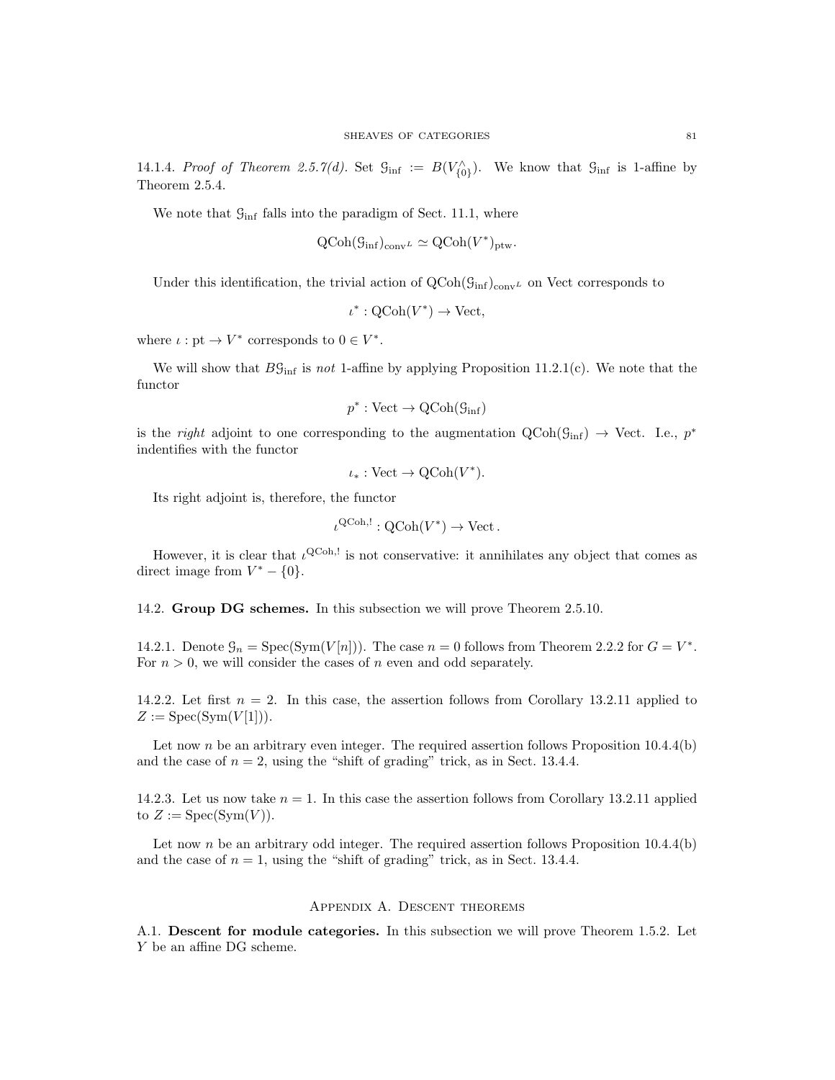14.1.4. Proof of Theorem 2.5.7(d). Set  $\mathcal{G}_{\text{inf}} := B(V_{\{0\}}^{\wedge})$ . We know that  $\mathcal{G}_{\text{inf}}$  is 1-affine by Theorem 2.5.4.

We note that  $\mathcal{G}_{\text{inf}}$  falls into the paradigm of Sect. 11.1, where

$$
\text{QCoh}(\mathcal{G}_{\text{inf}})_{\text{conv}^L} \simeq \text{QCoh}(V^*)_{\text{ptw}}.
$$

Under this identification, the trivial action of  $\text{QCoh}(\mathcal{G}_{\text{inf}})_{\text{conv}}$  on Vect corresponds to

$$
\iota^* : \mathrm{QCoh}(V^*) \to \mathrm{Vect},
$$

where  $\iota: \text{pt} \to V^*$  corresponds to  $0 \in V^*$ .

We will show that  $B\mathcal{G}_{\text{inf}}$  is not 1-affine by applying Proposition 11.2.1(c). We note that the functor

$$
p^*:\mathrm{Vect}\to \mathrm{QCoh}(\mathcal{G}_{\mathrm{inf}})
$$

is the *right* adjoint to one corresponding to the augmentation  $QCoh(\mathcal{G}_{\text{inf}}) \rightarrow$  Vect. I.e.,  $p^*$ indentifies with the functor

$$
\iota_*: \text{Vect} \to \text{QCoh}(V^*).
$$

Its right adjoint is, therefore, the functor

$$
\iota^{\mathsf{QCoh},!} : \mathsf{QCoh}(V^*) \to \mathsf{Vect} \, .
$$

However, it is clear that  $\iota^{\text{QCoh},!}$  is not conservative: it annihilates any object that comes as direct image from  $V^* - \{0\}.$ 

14.2. Group DG schemes. In this subsection we will prove Theorem 2.5.10.

14.2.1. Denote  $\mathcal{G}_n = \text{Spec}(\text{Sym}(V[n]))$ . The case  $n = 0$  follows from Theorem 2.2.2 for  $G = V^*$ . For  $n > 0$ , we will consider the cases of n even and odd separately.

14.2.2. Let first  $n = 2$ . In this case, the assertion follows from Corollary 13.2.11 applied to  $Z := \mathrm{Spec}(\mathrm{Sym}(V[1])).$ 

Let now n be an arbitrary even integer. The required assertion follows Proposition  $10.4.4(b)$ and the case of  $n = 2$ , using the "shift of grading" trick, as in Sect. 13.4.4.

14.2.3. Let us now take  $n = 1$ . In this case the assertion follows from Corollary 13.2.11 applied to  $Z := \text{Spec}(\text{Sym}(V)).$ 

Let now n be an arbitrary odd integer. The required assertion follows Proposition  $10.4.4(b)$ and the case of  $n = 1$ , using the "shift of grading" trick, as in Sect. 13.4.4.

### Appendix A. Descent theorems

A.1. Descent for module categories. In this subsection we will prove Theorem 1.5.2. Let Y be an affine DG scheme.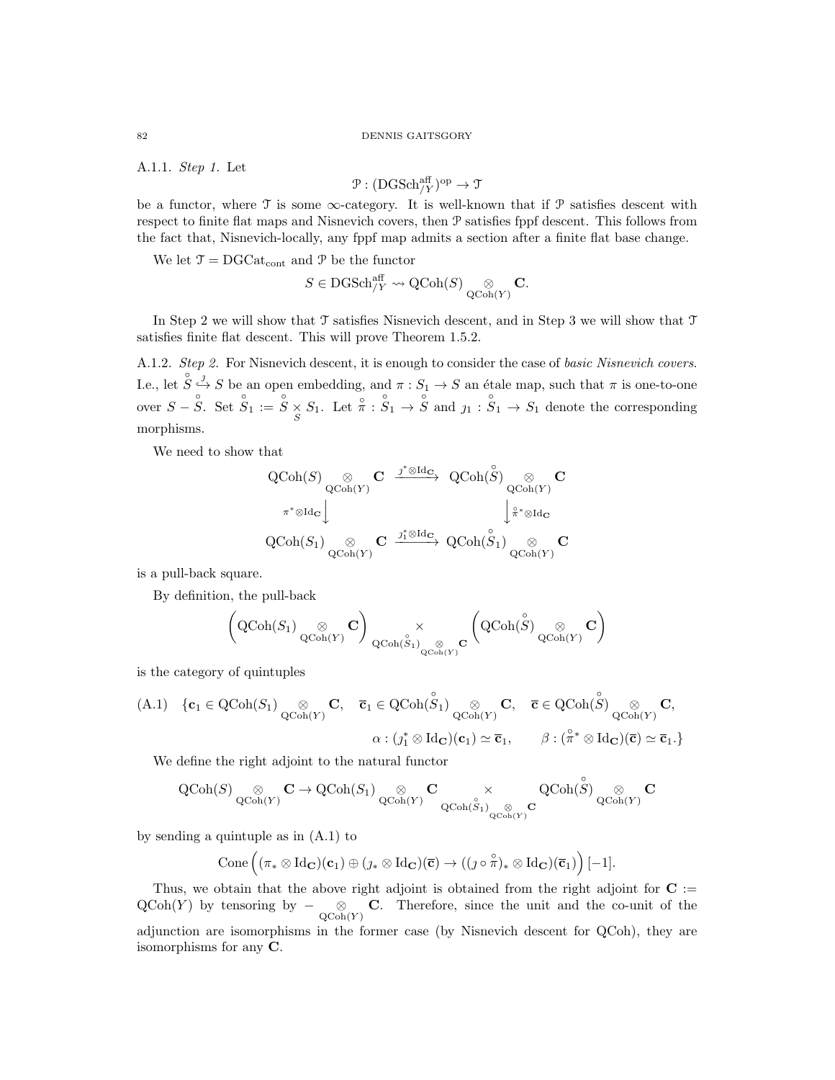#### 82 DENNIS GAITSGORY

A.1.1. Step 1. Let

$$
\mathcal{P}: (\mathrm{DGSch}_{/Y}^{\mathrm{aff}})^{\mathrm{op}} \to \mathfrak{T}
$$

be a functor, where  $\mathcal T$  is some  $\infty$ -category. It is well-known that if  $\mathcal P$  satisfies descent with respect to finite flat maps and Nisnevich covers, then P satisfies fppf descent. This follows from the fact that, Nisnevich-locally, any fppf map admits a section after a finite flat base change.

We let  $\mathcal{T} = \text{DGCat}_{\text{cont}}$  and  $\mathcal{P}$  be the functor

$$
S \in \mathrm{DGSch}_{/Y}^{\mathrm{aff}} \leadsto \mathrm{QCoh}(S) \underset{\mathrm{QCoh}(Y)}{\otimes} \mathbf{C}.
$$

In Step 2 we will show that  $\mathcal T$  satisfies Nisnevich descent, and in Step 3 we will show that  $\mathcal T$ satisfies finite flat descent. This will prove Theorem 1.5.2.

A.1.2. Step 2. For Nisnevich descent, it is enough to consider the case of basic Nisnevich covers. I.e., let  $\hat{S} \stackrel{j}{\hookrightarrow} S$  be an open embedding, and  $\pi : S_1 \to S$  an étale map, such that  $\pi$  is one-to-one over  $S - \hat{S}$ . Set  $\hat{S}_1 := \hat{S} \times S_1$ . Let  $\hat{\pi} : \hat{S}_1 \to \hat{S}$  and  $j_1 : \hat{S}_1 \to S_1$  denote the corresponding morphisms.

We need to show that

$$
\begin{array}{ccc} \displaystyle \mathrm{QCoh}(S) {\underset {\mathrm{QCoh}(Y)}\otimes} {\mathbf C} & \xrightarrow{j^*\otimes \mathrm{Id}_{{\mathbf C}}} \mathrm{QCoh}(\overset{\circ}{S}) {\underset {\mathrm{QCoh}(Y)}\otimes} {\mathbf C}\\ {} & \xrightarrow{\pi^*\otimes \mathrm{Id}_{{\mathbf C}}} \Big\downarrow \overset{\circ}{\pi^*\otimes \mathrm{Id}_{{\mathbf C}}} \\ \displaystyle \mathrm{QCoh}(S_1) {\underset {\mathrm{QCoh}(Y)}\otimes} {\mathbf C} & \xrightarrow{j_1^*\otimes \mathrm{Id}_{{\mathbf C}}} \mathrm{QCoh}(\overset{\circ}{S}_1) {\underset {\mathrm{QCoh}(Y)}\otimes} {\mathbf C} \end{array}
$$

is a pull-back square.

By definition, the pull-back

$$
\left(\operatorname{QCoh}(S_1) \underset{\operatorname{QCoh}(Y)}{\otimes} \mathbf{C} \right) \underset{\operatorname{QCoh}(\overset{\circ}{S}_1)}{\times} \underset{\operatorname{QCoh}(Y)}{\otimes} \mathbf{C} \left(\operatorname{QCoh}(\overset{\circ}{S}) \underset{\operatorname{QCoh}(Y)}{\otimes} \mathbf{C} \right)
$$

is the category of quintuples

$$
\begin{array}{cccc}\n\text{(A.1)} & \{\mathbf{c}_1 \in \text{QCoh}(S_1) \underset{\text{QCoh}(Y)}{\otimes} \mathbf{C}, & \overline{\mathbf{c}}_1 \in \text{QCoh}(\overset{\circ}{S}_1) \underset{\text{QCoh}(Y)}{\otimes} \mathbf{C}, & \overline{\mathbf{c}} \in \text{QCoh}(\overset{\circ}{S}) \underset{\text{QCoh}(Y)}{\otimes} \mathbf{C}, \\
& \alpha : (j_1^* \otimes \text{Id}_{\mathbf{C}})(\mathbf{c}_1) \simeq \overline{\mathbf{c}}_1, & \beta : (\overset{\circ}{\pi}^* \otimes \text{Id}_{\mathbf{C}})(\overline{\mathbf{c}}) \simeq \overline{\mathbf{c}}_1.\n\end{array}
$$

We define the right adjoint to the natural functor

$$
\operatorname{QCoh}(S)\underset{\operatorname{QCoh}(Y)}{\otimes}{\mathbf C}\to \operatorname{QCoh}(S_1)\underset{\operatorname{QCoh}(Y)}{\otimes}{\mathbf C}\underset{\operatorname{QCoh}(\overset{\circ}{S}_1)}{\times}\underset{\operatorname{QCoh}(Y)}{\otimes}{\mathbf C}\operatorname{QCoh}(\overset{\circ}{S})\underset{\operatorname{QCoh}(Y)}{\otimes}{\mathbf C}
$$

by sending a quintuple as in (A.1) to

$$
\mathrm{Cone}\left((\pi_*\otimes \mathrm{Id}_{\mathbf{C}})(\mathbf{c}_1)\oplus (\jmath_*\otimes \mathrm{Id}_{\mathbf{C}})(\overline{\mathbf{c}})\rightarrow ((\jmath\circ \overset{\circ}{\pi})_*\otimes \mathrm{Id}_{\mathbf{C}})(\overline{\mathbf{c}}_1)\right)[-1].
$$

Thus, we obtain that the above right adjoint is obtained from the right adjoint for  $C :=$  $\mathrm{QCoh}(Y)$  by tensoring by  $-\underset{\mathrm{QCoh}(Y)}{\otimes} \mathbf{C}$ . Therefore, since the unit and the co-unit of the adjunction are isomorphisms in the former case (by Nisnevich descent for QCoh), they are isomorphisms for any C.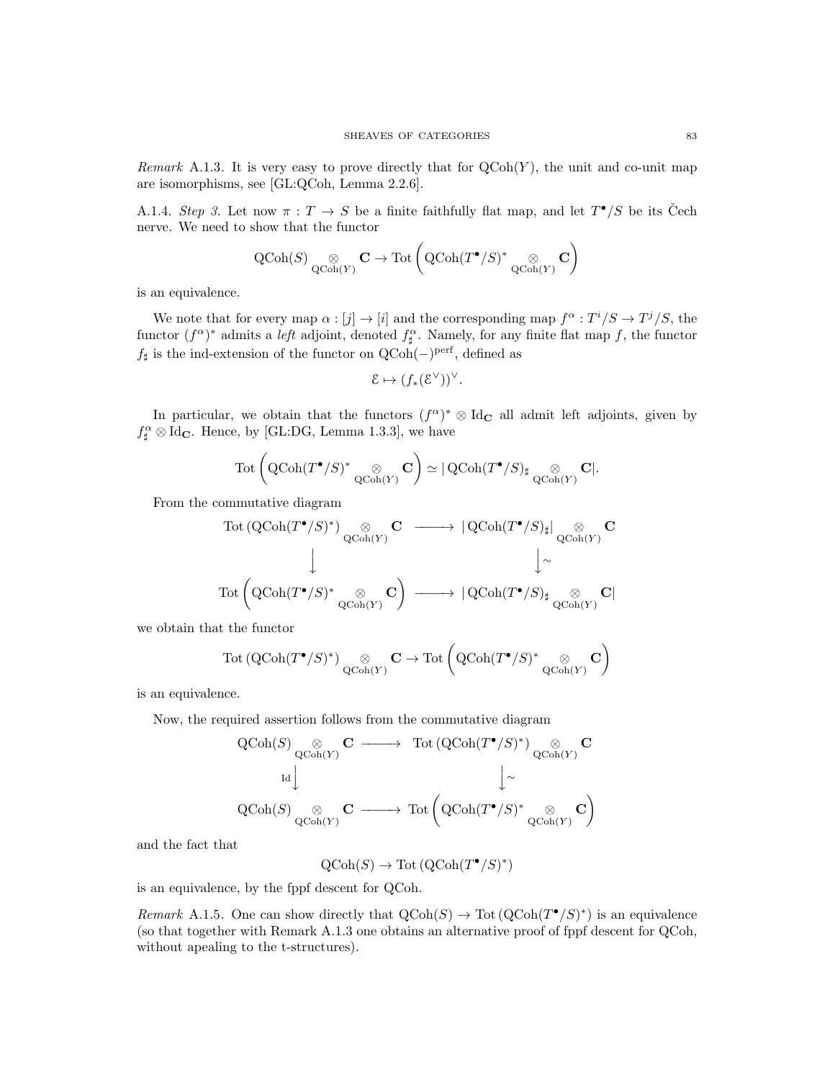Remark A.1.3. It is very easy to prove directly that for  $QCoh(Y)$ , the unit and co-unit map are isomorphisms, see [GL:QCoh, Lemma 2.2.6].

A.1.4. Step 3. Let now  $\pi: T \to S$  be a finite faithfully flat map, and let  $T^{\bullet}/S$  be its Čech nerve. We need to show that the functor

$$
\operatorname{QCoh}(S) \underset{\operatorname{QCoh}(Y)}{\otimes} \mathbf{C} \to \operatorname{Tot}\left(\operatorname{QCoh}(T^\bullet/S)^* \underset{\operatorname{QCoh}(Y)}{\otimes} \mathbf{C}\right)
$$

is an equivalence.

We note that for every map  $\alpha : [j] \to [i]$  and the corresponding map  $f^{\alpha} : T^{i}/S \to T^{j}/S$ , the functor  $(f^{\alpha})^*$  admits a *left* adjoint, denoted  $f^{\alpha}_{\sharp}$ . Namely, for any finite flat map f, the functor  $f$ <sup>#</sup> is the ind-extension of the functor on QCoh(−)<sup>perf</sup>, defined as

$$
\mathcal{E} \mapsto (f_*(\mathcal{E}^{\vee}))^{\vee}.
$$

In particular, we obtain that the functors  $(f^{\alpha})^* \otimes Id_{\mathbf{C}}$  all admit left adjoints, given by  $f_{\sharp}^{\alpha} \otimes \text{Id}_{\mathbf{C}}$ . Hence, by [GL:DG, Lemma 1.3.3], we have

$$
\mathrm{Tot}\left(\text{QCoh}(T^\bullet/S)^* \underset{\mathrm{QCoh}(Y)}{\otimes} \mathbf{C}\right) \simeq |\operatorname{QCoh}(T^\bullet/S)_{\sharp} \underset{\mathrm{QCoh}(Y)}{\otimes} \mathbf{C}|.
$$

From the commutative diagram

$$
\begin{array}{ccc} \text{Tot}\left(\text{QCoh}(T^{\bullet}/S)^{*}\right) \underset{\text{QCoh}(Y)}{\otimes} \mathbf{C} & \longrightarrow & \left|\text{QCoh}(T^{\bullet}/S)_{\sharp}\right| \underset{\text{QCoh}(Y)}{\otimes} \mathbf{C} \\ & & \downarrow & \\ \text{Tot}\left(\text{QCoh}(T^{\bullet}/S)^{*} \underset{\text{QCoh}(Y)}{\otimes} \mathbf{C}\right) & \longrightarrow & \left|\text{QCoh}(T^{\bullet}/S)_{\sharp}\underset{\text{QCoh}(Y)}{\otimes} \mathbf{C}\right| \end{array}
$$

we obtain that the functor

$$
\mathrm{Tot}\left(\mathrm{QCoh}(T^{\bullet}/S)^*\right)_{\mathrm{QCoh}(Y)} \mathbf{C} \to \mathrm{Tot}\left(\mathrm{QCoh}(T^{\bullet}/S)^*\underset{\mathrm{QCoh}(Y)}{\otimes} \mathbf{C}\right)
$$

is an equivalence.

Now, the required assertion follows from the commutative diagram

$$
\begin{array}{ccc} \displaystyle \mathrm{QCoh}(S) {\underset {\mathrm{QCoh}(Y)}\otimes} {\mathbf C} \longrightarrow & \displaystyle \mathrm{Tot}\left( \mathrm{QCoh}(T^\bullet/S)^* \right) {\underset {\mathrm{QCoh}(Y)}\otimes} {\mathbf C} \\ & {}_{\mathrm{Id}} {\Big\downarrow} \\ & {}_{\displaystyle \mathrm{QCoh}(S) {\underset {\mathrm{QCoh}(Y)}\otimes} {\mathbf C} } \longrightarrow & \displaystyle \mathrm{Tot}\left( \mathrm{QCoh}(T^\bullet/S)^* {\underset {\mathrm{QCoh}(Y)}\otimes} {\mathbf C} \right) \end{array}
$$

and the fact that

$$
\operatorname{QCoh}(S) \to \operatorname{Tot}\left( \operatorname{QCoh}(T^{\bullet}/S)^{\ast} \right)
$$

is an equivalence, by the fppf descent for QCoh.

Remark A.1.5. One can show directly that  $\mathrm{QCoh}(S) \to \mathrm{Tot}(\mathrm{QCoh}(T^{\bullet}/S)^*)$  is an equivalence (so that together with Remark A.1.3 one obtains an alternative proof of fppf descent for QCoh, without apealing to the t-structures).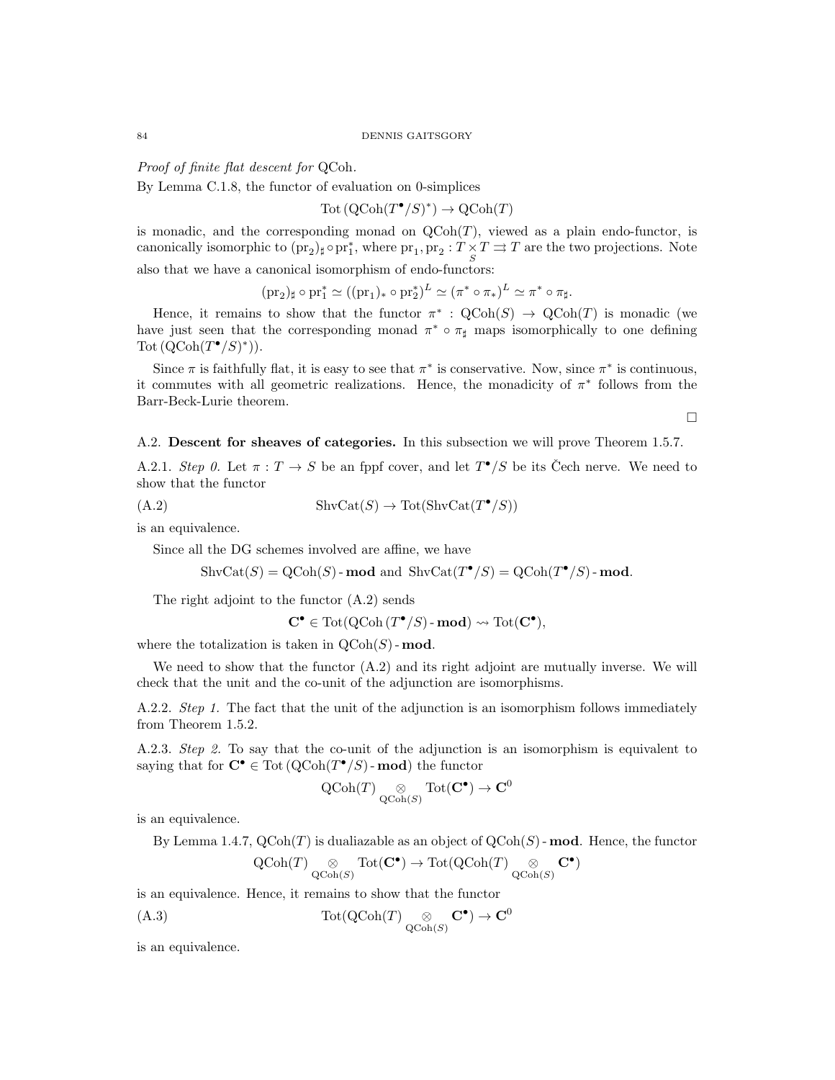#### 84 DENNIS GAITSGORY

Proof of finite flat descent for QCoh.

By Lemma C.1.8, the functor of evaluation on 0-simplices

 $\mathrm{Tot}\left(\mathrm{QCoh}(T^{\bullet}/S)^*\right) \to \mathrm{QCoh}(T)$ 

is monadic, and the corresponding monad on  $Q\text{Coh}(T)$ , viewed as a plain endo-functor, is canonically isomorphic to  $(\text{pr}_2)_\sharp \circ \text{pr}_1^*$ , where  $\text{pr}_1, \text{pr}_2 : T \times T \Rightarrow T$  are the two projections. Note also that we have a canonical isomorphism of endo-functors:

 $(\text{pr}_2)_\sharp \circ \text{pr}_1^* \simeq ((\text{pr}_1)_* \circ \text{pr}_2^*)^L \simeq (\pi^* \circ \pi_*)^L \simeq \pi^* \circ \pi_\sharp.$ 

Hence, it remains to show that the functor  $\pi^*$ :  $\mathrm{QCoh}(S) \to \mathrm{QCoh}(T)$  is monadic (we have just seen that the corresponding monad  $\pi^* \circ \pi_\sharp$  maps isomorphically to one defining Tot  $(QCoh(T^{\bullet}/S)^*)$ .

Since  $\pi$  is faithfully flat, it is easy to see that  $\pi^*$  is conservative. Now, since  $\pi^*$  is continuous, it commutes with all geometric realizations. Hence, the monadicity of  $\pi^*$  follows from the Barr-Beck-Lurie theorem.

 $\Box$ 

A.2. Descent for sheaves of categories. In this subsection we will prove Theorem 1.5.7.

A.2.1. Step 0. Let  $\pi : T \to S$  be an fppf cover, and let  $T^{\bullet}/S$  be its Čech nerve. We need to show that the functor

$$
(A.2) \t\t\t ShvCat(S) \to Tot(ShvCat(T^{\bullet}/S))
$$

is an equivalence.

Since all the DG schemes involved are affine, we have

$$
\text{ShvCat}(S) = \text{QCoh}(S) - \text{mod} \text{ and } \text{ShvCat}(T^{\bullet}/S) = \text{QCoh}(T^{\bullet}/S) - \text{mod}.
$$

The right adjoint to the functor (A.2) sends

$$
\mathbf{C}^{\bullet} \in \text{Tot}(\text{QCoh}(T^{\bullet}/S)\text{-}\mathbf{mod}) \rightsquigarrow \text{Tot}(\mathbf{C}^{\bullet}),
$$

where the totalization is taken in  $\mathrm{QCoh}(S)$ -mod.

We need to show that the functor  $(A.2)$  and its right adjoint are mutually inverse. We will check that the unit and the co-unit of the adjunction are isomorphisms.

A.2.2. Step 1. The fact that the unit of the adjunction is an isomorphism follows immediately from Theorem 1.5.2.

A.2.3. Step 2. To say that the co-unit of the adjunction is an isomorphism is equivalent to saying that for  $C^{\bullet} \in \text{Tot}(\text{QCoh}(T^{\bullet}/S)$ -mod) the functor

$$
\operatorname{QCoh}(T) \underset{\operatorname{QCoh}(S)}{\otimes} \operatorname{Tot}(\mathbf{C}^{\bullet}) \to \mathbf{C}^{0}
$$

is an equivalence.

By Lemma 1.4.7,  $QCoh(T)$  is dualiazable as an object of  $QCoh(S)$ -mod. Hence, the functor

$$
\operatorname{QCoh}(T) \underset{\operatorname{QCoh}(S)}{\otimes} \operatorname{Tot}(\mathbf{C}^\bullet) \to \operatorname{Tot}(\operatorname{QCoh}(T) \underset{\operatorname{QCoh}(S)}{\otimes} \mathbf{C}^\bullet)
$$

is an equivalence. Hence, it remains to show that the functor

(A.3) Tot(QCoh(T) ⊗ QCoh(S) C• ) → C<sup>0</sup>

is an equivalence.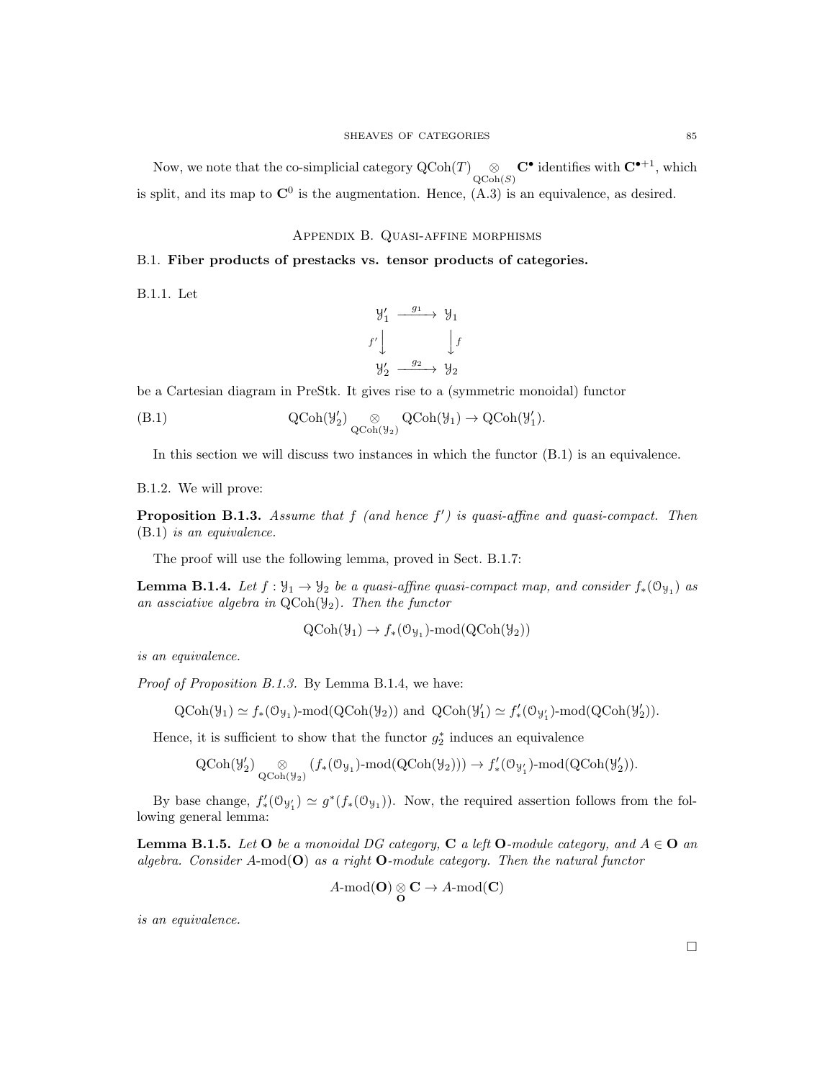Now, we note that the co-simplicial category  $\mathrm{QCoh}(T) \underset{\mathrm{QCoh}(S)}{\otimes} \mathbf{C}^{\bullet}$  identifies with  $\mathbf{C}^{\bullet+1}$ , which is split, and its map to  $\mathbb{C}^0$  is the augmentation. Hence,  $(A.3)$  is an equivalence, as desired.

Appendix B. Quasi-affine morphisms

# B.1. Fiber products of prestacks vs. tensor products of categories.

B.1.1. Let

$$
\begin{array}{ccc}\n\mathcal{Y}'_1 & \xrightarrow{g_1} & \mathcal{Y}_1 \\
f' \downarrow & & \downarrow f \\
\mathcal{Y}'_2 & \xrightarrow{g_2} & \mathcal{Y}_2\n\end{array}
$$

be a Cartesian diagram in PreStk. It gives rise to a (symmetric monoidal) functor

(B.1) 
$$
\operatorname{QCoh}(\mathcal{Y}'_2) \underset{\operatorname{QCoh}(\mathcal{Y}_2)}{\otimes} \operatorname{QCoh}(\mathcal{Y}_1) \to \operatorname{QCoh}(\mathcal{Y}'_1).
$$

In this section we will discuss two instances in which the functor (B.1) is an equivalence.

## B.1.2. We will prove:

**Proposition B.1.3.** Assume that  $f$  (and hence  $f'$ ) is quasi-affine and quasi-compact. Then (B.1) is an equivalence.

The proof will use the following lemma, proved in Sect. B.1.7:

**Lemma B.1.4.** Let  $f: \mathcal{Y}_1 \to \mathcal{Y}_2$  be a quasi-affine quasi-compact map, and consider  $f_*(\mathcal{O}_{\mathcal{Y}_1})$  as an assciative algebra in  $QCoh(\mathcal{Y}_2)$ . Then the functor

$$
QCoh(\mathcal{Y}_1) \to f_*(\mathcal{O}_{\mathcal{Y}_1})\text{-mod}(QCoh(\mathcal{Y}_2))
$$

is an equivalence.

Proof of Proposition B.1.3. By Lemma B.1.4, we have:

$$
\text{QCoh}(\mathcal{Y}_1) \simeq f_*(\mathcal{O}_{\mathcal{Y}_1})\text{-}\mathrm{mod}(\text{QCoh}(\mathcal{Y}_2)) \text{ and } \text{QCoh}(\mathcal{Y}'_1) \simeq f'_*(\mathcal{O}_{\mathcal{Y}'_1})\text{-}\mathrm{mod}(\text{QCoh}(\mathcal{Y}'_2)).
$$

Hence, it is sufficient to show that the functor  $g_2^*$  induces an equivalence

$$
\operatorname{QCoh}(\mathcal{Y}_{2}') \underset{\operatorname{QCoh}(\mathcal{Y}_{2})}{\otimes} (f_{*}(\mathbb{O}_{\mathcal{Y}_{1}})\text{-}\mathrm{mod}(\operatorname{QCoh}(\mathcal{Y}_{2}))) \to f'_{*}(\mathbb{O}_{\mathcal{Y}'_{1}})\text{-}\mathrm{mod}(\operatorname{QCoh}(\mathcal{Y}'_{2})).
$$

By base change,  $f'_*(\mathcal{O}_{\mathcal{Y}_1}) \simeq g^*(f_*(\mathcal{O}_{\mathcal{Y}_1}))$ . Now, the required assertion follows from the following general lemma:

**Lemma B.1.5.** Let  $O$  be a monoidal DG category,  $C$  a left  $O$ -module category, and  $A \in O$  and algebra. Consider A-mod( $\mathbf{O}$ ) as a right  $\mathbf{O}\text{-module category}$ . Then the natural functor

$$
A\text{-mod}(\mathbf{O})\underset{\mathbf{O}}{\otimes}\mathbf{C}\to A\text{-mod}(\mathbf{C})
$$

is an equivalence.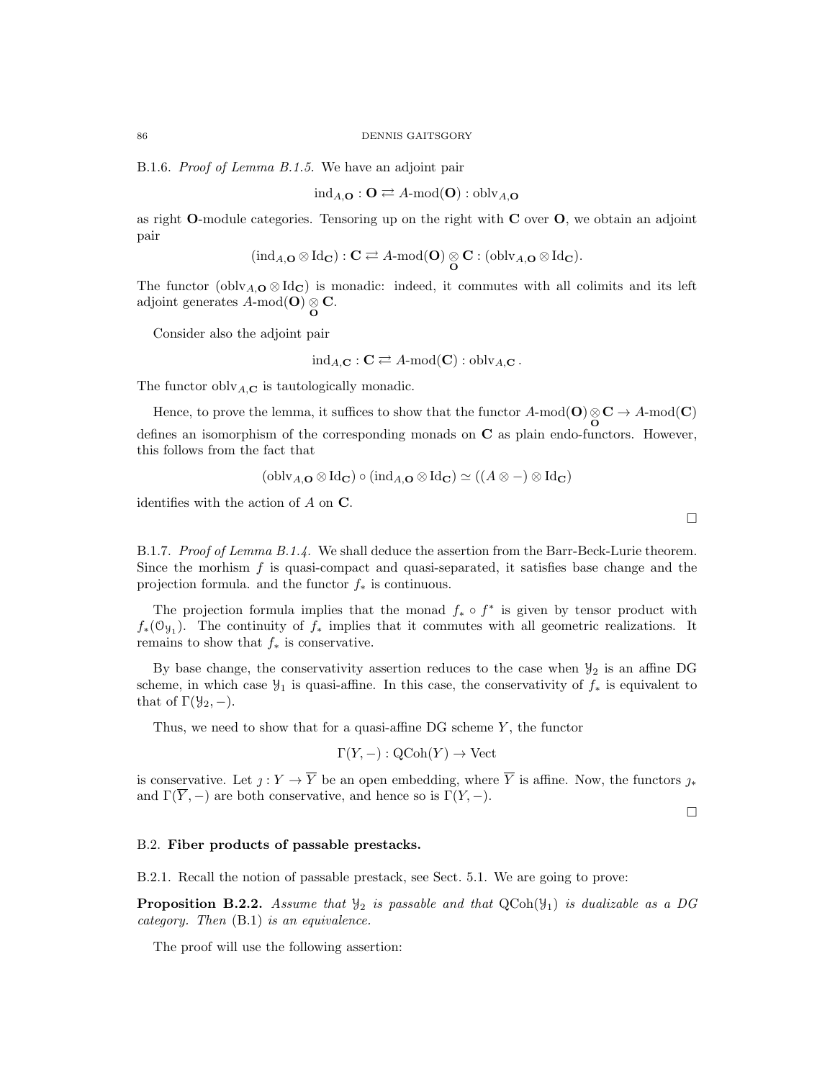B.1.6. Proof of Lemma B.1.5. We have an adjoint pair

$$
ind_{A,\mathbf{O}} : \mathbf{O} \rightleftarrows A\text{-mod}(\mathbf{O}) : \mathrm{oblv}_{A,\mathbf{O}}
$$

as right  $O$ -module categories. Tensoring up on the right with  $C$  over  $O$ , we obtain an adjoint pair

$$
(\mathrm{ind}_{A,\mathbf{O}}\otimes \mathrm{Id}_{\mathbf{C}}): \mathbf{C} \rightleftarrows A\text{-mod}(\mathbf{O})\underset{\mathbf{O}}{\otimes} \mathbf{C}: (\mathrm{oblv}_{A,\mathbf{O}}\otimes \mathrm{Id}_{\mathbf{C}}).
$$

The functor (obly<sub>A,</sub>O ⊗ Id<sub>C</sub>) is monadic: indeed, it commutes with all colimits and its left adjoint generates  $A\text{-mod}(\mathbf{O})\underset{\mathbf{O}}{\otimes}\mathbf{C}.$ 

Consider also the adjoint pair

$$
ind_{A,\mathbf{C}} : \mathbf{C} \rightleftarrows A\text{-mod}(\mathbf{C}) : \text{oblv}_{A,\mathbf{C}}.
$$

The functor obly<sub>A,**C**</sub> is tautologically monadic.

Hence, to prove the lemma, it suffices to show that the functor  $A$ -mod $(O) \otimes C \to A$ -mod $(C)$ defines an isomorphism of the corresponding monads on  $C$  as plain endo-functors. However, this follows from the fact that

$$
(\text{oblv}_{A,\mathbf{O}} \otimes \text{Id}_{\mathbf{C}}) \circ (\text{ind}_{A,\mathbf{O}} \otimes \text{Id}_{\mathbf{C}}) \simeq ((A \otimes -) \otimes \text{Id}_{\mathbf{C}})
$$

identifies with the action of  $A$  on  $C$ .

B.1.7. Proof of Lemma B.1.4. We shall deduce the assertion from the Barr-Beck-Lurie theorem. Since the morhism  $f$  is quasi-compact and quasi-separated, it satisfies base change and the projection formula. and the functor  $f_*$  is continuous.

The projection formula implies that the monad  $f_* \circ f^*$  is given by tensor product with  $f_*(\mathfrak{O}_{\mathfrak{Y}_1})$ . The continuity of  $f_*$  implies that it commutes with all geometric realizations. It remains to show that  $f_*$  is conservative.

By base change, the conservativity assertion reduces to the case when  $\mathcal{Y}_2$  is an affine DG scheme, in which case  $\mathcal{Y}_1$  is quasi-affine. In this case, the conservativity of  $f_*$  is equivalent to that of  $\Gamma(\mathcal{Y}_2, -)$ .

Thus, we need to show that for a quasi-affine  $DG$  scheme  $Y$ , the functor

$$
\Gamma(Y, -) : \text{QCoh}(Y) \to \text{Vect}
$$

is conservative. Let  $j: Y \to \overline{Y}$  be an open embedding, where  $\overline{Y}$  is affine. Now, the functors  $j_*$ and  $\Gamma(\overline{Y}, -)$  are both conservative, and hence so is  $\Gamma(Y, -)$ .

 $\Box$ 

#### B.2. Fiber products of passable prestacks.

B.2.1. Recall the notion of passable prestack, see Sect. 5.1. We are going to prove:

**Proposition B.2.2.** Assume that  $\mathcal{Y}_2$  is passable and that  $QCoh(\mathcal{Y}_1)$  is dualizable as a DG category. Then (B.1) is an equivalence.

The proof will use the following assertion:

 $\Box$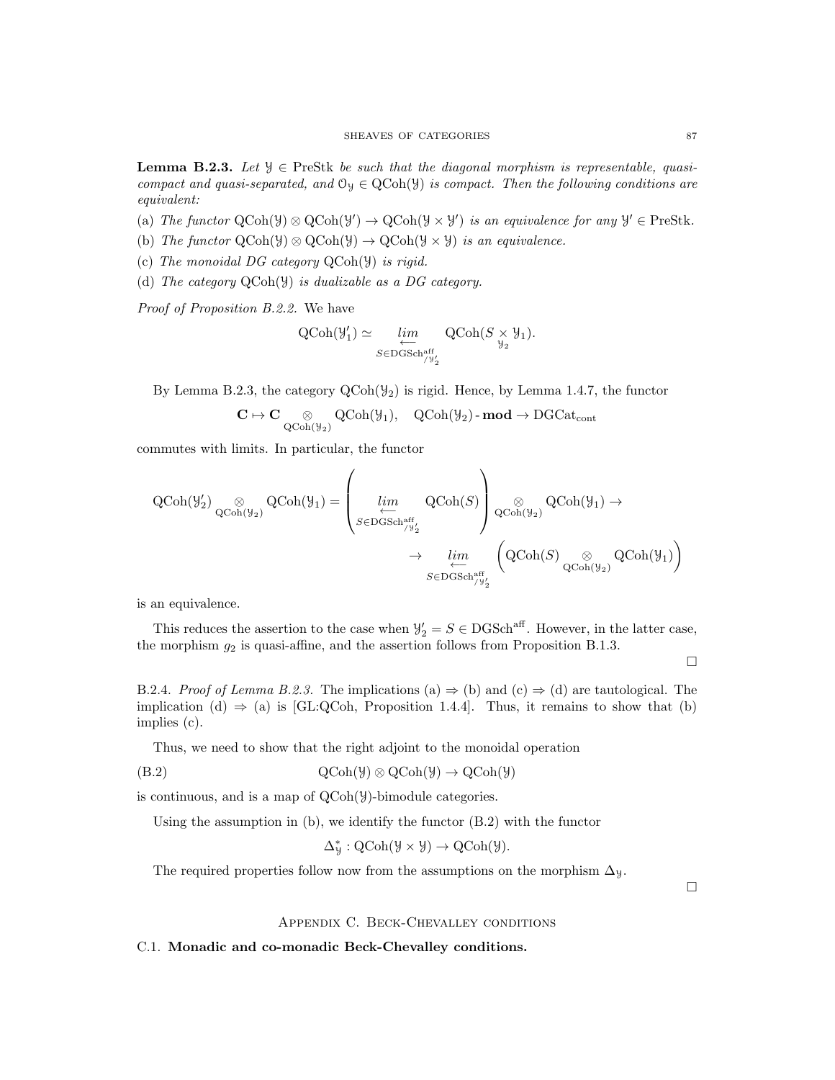**Lemma B.2.3.** Let  $\mathcal{Y} \in \text{PreStk}$  be such that the diagonal morphism is representable, quasicompact and quasi-separated, and  $\mathcal{O}_y \in \text{QCoh}(\mathcal{Y})$  is compact. Then the following conditions are equivalent:

- (a) The functor  $\text{QCoh}(\mathcal{Y}) \otimes \text{QCoh}(\mathcal{Y}') \to \text{QCoh}(\mathcal{Y} \times \mathcal{Y}')$  is an equivalence for any  $\mathcal{Y}' \in \text{PreStk.}$
- (b) The functor  $\text{QCoh}(\mathcal{Y}) \otimes \text{QCoh}(\mathcal{Y}) \to \text{QCoh}(\mathcal{Y} \times \mathcal{Y})$  is an equivalence.
- (c) The monoidal DG category QCoh(Y) is rigid.
- (d) The category QCoh(Y) is dualizable as a DG category.

Proof of Proposition B.2.2. We have

$$
\operatorname{QCoh}(\mathcal{Y}'_1) \simeq \varprojlim_{S \in \operatorname{DGSch}^{\operatorname{aff}}_{/\mathcal{Y}'_2}} \operatorname{QCoh}(S \underset{\mathcal{Y}_2}{\times} \mathcal{Y}_1).
$$

By Lemma B.2.3, the category  $\text{QCoh}(\mathcal{Y}_2)$  is rigid. Hence, by Lemma 1.4.7, the functor

$$
\mathbf{C}\mapsto \mathbf{C}\underset{\mathrm{QCoh}(\mathcal{Y}_2)}{\otimes} \mathrm{QCoh}(\mathcal{Y}_1),\quad \mathrm{QCoh}(\mathcal{Y}_2)\text{-}\mathbf{mod}\to \mathrm{DGCat}_{\mathrm{cont}}
$$

commutes with limits. In particular, the functor

$$
\begin{aligned} \mathrm{QCoh}(\mathcal{Y}_{2}') \underset{\mathrm{QCoh}(\mathcal{Y}_{2})}{\otimes} \mathrm{QCoh}(\mathcal{Y}_{1}) = \left(\varinjlim\limits_{\substack{\longleftarrow \\ S \in \mathrm{DGSch}_{/\mathcal{Y}_{2}'}}} \mathrm{QCoh}(S)\right) \underset{\mathrm{QCoh}(\mathcal{Y}_{2})}{\otimes} \mathrm{QCoh}(\mathcal{Y}_{1}) \rightarrow \\ \rightarrow \varprojlim\limits_{\substack{\longleftarrow \\ S \in \mathrm{DGSch}_{/\mathcal{Y}_{2}'}}} \left(\mathrm{QCoh}(S)\underset{\mathrm{QCoh}(\mathcal{Y}_{2})}{\otimes} \mathrm{QCoh}(\mathcal{Y}_{1})\right) \end{aligned}
$$

is an equivalence.

This reduces the assertion to the case when  $\mathcal{Y}'_2 = S \in \text{DGSch}^{\text{aff}}$ . However, in the latter case, the morphism  $g_2$  is quasi-affine, and the assertion follows from Proposition B.1.3.

 $\Box$ 

B.2.4. Proof of Lemma B.2.3. The implications (a)  $\Rightarrow$  (b) and (c)  $\Rightarrow$  (d) are tautological. The implication (d)  $\Rightarrow$  (a) is [GL:QCoh, Proposition 1.4.4]. Thus, it remains to show that (b) implies (c).

Thus, we need to show that the right adjoint to the monoidal operation

$$
Q\text{Coh}(\mathcal{Y}) \otimes Q\text{Coh}(\mathcal{Y}) \to Q\text{Coh}(\mathcal{Y})
$$

is continuous, and is a map of QCoh(Y)-bimodule categories.

Using the assumption in (b), we identify the functor (B.2) with the functor

$$
\Delta^*_\mathcal{Y}: \mathrm{QCoh}(\mathcal{Y} \times \mathcal{Y}) \to \mathrm{QCoh}(\mathcal{Y}).
$$

The required properties follow now from the assumptions on the morphism  $\Delta$ y.

 $\Box$ 

Appendix C. Beck-Chevalley conditions

C.1. Monadic and co-monadic Beck-Chevalley conditions.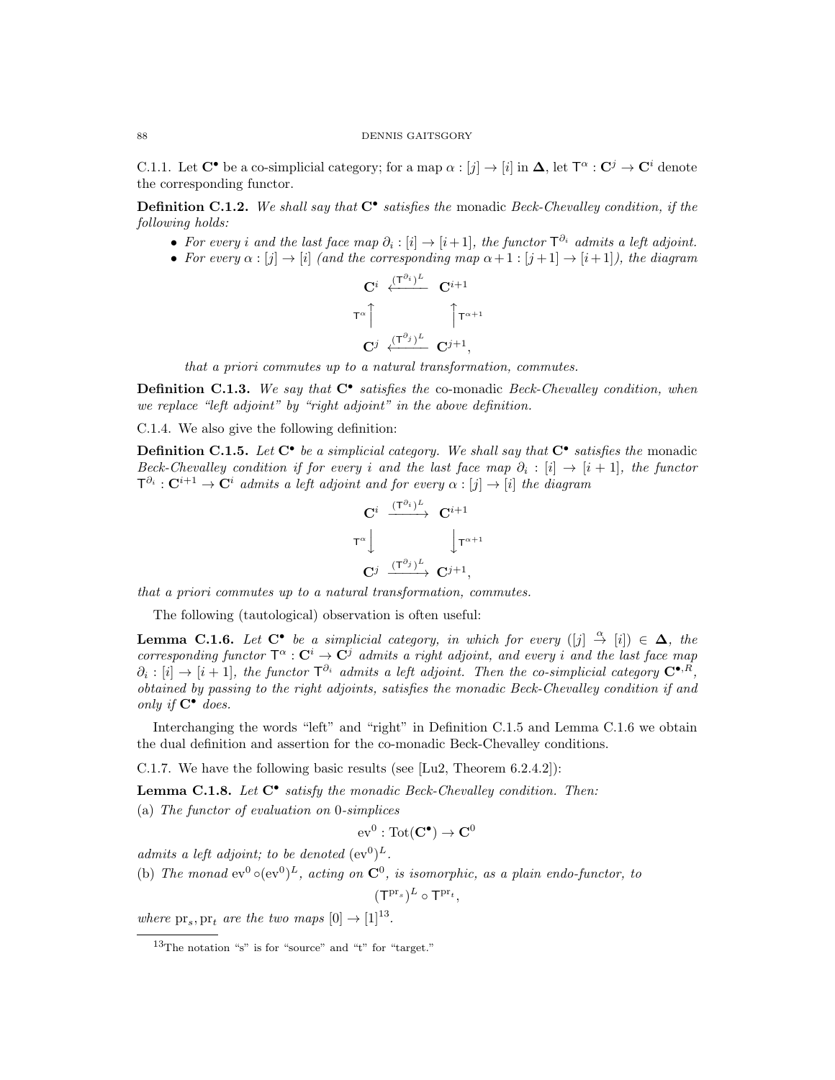C.1.1. Let  $C^{\bullet}$  be a co-simplicial category; for a map  $\alpha : [j] \to [i]$  in  $\Delta$ , let  $T^{\alpha} : C^j \to C^i$  denote the corresponding functor.

**Definition C.1.2.** We shall say that  $C^{\bullet}$  satisfies the monadic Beck-Chevalley condition, if the following holds:

- For every i and the last face map  $\partial_i : [i] \to [i+1]$ , the functor  $\mathsf{T}^{\partial_i}$  admits a left adjoint.
- For every  $\alpha : [j] \to [i]$  (and the corresponding map  $\alpha + 1 : [j + 1] \to [i + 1]$ ), the diagram



that a priori commutes up to a natural transformation, commutes.

**Definition C.1.3.** We say that  $C^{\bullet}$  satisfies the co-monadic Beck-Chevalley condition, when we replace "left adjoint" by "right adjoint" in the above definition.

C.1.4. We also give the following definition:

**Definition C.1.5.** Let  $C^{\bullet}$  be a simplicial category. We shall say that  $C^{\bullet}$  satisfies the monadic Beck-Chevalley condition if for every i and the last face map  $\partial_i : [i] \to [i+1]$ , the functor  $\mathsf{T}^{\partial_i}: \mathbf{C}^{i+1}\to \mathbf{C}^i$  admits a left adjoint and for every  $\alpha:[j]\to[i]$  the diagram

$$
\begin{array}{ccc}\n{\bf C}^i & \xrightarrow{({\bf T}^{\partial_i})^L} & {\bf C}^{i+1}\\\\\uparrow & & \downarrow {\bf T}^{\alpha+1}\\\\{\bf C}^j & \xrightarrow{({\bf T}^{\partial_j})^L} & {\bf C}^{j+1},\end{array}
$$

that a priori commutes up to a natural transformation, commutes.

The following (tautological) observation is often useful:

**Lemma C.1.6.** Let  $C^{\bullet}$  be a simplicial category, in which for every  $(|j| \stackrel{\alpha}{\to} |i|) \in \Delta$ , the corresponding functor  $\mathsf{T}^\alpha : \mathbf{C}^i \to \mathbf{C}^j$  admits a right adjoint, and every i and the last face map  $\partial_i:[i]\to[i+1],$  the functor  $\mathsf{T}^{\partial_i}$  admits a left adjoint. Then the co-simplicial category  $\mathbf{C}^{\bullet,R}$ , obtained by passing to the right adjoints, satisfies the monadic Beck-Chevalley condition if and only if  $C^{\bullet}$  does.

Interchanging the words "left" and "right" in Definition C.1.5 and Lemma C.1.6 we obtain the dual definition and assertion for the co-monadic Beck-Chevalley conditions.

C.1.7. We have the following basic results (see [Lu2, Theorem 6.2.4.2]):

**Lemma C.1.8.** Let  $C^{\bullet}$  satisfy the monadic Beck-Chevalley condition. Then: (a) The functor of evaluation on 0-simplices

$$
\mathrm{ev}^0:\mathrm{Tot}(\mathbf{C}^\bullet)\to\mathbf{C}^0
$$

admits a left adjoint; to be denoted  $(\mathrm{ev}^0)^L$ .

(b) The monad  $ev^0 \circ (ev^0)^L$ , acting on  $\mathbb{C}^0$ , is isomorphic, as a plain endo-functor, to

$$
(\mathsf{T}^{\mathrm{pr}_s})^L \circ \mathsf{T}^{\mathrm{pr}_t},
$$

where  $pr_s, pr_t$  are the two maps  $[0] \rightarrow [1]^{13}$ .

<sup>13</sup>The notation "s" is for "source" and "t" for "target."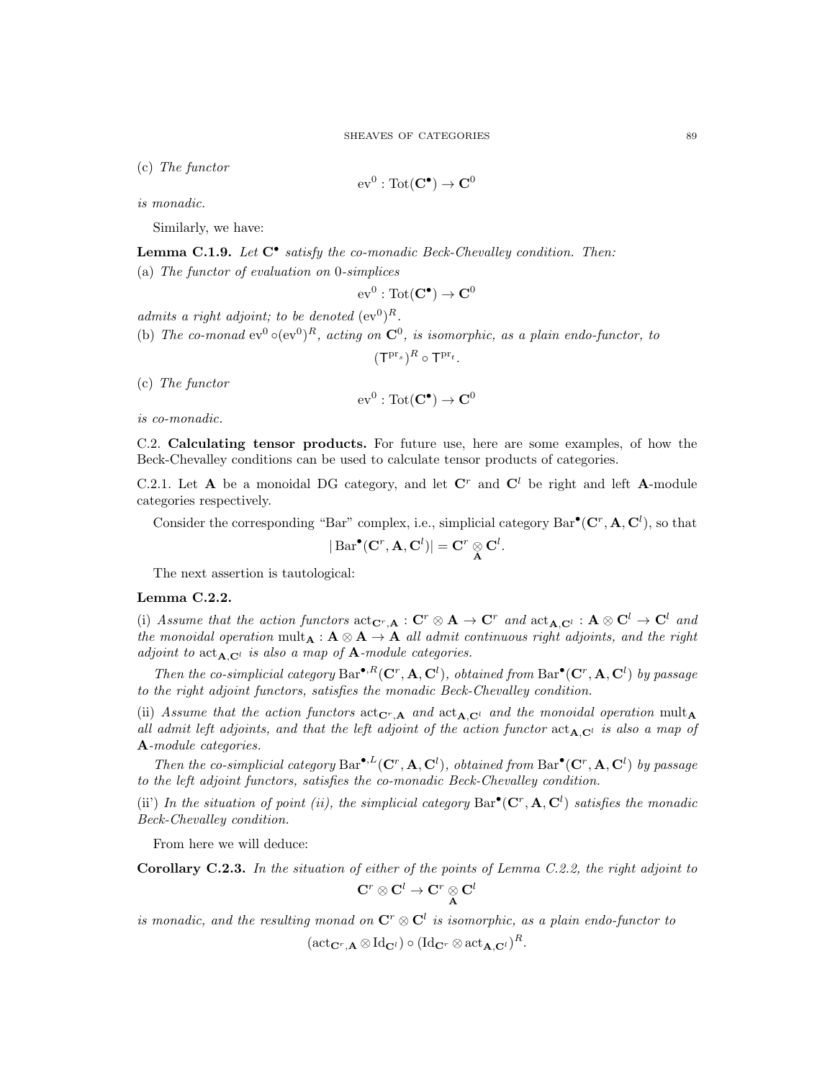(c) The functor

$$
\mathrm{ev}^0:\mathrm{Tot}(\mathbf{C}^\bullet)\to\mathbf{C}^0
$$

is monadic.

Similarly, we have:

**Lemma C.1.9.** Let  $C^{\bullet}$  satisfy the co-monadic Beck-Chevalley condition. Then:

(a) The functor of evaluation on 0-simplices

$$
\mathrm{ev}^0:\mathrm{Tot}(\mathbf{C}^\bullet)\to\mathbf{C}^0
$$

admits a right adjoint; to be denoted  $(\mathrm{ev}^0)^R$ .

(b) The co-monad  $ev^0 \circ (ev^0)^R$ , acting on  $\mathbb{C}^0$ , is isomorphic, as a plain endo-functor, to

 $({\sf T}^{\mathrm{pr}_s})^R \circ {\sf T}^{\mathrm{pr}_t}.$ 

(c) The functor

$$
\mathrm{ev}^0:\mathrm{Tot}(\mathbf{C}^\bullet)\to\mathbf{C}^0
$$

is co-monadic.

C.2. Calculating tensor products. For future use, here are some examples, of how the Beck-Chevalley conditions can be used to calculate tensor products of categories.

C.2.1. Let **A** be a monoidal DG category, and let  $\mathbb{C}^r$  and  $\mathbb{C}^l$  be right and left **A**-module categories respectively.

Consider the corresponding "Bar" complex, i.e., simplicial category  $Bar^{\bullet}(\mathbf{C}^r, \mathbf{A}, \mathbf{C}^l)$ , so that

.

$$
|\operatorname{Bar}^{\bullet}({\bf C}^r, {\bf A}, {\bf C}^l)| = {\bf C}^r \underset{{\bf A}}{\otimes} {\bf C}^l
$$

The next assertion is tautological:

# Lemma C.2.2.

(i) Assume that the action functors  $\text{act}_{\mathbf{C}^r,\mathbf{A}}:\mathbf{C}^r\otimes \mathbf{A}\to \mathbf{C}^r$  and  $\text{act}_{\mathbf{A},\mathbf{C}^l}:\mathbf{A}\otimes \mathbf{C}^l\to \mathbf{C}^l$  and the monoidal operation mult $_A: A \otimes A \to A$  all admit continuous right adjoints, and the right adjoint to  $\text{act}_{\mathbf{A},\mathbf{C}^l}$  is also a map of  $\mathbf{A}\text{-module categories.}$ 

Then the co-simplicial category  $Bar^{\bullet,R}(\mathbf{C}^r,\mathbf{A},\mathbf{C}^l)$ , obtained from  $Bar^{\bullet}(\mathbf{C}^r,\mathbf{A},\mathbf{C}^l)$  by passage to the right adjoint functors, satisfies the monadic Beck-Chevalley condition.

(ii) Assume that the action functors  $\text{act}_{\mathbf{C}^r,\mathbf{A}}$  and  $\text{act}_{\mathbf{A},\mathbf{C}^l}$  and the monoidal operation mult<sub>A</sub> all admit left adjoints, and that the left adjoint of the action functor  $act_{A,C}$  is also a map of A-module categories.

Then the co-simplicial category  $Bar^{\bullet, L}(\mathbf{C}^r, \mathbf{A}, \mathbf{C}^l)$ , obtained from  $Bar^{\bullet}(\mathbf{C}^r, \mathbf{A}, \mathbf{C}^l)$  by passage to the left adjoint functors, satisfies the co-monadic Beck-Chevalley condition.

(ii) In the situation of point (ii), the simplicial category  $Bar^{\bullet}(\mathbf{C}^r, \mathbf{A}, \mathbf{C}^l)$  satisfies the monadic Beck-Chevalley condition.

From here we will deduce:

Corollary C.2.3. In the situation of either of the points of Lemma C.2.2, the right adjoint to

$$
{\bf C}^r\otimes {\bf C}^l\to {\bf C}^r\underset{\bf A}{\otimes}{\bf C}^l
$$

is monadic, and the resulting monad on  $\mathbf{C}^r \otimes \mathbf{C}^l$  is isomorphic, as a plain endo-functor to

 $(\mathrm{act}_{\mathbf{C}^r, \mathbf{A}} \otimes \mathrm{Id}_{\mathbf{C}^l}) \circ (\mathrm{Id}_{\mathbf{C}^r} \otimes \mathrm{act}_{\mathbf{A}, \mathbf{C}^l})^R.$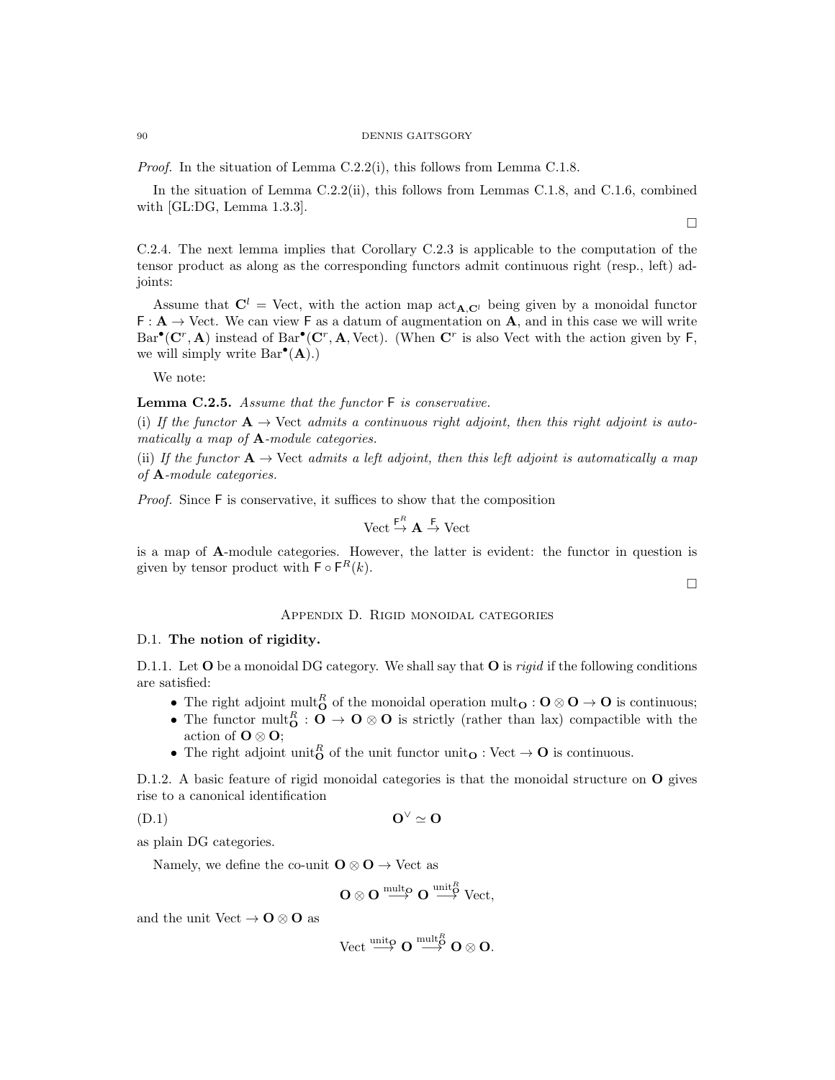### 90 DENNIS GAITSGORY

Proof. In the situation of Lemma C.2.2(i), this follows from Lemma C.1.8.

In the situation of Lemma C.2.2(ii), this follows from Lemmas C.1.8, and C.1.6, combined with [GL:DG, Lemma 1.3.3].

C.2.4. The next lemma implies that Corollary C.2.3 is applicable to the computation of the tensor product as along as the corresponding functors admit continuous right (resp., left) adjoints:

Assume that  $C^l$  = Vect, with the action map  $\text{act}_{A,C^l}$  being given by a monoidal functor  $F: \mathbf{A} \to \text{Vect}$ . We can view F as a datum of augmentation on A, and in this case we will write  $Bar^{\bullet}(\mathbf{C}^r, \mathbf{A})$  instead of  $Bar^{\bullet}(\mathbf{C}^r, \mathbf{A}, \text{Vect})$ . (When  $\mathbf{C}^r$  is also Vect with the action given by F, we will simply write  $Bar^{\bullet}(A)$ .

We note:

Lemma C.2.5. Assume that the functor F is conservative.

(i) If the functor  $\mathbf{A} \to \text{Vect}$  admits a continuous right adjoint, then this right adjoint is automatically a map of **A**-module categories.

(ii) If the functor  $A \rightarrow$  Vect admits a left adjoint, then this left adjoint is automatically a map of A-module categories.

Proof. Since F is conservative, it suffices to show that the composition

$$
\mathrm{Vect} \stackrel{\mathsf{F}^{\mathsf{R}}}{\rightarrow} \mathbf{A} \stackrel{\mathsf{F}}{\rightarrow} \mathrm{Vect}
$$

 $\overline{R}$ 

is a map of A-module categories. However, the latter is evident: the functor in question is given by tensor product with  $\mathsf{F} \circ \mathsf{F}^R(k)$ .

#### $\Box$

 $\Box$ 

# Appendix D. Rigid monoidal categories

### D.1. The notion of rigidity.

D.1.1. Let  $O$  be a monoidal DG category. We shall say that  $O$  is *rigid* if the following conditions are satisfied:

- The right adjoint mult<sub>O</sub> of the monoidal operation mult<sub>O</sub> :  $O \otimes O \rightarrow O$  is continuous;
- The functor mult $_{\mathbf{O}}^{R}$  :  $\mathbf{O} \to \mathbf{O} \otimes \mathbf{O}$  is strictly (rather than lax) compactible with the action of  $\mathbf{O} \otimes \mathbf{O}$ ;
- The right adjoint unit<sub>o</sub> of the unit functor unit<sub>o</sub>: Vect  $\rightarrow$  O is continuous.

D.1.2. A basic feature of rigid monoidal categories is that the monoidal structure on **O** gives rise to a canonical identification

$$
O^{\vee} \simeq O
$$

as plain DG categories.

Namely, we define the co-unit  $\mathbf{O} \otimes \mathbf{O} \rightarrow$  Vect as

$$
O\otimes O\stackrel{\operatorname{mult}_O}\longrightarrow O\stackrel{\operatorname{unit}_O^R}\longrightarrow \operatorname{Vect},
$$

and the unit Vect  $\rightarrow$  O  $\otimes$  O as

$$
\operatorname{Vect} \stackrel{\mathrm{unit}\rho}{\longrightarrow} O \stackrel{\mathrm{mult}^{\mathcal{B}}_{O}}{\longrightarrow} O \otimes O.
$$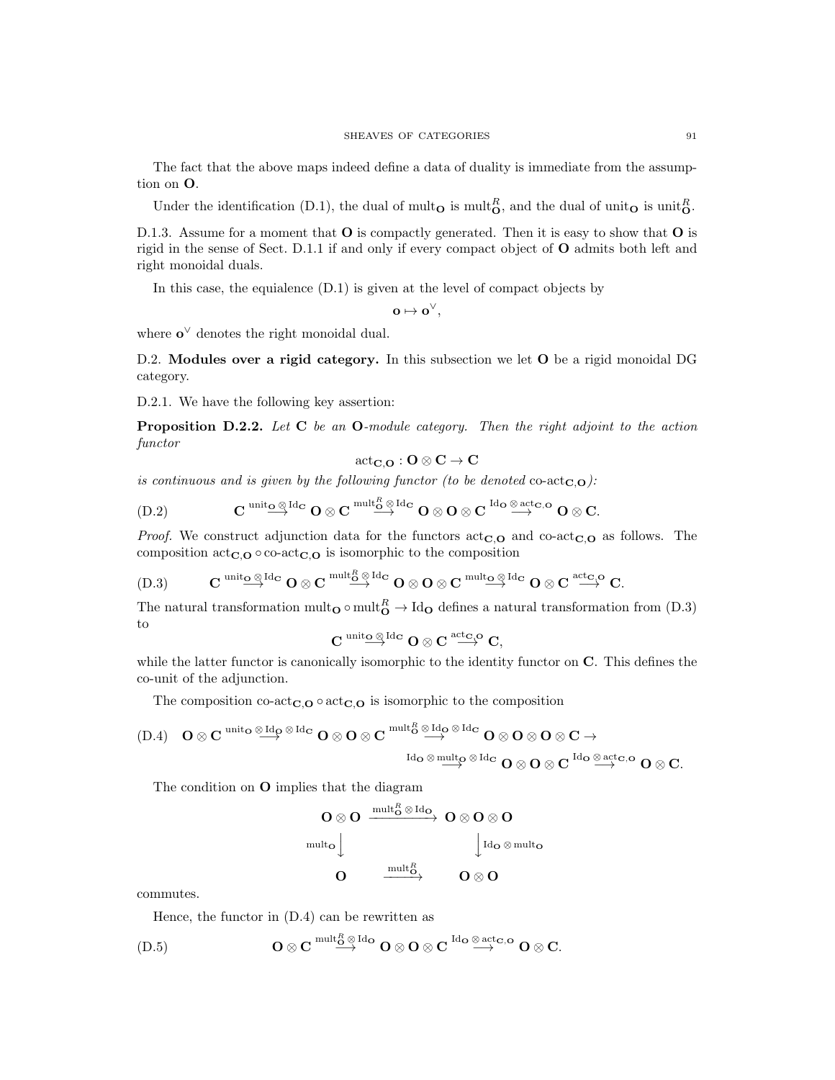The fact that the above maps indeed define a data of duality is immediate from the assumption on O.

Under the identification (D.1), the dual of mult<sub>o</sub> is mult<sub>o</sub>, and the dual of unit<sub>o</sub> is unit<sub>o</sub>.

D.1.3. Assume for a moment that  $O$  is compactly generated. Then it is easy to show that  $O$  is rigid in the sense of Sect. D.1.1 if and only if every compact object of O admits both left and right monoidal duals.

In this case, the equialence (D.1) is given at the level of compact objects by

 $\mathbf{o} \mapsto \mathbf{o}^{\vee},$ 

where  $o^{\vee}$  denotes the right monoidal dual.

D.2. Modules over a rigid category. In this subsection we let O be a rigid monoidal DG category.

D.2.1. We have the following key assertion:

**Proposition D.2.2.** Let  $C$  be an  $O$ -module category. Then the right adjoint to the action functor

$$
\mathrm{act}_{\mathbf{C},\mathbf{O}} : \mathbf{O} \otimes \mathbf{C} \to \mathbf{C}
$$

is continuous and is given by the following functor (to be denoted co-act<sub>C,O</sub>):

$$
\text{(D.2)} \qquad \qquad \mathbf{C} \overset{\text{unit}_{\mathbf{O}} \otimes \text{Id}_{\mathbf{C}}}{\longrightarrow} \mathbf{O} \otimes \mathbf{C} \overset{\text{multi}_{\mathbf{O}}^R \otimes \text{Id}_{\mathbf{C}}}{\longrightarrow} \mathbf{O} \otimes \mathbf{O} \otimes \mathbf{C} \overset{\text{Id}_{\mathbf{O}} \otimes \text{act}_{\mathbf{C},\mathbf{O}}}{\longrightarrow} \mathbf{O} \otimes \mathbf{C}.
$$

*Proof.* We construct adjunction data for the functors  $\operatorname{act}_{\mathbf{C},\mathbf{O}}$  and co-act<sub>C, $\mathbf{O}$ </sub> as follows. The composition  $\text{act}_{\mathbf{C},\mathbf{O}} \circ \text{co-act}_{\mathbf{C},\mathbf{O}}$  is isomorphic to the composition

$$
\text{(D.3)} \qquad \qquad \mathbf{C} \overset{\operatorname{unit}_\mathbf{O} \otimes \operatorname{Id}_\mathbf{C}}{\longrightarrow} \mathbf{O} \otimes \mathbf{C} \overset{\operatorname{mult}_\mathbf{G}^R \otimes \operatorname{Id}_\mathbf{C}}{\longrightarrow} \mathbf{O} \otimes \mathbf{O} \otimes \mathbf{C} \overset{\operatorname{mult}_\mathbf{O} \otimes \operatorname{Id}_\mathbf{C}}{\longrightarrow} \mathbf{O} \otimes \mathbf{C} \overset{\operatorname{act}_\mathbf{C} \otimes \mathbf{O}}{\longrightarrow} \mathbf{C}.
$$

The natural transformation mult<sub>o</sub>  $\circ$  mult<sub>o</sub>  $\to$  Id<sub>o</sub> defines a natural transformation from (D.3) to

$$
C\stackrel{\mathrm{unit}_{{\mathbf O}}\otimes\mathrm{Id}_{{\mathbf C}}}{\longrightarrow} {\mathbf O}\otimes C\stackrel{\mathrm{act}_{{\mathbf C},{\mathbf O}}}{\longrightarrow} C,
$$

while the latter functor is canonically isomorphic to the identity functor on  $\mathbb{C}$ . This defines the co-unit of the adjunction.

The composition co-act<sub>C,O</sub>  $\circ$  act<sub>C,O</sub> is isomorphic to the composition

$$
\begin{array}{ll}\text{(D.4)} \quad \mathbf{O}\otimes \mathbf{C} & \stackrel{\mathrm{unito}\,\otimes \mathrm{Id}_\mathbf{O}\,\otimes \mathrm{Id}_\mathbf{C}}{\longrightarrow} \mathbf{O}\otimes \mathbf{O}\otimes \mathbf{C} & \stackrel{\mathrm{mult}_\mathbf{O}\,\otimes \mathrm{Id}_\mathbf{C}\,\otimes \mathrm{Id}_\mathbf{C}}{\longrightarrow} \mathbf{O}\otimes \mathbf{O}\otimes \mathbf{O}\otimes \mathbf{O}\otimes \mathbf{C}\rightarrow\\ & \stackrel{\mathrm{Id}_\mathbf{O}\,\otimes\,\mathrm{mult}_\mathbf{O}\,\otimes \mathrm{Id}_\mathbf{C}}{\longrightarrow} \mathbf{O}\otimes \mathbf{O}\otimes \mathbf{C}\otimes \mathbf{C} & \stackrel{\mathrm{Id}_\mathbf{O}\,\otimes \mathrm{act}_\mathbf{C}\,\mathrm{O}}{\longrightarrow} \mathbf{O}\otimes \mathbf{C}.\end{array}
$$

The condition on O implies that the diagram

$$
\begin{array}{ccc}\nO\otimes O & \xrightarrow{\operatorname{mult}_{O}^{R}\otimes\operatorname{Id}_{O}} & O\otimes O\otimes O \\
\downarrow^{\operatorname{mult}_{O}} & & \downarrow^{\operatorname{Id}_{O}\otimes\operatorname{mult}_{O}} \\
O & \xrightarrow{\operatorname{mult}_{O}^{R}} & O\otimes O\n\end{array}
$$

commutes.

Hence, the functor in (D.4) can be rewritten as

$$
(D.5) \tO\otimes C \stackrel{\text{mult}_O^R\otimes \text{Id}_O}\longrightarrow O\otimes O\otimes C \stackrel{\text{Id}_O\otimes \text{act}_{C,O}}\longrightarrow O\otimes C.
$$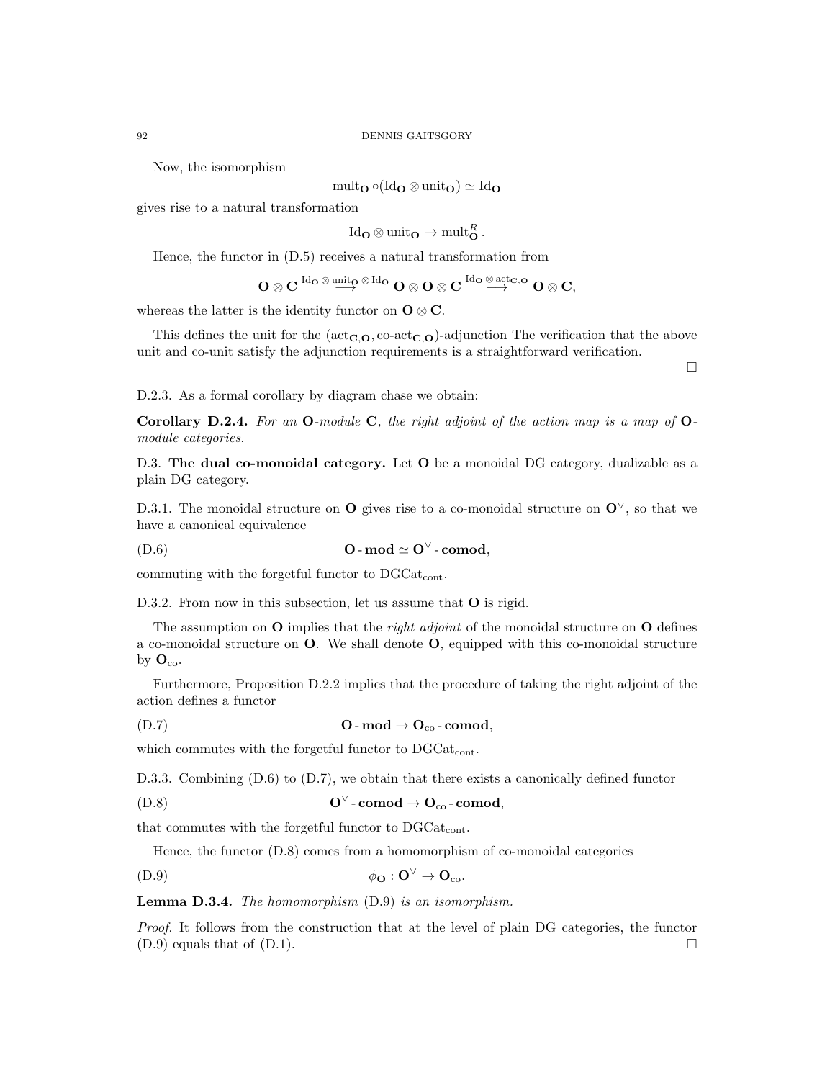Now, the isomorphism

$$
\mathrm{mult}_{\mathbf{O}} \circ (\mathrm{Id}_{\mathbf{O}} \otimes \mathrm{unit}_{\mathbf{O}}) \simeq \mathrm{Id}_{\mathbf{O}}
$$

gives rise to a natural transformation

 $\mathrm{Id}_{\mathbf{O}} \otimes \mathrm{unit}_{\mathbf{O}} \to \mathrm{mult}_{\mathbf{O}}^R.$ 

Hence, the functor in (D.5) receives a natural transformation from

$$
O\otimes C\overset{\operatorname{Id}_\mathbf{O}\otimes\operatorname{unit}_\mathbf{O}\otimes\operatorname{Id}_\mathbf{O}}{\longrightarrow} O\otimes O\otimes C\overset{\operatorname{Id}_\mathbf{O}\otimes\operatorname{act}_{\mathbf{C},\mathbf{O}}}{\longrightarrow} O\otimes C,
$$

whereas the latter is the identity functor on  $\mathbf{O} \otimes \mathbf{C}$ .

This defines the unit for the  $(\text{act}_{\mathbf{C},\mathbf{O}}, \text{co-act}_{\mathbf{C},\mathbf{O}})$ -adjunction The verification that the above unit and co-unit satisfy the adjunction requirements is a straightforward verification.

 $\Box$ 

D.2.3. As a formal corollary by diagram chase we obtain:

Corollary D.2.4. For an O-module C, the right adjoint of the action map is a map of  $O$ module categories.

D.3. The dual co-monoidal category. Let O be a monoidal DG category, dualizable as a plain DG category.

D.3.1. The monoidal structure on **O** gives rise to a co-monoidal structure on  $\mathbf{O}^{\vee}$ , so that we have a canonical equivalence

(D.6) O - mod ' O<sup>∨</sup> - comod,

commuting with the forgetful functor to  $\text{DGCat}_{\text{cont}}$ .

D.3.2. From now in this subsection, let us assume that **O** is rigid.

The assumption on  $O$  implies that the *right adjoint* of the monoidal structure on  $O$  defines a co-monoidal structure on O. We shall denote O, equipped with this co-monoidal structure by  $O_{\text{co}}$ .

Furthermore, Proposition D.2.2 implies that the procedure of taking the right adjoint of the action defines a functor

(D.7)  $Q$ -mod  $\rightarrow Q_{\text{co}}$ -comod,

which commutes with the forgetful functor to  $DGCat_{cont}$ .

D.3.3. Combining  $(D.6)$  to  $(D.7)$ , we obtain that there exists a canonically defined functor

$$
O^{\vee}\text{-}\mathbf{comod}\to\mathbf{O}_{\mathrm{co}}\text{-}\mathbf{comod},
$$

that commutes with the forgetful functor to  $DGCat_{cont}$ .

Hence, the functor (D.8) comes from a homomorphism of co-monoidal categories

$$
\phi_{\mathbf{O}} : \mathbf{O}^{\vee} \to \mathbf{O}_{\mathrm{co}}.
$$

Lemma D.3.4. The homomorphism (D.9) is an isomorphism.

Proof. It follows from the construction that at the level of plain DG categories, the functor  $(D.9)$  equals that of  $(D.1)$ .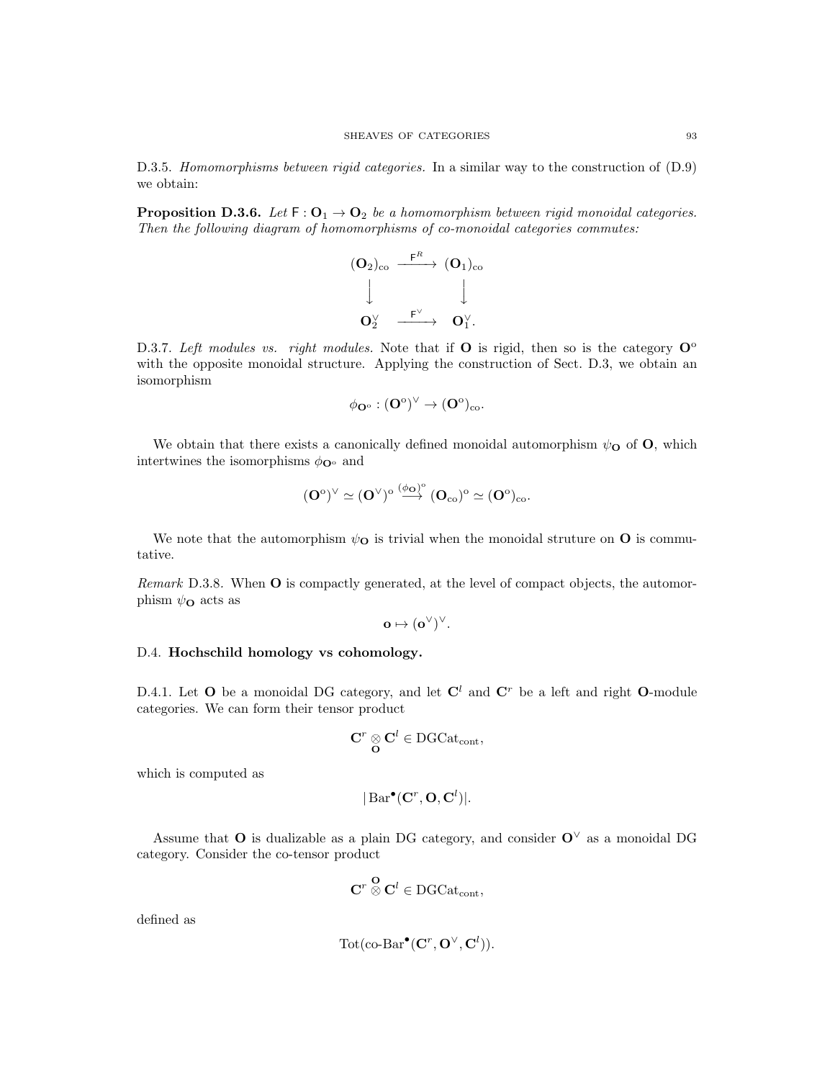D.3.5. Homomorphisms between rigid categories. In a similar way to the construction of  $(D.9)$ we obtain:

**Proposition D.3.6.** Let  $F : O_1 \rightarrow O_2$  be a homomorphism between rigid monoidal categories. Then the following diagram of homomorphisms of co-monoidal categories commutes:



D.3.7. Left modules vs. right modules. Note that if O is rigid, then so is the category  $\mathbf{O}^{\circ}$ with the opposite monoidal structure. Applying the construction of Sect. D.3, we obtain an isomorphism

$$
\phi_{\mathbf{O}^{\mathrm{o}}} : (\mathbf{O}^{\mathrm{o}})^{\vee} \to (\mathbf{O}^{\mathrm{o}})_{\mathrm{co}}.
$$

We obtain that there exists a canonically defined monoidal automorphism  $\psi_{\mathbf{O}}$  of  $\mathbf{O}$ , which intertwines the isomorphisms  $\phi_{\mathbf{O}^{\circ}}$  and

$$
(\mathbf{O}^\mathrm{o})^\vee\simeq (\mathbf{O}^\vee)^\mathrm{o}\stackrel{(\phi_\mathbf{O})^\mathrm{o}}\longrightarrow (\mathbf{O}_\mathrm{co})^\mathrm{o}\simeq (\mathbf{O}^\mathrm{o})_\mathrm{co}.
$$

We note that the automorphism  $\psi_{\mathbf{O}}$  is trivial when the monoidal struture on  $\mathbf{O}$  is commutative.

Remark D.3.8. When **O** is compactly generated, at the level of compact objects, the automorphism  $\psi_{\mathbf{O}}$  acts as

$$
o \mapsto (o^{\vee})^{\vee}.
$$

# D.4. Hochschild homology vs cohomology.

D.4.1. Let O be a monoidal DG category, and let  $\mathbb{C}^l$  and  $\mathbb{C}^r$  be a left and right O-module categories. We can form their tensor product

$$
\mathbf{C}^r \underset{\mathbf{O}}{\otimes} \mathbf{C}^l \in \mathrm{DGCat}_{\mathrm{cont}},
$$

which is computed as

$$
|\operatorname{Bar}^{\bullet}(\mathbf{C}^r, \mathbf{O}, \mathbf{C}^l)|.
$$

Assume that O is dualizable as a plain DG category, and consider  $O^{\vee}$  as a monoidal DG category. Consider the co-tensor product

$$
\mathbf{C}^r \overset{\mathbf{O}}{\otimes} \mathbf{C}^l \in \text{DGCat}_{\text{cont}},
$$

defined as

$$
Tot(\mathbf{co}\text{-}\mathbf{Bar}^{\bullet}(\mathbf{C}^r, \mathbf{O}^{\vee}, \mathbf{C}^l)).
$$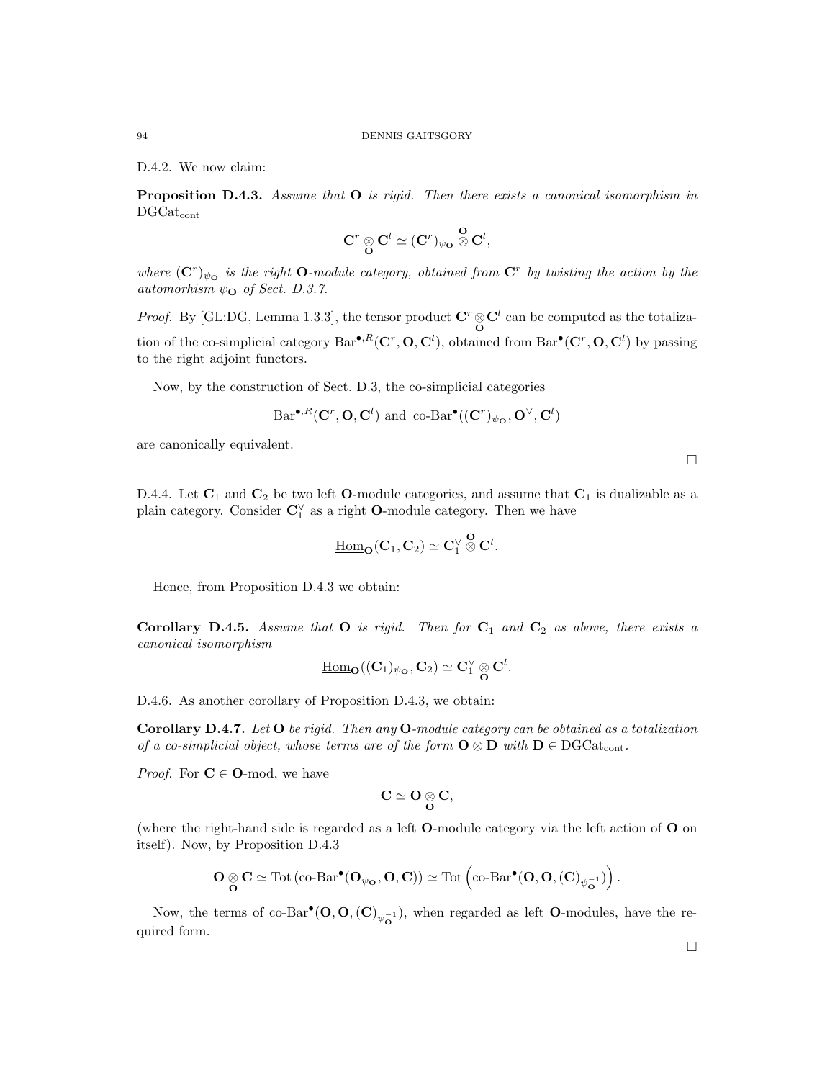D.4.2. We now claim:

**Proposition D.4.3.** Assume that  $O$  is rigid. Then there exists a canonical isomorphism in  $DGCat_{cont}$ 

$$
{\bf C}^r\underset{\bf O}{\otimes} {\bf C}^l\simeq ({\bf C}^r)_{\psi_{\bf O}}\overset{\bf O}{\otimes} {\bf C}^l,
$$

where  $(\mathbf{C}^r)_{\psi\mathbf{O}}$  is the right **O**-module category, obtained from  $\mathbf{C}^r$  by twisting the action by the automorhism  $\psi_{\mathbf{O}}$  of Sect. D.3.7.

*Proof.* By [GL:DG, Lemma 1.3.3], the tensor product  $C^r \otimes C^l$  can be computed as the totalization of the co-simplicial category  $Bar^{\bullet,R}(\mathbf{C}^r,\mathbf{O},\mathbf{C}^l)$ , obtained from  $Bar^{\bullet}(\mathbf{C}^r,\mathbf{O},\mathbf{C}^l)$  by passing to the right adjoint functors.

Now, by the construction of Sect. D.3, the co-simplicial categories

$$
\text{Bar}^{\bullet, R}(\mathbf{C}^r, \mathbf{O}, \mathbf{C}^l) \text{ and } \text{co-Bar}^\bullet((\mathbf{C}^r)_{\psi_\mathbf{O}}, \mathbf{O}^\vee, \mathbf{C}^l)
$$

are canonically equivalent.

D.4.4. Let  $C_1$  and  $C_2$  be two left **O**-module categories, and assume that  $C_1$  is dualizable as a plain category. Consider  $\mathbf{C}^\vee_1$  as a right **O**-module category. Then we have

$$
\underline{\mathrm{Hom}}_\mathbf{O}(\mathbf{C}_1,\mathbf{C}_2)\simeq \mathbf{C}_1^\vee\overset{\mathbf{O}}{\otimes}\mathbf{C}^l.
$$

Hence, from Proposition D.4.3 we obtain:

Corollary D.4.5. Assume that O is rigid. Then for  $C_1$  and  $C_2$  as above, there exists a canonical isomorphism

$$
\underline{\mathrm{Hom}}_\mathbf{O}((\mathbf{C}_1)_{\psi_\mathbf{O}}, \mathbf{C}_2) \simeq \mathbf{C}_1^\vee \underset{\mathbf{O}}{\otimes} \mathbf{C}^l.
$$

D.4.6. As another corollary of Proposition D.4.3, we obtain:

Corollary D.4.7. Let O be rigid. Then any O-module category can be obtained as a totalization of a co-simplicial object, whose terms are of the form  $\mathbf{O} \otimes \mathbf{D}$  with  $\mathbf{D} \in \mathrm{DGCat}_{\mathrm{cont}}$ .

*Proof.* For  $C \in \mathbf{O}$ -mod, we have

$$
\mathbf{C}\simeq \mathbf{O}\underset{\mathbf{O}}{\otimes}\mathbf{C},
$$

(where the right-hand side is regarded as a left O-module category via the left action of O on itself). Now, by Proposition D.4.3

$$
\mathbf{O} \underset{\mathbf{O}}{\otimes} \mathbf{C} \simeq \mathrm{Tot} \left( \mathrm{co}\text{-}\mathrm{Bar}^{\bullet}(\mathbf{O}_{\psi_{\mathbf{O}}}, \mathbf{O}, \mathbf{C}) \right) \simeq \mathrm{Tot} \left( \mathrm{co}\text{-}\mathrm{Bar}^{\bullet}(\mathbf{O}, \mathbf{O}, (\mathbf{C})_{\psi_{\mathbf{O}}^{-1}}) \right).
$$

Now, the terms of co-Bar<sup>•</sup>( $O, O, (C)_{\psi_{\mathbf{O}}^{-1}}$ ), when regarded as left **O**-modules, have the required form.

 $\Box$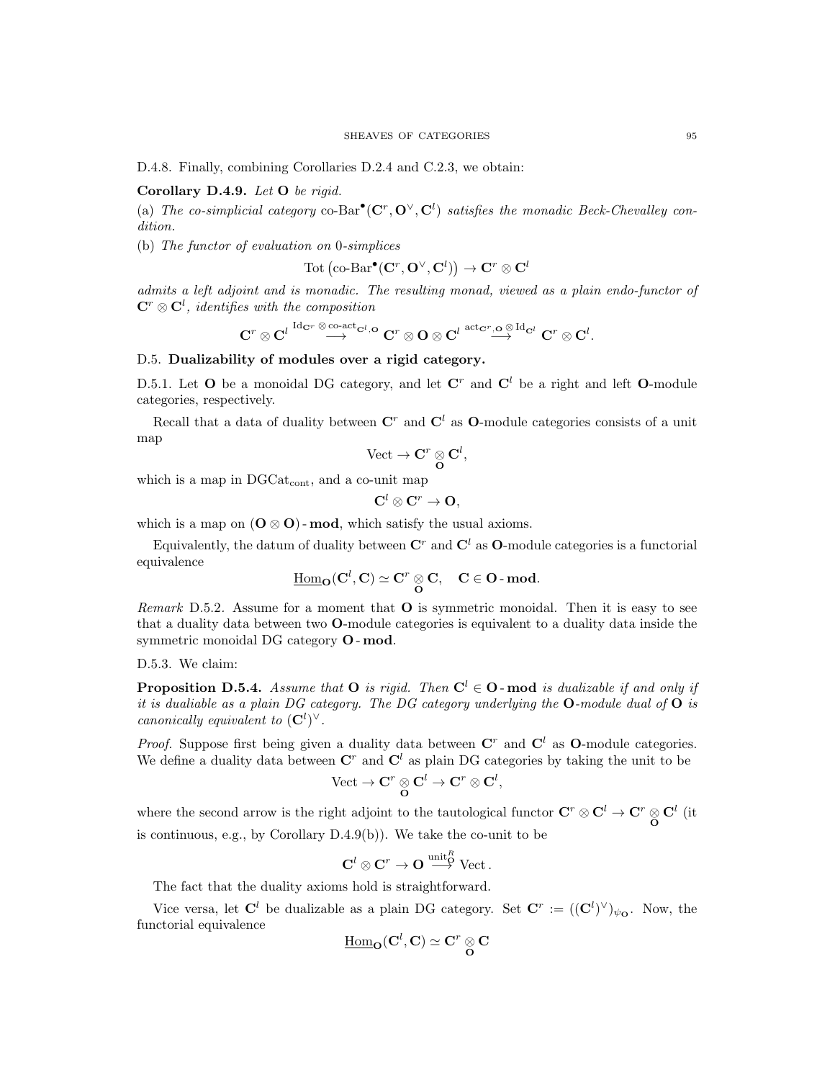D.4.8. Finally, combining Corollaries D.2.4 and C.2.3, we obtain:

# Corollary D.4.9. Let O be rigid.

(a) The co-simplicial category co-Bar<sup>•</sup>( $\mathbf{C}^r$ ,  $\mathbf{O}^{\vee}$ ,  $\mathbf{C}^l$ ) satisfies the monadic Beck-Chevalley condition.

(b) The functor of evaluation on 0-simplices

$$
\operatorname{Tot}\left(\operatorname{co-Bar}^{\bullet}(\mathbf{C}^r, \mathbf{O}^{\vee}, \mathbf{C}^l)\right) \to \mathbf{C}^r \otimes \mathbf{C}^l
$$

admits a left adjoint and is monadic. The resulting monad, viewed as a plain endo-functor of  $\mathbf{C}^r \otimes \mathbf{C}^l$ , identifies with the composition

$$
\mathbf{C}^r\otimes\mathbf{C}^l\stackrel{\mathrm{Id}_{\mathbf{C}^r}\otimes\mathrm{co}\text{-act}_{\mathbf{C}^l,\mathbf{O}}}{\longrightarrow}\mathbf{C}^r\otimes\mathbf{O}\otimes\mathbf{C}^l\stackrel{\mathrm{act}_{\mathbf{C}^r,\mathbf{O}}\otimes\mathrm{Id}_{\mathbf{C}^l}}{\longrightarrow}\mathbf{C}^r\otimes\mathbf{C}^l.
$$

# D.5. Dualizability of modules over a rigid category.

D.5.1. Let O be a monoidal DG category, and let  $\mathbb{C}^r$  and  $\mathbb{C}^l$  be a right and left O-module categories, respectively.

Recall that a data of duality between  $\mathbf{C}^r$  and  $\mathbf{C}^l$  as **O**-module categories consists of a unit map

$$
\text{Vect} \to \mathbf{C}^r \underset{\mathbf{O}}{\otimes} \mathbf{C}^l,
$$

which is a map in  $DGCat_{cont}$ , and a co-unit map

$$
{\bf C}^l\otimes {\bf C}^r\to {\bf O},
$$

which is a map on  $(O \otimes O)$ -mod, which satisfy the usual axioms.

Equivalently, the datum of duality between  $\mathbb{C}^r$  and  $\mathbb{C}^l$  as **O**-module categories is a functorial equivalence

$$
\underline{\mathrm{Hom}}_{\mathbf{O}}(\mathbf{C}^l, \mathbf{C}) \simeq \mathbf{C}^r \underset{\mathbf{O}}{\otimes} \mathbf{C}, \quad \mathbf{C} \in \mathbf{O}\text{-}\mathbf{mod}.
$$

*Remark* D.5.2. Assume for a moment that  $O$  is symmetric monoidal. Then it is easy to see that a duality data between two O-module categories is equivalent to a duality data inside the symmetric monoidal DG category O - mod.

### D.5.3. We claim:

**Proposition D.5.4.** Assume that **O** is rigid. Then  $C^l \in \mathbf{O}$ -mod is dualizable if and only if it is dualiable as a plain DG category. The DG category underlying the  $O$ -module dual of  $O$  is canonically equivalent to  $(\mathbf{C}^l)^\vee$ .

*Proof.* Suppose first being given a duality data between  $\mathbf{C}^r$  and  $\mathbf{C}^l$  as **O**-module categories. We define a duality data between  $\mathbb{C}^r$  and  $\mathbb{C}^l$  as plain DG categories by taking the unit to be  $\mathrm{Vect}\to \mathbf{C}^r\otimes \mathbf{C}^l\to \mathbf{C}^r\otimes \mathbf{C}^l,$ 

where the second arrow is the right adjoint to the tautological functor  $C^r \otimes C^l \to C^r \otimes C^l$  (it  $\overline{O}$ is continuous, e.g., by Corollary D.4.9(b)). We take the co-unit to be

$$
\mathbf{C}^l\otimes\mathbf{C}^r\to\mathbf{O}\stackrel{\text{unit}^R}{\longrightarrow} \text{Vect}\,.
$$

The fact that the duality axioms hold is straightforward.

Vice versa, let  $\mathbf{C}^l$  be dualizable as a plain DG category. Set  $\mathbf{C}^r := ((\mathbf{C}^l)^{\vee})_{\psi_{\mathbf{O}}}$ . Now, the functorial equivalence

$$
\underline{\mathrm{Hom}}_\mathbf{O}(\mathbf{C}^l,\mathbf{C})\simeq \mathbf{C}^r\underset{\mathbf{O}}{\otimes}\mathbf{C}
$$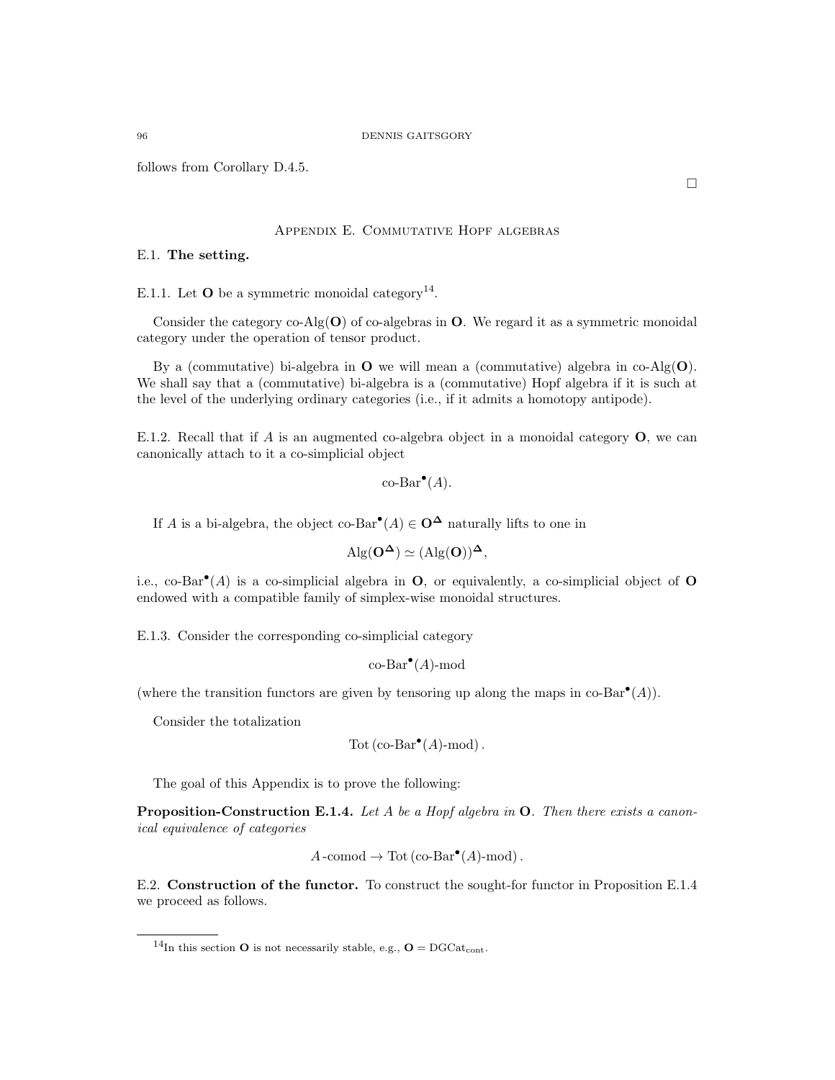follows from Corollary D.4.5.

### Appendix E. Commutative Hopf algebras

# E.1. The setting.

E.1.1. Let **O** be a symmetric monoidal category<sup>14</sup>.

Consider the category co-Alg $(O)$  of co-algebras in O. We regard it as a symmetric monoidal category under the operation of tensor product.

By a (commutative) bi-algebra in  $O$  we will mean a (commutative) algebra in co-Alg $(O)$ . We shall say that a (commutative) bi-algebra is a (commutative) Hopf algebra if it is such at the level of the underlying ordinary categories (i.e., if it admits a homotopy antipode).

E.1.2. Recall that if A is an augmented co-algebra object in a monoidal category  $O$ , we can canonically attach to it a co-simplicial object

```
\operatorname{co-Bar}^{\bullet}(A).
```
If A is a bi-algebra, the object co-Bar<sup>•</sup> $(A) \in \mathbf{O}^{\mathbf{\Delta}}$  naturally lifts to one in

$$
Alg(O^{\Delta}) \simeq (Alg(O))^{\Delta},
$$

i.e., co-Bar<sup>•</sup>(A) is a co-simplicial algebra in  $\mathbf{O}$ , or equivalently, a co-simplicial object of  $\mathbf{O}$ endowed with a compatible family of simplex-wise monoidal structures.

E.1.3. Consider the corresponding co-simplicial category

$$
\operatorname{co-Bar}^{\bullet}(A)\text{-mod}
$$

(where the transition functors are given by tensoring up along the maps in  $co-Bar^{\bullet}(A)$ ).

Consider the totalization

$$
Tot (co-Bar^{\bullet}(A)-mod).
$$

The goal of this Appendix is to prove the following:

**Proposition-Construction E.1.4.** Let A be a Hopf algebra in  $O$ . Then there exists a canonical equivalence of categories

$$
A
$$
-comod  $\rightarrow$  Tot (co-Bar<sup>•</sup> $(A)$ -mod).

E.2. Construction of the functor. To construct the sought-for functor in Proposition E.1.4 we proceed as follows.

<sup>&</sup>lt;sup>14</sup>In this section **O** is not necessarily stable, e.g., **O** = DGCat<sub>cont</sub>.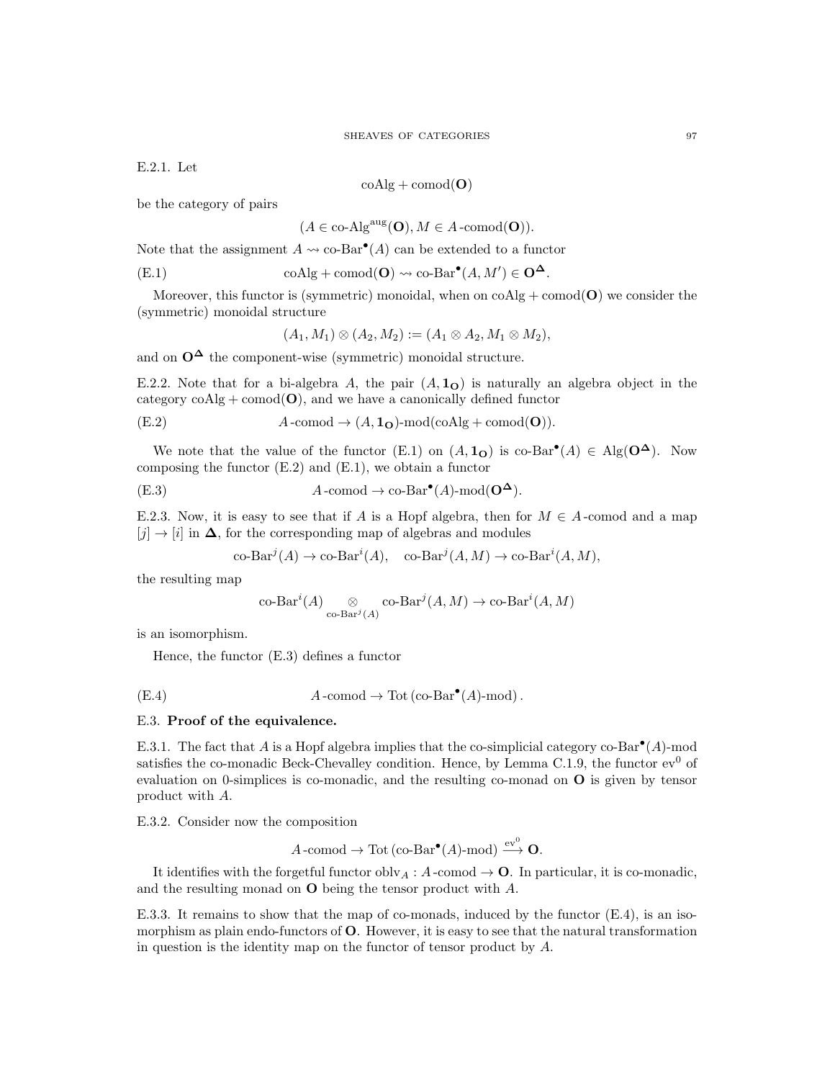E.2.1. Let

 $\mathrm{coAlg} + \mathrm{comod}(\mathbf{O})$ 

be the category of pairs

$$
(A \in \text{co-Alg}^{\text{aug}}(\mathbf{O}), M \in A\text{-comod}(\mathbf{O})).
$$

Note that the assignment  $A \leadsto \text{co-Bar}^{\bullet}(A)$  can be extended to a functor

(E.1) 
$$
\text{coAlg} + \text{comod}(\mathbf{O}) \rightsquigarrow \text{co-Bar}^{\bullet}(A, M') \in \mathbf{O}^{\Delta}.
$$

Moreover, this functor is (symmetric) monoidal, when on  $\text{coAlg} + \text{comod}(\mathbf{O})$  we consider the (symmetric) monoidal structure

$$
(A_1, M_1) \otimes (A_2, M_2) := (A_1 \otimes A_2, M_1 \otimes M_2),
$$

and on  $O^{\Delta}$  the component-wise (symmetric) monoidal structure.

E.2.2. Note that for a bi-algebra A, the pair  $(A, 1<sub>O</sub>)$  is naturally an algebra object in the category  $\mathrm{coAlg} + \mathrm{comod}(\mathbf{O})$ , and we have a canonically defined functor

(E.2) 
$$
A\text{-comod} \to (A, \mathbf{1}_{\mathbf{O}})\text{-mod}(\text{coAlg} + \text{comod}(\mathbf{O})).
$$

We note that the value of the functor (E.1) on  $(A, 1<sub>O</sub>)$  is co-Bar<sup>•</sup> $(A) \in Alg(O^{\Delta})$ . Now composing the functor  $(E.2)$  and  $(E.1)$ , we obtain a functor

(E.3) 
$$
A\text{-comod} \to \text{co-Bar}^{\bullet}(A)\text{-mod}(\mathbf{O}^{\mathbf{\Delta}}).
$$

E.2.3. Now, it is easy to see that if A is a Hopf algebra, then for  $M \in A$ -comod and a map  $[j] \rightarrow [i]$  in  $\Delta$ , for the corresponding map of algebras and modules

$$
\text{co-Bar}^j(A) \to \text{co-Bar}^i(A), \quad \text{co-Bar}^j(A, M) \to \text{co-Bar}^i(A, M),
$$

the resulting map

$$
\operatorname{co-Bar}^i(A) \underset{\operatorname{co-Bar}^j(A)}{\otimes} \operatorname{co-Bar}^j(A,M) \to \operatorname{co-Bar}^i(A,M)
$$

is an isomorphism.

Hence, the functor (E.3) defines a functor

(E.4) 
$$
A
$$
-comod  $\rightarrow$  Tot (co-Bar<sup>•</sup>(A)-mod).

### E.3. Proof of the equivalence.

E.3.1. The fact that A is a Hopf algebra implies that the co-simplicial category co-Bar<sup>•</sup>(A)-mod satisfies the co-monadic Beck-Chevalley condition. Hence, by Lemma C.1.9, the functor  $ev^0$  of evaluation on 0-simplices is co-monadic, and the resulting co-monad on O is given by tensor product with A.

E.3.2. Consider now the composition

$$
A\text{-comod}\to\text{Tot}(\text{co-Bar}^{\bullet}(A)\text{-mod})\xrightarrow{\text{ev}^0}\mathbf{O}.
$$

It identifies with the forgetful functor obly  $_A : A$ -comod  $\rightarrow \mathbf{O}$ . In particular, it is co-monadic, and the resulting monad on O being the tensor product with A.

E.3.3. It remains to show that the map of co-monads, induced by the functor (E.4), is an isomorphism as plain endo-functors of  $O$ . However, it is easy to see that the natural transformation in question is the identity map on the functor of tensor product by A.